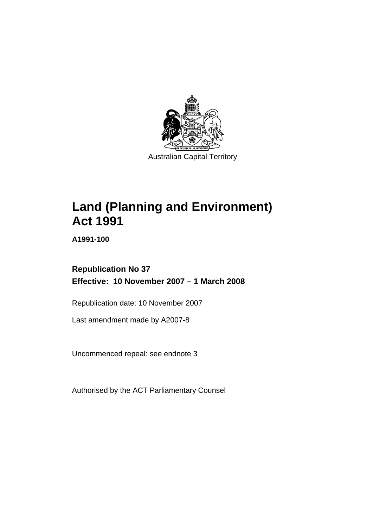

Australian Capital Territory

# **[Land \(Planning and Environment\)](#page-14-0)  [Act 1991](#page-14-0)**

**A1991-100** 

## **Republication No 37 Effective: 10 November 2007 – 1 March 2008**

Republication date: 10 November 2007

Last amendment made by A2007-8

Uncommenced repeal: see endnote 3

Authorised by the ACT Parliamentary Counsel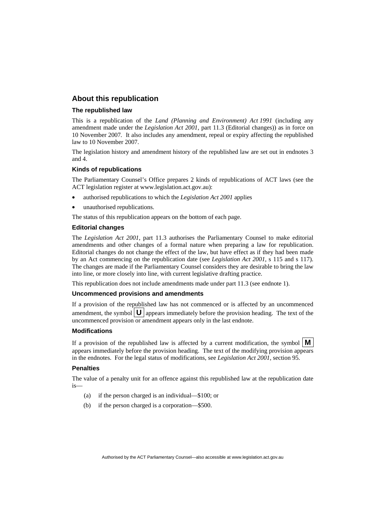#### **About this republication**

#### **The republished law**

This is a republication of the *Land (Planning and Environment) Act 1991* (including any amendment made under the *Legislation Act 2001*, part 11.3 (Editorial changes)) as in force on 10 November 2007*.* It also includes any amendment, repeal or expiry affecting the republished law to 10 November 2007.

The legislation history and amendment history of the republished law are set out in endnotes 3 and 4.

#### **Kinds of republications**

The Parliamentary Counsel's Office prepares 2 kinds of republications of ACT laws (see the ACT legislation register at www.legislation.act.gov.au):

- authorised republications to which the *Legislation Act 2001* applies
- unauthorised republications.

The status of this republication appears on the bottom of each page.

#### **Editorial changes**

The *Legislation Act 2001*, part 11.3 authorises the Parliamentary Counsel to make editorial amendments and other changes of a formal nature when preparing a law for republication. Editorial changes do not change the effect of the law, but have effect as if they had been made by an Act commencing on the republication date (see *Legislation Act 2001*, s 115 and s 117). The changes are made if the Parliamentary Counsel considers they are desirable to bring the law into line, or more closely into line, with current legislative drafting practice.

This republication does not include amendments made under part 11.3 (see endnote 1).

#### **Uncommenced provisions and amendments**

If a provision of the republished law has not commenced or is affected by an uncommenced amendment, the symbol  $\mathbf{U}$  appears immediately before the provision heading. The text of the uncommenced provision or amendment appears only in the last endnote.

#### **Modifications**

If a provision of the republished law is affected by a current modification, the symbol  $\mathbf{M}$ appears immediately before the provision heading. The text of the modifying provision appears in the endnotes. For the legal status of modifications, see *Legislation Act 2001*, section 95.

#### **Penalties**

The value of a penalty unit for an offence against this republished law at the republication date is—

- (a) if the person charged is an individual—\$100; or
- (b) if the person charged is a corporation—\$500.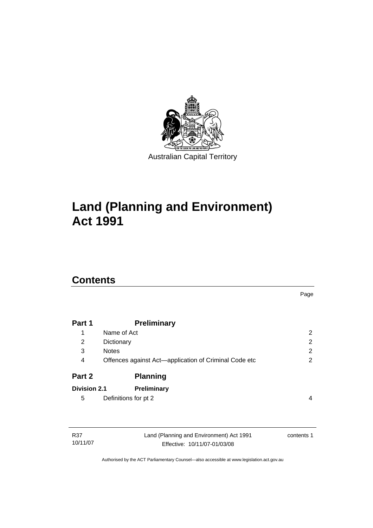

# **[Land \(Planning and Environment\)](#page-14-0)  [Act 1991](#page-14-0)**

# **Contents**

|                     |                                                       | Page           |
|---------------------|-------------------------------------------------------|----------------|
|                     |                                                       |                |
| Part 1              | <b>Preliminary</b>                                    |                |
| 1                   | Name of Act                                           | $\overline{2}$ |
| 2                   | Dictionary                                            | $\overline{2}$ |
| 3                   | <b>Notes</b>                                          | $\overline{2}$ |
| 4                   | Offences against Act-application of Criminal Code etc | 2              |
| Part 2              | <b>Planning</b>                                       |                |
| <b>Division 2.1</b> | Preliminary                                           |                |
| 5                   | Definitions for pt 2                                  | 4              |
|                     |                                                       |                |
|                     |                                                       |                |
|                     |                                                       |                |

| R37      | Land (Planning and Environment) Act 1991 | contents 1 |
|----------|------------------------------------------|------------|
| 10/11/07 | Effective: 10/11/07-01/03/08             |            |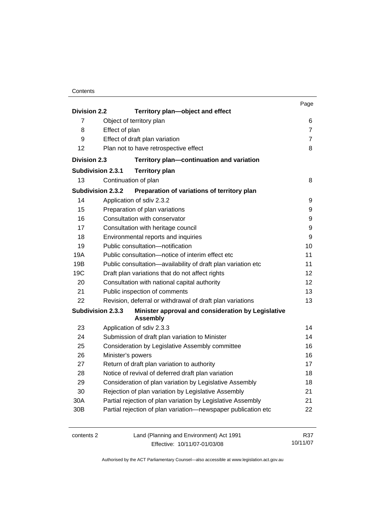| Contents |
|----------|
|----------|

|                          |                                                                    |                                                                       | Page           |
|--------------------------|--------------------------------------------------------------------|-----------------------------------------------------------------------|----------------|
| <b>Division 2.2</b>      |                                                                    | Territory plan-object and effect                                      |                |
| 7                        |                                                                    | Object of territory plan                                              | 6              |
| 8                        | Effect of plan                                                     |                                                                       | $\overline{7}$ |
| 9                        |                                                                    | Effect of draft plan variation                                        | $\overline{7}$ |
| 12                       |                                                                    | Plan not to have retrospective effect                                 | 8              |
| <b>Division 2.3</b>      |                                                                    | Territory plan-continuation and variation                             |                |
| <b>Subdivision 2.3.1</b> |                                                                    | <b>Territory plan</b>                                                 |                |
| 13                       |                                                                    | Continuation of plan                                                  | 8              |
|                          | <b>Subdivision 2.3.2</b>                                           | Preparation of variations of territory plan                           |                |
| 14                       |                                                                    | Application of sdiv 2.3.2                                             | 9              |
| 15                       |                                                                    | Preparation of plan variations                                        | 9              |
| 16                       |                                                                    | Consultation with conservator                                         | 9              |
| 17                       |                                                                    | Consultation with heritage council                                    | 9              |
| 18                       |                                                                    | Environmental reports and inquiries                                   | 9              |
| 19                       |                                                                    | Public consultation-notification                                      | 10             |
| 19A                      |                                                                    | Public consultation-notice of interim effect etc                      | 11             |
| 19B                      | Public consultation-availability of draft plan variation etc<br>11 |                                                                       |                |
| 19C                      |                                                                    | Draft plan variations that do not affect rights                       | 12             |
| 20                       |                                                                    | Consultation with national capital authority                          | 12             |
| 21                       |                                                                    | Public inspection of comments                                         | 13             |
| 22                       |                                                                    | Revision, deferral or withdrawal of draft plan variations             | 13             |
|                          | <b>Subdivision 2.3.3</b>                                           | Minister approval and consideration by Legislative<br><b>Assembly</b> |                |
| 23                       |                                                                    | Application of sdiv 2.3.3                                             | 14             |
| 24                       |                                                                    | Submission of draft plan variation to Minister                        | 14             |
| 25                       |                                                                    | Consideration by Legislative Assembly committee                       | 16             |
| 26                       | Minister's powers                                                  |                                                                       | 16             |
| 27                       |                                                                    | Return of draft plan variation to authority                           | 17             |
| 28                       |                                                                    | Notice of revival of deferred draft plan variation                    | 18             |
| 29                       |                                                                    | Consideration of plan variation by Legislative Assembly               | 18             |
| 30                       |                                                                    | Rejection of plan variation by Legislative Assembly                   | 21             |
| 30A                      |                                                                    | Partial rejection of plan variation by Legislative Assembly           | 21             |
| 30B                      |                                                                    | Partial rejection of plan variation-newspaper publication etc         | 22             |
| contents 2               |                                                                    | Land (Planning and Environment) Act 1991                              | R37            |

Effective: 10/11/07-01/03/08

10/11/07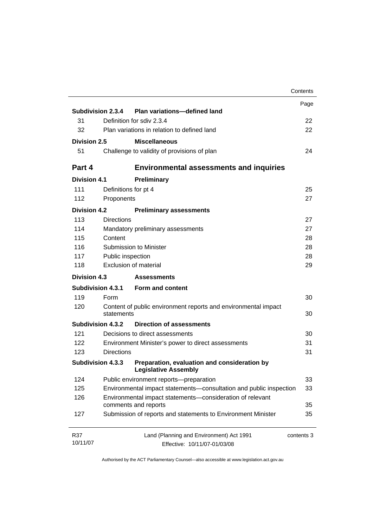|                          |                          |                                                                                   | Contents   |
|--------------------------|--------------------------|-----------------------------------------------------------------------------------|------------|
|                          |                          |                                                                                   | Page       |
|                          | Subdivision 2.3.4        | Plan variations-defined land                                                      |            |
| 31                       |                          | Definition for sdiv 2.3.4                                                         | 22         |
| 32                       |                          | Plan variations in relation to defined land                                       | 22         |
| Division 2.5             |                          | <b>Miscellaneous</b>                                                              |            |
| 51                       |                          | Challenge to validity of provisions of plan                                       | 24         |
| Part 4                   |                          | <b>Environmental assessments and inquiries</b>                                    |            |
| <b>Division 4.1</b>      |                          | Preliminary                                                                       |            |
| 111                      | Definitions for pt 4     |                                                                                   | 25         |
| 112                      | Proponents               |                                                                                   | 27         |
| <b>Division 4.2</b>      |                          | <b>Preliminary assessments</b>                                                    |            |
| 113                      | <b>Directions</b>        |                                                                                   | 27         |
| 114                      |                          | Mandatory preliminary assessments                                                 | 27         |
| 115                      | Content                  |                                                                                   | 28         |
| 116                      |                          | Submission to Minister                                                            | 28         |
| 117                      | Public inspection        |                                                                                   | 28         |
| 118                      |                          | Exclusion of material                                                             | 29         |
| Division 4.3             |                          | <b>Assessments</b>                                                                |            |
| <b>Subdivision 4.3.1</b> |                          | Form and content                                                                  |            |
| 119                      | Form                     |                                                                                   | 30         |
| 120                      | statements               | Content of public environment reports and environmental impact                    | 30         |
|                          | <b>Subdivision 4.3.2</b> | <b>Direction of assessments</b>                                                   |            |
| 121                      |                          | Decisions to direct assessments                                                   | 30         |
| 122                      |                          | Environment Minister's power to direct assessments                                | 31         |
| 123                      | <b>Directions</b>        |                                                                                   | 31         |
| <b>Subdivision 4.3.3</b> |                          | Preparation, evaluation and consideration by<br><b>Legislative Assembly</b>       |            |
| 124                      |                          | Public environment reports-preparation                                            | 33         |
| 125                      |                          | Environmental impact statements-consultation and public inspection                | 33         |
| 126                      |                          | Environmental impact statements-consideration of relevant<br>comments and reports | 35         |
| 127                      |                          | Submission of reports and statements to Environment Minister                      | 35         |
| R37                      |                          | Land (Planning and Environment) Act 1991                                          | contents 3 |
| 10/11/07                 |                          | Effective: 10/11/07-01/03/08                                                      |            |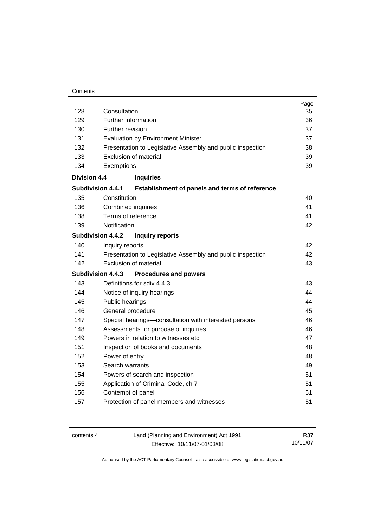#### **Contents**

| 128                 | Consultation                                                               | Page<br>35 |
|---------------------|----------------------------------------------------------------------------|------------|
| 129                 | Further information                                                        | 36         |
| 130                 | Further revision                                                           | 37         |
| 131                 | <b>Evaluation by Environment Minister</b>                                  | 37         |
| 132                 | Presentation to Legislative Assembly and public inspection                 | 38         |
| 133                 | <b>Exclusion of material</b>                                               | 39         |
| 134                 | Exemptions                                                                 | 39         |
| <b>Division 4.4</b> | <b>Inquiries</b>                                                           |            |
|                     | <b>Subdivision 4.4.1</b><br>Establishment of panels and terms of reference |            |
| 135                 | Constitution                                                               | 40         |
| 136                 | <b>Combined inquiries</b>                                                  | 41         |
| 138                 | Terms of reference                                                         | 41         |
| 139                 | Notification                                                               | 42         |
|                     | <b>Subdivision 4.4.2</b><br><b>Inquiry reports</b>                         |            |
| 140                 | Inquiry reports                                                            | 42         |
| 141                 | Presentation to Legislative Assembly and public inspection                 | 42         |
| 142                 | <b>Exclusion of material</b>                                               | 43         |
|                     | <b>Subdivision 4.4.3</b><br><b>Procedures and powers</b>                   |            |
| 143                 | Definitions for sdiv 4.4.3                                                 | 43         |
| 144                 | Notice of inquiry hearings                                                 | 44         |
| 145                 | Public hearings                                                            | 44         |
| 146                 | General procedure                                                          | 45         |
| 147                 | Special hearings-consultation with interested persons                      | 46         |
| 148                 | Assessments for purpose of inquiries                                       | 46         |
| 149                 | Powers in relation to witnesses etc                                        | 47         |
| 151                 | Inspection of books and documents                                          | 48         |
| 152                 | Power of entry                                                             | 48         |
| 153                 | Search warrants                                                            | 49         |
| 154                 | Powers of search and inspection                                            | 51         |
| 155                 | Application of Criminal Code, ch 7                                         | 51         |
| 156                 | Contempt of panel                                                          | 51         |
| 157                 | Protection of panel members and witnesses                                  | 51         |
|                     |                                                                            |            |

| contents 4 | Land (Planning and Environment) Act 1991 | R37      |
|------------|------------------------------------------|----------|
|            | Effective: 10/11/07-01/03/08             | 10/11/07 |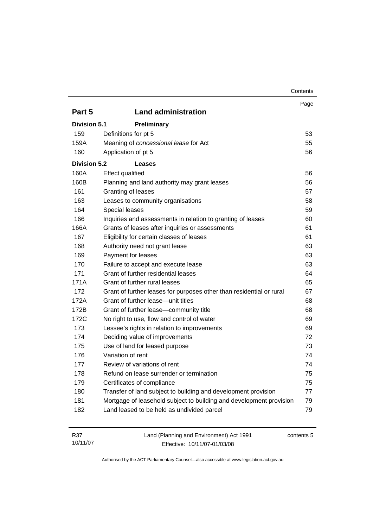|                     |                                                                      | Contents |
|---------------------|----------------------------------------------------------------------|----------|
|                     |                                                                      | Page     |
| Part 5              | <b>Land administration</b>                                           |          |
| <b>Division 5.1</b> | <b>Preliminary</b>                                                   |          |
| 159                 | Definitions for pt 5                                                 | 53       |
| 159A                | Meaning of concessional lease for Act                                | 55       |
| 160                 | Application of pt 5                                                  | 56       |
| <b>Division 5.2</b> | Leases                                                               |          |
| 160A                | <b>Effect qualified</b>                                              | 56       |
| 160B                | Planning and land authority may grant leases                         | 56       |
| 161                 | Granting of leases                                                   | 57       |
| 163                 | Leases to community organisations                                    | 58       |
| 164                 | Special leases                                                       | 59       |
| 166                 | Inquiries and assessments in relation to granting of leases          | 60       |
| 166A                | Grants of leases after inquiries or assessments                      | 61       |
| 167                 | Eligibility for certain classes of leases                            | 61       |
| 168                 | Authority need not grant lease                                       | 63       |
| 169                 | Payment for leases                                                   | 63       |
| 170                 | Failure to accept and execute lease                                  | 63       |
| 171                 | Grant of further residential leases                                  | 64       |
| 171A                | Grant of further rural leases                                        | 65       |
| 172                 | Grant of further leases for purposes other than residential or rural | 67       |
| 172A                | Grant of further lease-unit titles                                   | 68       |
| 172B                | Grant of further lease-community title                               | 68       |
| 172C                | No right to use, flow and control of water                           | 69       |
| 173                 | Lessee's rights in relation to improvements                          | 69       |
| 174                 | Deciding value of improvements                                       | 72       |
| 175                 | Use of land for leased purpose                                       | 73       |
| 176                 | Variation of rent                                                    | 74       |
| 177                 | Review of variations of rent                                         | 74       |
| 178                 | Refund on lease surrender or termination                             | 75       |
| 179                 | Certificates of compliance                                           | 75       |
| 180                 | Transfer of land subject to building and development provision       | 77       |
| 181                 | Mortgage of leasehold subject to building and development provision  | 79       |
| 182                 | Land leased to be held as undivided parcel                           | 79       |
|                     |                                                                      |          |

| R37      | Land (Planning and Environment) Act 1991 | contents 5 |
|----------|------------------------------------------|------------|
| 10/11/07 | Effective: 10/11/07-01/03/08             |            |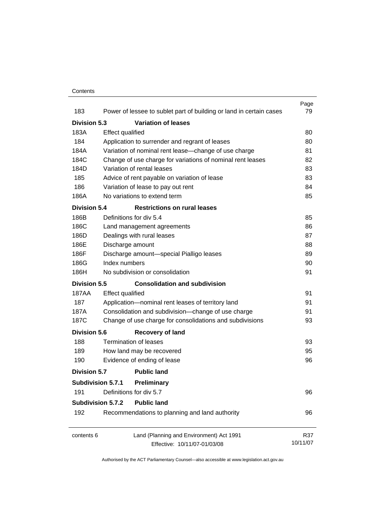#### **Contents**

|                     |                                                                     | Page     |
|---------------------|---------------------------------------------------------------------|----------|
| 183                 | Power of lessee to sublet part of building or land in certain cases | 79       |
| <b>Division 5.3</b> | <b>Variation of leases</b>                                          |          |
| 183A                | <b>Effect qualified</b>                                             | 80       |
| 184                 | Application to surrender and regrant of leases                      | 80       |
| 184A                | Variation of nominal rent lease-change of use charge                | 81       |
| 184C                | Change of use charge for variations of nominal rent leases          | 82       |
| 184D                | Variation of rental leases                                          | 83       |
| 185                 | Advice of rent payable on variation of lease                        | 83       |
| 186                 | Variation of lease to pay out rent                                  | 84       |
| 186A                | No variations to extend term                                        | 85       |
| <b>Division 5.4</b> | <b>Restrictions on rural leases</b>                                 |          |
| 186B                | Definitions for div 5.4                                             | 85       |
| 186C                | Land management agreements                                          | 86       |
| 186D                | Dealings with rural leases                                          | 87       |
| 186E                | Discharge amount                                                    | 88       |
| 186F                | Discharge amount-special Pialligo leases                            | 89       |
| 186G                | Index numbers                                                       | 90       |
| 186H                | No subdivision or consolidation                                     | 91       |
| Division 5.5        | <b>Consolidation and subdivision</b>                                |          |
| 187AA               | <b>Effect qualified</b>                                             | 91       |
| 187                 | Application-nominal rent leases of territory land                   | 91       |
| 187A                | Consolidation and subdivision-change of use charge                  | 91       |
| 187C                | Change of use charge for consolidations and subdivisions            | 93       |
| <b>Division 5.6</b> | <b>Recovery of land</b>                                             |          |
| 188                 | <b>Termination of leases</b>                                        | 93       |
| 189                 | How land may be recovered                                           | 95       |
| 190                 | Evidence of ending of lease                                         | 96       |
| Division 5.7        | <b>Public land</b>                                                  |          |
|                     | Subdivision 5.7.1<br>Preliminary                                    |          |
| 191                 | Definitions for div 5.7                                             | 96       |
|                     | <b>Public land</b><br><b>Subdivision 5.7.2</b>                      |          |
| 192                 |                                                                     | 96       |
|                     | Recommendations to planning and land authority                      |          |
| contents 6          | Land (Planning and Environment) Act 1991                            | R37      |
|                     | Effective: 10/11/07-01/03/08                                        | 10/11/07 |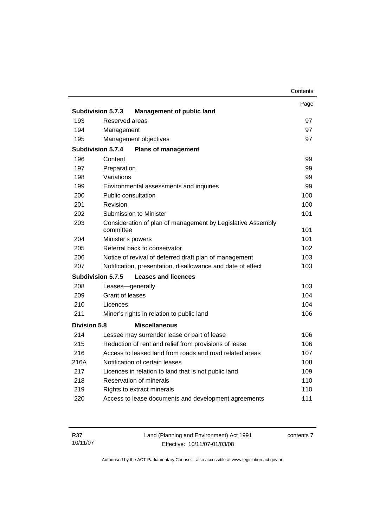|                     |                                                                          | Contents |
|---------------------|--------------------------------------------------------------------------|----------|
|                     |                                                                          | Page     |
|                     | <b>Subdivision 5.7.3</b><br><b>Management of public land</b>             |          |
| 193                 | Reserved areas                                                           | 97       |
| 194                 | Management                                                               | 97       |
| 195                 | Management objectives                                                    | 97       |
|                     | <b>Subdivision 5.7.4</b><br><b>Plans of management</b>                   |          |
| 196                 | Content                                                                  | 99       |
| 197                 | Preparation                                                              | 99       |
| 198                 | Variations                                                               | 99       |
| 199                 | Environmental assessments and inquiries                                  | 99       |
| 200                 | Public consultation                                                      | 100      |
| 201                 | Revision                                                                 | 100      |
| 202                 | <b>Submission to Minister</b>                                            | 101      |
| 203                 | Consideration of plan of management by Legislative Assembly<br>committee | 101      |
| 204                 | Minister's powers                                                        | 101      |
| 205                 | Referral back to conservator                                             | 102      |
| 206                 | Notice of revival of deferred draft plan of management                   | 103      |
| 207                 | Notification, presentation, disallowance and date of effect              | 103      |
|                     | <b>Subdivision 5.7.5</b><br><b>Leases and licences</b>                   |          |
| 208                 | Leases-generally                                                         | 103      |
| 209                 | Grant of leases                                                          | 104      |
| 210                 | Licences                                                                 | 104      |
| 211                 | Miner's rights in relation to public land                                | 106      |
| <b>Division 5.8</b> | <b>Miscellaneous</b>                                                     |          |
| 214                 | Lessee may surrender lease or part of lease                              | 106      |
| 215                 | Reduction of rent and relief from provisions of lease                    | 106      |
| 216                 | Access to leased land from roads and road related areas                  | 107      |
| 216A                | Notification of certain leases                                           | 108      |
| 217                 | Licences in relation to land that is not public land                     | 109      |
| 218                 | <b>Reservation of minerals</b>                                           | 110      |
| 219                 | Rights to extract minerals                                               | 110      |
| 220                 | Access to lease documents and development agreements                     | 111      |
|                     |                                                                          |          |

| R37      | Land (Planning and Environment) Act 1991 | contents 7 |
|----------|------------------------------------------|------------|
| 10/11/07 | Effective: 10/11/07-01/03/08             |            |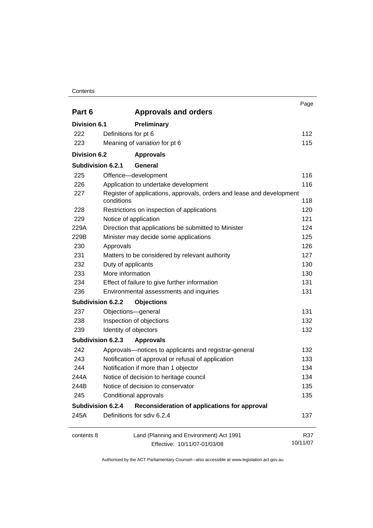#### **Contents**

|                     |                                                                                     | Page            |
|---------------------|-------------------------------------------------------------------------------------|-----------------|
| Part 6              | <b>Approvals and orders</b>                                                         |                 |
| Division 6.1        | Preliminary                                                                         |                 |
| 222                 | Definitions for pt 6                                                                | 112             |
| 223                 | Meaning of variation for pt 6                                                       | 115             |
| <b>Division 6.2</b> | <b>Approvals</b>                                                                    |                 |
| Subdivision 6.2.1   | General                                                                             |                 |
| 225                 | Offence-development                                                                 | 116             |
| 226                 | Application to undertake development                                                | 116             |
| 227                 | Register of applications, approvals, orders and lease and development<br>conditions | 118             |
| 228                 | Restrictions on inspection of applications                                          | 120             |
| 229                 | Notice of application                                                               | 121             |
| 229A                | Direction that applications be submitted to Minister                                | 124             |
| 229B                | Minister may decide some applications                                               | 125             |
| 230                 | Approvals                                                                           | 126             |
| 231                 | Matters to be considered by relevant authority                                      | 127             |
| 232                 | Duty of applicants                                                                  | 130             |
| 233                 | More information                                                                    | 130             |
| 234                 | Effect of failure to give further information                                       | 131             |
| 236                 | Environmental assessments and inquiries                                             | 131             |
| Subdivision 6.2.2   | <b>Objections</b>                                                                   |                 |
| 237                 | Objections-general                                                                  | 131             |
| 238                 | Inspection of objections                                                            | 132             |
| 239                 | Identity of objectors                                                               | 132             |
| Subdivision 6.2.3   | <b>Approvals</b>                                                                    |                 |
| 242                 | Approvals-notices to applicants and registrar-general                               | 132             |
| 243                 | Notification of approval or refusal of application                                  | 133             |
| 244                 | Notification if more than 1 objector                                                | 134             |
| 244A                | Notice of decision to heritage council                                              | 134             |
| 244B                | Notice of decision to conservator                                                   | 135             |
| 245                 | Conditional approvals                                                               | 135             |
| Subdivision 6.2.4   | Reconsideration of applications for approval                                        |                 |
| 245A                | Definitions for sdiv 6.2.4                                                          | 137             |
| contents 8          | Land (Planning and Environment) Act 1991<br>Effective: 10/11/07-01/03/08            | R37<br>10/11/07 |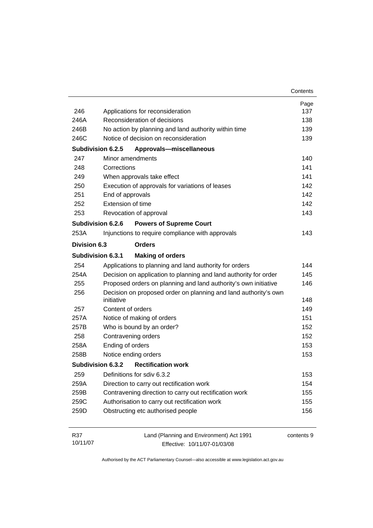|                 |                                                                               | Contents   |
|-----------------|-------------------------------------------------------------------------------|------------|
|                 |                                                                               | Page       |
| 246             | Applications for reconsideration                                              | 137        |
| 246A            | Reconsideration of decisions                                                  | 138        |
| 246B            | No action by planning and land authority within time                          | 139        |
| 246C            | Notice of decision on reconsideration                                         | 139        |
|                 | Subdivision 6.2.5<br>Approvals-miscellaneous                                  |            |
| 247             | Minor amendments                                                              | 140        |
| 248             | Corrections                                                                   | 141        |
| 249             | When approvals take effect                                                    | 141        |
| 250             | Execution of approvals for variations of leases                               | 142        |
| 251             | End of approvals                                                              | 142        |
| 252             | Extension of time                                                             | 142        |
| 253             | Revocation of approval                                                        | 143        |
|                 | Subdivision 6.2.6<br><b>Powers of Supreme Court</b>                           |            |
| 253A            | Injunctions to require compliance with approvals                              | 143        |
| Division 6.3    | <b>Orders</b>                                                                 |            |
|                 | <b>Subdivision 6.3.1</b><br><b>Making of orders</b>                           |            |
| 254             | Applications to planning and land authority for orders                        | 144        |
| 254A            | Decision on application to planning and land authority for order              | 145        |
| 255             | Proposed orders on planning and land authority's own initiative               | 146        |
| 256             | Decision on proposed order on planning and land authority's own<br>initiative | 148        |
| 257             | Content of orders                                                             | 149        |
| 257A            | Notice of making of orders                                                    | 151        |
| 257B            | Who is bound by an order?                                                     | 152        |
| 258             | Contravening orders                                                           | 152        |
| 258A            | Ending of orders                                                              | 153        |
| 258B            | Notice ending orders                                                          | 153        |
|                 | Subdivision 6.3.2<br><b>Rectification work</b>                                |            |
| 259             | Definitions for sdiv 6.3.2                                                    | 153        |
| 259A            | Direction to carry out rectification work                                     | 154        |
| 259B            | Contravening direction to carry out rectification work                        | 155        |
| 259C            | Authorisation to carry out rectification work                                 | 155        |
| 259D            | Obstructing etc authorised people                                             | 156        |
| R37<br>10/11/07 | Land (Planning and Environment) Act 1991<br>Effective: 10/11/07-01/03/08      | contents 9 |

Effective: 10/11/07-01/03/08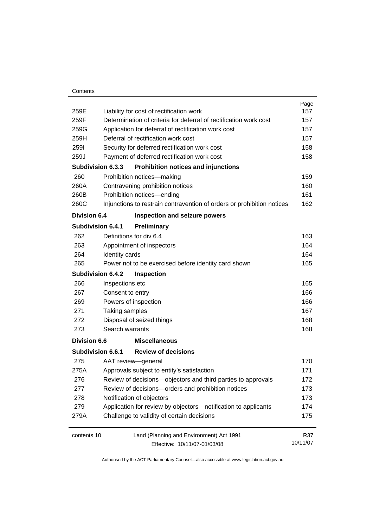| 259E                |                                                     | Liability for cost of rectification work                               | Page<br>157 |
|---------------------|-----------------------------------------------------|------------------------------------------------------------------------|-------------|
| 259F                |                                                     | Determination of criteria for deferral of rectification work cost      | 157         |
| 259G                | Application for deferral of rectification work cost |                                                                        | 157         |
| 259H                | Deferral of rectification work cost                 |                                                                        | 157         |
| <b>2591</b>         |                                                     | Security for deferred rectification work cost                          | 158<br>158  |
| 259J                |                                                     | Payment of deferred rectification work cost                            |             |
|                     | Subdivision 6.3.3                                   | Prohibition notices and injunctions                                    |             |
| 260                 |                                                     | Prohibition notices-making                                             | 159         |
| 260A                |                                                     | Contravening prohibition notices                                       | 160         |
| 260B                |                                                     | Prohibition notices-ending                                             | 161         |
| 260C                |                                                     | Injunctions to restrain contravention of orders or prohibition notices | 162         |
| <b>Division 6.4</b> |                                                     | Inspection and seizure powers                                          |             |
|                     | <b>Subdivision 6.4.1</b>                            | Preliminary                                                            |             |
| 262                 |                                                     | Definitions for div 6.4                                                | 163         |
| 263                 |                                                     | Appointment of inspectors                                              | 164         |
| 264                 | Identity cards                                      |                                                                        | 164         |
| 265                 |                                                     | Power not to be exercised before identity card shown                   | 165         |
|                     | Subdivision 6.4.2                                   | Inspection                                                             |             |
| 266                 | Inspections etc                                     |                                                                        | 165         |
| 267                 | Consent to entry                                    |                                                                        | 166         |
| 269                 |                                                     | Powers of inspection                                                   | 166         |
| 271                 | Taking samples                                      |                                                                        | 167         |
| 272                 |                                                     | Disposal of seized things                                              | 168         |
| 273                 | Search warrants                                     |                                                                        | 168         |
| <b>Division 6.6</b> |                                                     | <b>Miscellaneous</b>                                                   |             |
|                     | Subdivision 6.6.1                                   | <b>Review of decisions</b>                                             |             |
| 275                 |                                                     | AAT review-general                                                     | 170         |
| 275A                |                                                     | Approvals subject to entity's satisfaction                             | 171         |
| 276                 |                                                     | Review of decisions-objectors and third parties to approvals           | 172         |
| 277                 |                                                     | Review of decisions-orders and prohibition notices                     | 173         |
| 278                 |                                                     | Notification of objectors                                              | 173         |
| 279                 |                                                     | Application for review by objectors-notification to applicants         | 174         |
| 279A                |                                                     | Challenge to validity of certain decisions                             | 175         |
| contents 10         |                                                     | Land (Planning and Environment) Act 1991                               | R37         |
|                     |                                                     | Effective: 10/11/07-01/03/08                                           | 10/11/07    |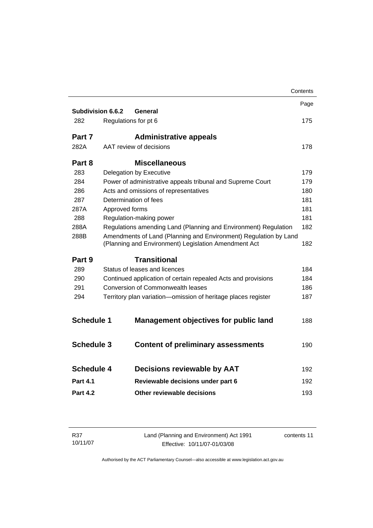|                   |                               |                                                                                                                          | Contents |
|-------------------|-------------------------------|--------------------------------------------------------------------------------------------------------------------------|----------|
| Subdivision 6.6.2 | General                       |                                                                                                                          | Page     |
| 282               | Regulations for pt 6          |                                                                                                                          | 175      |
| Part 7            |                               |                                                                                                                          |          |
|                   |                               | <b>Administrative appeals</b>                                                                                            |          |
| 282A              | AAT review of decisions       |                                                                                                                          | 178      |
| Part 8            |                               | <b>Miscellaneous</b>                                                                                                     |          |
| 283               | Delegation by Executive       |                                                                                                                          | 179      |
| 284               |                               | Power of administrative appeals tribunal and Supreme Court                                                               | 179      |
| 286               |                               | Acts and omissions of representatives                                                                                    | 180      |
| 287               | Determination of fees         |                                                                                                                          | 181      |
| 287A              | Approved forms                |                                                                                                                          | 181      |
| 288               | Regulation-making power       |                                                                                                                          | 181      |
| 288A              |                               | Regulations amending Land (Planning and Environment) Regulation                                                          | 182      |
| 288B              |                               | Amendments of Land (Planning and Environment) Regulation by Land<br>(Planning and Environment) Legislation Amendment Act | 182      |
| Part 9            |                               | <b>Transitional</b>                                                                                                      |          |
| 289               | Status of leases and licences |                                                                                                                          | 184      |
| 290               |                               | Continued application of certain repealed Acts and provisions                                                            | 184      |
| 291               |                               | Conversion of Commonwealth leases                                                                                        | 186      |
| 294               |                               | Territory plan variation-omission of heritage places register                                                            | 187      |
| <b>Schedule 1</b> |                               | <b>Management objectives for public land</b>                                                                             | 188      |
| <b>Schedule 3</b> |                               | <b>Content of preliminary assessments</b>                                                                                | 190      |
| <b>Schedule 4</b> |                               | <b>Decisions reviewable by AAT</b>                                                                                       | 192      |
| <b>Part 4.1</b>   |                               | Reviewable decisions under part 6                                                                                        | 192      |
| <b>Part 4.2</b>   |                               | Other reviewable decisions                                                                                               | 193      |
|                   |                               |                                                                                                                          |          |

| R37      | Land (Planning and Environment) Act 1991 | contents 11 |
|----------|------------------------------------------|-------------|
| 10/11/07 | Effective: 10/11/07-01/03/08             |             |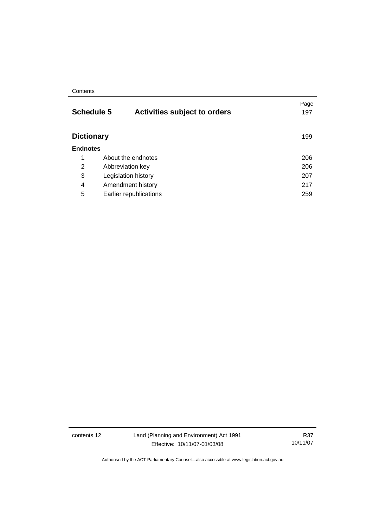#### **Contents**

| <b>Schedule 5</b> | <b>Activities subject to orders</b> | Page<br>197 |
|-------------------|-------------------------------------|-------------|
| <b>Dictionary</b> |                                     | 199         |
| <b>Endnotes</b>   |                                     |             |
| 1                 | About the endnotes                  | 206         |
| 2                 | Abbreviation key                    | 206         |
| 3                 | Legislation history                 | 207         |
| 4                 | Amendment history                   | 217         |
| 5                 | Earlier republications              | 259         |

contents 12 Land (Planning and Environment) Act 1991 Effective: 10/11/07-01/03/08

R37 10/11/07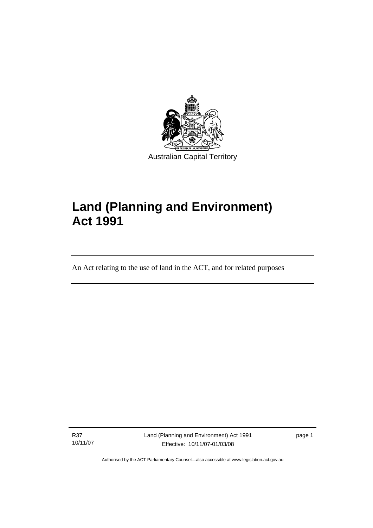<span id="page-14-0"></span>

# **Land (Planning and Environment) Act 1991**

An Act relating to the use of land in the ACT, and for related purposes

R37 10/11/07

I

Land (Planning and Environment) Act 1991 Effective: 10/11/07-01/03/08

page 1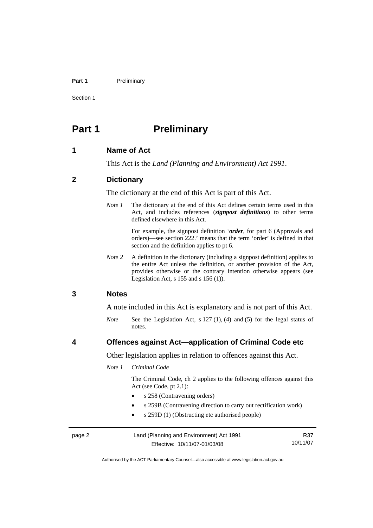#### <span id="page-15-0"></span>Part 1 **Preliminary**

Section 1

## **Part 1** Preliminary

#### **1 Name of Act**

This Act is the *Land (Planning and Environment) Act 1991*.

#### **2 Dictionary**

The dictionary at the end of this Act is part of this Act.

*Note 1* The dictionary at the end of this Act defines certain terms used in this Act, and includes references (*signpost definitions*) to other terms defined elsewhere in this Act.

> For example, the signpost definition '*order*, for part 6 (Approvals and orders)—see section 222.' means that the term 'order' is defined in that section and the definition applies to pt 6.

*Note 2* A definition in the dictionary (including a signpost definition) applies to the entire Act unless the definition, or another provision of the Act, provides otherwise or the contrary intention otherwise appears (see Legislation Act, s 155 and s 156 (1)).

#### **3 Notes**

A note included in this Act is explanatory and is not part of this Act.

*Note* See the Legislation Act, s 127 (1), (4) and (5) for the legal status of notes.

#### **4 Offences against Act—application of Criminal Code etc**

Other legislation applies in relation to offences against this Act.

#### *Note 1 Criminal Code*

 The Criminal Code, ch 2 applies to the following offences against this Act (see Code, pt 2.1):

- s 258 (Contravening orders)
- s 259B (Contravening direction to carry out rectification work)
- s 259D (1) (Obstructing etc authorised people)

| page 2 | Land (Planning and Environment) Act 1991 | R37      |
|--------|------------------------------------------|----------|
|        | Effective: 10/11/07-01/03/08             | 10/11/07 |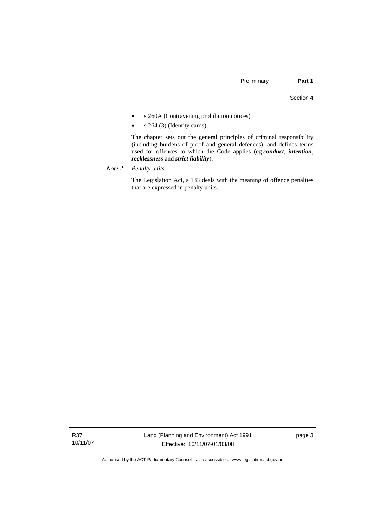- s 260A (Contravening prohibition notices)
- s 264 (3) (Identity cards).

 The chapter sets out the general principles of criminal responsibility (including burdens of proof and general defences), and defines terms used for offences to which the Code applies (eg *conduct*, *intention*, *recklessness* and *strict liability*).

*Note 2 Penalty units*

 The Legislation Act, s 133 deals with the meaning of offence penalties that are expressed in penalty units.

R37 10/11/07 page 3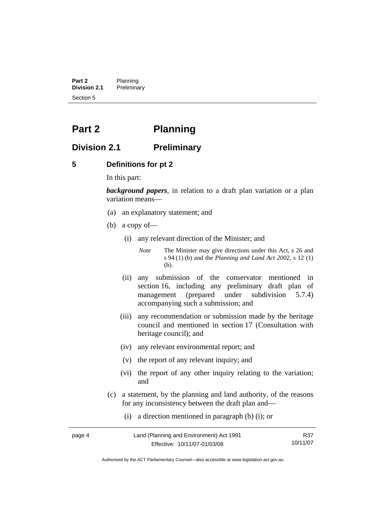<span id="page-17-0"></span>**Part 2** Planning<br>**Division 2.1** Prelimina **Division 2.1** Preliminary Section 5

## **Part 2 Planning**

## **Division 2.1 Preliminary**

#### **5 Definitions for pt 2**

In this part:

*background papers*, in relation to a draft plan variation or a plan variation means—

- (a) an explanatory statement; and
- (b) a copy of—
	- (i) any relevant direction of the Minister; and

*Note* The Minister may give directions under this Act, s 26 and s 94 (1) (b) and the *Planning and Land Act 2002*, s 12 (1) (b).

- (ii) any submission of the conservator mentioned in section 16, including any preliminary draft plan of management (prepared under subdivision 5.7.4) accompanying such a submission; and
- (iii) any recommendation or submission made by the heritage council and mentioned in section 17 (Consultation with heritage council); and
- (iv) any relevant environmental report; and
- (v) the report of any relevant inquiry; and
- (vi) the report of any other inquiry relating to the variation; and
- (c) a statement, by the planning and land authority, of the reasons for any inconsistency between the draft plan and—
	- (i) a direction mentioned in paragraph (b) (i); or

| page 4 | Land (Planning and Environment) Act 1991 | R37      |
|--------|------------------------------------------|----------|
|        | Effective: 10/11/07-01/03/08             | 10/11/07 |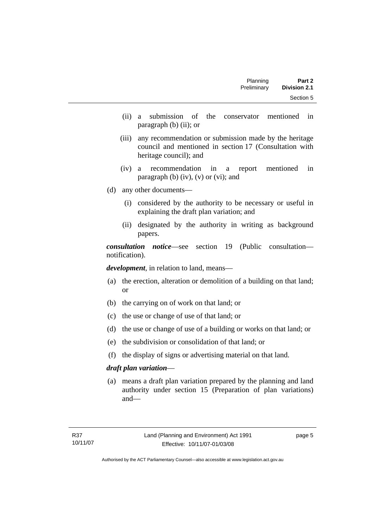| Part 2              | Planning    |
|---------------------|-------------|
| <b>Division 2.1</b> | Preliminary |
| Section 5           |             |

- (ii) a submission of the conservator mentioned in paragraph (b) (ii); or
- (iii) any recommendation or submission made by the heritage council and mentioned in section 17 (Consultation with heritage council); and
- (iv) a recommendation in a report mentioned in paragraph (b)  $(iv)$ ,  $(v)$  or  $(vi)$ ; and
- (d) any other documents—
	- (i) considered by the authority to be necessary or useful in explaining the draft plan variation; and
	- (ii) designated by the authority in writing as background papers.

*consultation notice*—see section 19 (Public consultation notification).

*development*, in relation to land, means—

- (a) the erection, alteration or demolition of a building on that land; or
- (b) the carrying on of work on that land; or
- (c) the use or change of use of that land; or
- (d) the use or change of use of a building or works on that land; or
- (e) the subdivision or consolidation of that land; or
- (f) the display of signs or advertising material on that land.

#### *draft plan variation*—

 (a) means a draft plan variation prepared by the planning and land authority under section 15 (Preparation of plan variations) and—

page 5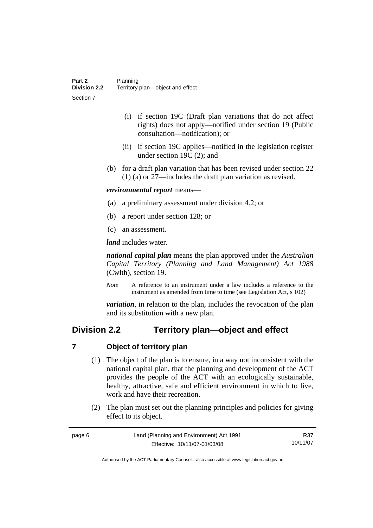- <span id="page-19-0"></span> (i) if section 19C (Draft plan variations that do not affect rights) does not apply—notified under section 19 (Public consultation—notification); or
- (ii) if section 19C applies—notified in the legislation register under section 19C (2); and
- (b) for a draft plan variation that has been revised under section 22 (1) (a) or 27—includes the draft plan variation as revised.

#### *environmental report* means—

- (a) a preliminary assessment under division 4.2; or
- (b) a report under section 128; or
- (c) an assessment.

*land* includes water.

*national capital plan* means the plan approved under the *Australian Capital Territory (Planning and Land Management) Act 1988* (Cwlth), section 19.

*Note* A reference to an instrument under a law includes a reference to the instrument as amended from time to time (see Legislation Act, s 102)

*variation*, in relation to the plan, includes the revocation of the plan and its substitution with a new plan.

## **Division 2.2 Territory plan—object and effect**

### **7 Object of territory plan**

- (1) The object of the plan is to ensure, in a way not inconsistent with the national capital plan, that the planning and development of the ACT provides the people of the ACT with an ecologically sustainable, healthy, attractive, safe and efficient environment in which to live, work and have their recreation.
- (2) The plan must set out the planning principles and policies for giving effect to its object.

| page 6 | Land (Planning and Environment) Act 1991 | R37      |
|--------|------------------------------------------|----------|
|        | Effective: 10/11/07-01/03/08             | 10/11/07 |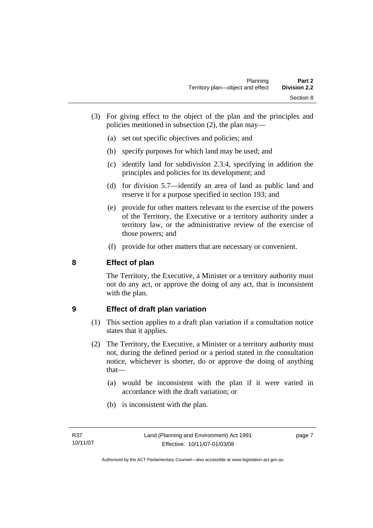- <span id="page-20-0"></span> (3) For giving effect to the object of the plan and the principles and policies mentioned in subsection (2), the plan may—
	- (a) set out specific objectives and policies; and
	- (b) specify purposes for which land may be used; and
	- (c) identify land for subdivision 2.3.4, specifying in addition the principles and policies for its development; and
	- (d) for division 5.7—identify an area of land as public land and reserve it for a purpose specified in section 193; and
	- (e) provide for other matters relevant to the exercise of the powers of the Territory, the Executive or a territory authority under a territory law, or the administrative review of the exercise of those powers; and
	- (f) provide for other matters that are necessary or convenient.

## **8 Effect of plan**

The Territory, the Executive, a Minister or a territory authority must not do any act, or approve the doing of any act, that is inconsistent with the plan.

## **9 Effect of draft plan variation**

- (1) This section applies to a draft plan variation if a consultation notice states that it applies.
- (2) The Territory, the Executive, a Minister or a territory authority must not, during the defined period or a period stated in the consultation notice, whichever is shorter, do or approve the doing of anything that—
	- (a) would be inconsistent with the plan if it were varied in accordance with the draft variation; or
	- (b) is inconsistent with the plan.

page 7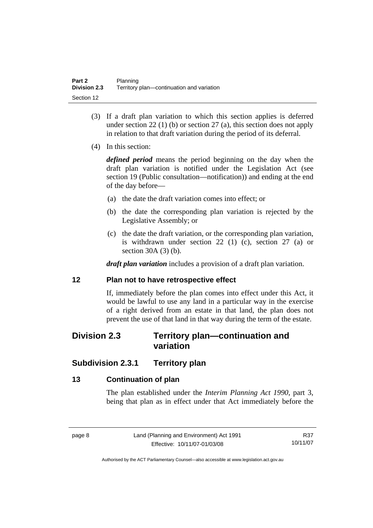- <span id="page-21-0"></span> (3) If a draft plan variation to which this section applies is deferred under section 22 (1) (b) or section 27 (a), this section does not apply in relation to that draft variation during the period of its deferral.
- (4) In this section:

*defined period* means the period beginning on the day when the draft plan variation is notified under the Legislation Act (see section 19 (Public consultation—notification)) and ending at the end of the day before—

- (a) the date the draft variation comes into effect; or
- (b) the date the corresponding plan variation is rejected by the Legislative Assembly; or
- (c) the date the draft variation, or the corresponding plan variation, is withdrawn under section 22 (1) (c), section 27 (a) or section 30A (3) (b).

*draft plan variation* includes a provision of a draft plan variation.

### **12 Plan not to have retrospective effect**

If, immediately before the plan comes into effect under this Act, it would be lawful to use any land in a particular way in the exercise of a right derived from an estate in that land, the plan does not prevent the use of that land in that way during the term of the estate.

## **Division 2.3 Territory plan—continuation and variation**

## **Subdivision 2.3.1 Territory plan**

## **13 Continuation of plan**

The plan established under the *Interim Planning Act 1990*, part 3, being that plan as in effect under that Act immediately before the

R37 10/11/07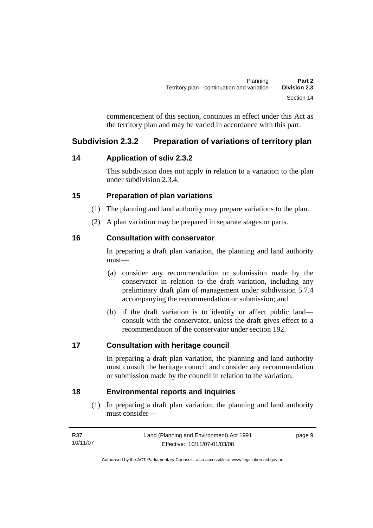commencement of this section, continues in effect under this Act as the territory plan and may be varied in accordance with this part.

## <span id="page-22-0"></span>**Subdivision 2.3.2 Preparation of variations of territory plan**

## **14 Application of sdiv 2.3.2**

This subdivision does not apply in relation to a variation to the plan under subdivision 2.3.4.

## **15 Preparation of plan variations**

- (1) The planning and land authority may prepare variations to the plan.
- (2) A plan variation may be prepared in separate stages or parts.

## **16 Consultation with conservator**

In preparing a draft plan variation, the planning and land authority must—

- (a) consider any recommendation or submission made by the conservator in relation to the draft variation, including any preliminary draft plan of management under subdivision 5.7.4 accompanying the recommendation or submission; and
- (b) if the draft variation is to identify or affect public land consult with the conservator, unless the draft gives effect to a recommendation of the conservator under section 192.

## **17 Consultation with heritage council**

In preparing a draft plan variation, the planning and land authority must consult the heritage council and consider any recommendation or submission made by the council in relation to the variation.

## **18 Environmental reports and inquiries**

 (1) In preparing a draft plan variation, the planning and land authority must consider—

| R37      | Land (Planning and Environment) Act 1991 | page 9 |
|----------|------------------------------------------|--------|
| 10/11/07 | Effective: 10/11/07-01/03/08             |        |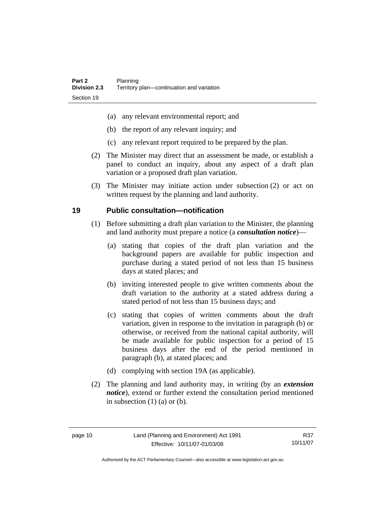- <span id="page-23-0"></span>(a) any relevant environmental report; and
- (b) the report of any relevant inquiry; and
- (c) any relevant report required to be prepared by the plan.
- (2) The Minister may direct that an assessment be made, or establish a panel to conduct an inquiry, about any aspect of a draft plan variation or a proposed draft plan variation.
- (3) The Minister may initiate action under subsection (2) or act on written request by the planning and land authority.

## **19 Public consultation—notification**

- (1) Before submitting a draft plan variation to the Minister, the planning and land authority must prepare a notice (a *consultation notice*)—
	- (a) stating that copies of the draft plan variation and the background papers are available for public inspection and purchase during a stated period of not less than 15 business days at stated places; and
	- (b) inviting interested people to give written comments about the draft variation to the authority at a stated address during a stated period of not less than 15 business days; and
	- (c) stating that copies of written comments about the draft variation, given in response to the invitation in paragraph (b) or otherwise, or received from the national capital authority, will be made available for public inspection for a period of 15 business days after the end of the period mentioned in paragraph (b), at stated places; and
	- (d) complying with section 19A (as applicable).
- (2) The planning and land authority may, in writing (by an *extension notice*), extend or further extend the consultation period mentioned in subsection  $(1)$   $(a)$  or  $(b)$ .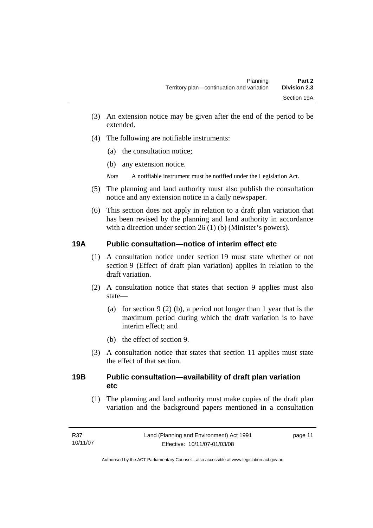- <span id="page-24-0"></span>(3) An extension notice may be given after the end of the period to be extended.
- (4) The following are notifiable instruments:
	- (a) the consultation notice;
	- (b) any extension notice.
	- *Note* A notifiable instrument must be notified under the Legislation Act.
- (5) The planning and land authority must also publish the consultation notice and any extension notice in a daily newspaper.
- (6) This section does not apply in relation to a draft plan variation that has been revised by the planning and land authority in accordance with a direction under section 26 (1) (b) (Minister's powers).

## **19A Public consultation—notice of interim effect etc**

- (1) A consultation notice under section 19 must state whether or not section 9 (Effect of draft plan variation) applies in relation to the draft variation.
- (2) A consultation notice that states that section 9 applies must also state—
	- (a) for section 9 (2) (b), a period not longer than 1 year that is the maximum period during which the draft variation is to have interim effect; and
	- (b) the effect of section 9.
- (3) A consultation notice that states that section 11 applies must state the effect of that section.

## **19B Public consultation—availability of draft plan variation etc**

(1) The planning and land authority must make copies of the draft plan variation and the background papers mentioned in a consultation

page 11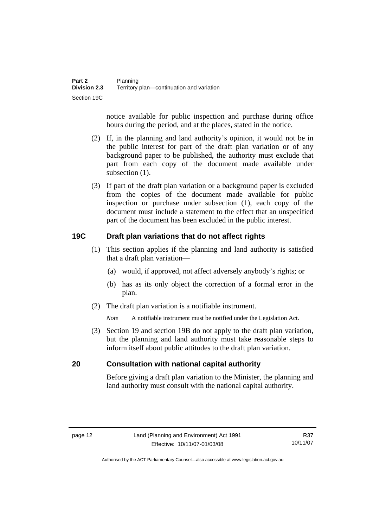<span id="page-25-0"></span>notice available for public inspection and purchase during office hours during the period, and at the places, stated in the notice.

- (2) If, in the planning and land authority's opinion, it would not be in the public interest for part of the draft plan variation or of any background paper to be published, the authority must exclude that part from each copy of the document made available under subsection  $(1)$ .
- (3) If part of the draft plan variation or a background paper is excluded from the copies of the document made available for public inspection or purchase under subsection (1), each copy of the document must include a statement to the effect that an unspecified part of the document has been excluded in the public interest.

## **19C Draft plan variations that do not affect rights**

- (1) This section applies if the planning and land authority is satisfied that a draft plan variation—
	- (a) would, if approved, not affect adversely anybody's rights; or
	- (b) has as its only object the correction of a formal error in the plan.
- (2) The draft plan variation is a notifiable instrument.

*Note* A notifiable instrument must be notified under the Legislation Act.

 (3) Section 19 and section 19B do not apply to the draft plan variation, but the planning and land authority must take reasonable steps to inform itself about public attitudes to the draft plan variation.

### **20 Consultation with national capital authority**

Before giving a draft plan variation to the Minister, the planning and land authority must consult with the national capital authority.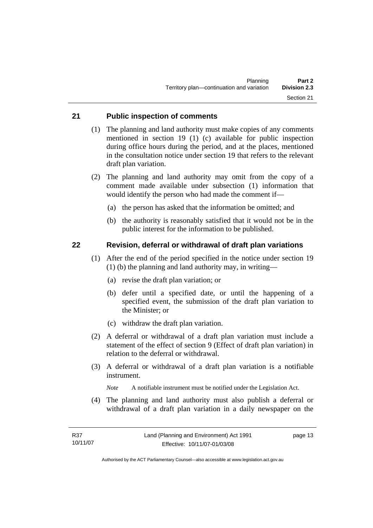## <span id="page-26-0"></span>**21 Public inspection of comments**

- (1) The planning and land authority must make copies of any comments mentioned in section 19 (1) (c) available for public inspection during office hours during the period, and at the places, mentioned in the consultation notice under section 19 that refers to the relevant draft plan variation.
- (2) The planning and land authority may omit from the copy of a comment made available under subsection (1) information that would identify the person who had made the comment if—
	- (a) the person has asked that the information be omitted; and
	- (b) the authority is reasonably satisfied that it would not be in the public interest for the information to be published.

### **22 Revision, deferral or withdrawal of draft plan variations**

- (1) After the end of the period specified in the notice under section 19 (1) (b) the planning and land authority may, in writing—
	- (a) revise the draft plan variation; or
	- (b) defer until a specified date, or until the happening of a specified event, the submission of the draft plan variation to the Minister; or
	- (c) withdraw the draft plan variation.
- (2) A deferral or withdrawal of a draft plan variation must include a statement of the effect of section 9 (Effect of draft plan variation) in relation to the deferral or withdrawal.
- (3) A deferral or withdrawal of a draft plan variation is a notifiable instrument.

*Note* A notifiable instrument must be notified under the Legislation Act.

(4) The planning and land authority must also publish a deferral or withdrawal of a draft plan variation in a daily newspaper on the

page 13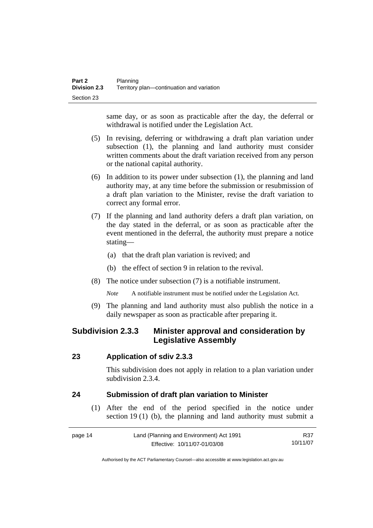<span id="page-27-0"></span>same day, or as soon as practicable after the day, the deferral or withdrawal is notified under the Legislation Act.

- (5) In revising, deferring or withdrawing a draft plan variation under subsection (1), the planning and land authority must consider written comments about the draft variation received from any person or the national capital authority.
- (6) In addition to its power under subsection (1), the planning and land authority may, at any time before the submission or resubmission of a draft plan variation to the Minister, revise the draft variation to correct any formal error.
- (7) If the planning and land authority defers a draft plan variation, on the day stated in the deferral, or as soon as practicable after the event mentioned in the deferral, the authority must prepare a notice stating—
	- (a) that the draft plan variation is revived; and
	- (b) the effect of section 9 in relation to the revival.
- (8) The notice under subsection (7) is a notifiable instrument.

*Note* A notifiable instrument must be notified under the Legislation Act.

(9) The planning and land authority must also publish the notice in a daily newspaper as soon as practicable after preparing it.

## **Subdivision 2.3.3 Minister approval and consideration by Legislative Assembly**

#### **23 Application of sdiv 2.3.3**

This subdivision does not apply in relation to a plan variation under subdivision 2.3.4.

### **24 Submission of draft plan variation to Minister**

 (1) After the end of the period specified in the notice under section 19 (1) (b), the planning and land authority must submit a

| page 14 | Land (Planning and Environment) Act 1991 | R37      |
|---------|------------------------------------------|----------|
|         | Effective: 10/11/07-01/03/08             | 10/11/07 |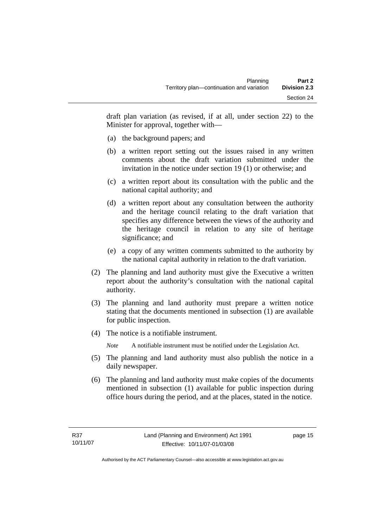draft plan variation (as revised, if at all, under section 22) to the Minister for approval, together with—

- (a) the background papers; and
- (b) a written report setting out the issues raised in any written comments about the draft variation submitted under the invitation in the notice under section 19 (1) or otherwise; and
- (c) a written report about its consultation with the public and the national capital authority; and
- (d) a written report about any consultation between the authority and the heritage council relating to the draft variation that specifies any difference between the views of the authority and the heritage council in relation to any site of heritage significance; and
- (e) a copy of any written comments submitted to the authority by the national capital authority in relation to the draft variation.
- (2) The planning and land authority must give the Executive a written report about the authority's consultation with the national capital authority.
- (3) The planning and land authority must prepare a written notice stating that the documents mentioned in subsection (1) are available for public inspection.
- (4) The notice is a notifiable instrument.

*Note* A notifiable instrument must be notified under the Legislation Act.

- (5) The planning and land authority must also publish the notice in a daily newspaper.
- (6) The planning and land authority must make copies of the documents mentioned in subsection (1) available for public inspection during office hours during the period, and at the places, stated in the notice.

page 15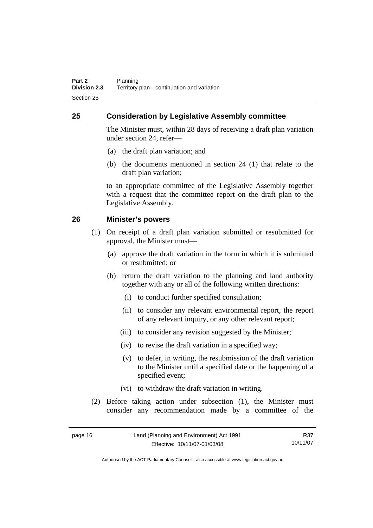## <span id="page-29-0"></span>**25 Consideration by Legislative Assembly committee**

The Minister must, within 28 days of receiving a draft plan variation under section 24, refer—

- (a) the draft plan variation; and
- (b) the documents mentioned in section 24 (1) that relate to the draft plan variation;

to an appropriate committee of the Legislative Assembly together with a request that the committee report on the draft plan to the Legislative Assembly.

## **26 Minister's powers**

- (1) On receipt of a draft plan variation submitted or resubmitted for approval, the Minister must—
	- (a) approve the draft variation in the form in which it is submitted or resubmitted; or
	- (b) return the draft variation to the planning and land authority together with any or all of the following written directions:
		- (i) to conduct further specified consultation;
		- (ii) to consider any relevant environmental report, the report of any relevant inquiry, or any other relevant report;
		- (iii) to consider any revision suggested by the Minister;
		- (iv) to revise the draft variation in a specified way;
		- (v) to defer, in writing, the resubmission of the draft variation to the Minister until a specified date or the happening of a specified event;
		- (vi) to withdraw the draft variation in writing.
- (2) Before taking action under subsection (1), the Minister must consider any recommendation made by a committee of the

| page 16 | Land (Planning and Environment) Act 1991 | R37      |
|---------|------------------------------------------|----------|
|         | Effective: 10/11/07-01/03/08             | 10/11/07 |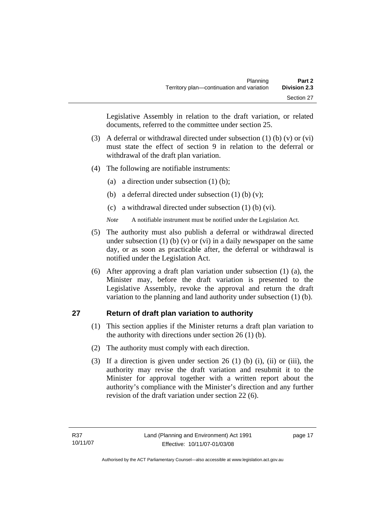<span id="page-30-0"></span>Legislative Assembly in relation to the draft variation, or related documents, referred to the committee under section 25.

- (3) A deferral or withdrawal directed under subsection (1) (b) (v) or (vi) must state the effect of section 9 in relation to the deferral or withdrawal of the draft plan variation.
- (4) The following are notifiable instruments:
	- (a) a direction under subsection (1) (b);
	- (b) a deferral directed under subsection  $(1)$  (b)  $(v)$ ;
	- (c) a withdrawal directed under subsection (1) (b) (vi).
	- *Note* A notifiable instrument must be notified under the Legislation Act.
- (5) The authority must also publish a deferral or withdrawal directed under subsection  $(1)$  (b)  $(v)$  or  $(vi)$  in a daily newspaper on the same day, or as soon as practicable after, the deferral or withdrawal is notified under the Legislation Act.
- (6) After approving a draft plan variation under subsection (1) (a), the Minister may, before the draft variation is presented to the Legislative Assembly, revoke the approval and return the draft variation to the planning and land authority under subsection (1) (b).

## **27 Return of draft plan variation to authority**

- (1) This section applies if the Minister returns a draft plan variation to the authority with directions under section  $26(1)(b)$ .
- (2) The authority must comply with each direction.
- (3) If a direction is given under section 26 (1) (b) (i), (ii) or (iii), the authority may revise the draft variation and resubmit it to the Minister for approval together with a written report about the authority's compliance with the Minister's direction and any further revision of the draft variation under section 22 (6).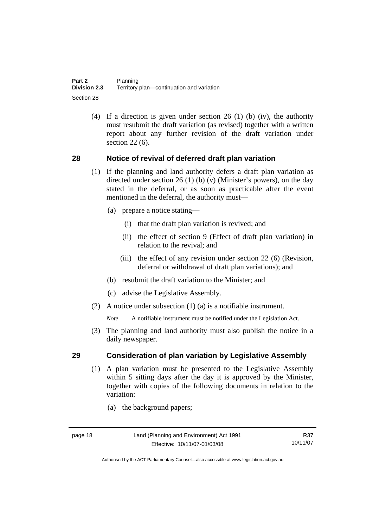<span id="page-31-0"></span> (4) If a direction is given under section 26 (1) (b) (iv), the authority must resubmit the draft variation (as revised) together with a written report about any further revision of the draft variation under section 22 (6).

## **28 Notice of revival of deferred draft plan variation**

- (1) If the planning and land authority defers a draft plan variation as directed under section 26 (1) (b) (v) (Minister's powers), on the day stated in the deferral, or as soon as practicable after the event mentioned in the deferral, the authority must—
	- (a) prepare a notice stating—
		- (i) that the draft plan variation is revived; and
		- (ii) the effect of section 9 (Effect of draft plan variation) in relation to the revival; and
		- (iii) the effect of any revision under section 22 (6) (Revision, deferral or withdrawal of draft plan variations); and
	- (b) resubmit the draft variation to the Minister; and
	- (c) advise the Legislative Assembly.
- (2) A notice under subsection (1) (a) is a notifiable instrument.

*Note* A notifiable instrument must be notified under the Legislation Act.

(3) The planning and land authority must also publish the notice in a daily newspaper.

### **29 Consideration of plan variation by Legislative Assembly**

- (1) A plan variation must be presented to the Legislative Assembly within 5 sitting days after the day it is approved by the Minister, together with copies of the following documents in relation to the variation:
	- (a) the background papers;

R37 10/11/07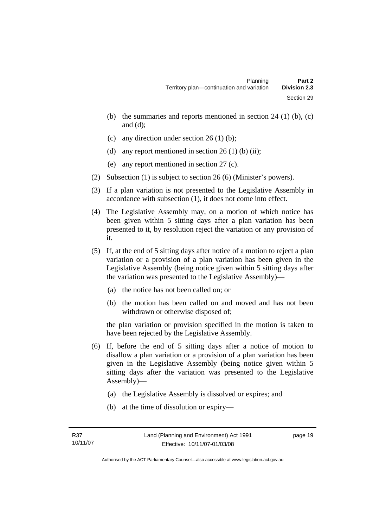- (b) the summaries and reports mentioned in section  $24$  (1) (b), (c) and (d);
- (c) any direction under section  $26 \text{ (1) (b)}$ ;
- (d) any report mentioned in section  $26(1)$  (b) (ii);
- (e) any report mentioned in section 27 (c).
- (2) Subsection (1) is subject to section 26 (6) (Minister's powers).
- (3) If a plan variation is not presented to the Legislative Assembly in accordance with subsection (1), it does not come into effect.
- (4) The Legislative Assembly may, on a motion of which notice has been given within 5 sitting days after a plan variation has been presented to it, by resolution reject the variation or any provision of it.
- (5) If, at the end of 5 sitting days after notice of a motion to reject a plan variation or a provision of a plan variation has been given in the Legislative Assembly (being notice given within 5 sitting days after the variation was presented to the Legislative Assembly)—
	- (a) the notice has not been called on; or
	- (b) the motion has been called on and moved and has not been withdrawn or otherwise disposed of;

the plan variation or provision specified in the motion is taken to have been rejected by the Legislative Assembly.

- (6) If, before the end of 5 sitting days after a notice of motion to disallow a plan variation or a provision of a plan variation has been given in the Legislative Assembly (being notice given within 5 sitting days after the variation was presented to the Legislative Assembly)—
	- (a) the Legislative Assembly is dissolved or expires; and
	- (b) at the time of dissolution or expiry—

page 19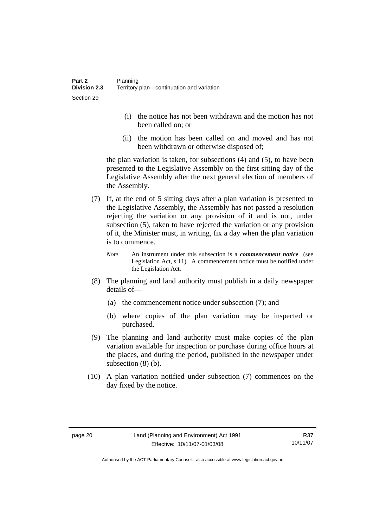- (i) the notice has not been withdrawn and the motion has not been called on; or
- (ii) the motion has been called on and moved and has not been withdrawn or otherwise disposed of;

the plan variation is taken, for subsections (4) and (5), to have been presented to the Legislative Assembly on the first sitting day of the Legislative Assembly after the next general election of members of the Assembly.

- (7) If, at the end of 5 sitting days after a plan variation is presented to the Legislative Assembly, the Assembly has not passed a resolution rejecting the variation or any provision of it and is not, under subsection (5), taken to have rejected the variation or any provision of it, the Minister must, in writing, fix a day when the plan variation is to commence.
	- *Note* An instrument under this subsection is a *commencement notice* (see Legislation Act, s 11). A commencement notice must be notified under the Legislation Act.
- (8) The planning and land authority must publish in a daily newspaper details of—
	- (a) the commencement notice under subsection (7); and
	- (b) where copies of the plan variation may be inspected or purchased.
- (9) The planning and land authority must make copies of the plan variation available for inspection or purchase during office hours at the places, and during the period, published in the newspaper under subsection (8) (b).
- (10) A plan variation notified under subsection (7) commences on the day fixed by the notice.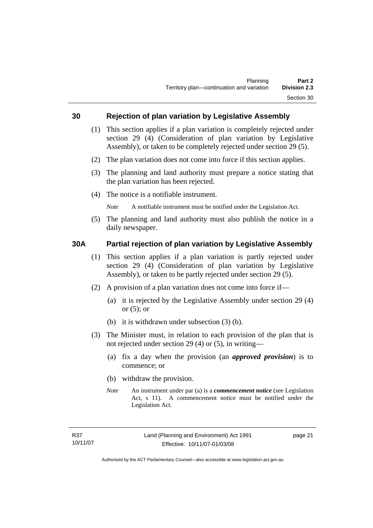### <span id="page-34-0"></span>**30 Rejection of plan variation by Legislative Assembly**

- (1) This section applies if a plan variation is completely rejected under section 29 (4) (Consideration of plan variation by Legislative Assembly), or taken to be completely rejected under section 29 (5).
- (2) The plan variation does not come into force if this section applies.
- (3) The planning and land authority must prepare a notice stating that the plan variation has been rejected.
- (4) The notice is a notifiable instrument.

*Note* A notifiable instrument must be notified under the Legislation Act.

(5) The planning and land authority must also publish the notice in a daily newspaper.

### **30A Partial rejection of plan variation by Legislative Assembly**

- (1) This section applies if a plan variation is partly rejected under section 29 (4) (Consideration of plan variation by Legislative Assembly), or taken to be partly rejected under section 29 (5).
- (2) A provision of a plan variation does not come into force if—
	- (a) it is rejected by the Legislative Assembly under section 29 (4) or  $(5)$ ; or
	- (b) it is withdrawn under subsection (3) (b).
- (3) The Minister must, in relation to each provision of the plan that is not rejected under section 29 (4) or (5), in writing—
	- (a) fix a day when the provision (an *approved provision*) is to commence; or
	- (b) withdraw the provision.
	- *Note* An instrument under par (a) is a *commencement notice* (see Legislation Act, s 11). A commencement notice must be notified under the Legislation Act.

page 21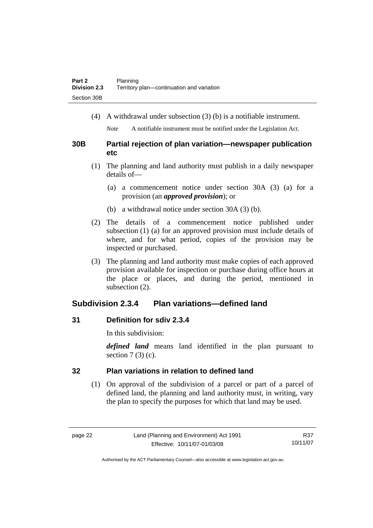<span id="page-35-0"></span>(4) A withdrawal under subsection (3) (b) is a notifiable instrument.

*Note* A notifiable instrument must be notified under the Legislation Act.

## **30B Partial rejection of plan variation—newspaper publication etc**

- (1) The planning and land authority must publish in a daily newspaper details of—
	- (a) a commencement notice under section 30A (3) (a) for a provision (an *approved provision*); or
	- (b) a withdrawal notice under section 30A (3) (b).
- (2) The details of a commencement notice published under subsection (1) (a) for an approved provision must include details of where, and for what period, copies of the provision may be inspected or purchased.
- (3) The planning and land authority must make copies of each approved provision available for inspection or purchase during office hours at the place or places, and during the period, mentioned in subsection (2).

## **Subdivision 2.3.4 Plan variations—defined land**

## **31 Definition for sdiv 2.3.4**

In this subdivision:

*defined land* means land identified in the plan pursuant to section  $7(3)(c)$ .

## **32 Plan variations in relation to defined land**

 (1) On approval of the subdivision of a parcel or part of a parcel of defined land, the planning and land authority must, in writing, vary the plan to specify the purposes for which that land may be used.

R37 10/11/07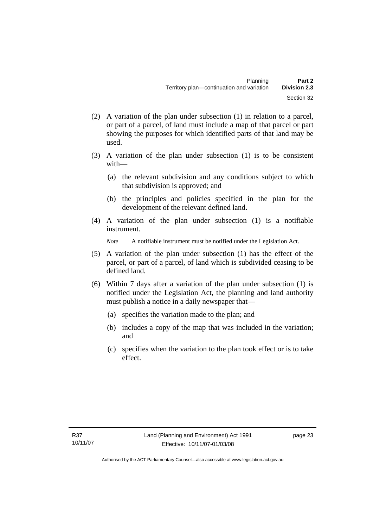- (2) A variation of the plan under subsection (1) in relation to a parcel, or part of a parcel, of land must include a map of that parcel or part showing the purposes for which identified parts of that land may be used.
- (3) A variation of the plan under subsection (1) is to be consistent with—
	- (a) the relevant subdivision and any conditions subject to which that subdivision is approved; and
	- (b) the principles and policies specified in the plan for the development of the relevant defined land.
- (4) A variation of the plan under subsection (1) is a notifiable instrument.

*Note* A notifiable instrument must be notified under the Legislation Act.

- (5) A variation of the plan under subsection (1) has the effect of the parcel, or part of a parcel, of land which is subdivided ceasing to be defined land.
- (6) Within 7 days after a variation of the plan under subsection (1) is notified under the Legislation Act, the planning and land authority must publish a notice in a daily newspaper that—
	- (a) specifies the variation made to the plan; and
	- (b) includes a copy of the map that was included in the variation; and
	- (c) specifies when the variation to the plan took effect or is to take effect.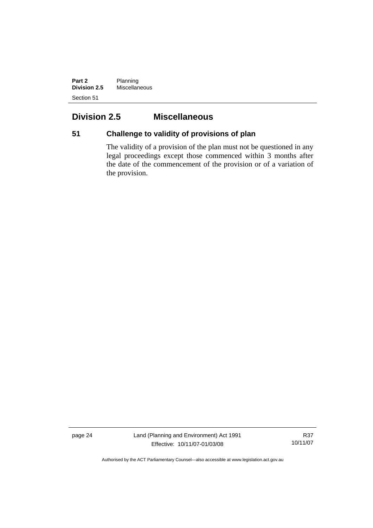**Part 2** Planning **Division 2.5** Miscellaneous Section 51

## **Division 2.5 Miscellaneous**

## **51 Challenge to validity of provisions of plan**

The validity of a provision of the plan must not be questioned in any legal proceedings except those commenced within 3 months after the date of the commencement of the provision or of a variation of the provision.

page 24 Land (Planning and Environment) Act 1991 Effective: 10/11/07-01/03/08

R37 10/11/07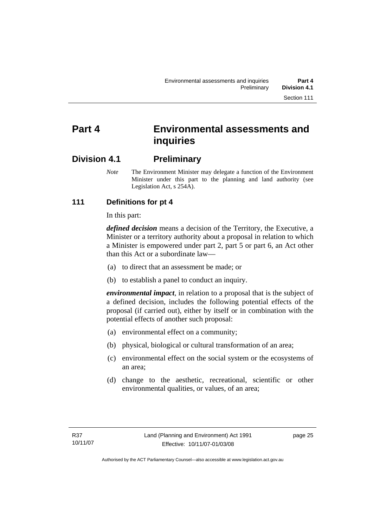# **Part 4 Environmental assessments and inquiries**

## **Division 4.1 Preliminary**

*Note* The Environment Minister may delegate a function of the Environment Minister under this part to the planning and land authority (see Legislation Act, s 254A).

## **111 Definitions for pt 4**

In this part:

*defined decision* means a decision of the Territory, the Executive, a Minister or a territory authority about a proposal in relation to which a Minister is empowered under part 2, part 5 or part 6, an Act other than this Act or a subordinate law—

- (a) to direct that an assessment be made; or
- (b) to establish a panel to conduct an inquiry.

*environmental impact*, in relation to a proposal that is the subject of a defined decision, includes the following potential effects of the proposal (if carried out), either by itself or in combination with the potential effects of another such proposal:

- (a) environmental effect on a community;
- (b) physical, biological or cultural transformation of an area;
- (c) environmental effect on the social system or the ecosystems of an area;
- (d) change to the aesthetic, recreational, scientific or other environmental qualities, or values, of an area;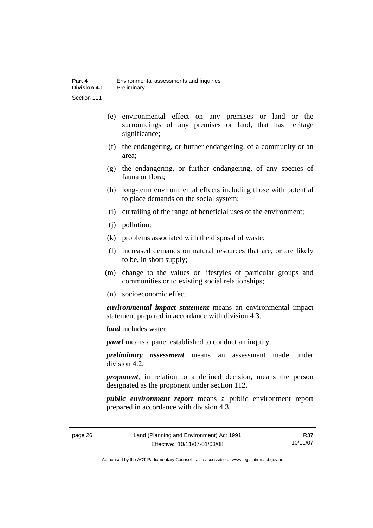- (e) environmental effect on any premises or land or the surroundings of any premises or land, that has heritage significance;
- (f) the endangering, or further endangering, of a community or an area;
- (g) the endangering, or further endangering, of any species of fauna or flora;
- (h) long-term environmental effects including those with potential to place demands on the social system;
- (i) curtailing of the range of beneficial uses of the environment;
- (j) pollution;
- (k) problems associated with the disposal of waste;
- (l) increased demands on natural resources that are, or are likely to be, in short supply;
- (m) change to the values or lifestyles of particular groups and communities or to existing social relationships;
- (n) socioeconomic effect.

*environmental impact statement* means an environmental impact statement prepared in accordance with division 4.3.

*land* includes water.

*panel* means a panel established to conduct an inquiry.

*preliminary assessment* means an assessment made under division 4.2.

*proponent*, in relation to a defined decision, means the person designated as the proponent under section 112.

*public environment report* means a public environment report prepared in accordance with division 4.3.

page 26 Land (Planning and Environment) Act 1991 Effective: 10/11/07-01/03/08

R37 10/11/07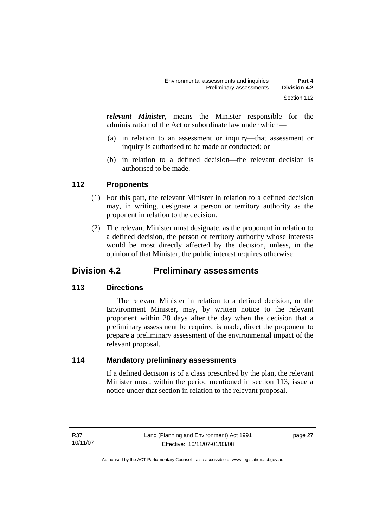*relevant Minister*, means the Minister responsible for the administration of the Act or subordinate law under which—

- (a) in relation to an assessment or inquiry—that assessment or inquiry is authorised to be made or conducted; or
- (b) in relation to a defined decision—the relevant decision is authorised to be made.

## **112 Proponents**

- (1) For this part, the relevant Minister in relation to a defined decision may, in writing, designate a person or territory authority as the proponent in relation to the decision.
- (2) The relevant Minister must designate, as the proponent in relation to a defined decision, the person or territory authority whose interests would be most directly affected by the decision, unless, in the opinion of that Minister, the public interest requires otherwise.

## **Division 4.2 Preliminary assessments**

## **113 Directions**

 The relevant Minister in relation to a defined decision, or the Environment Minister, may, by written notice to the relevant proponent within 28 days after the day when the decision that a preliminary assessment be required is made, direct the proponent to prepare a preliminary assessment of the environmental impact of the relevant proposal.

## **114 Mandatory preliminary assessments**

If a defined decision is of a class prescribed by the plan, the relevant Minister must, within the period mentioned in section 113, issue a notice under that section in relation to the relevant proposal.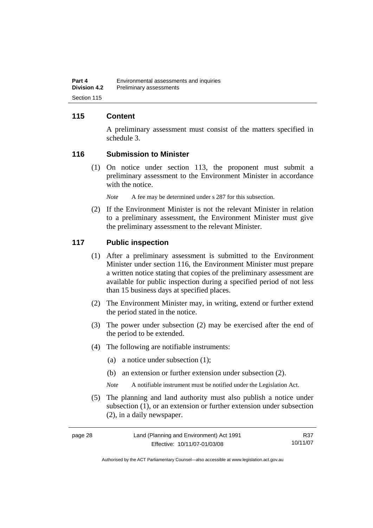## **115 Content**

A preliminary assessment must consist of the matters specified in schedule 3.

#### **116 Submission to Minister**

 (1) On notice under section 113, the proponent must submit a preliminary assessment to the Environment Minister in accordance with the notice.

*Note* A fee may be determined under s 287 for this subsection.

 (2) If the Environment Minister is not the relevant Minister in relation to a preliminary assessment, the Environment Minister must give the preliminary assessment to the relevant Minister.

#### **117 Public inspection**

- (1) After a preliminary assessment is submitted to the Environment Minister under section 116, the Environment Minister must prepare a written notice stating that copies of the preliminary assessment are available for public inspection during a specified period of not less than 15 business days at specified places.
- (2) The Environment Minister may, in writing, extend or further extend the period stated in the notice.
- (3) The power under subsection (2) may be exercised after the end of the period to be extended.
- (4) The following are notifiable instruments:
	- (a) a notice under subsection (1);
	- (b) an extension or further extension under subsection (2).
	- *Note* A notifiable instrument must be notified under the Legislation Act.
- (5) The planning and land authority must also publish a notice under subsection (1), or an extension or further extension under subsection (2), in a daily newspaper.

| page 28 | Land (Planning and Environment) Act 1991 | R37      |
|---------|------------------------------------------|----------|
|         | Effective: 10/11/07-01/03/08             | 10/11/07 |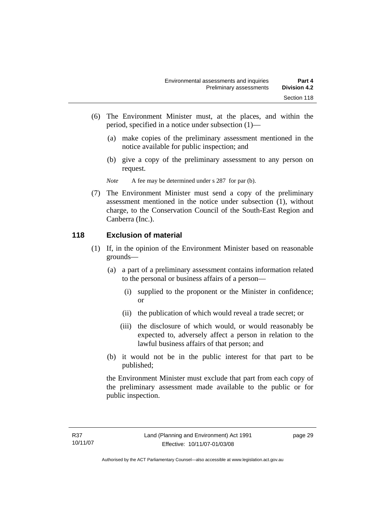- (6) The Environment Minister must, at the places, and within the period, specified in a notice under subsection (1)—
	- (a) make copies of the preliminary assessment mentioned in the notice available for public inspection; and
	- (b) give a copy of the preliminary assessment to any person on request.

*Note* A fee may be determined under s 287 for par (b).

 (7) The Environment Minister must send a copy of the preliminary assessment mentioned in the notice under subsection (1), without charge, to the Conservation Council of the South-East Region and Canberra (Inc.).

## **118 Exclusion of material**

- (1) If, in the opinion of the Environment Minister based on reasonable grounds—
	- (a) a part of a preliminary assessment contains information related to the personal or business affairs of a person—
		- (i) supplied to the proponent or the Minister in confidence; or
		- (ii) the publication of which would reveal a trade secret; or
		- (iii) the disclosure of which would, or would reasonably be expected to, adversely affect a person in relation to the lawful business affairs of that person; and
	- (b) it would not be in the public interest for that part to be published;

the Environment Minister must exclude that part from each copy of the preliminary assessment made available to the public or for public inspection.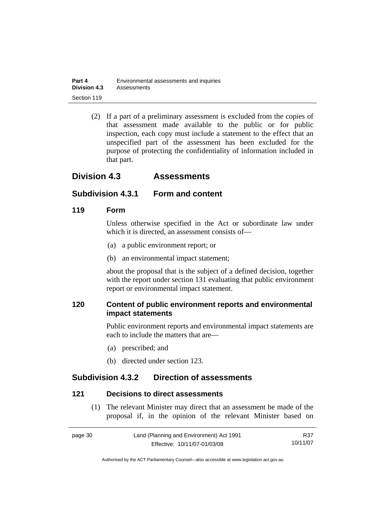| Part 4              | Environmental assessments and inquiries |
|---------------------|-----------------------------------------|
| <b>Division 4.3</b> | Assessments                             |
| Section 119         |                                         |

 (2) If a part of a preliminary assessment is excluded from the copies of that assessment made available to the public or for public inspection, each copy must include a statement to the effect that an unspecified part of the assessment has been excluded for the purpose of protecting the confidentiality of information included in that part.

## **Division 4.3 Assessments**

## **Subdivision 4.3.1 Form and content**

#### **119 Form**

Unless otherwise specified in the Act or subordinate law under which it is directed, an assessment consists of—

- (a) a public environment report; or
- (b) an environmental impact statement;

about the proposal that is the subject of a defined decision, together with the report under section 131 evaluating that public environment report or environmental impact statement.

## **120 Content of public environment reports and environmental impact statements**

Public environment reports and environmental impact statements are each to include the matters that are—

- (a) prescribed; and
- (b) directed under section 123.

## **Subdivision 4.3.2 Direction of assessments**

#### **121 Decisions to direct assessments**

 (1) The relevant Minister may direct that an assessment be made of the proposal if, in the opinion of the relevant Minister based on

| page 30 | Land (Planning and Environment) Act 1991 | R37      |
|---------|------------------------------------------|----------|
|         | Effective: 10/11/07-01/03/08             | 10/11/07 |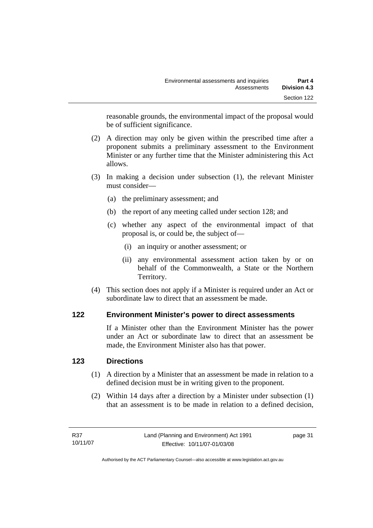reasonable grounds, the environmental impact of the proposal would be of sufficient significance.

- (2) A direction may only be given within the prescribed time after a proponent submits a preliminary assessment to the Environment Minister or any further time that the Minister administering this Act allows.
- (3) In making a decision under subsection (1), the relevant Minister must consider—
	- (a) the preliminary assessment; and
	- (b) the report of any meeting called under section 128; and
	- (c) whether any aspect of the environmental impact of that proposal is, or could be, the subject of—
		- (i) an inquiry or another assessment; or
		- (ii) any environmental assessment action taken by or on behalf of the Commonwealth, a State or the Northern Territory.
- (4) This section does not apply if a Minister is required under an Act or subordinate law to direct that an assessment be made.

## **122 Environment Minister's power to direct assessments**

If a Minister other than the Environment Minister has the power under an Act or subordinate law to direct that an assessment be made, the Environment Minister also has that power.

## **123 Directions**

- (1) A direction by a Minister that an assessment be made in relation to a defined decision must be in writing given to the proponent.
- (2) Within 14 days after a direction by a Minister under subsection (1) that an assessment is to be made in relation to a defined decision,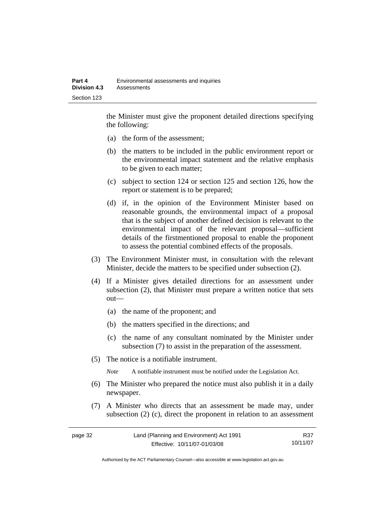the Minister must give the proponent detailed directions specifying the following:

- (a) the form of the assessment;
- (b) the matters to be included in the public environment report or the environmental impact statement and the relative emphasis to be given to each matter;
- (c) subject to section 124 or section 125 and section 126, how the report or statement is to be prepared;
- (d) if, in the opinion of the Environment Minister based on reasonable grounds, the environmental impact of a proposal that is the subject of another defined decision is relevant to the environmental impact of the relevant proposal—sufficient details of the firstmentioned proposal to enable the proponent to assess the potential combined effects of the proposals.
- (3) The Environment Minister must, in consultation with the relevant Minister, decide the matters to be specified under subsection (2).
- (4) If a Minister gives detailed directions for an assessment under subsection (2), that Minister must prepare a written notice that sets out—
	- (a) the name of the proponent; and
	- (b) the matters specified in the directions; and
	- (c) the name of any consultant nominated by the Minister under subsection (7) to assist in the preparation of the assessment.
- (5) The notice is a notifiable instrument.

*Note* A notifiable instrument must be notified under the Legislation Act.

- (6) The Minister who prepared the notice must also publish it in a daily newspaper.
- (7) A Minister who directs that an assessment be made may, under subsection (2) (c), direct the proponent in relation to an assessment

| page 32 | Land (Planning and Environment) Act 1991 | R37      |
|---------|------------------------------------------|----------|
|         | Effective: 10/11/07-01/03/08             | 10/11/07 |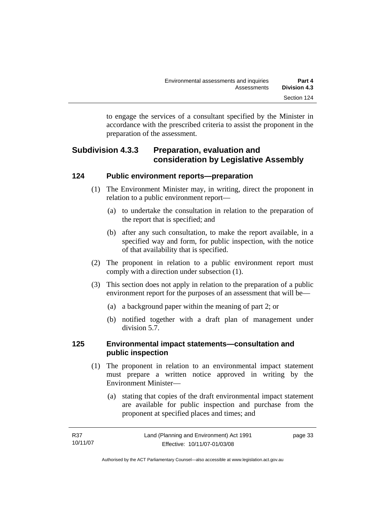to engage the services of a consultant specified by the Minister in accordance with the prescribed criteria to assist the proponent in the preparation of the assessment.

## **Subdivision 4.3.3 Preparation, evaluation and consideration by Legislative Assembly**

## **124 Public environment reports—preparation**

- (1) The Environment Minister may, in writing, direct the proponent in relation to a public environment report—
	- (a) to undertake the consultation in relation to the preparation of the report that is specified; and
	- (b) after any such consultation, to make the report available, in a specified way and form, for public inspection, with the notice of that availability that is specified.
- (2) The proponent in relation to a public environment report must comply with a direction under subsection (1).
- (3) This section does not apply in relation to the preparation of a public environment report for the purposes of an assessment that will be—
	- (a) a background paper within the meaning of part 2; or
	- (b) notified together with a draft plan of management under division 5.7.

## **125 Environmental impact statements—consultation and public inspection**

- (1) The proponent in relation to an environmental impact statement must prepare a written notice approved in writing by the Environment Minister—
	- (a) stating that copies of the draft environmental impact statement are available for public inspection and purchase from the proponent at specified places and times; and

| R37      | Land (Planning and Environment) Act 1991 | page 33 |
|----------|------------------------------------------|---------|
| 10/11/07 | Effective: 10/11/07-01/03/08             |         |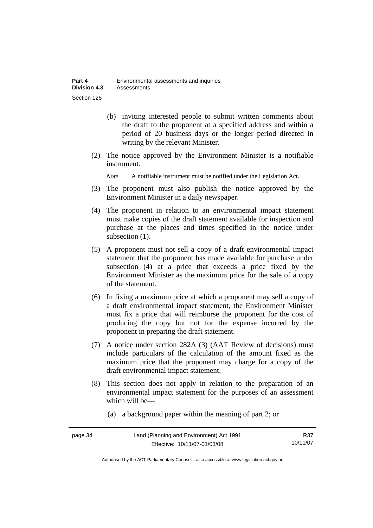- (b) inviting interested people to submit written comments about the draft to the proponent at a specified address and within a period of 20 business days or the longer period directed in writing by the relevant Minister.
- (2) The notice approved by the Environment Minister is a notifiable instrument.

*Note* A notifiable instrument must be notified under the Legislation Act.

- (3) The proponent must also publish the notice approved by the Environment Minister in a daily newspaper.
- (4) The proponent in relation to an environmental impact statement must make copies of the draft statement available for inspection and purchase at the places and times specified in the notice under subsection (1).
- (5) A proponent must not sell a copy of a draft environmental impact statement that the proponent has made available for purchase under subsection (4) at a price that exceeds a price fixed by the Environment Minister as the maximum price for the sale of a copy of the statement.
- (6) In fixing a maximum price at which a proponent may sell a copy of a draft environmental impact statement, the Environment Minister must fix a price that will reimburse the proponent for the cost of producing the copy but not for the expense incurred by the proponent in preparing the draft statement.
- (7) A notice under section 282A (3) (AAT Review of decisions) must include particulars of the calculation of the amount fixed as the maximum price that the proponent may charge for a copy of the draft environmental impact statement.
- (8) This section does not apply in relation to the preparation of an environmental impact statement for the purposes of an assessment which will be—
	- (a) a background paper within the meaning of part 2; or

| page 34 | Land (Planning and Environment) Act 1991 | R37      |
|---------|------------------------------------------|----------|
|         | Effective: 10/11/07-01/03/08             | 10/11/07 |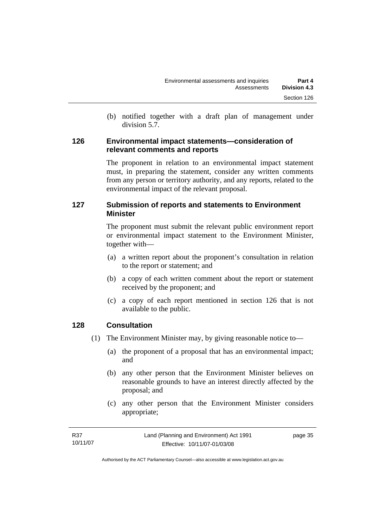(b) notified together with a draft plan of management under division 5.7.

#### **126 Environmental impact statements—consideration of relevant comments and reports**

The proponent in relation to an environmental impact statement must, in preparing the statement, consider any written comments from any person or territory authority, and any reports, related to the environmental impact of the relevant proposal.

## **127 Submission of reports and statements to Environment Minister**

The proponent must submit the relevant public environment report or environmental impact statement to the Environment Minister, together with—

- (a) a written report about the proponent's consultation in relation to the report or statement; and
- (b) a copy of each written comment about the report or statement received by the proponent; and
- (c) a copy of each report mentioned in section 126 that is not available to the public.

## **128 Consultation**

- (1) The Environment Minister may, by giving reasonable notice to—
	- (a) the proponent of a proposal that has an environmental impact; and
	- (b) any other person that the Environment Minister believes on reasonable grounds to have an interest directly affected by the proposal; and
	- (c) any other person that the Environment Minister considers appropriate;

| R37      | Land (Planning and Environment) Act 1991 | page 35 |
|----------|------------------------------------------|---------|
| 10/11/07 | Effective: 10/11/07-01/03/08             |         |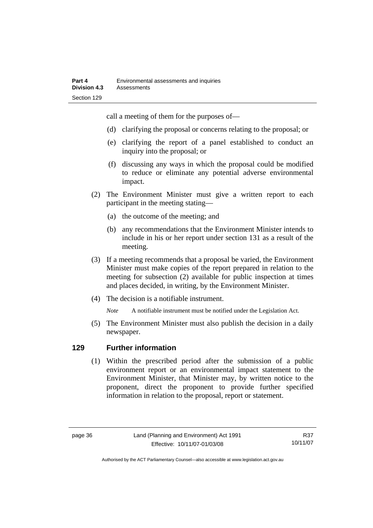call a meeting of them for the purposes of—

- (d) clarifying the proposal or concerns relating to the proposal; or
- (e) clarifying the report of a panel established to conduct an inquiry into the proposal; or
- (f) discussing any ways in which the proposal could be modified to reduce or eliminate any potential adverse environmental impact.
- (2) The Environment Minister must give a written report to each participant in the meeting stating—
	- (a) the outcome of the meeting; and
	- (b) any recommendations that the Environment Minister intends to include in his or her report under section 131 as a result of the meeting.
- (3) If a meeting recommends that a proposal be varied, the Environment Minister must make copies of the report prepared in relation to the meeting for subsection (2) available for public inspection at times and places decided, in writing, by the Environment Minister.
- (4) The decision is a notifiable instrument.

*Note* A notifiable instrument must be notified under the Legislation Act.

(5) The Environment Minister must also publish the decision in a daily newspaper.

## **129 Further information**

 (1) Within the prescribed period after the submission of a public environment report or an environmental impact statement to the Environment Minister, that Minister may, by written notice to the proponent, direct the proponent to provide further specified information in relation to the proposal, report or statement.

R37 10/11/07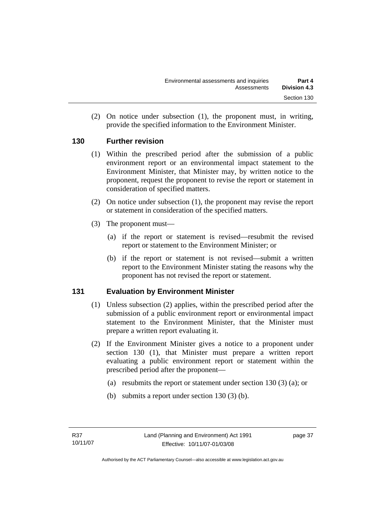(2) On notice under subsection (1), the proponent must, in writing, provide the specified information to the Environment Minister.

## **130 Further revision**

- (1) Within the prescribed period after the submission of a public environment report or an environmental impact statement to the Environment Minister, that Minister may, by written notice to the proponent, request the proponent to revise the report or statement in consideration of specified matters.
- (2) On notice under subsection (1), the proponent may revise the report or statement in consideration of the specified matters.
- (3) The proponent must—
	- (a) if the report or statement is revised—resubmit the revised report or statement to the Environment Minister; or
	- (b) if the report or statement is not revised—submit a written report to the Environment Minister stating the reasons why the proponent has not revised the report or statement.

## **131 Evaluation by Environment Minister**

- (1) Unless subsection (2) applies, within the prescribed period after the submission of a public environment report or environmental impact statement to the Environment Minister, that the Minister must prepare a written report evaluating it.
- (2) If the Environment Minister gives a notice to a proponent under section 130 (1), that Minister must prepare a written report evaluating a public environment report or statement within the prescribed period after the proponent—
	- (a) resubmits the report or statement under section 130 (3) (a); or
	- (b) submits a report under section 130 (3) (b).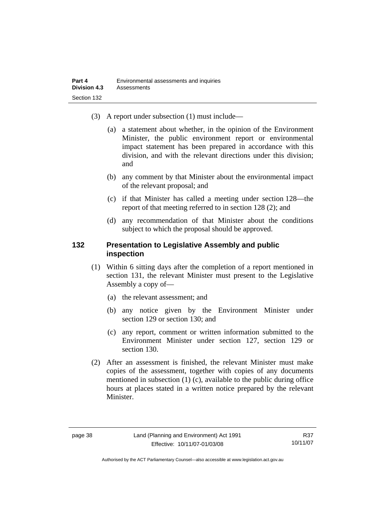- (3) A report under subsection (1) must include—
	- (a) a statement about whether, in the opinion of the Environment Minister, the public environment report or environmental impact statement has been prepared in accordance with this division, and with the relevant directions under this division; and
	- (b) any comment by that Minister about the environmental impact of the relevant proposal; and
	- (c) if that Minister has called a meeting under section 128—the report of that meeting referred to in section 128 (2); and
	- (d) any recommendation of that Minister about the conditions subject to which the proposal should be approved.

#### **132 Presentation to Legislative Assembly and public inspection**

- (1) Within 6 sitting days after the completion of a report mentioned in section 131, the relevant Minister must present to the Legislative Assembly a copy of—
	- (a) the relevant assessment; and
	- (b) any notice given by the Environment Minister under section 129 or section 130; and
	- (c) any report, comment or written information submitted to the Environment Minister under section 127, section 129 or section 130.
- (2) After an assessment is finished, the relevant Minister must make copies of the assessment, together with copies of any documents mentioned in subsection (1) (c), available to the public during office hours at places stated in a written notice prepared by the relevant Minister.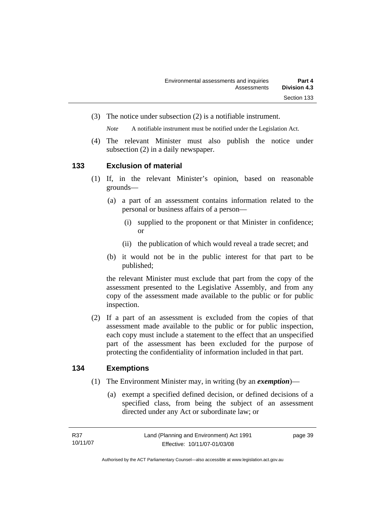(3) The notice under subsection (2) is a notifiable instrument.

*Note* A notifiable instrument must be notified under the Legislation Act.

(4) The relevant Minister must also publish the notice under subsection (2) in a daily newspaper.

#### **133 Exclusion of material**

- (1) If, in the relevant Minister's opinion, based on reasonable grounds—
	- (a) a part of an assessment contains information related to the personal or business affairs of a person—
		- (i) supplied to the proponent or that Minister in confidence; or
		- (ii) the publication of which would reveal a trade secret; and
	- (b) it would not be in the public interest for that part to be published;

the relevant Minister must exclude that part from the copy of the assessment presented to the Legislative Assembly, and from any copy of the assessment made available to the public or for public inspection.

 (2) If a part of an assessment is excluded from the copies of that assessment made available to the public or for public inspection, each copy must include a statement to the effect that an unspecified part of the assessment has been excluded for the purpose of protecting the confidentiality of information included in that part.

#### **134 Exemptions**

- (1) The Environment Minister may, in writing (by an *exemption*)—
	- (a) exempt a specified defined decision, or defined decisions of a specified class, from being the subject of an assessment directed under any Act or subordinate law; or

page 39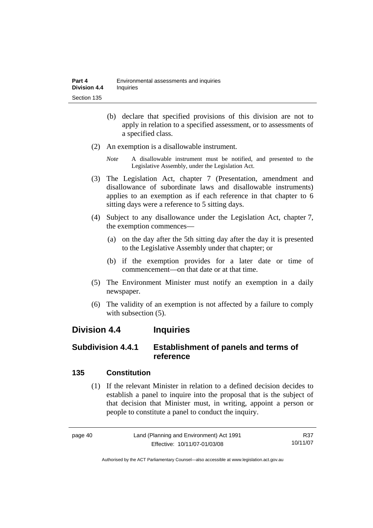- (b) declare that specified provisions of this division are not to apply in relation to a specified assessment, or to assessments of a specified class.
- (2) An exemption is a disallowable instrument.
	- *Note* A disallowable instrument must be notified, and presented to the Legislative Assembly, under the Legislation Act.
- (3) The Legislation Act, chapter 7 (Presentation, amendment and disallowance of subordinate laws and disallowable instruments) applies to an exemption as if each reference in that chapter to 6 sitting days were a reference to 5 sitting days.
- (4) Subject to any disallowance under the Legislation Act, chapter 7, the exemption commences—
	- (a) on the day after the 5th sitting day after the day it is presented to the Legislative Assembly under that chapter; or
	- (b) if the exemption provides for a later date or time of commencement—on that date or at that time.
- (5) The Environment Minister must notify an exemption in a daily newspaper.
- (6) The validity of an exemption is not affected by a failure to comply with subsection  $(5)$ .

## **Division 4.4 Inquiries**

## **Subdivision 4.4.1 Establishment of panels and terms of reference**

#### **135 Constitution**

 (1) If the relevant Minister in relation to a defined decision decides to establish a panel to inquire into the proposal that is the subject of that decision that Minister must, in writing, appoint a person or people to constitute a panel to conduct the inquiry.

page 40 Land (Planning and Environment) Act 1991 Effective: 10/11/07-01/03/08 R37 10/11/07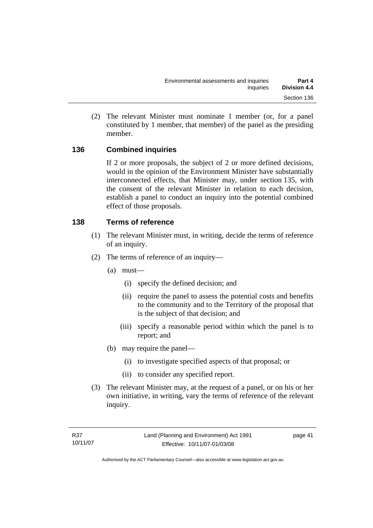(2) The relevant Minister must nominate 1 member (or, for a panel constituted by 1 member, that member) of the panel as the presiding member.

## **136 Combined inquiries**

If 2 or more proposals, the subject of 2 or more defined decisions, would in the opinion of the Environment Minister have substantially interconnected effects, that Minister may, under section 135, with the consent of the relevant Minister in relation to each decision, establish a panel to conduct an inquiry into the potential combined effect of those proposals.

## **138 Terms of reference**

- (1) The relevant Minister must, in writing, decide the terms of reference of an inquiry.
- (2) The terms of reference of an inquiry—
	- (a) must—
		- (i) specify the defined decision; and
		- (ii) require the panel to assess the potential costs and benefits to the community and to the Territory of the proposal that is the subject of that decision; and
		- (iii) specify a reasonable period within which the panel is to report; and
	- (b) may require the panel—
		- (i) to investigate specified aspects of that proposal; or
		- (ii) to consider any specified report.
- (3) The relevant Minister may, at the request of a panel, or on his or her own initiative, in writing, vary the terms of reference of the relevant inquiry.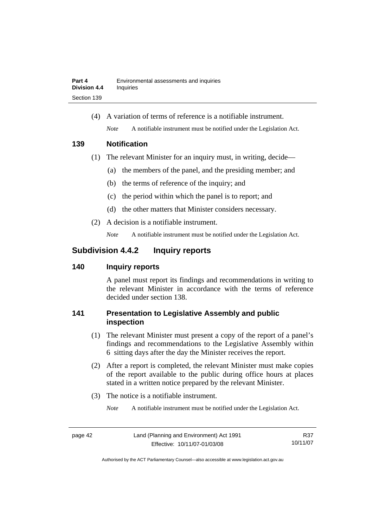(4) A variation of terms of reference is a notifiable instrument. *Note* A notifiable instrument must be notified under the Legislation Act.

## **139 Notification**

- (1) The relevant Minister for an inquiry must, in writing, decide—
	- (a) the members of the panel, and the presiding member; and
	- (b) the terms of reference of the inquiry; and
	- (c) the period within which the panel is to report; and
	- (d) the other matters that Minister considers necessary.
- (2) A decision is a notifiable instrument.

*Note* A notifiable instrument must be notified under the Legislation Act.

## **Subdivision 4.4.2 Inquiry reports**

## **140 Inquiry reports**

A panel must report its findings and recommendations in writing to the relevant Minister in accordance with the terms of reference decided under section 138.

## **141 Presentation to Legislative Assembly and public inspection**

- (1) The relevant Minister must present a copy of the report of a panel's findings and recommendations to the Legislative Assembly within 6 sitting days after the day the Minister receives the report.
- (2) After a report is completed, the relevant Minister must make copies of the report available to the public during office hours at places stated in a written notice prepared by the relevant Minister.
- (3) The notice is a notifiable instrument.

*Note* A notifiable instrument must be notified under the Legislation Act.

R37 10/11/07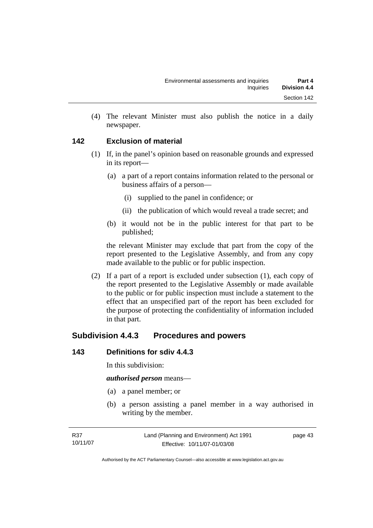(4) The relevant Minister must also publish the notice in a daily newspaper.

## **142 Exclusion of material**

- (1) If, in the panel's opinion based on reasonable grounds and expressed in its report—
	- (a) a part of a report contains information related to the personal or business affairs of a person—
		- (i) supplied to the panel in confidence; or
		- (ii) the publication of which would reveal a trade secret; and
	- (b) it would not be in the public interest for that part to be published;

the relevant Minister may exclude that part from the copy of the report presented to the Legislative Assembly, and from any copy made available to the public or for public inspection.

 (2) If a part of a report is excluded under subsection (1), each copy of the report presented to the Legislative Assembly or made available to the public or for public inspection must include a statement to the effect that an unspecified part of the report has been excluded for the purpose of protecting the confidentiality of information included in that part.

## **Subdivision 4.4.3 Procedures and powers**

## **143 Definitions for sdiv 4.4.3**

In this subdivision:

*authorised person* means—

- (a) a panel member; or
- (b) a person assisting a panel member in a way authorised in writing by the member.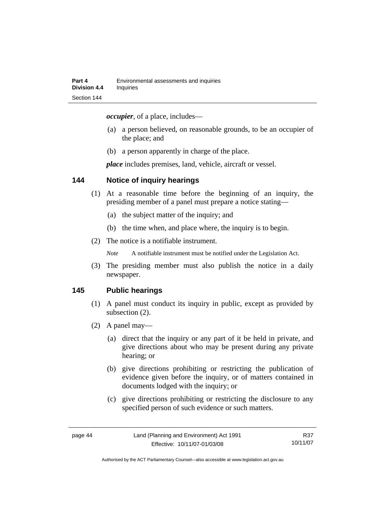*occupier*, of a place, includes—

- (a) a person believed, on reasonable grounds, to be an occupier of the place; and
- (b) a person apparently in charge of the place.

*place* includes premises, land, vehicle, aircraft or vessel.

#### **144 Notice of inquiry hearings**

- (1) At a reasonable time before the beginning of an inquiry, the presiding member of a panel must prepare a notice stating—
	- (a) the subject matter of the inquiry; and
	- (b) the time when, and place where, the inquiry is to begin.
- (2) The notice is a notifiable instrument.

*Note* A notifiable instrument must be notified under the Legislation Act.

(3) The presiding member must also publish the notice in a daily newspaper.

#### **145 Public hearings**

- (1) A panel must conduct its inquiry in public, except as provided by subsection (2).
- (2) A panel may—
	- (a) direct that the inquiry or any part of it be held in private, and give directions about who may be present during any private hearing; or
	- (b) give directions prohibiting or restricting the publication of evidence given before the inquiry, or of matters contained in documents lodged with the inquiry; or
	- (c) give directions prohibiting or restricting the disclosure to any specified person of such evidence or such matters.

R37 10/11/07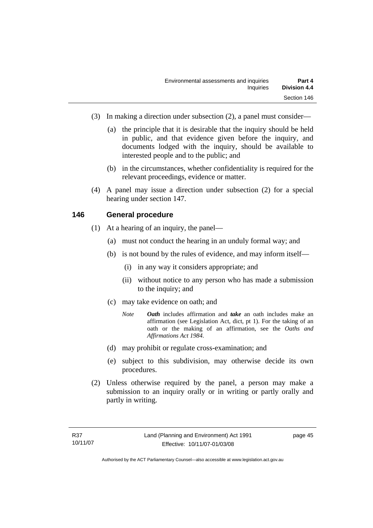- (3) In making a direction under subsection (2), a panel must consider—
	- (a) the principle that it is desirable that the inquiry should be held in public, and that evidence given before the inquiry, and documents lodged with the inquiry, should be available to interested people and to the public; and
	- (b) in the circumstances, whether confidentiality is required for the relevant proceedings, evidence or matter.
- (4) A panel may issue a direction under subsection (2) for a special hearing under section 147.

#### **146 General procedure**

- (1) At a hearing of an inquiry, the panel—
	- (a) must not conduct the hearing in an unduly formal way; and
	- (b) is not bound by the rules of evidence, and may inform itself—
		- (i) in any way it considers appropriate; and
		- (ii) without notice to any person who has made a submission to the inquiry; and
	- (c) may take evidence on oath; and
		- *Note Oath* includes affirmation and *take* an oath includes make an affirmation (see Legislation Act, dict, pt 1). For the taking of an oath or the making of an affirmation, see the *Oaths and Affirmations Act 1984.*
	- (d) may prohibit or regulate cross-examination; and
	- (e) subject to this subdivision, may otherwise decide its own procedures.
- (2) Unless otherwise required by the panel, a person may make a submission to an inquiry orally or in writing or partly orally and partly in writing.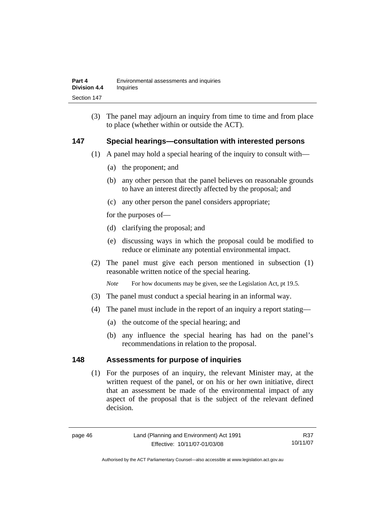(3) The panel may adjourn an inquiry from time to time and from place to place (whether within or outside the ACT).

## **147 Special hearings—consultation with interested persons**

- (1) A panel may hold a special hearing of the inquiry to consult with—
	- (a) the proponent; and
	- (b) any other person that the panel believes on reasonable grounds to have an interest directly affected by the proposal; and
	- (c) any other person the panel considers appropriate;

for the purposes of—

- (d) clarifying the proposal; and
- (e) discussing ways in which the proposal could be modified to reduce or eliminate any potential environmental impact.
- (2) The panel must give each person mentioned in subsection (1) reasonable written notice of the special hearing.

*Note* For how documents may be given, see the Legislation Act, pt 19.5.

- (3) The panel must conduct a special hearing in an informal way.
- (4) The panel must include in the report of an inquiry a report stating—
	- (a) the outcome of the special hearing; and
	- (b) any influence the special hearing has had on the panel's recommendations in relation to the proposal.

#### **148 Assessments for purpose of inquiries**

 (1) For the purposes of an inquiry, the relevant Minister may, at the written request of the panel, or on his or her own initiative, direct that an assessment be made of the environmental impact of any aspect of the proposal that is the subject of the relevant defined decision.

R37 10/11/07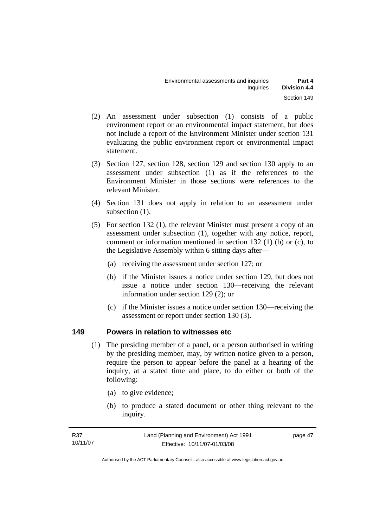- (2) An assessment under subsection (1) consists of a public environment report or an environmental impact statement, but does not include a report of the Environment Minister under section 131 evaluating the public environment report or environmental impact statement.
- (3) Section 127, section 128, section 129 and section 130 apply to an assessment under subsection (1) as if the references to the Environment Minister in those sections were references to the relevant Minister.
- (4) Section 131 does not apply in relation to an assessment under subsection  $(1)$ .
- (5) For section 132 (1), the relevant Minister must present a copy of an assessment under subsection (1), together with any notice, report, comment or information mentioned in section 132 (1) (b) or (c), to the Legislative Assembly within 6 sitting days after—
	- (a) receiving the assessment under section 127; or
	- (b) if the Minister issues a notice under section 129, but does not issue a notice under section 130—receiving the relevant information under section 129 (2); or
	- (c) if the Minister issues a notice under section 130—receiving the assessment or report under section 130 (3).

#### **149 Powers in relation to witnesses etc**

- (1) The presiding member of a panel, or a person authorised in writing by the presiding member, may, by written notice given to a person, require the person to appear before the panel at a hearing of the inquiry, at a stated time and place, to do either or both of the following:
	- (a) to give evidence;
	- (b) to produce a stated document or other thing relevant to the inquiry.

| R37      | Land (Planning and Environment) Act 1991 | page 47 |
|----------|------------------------------------------|---------|
| 10/11/07 | Effective: 10/11/07-01/03/08             |         |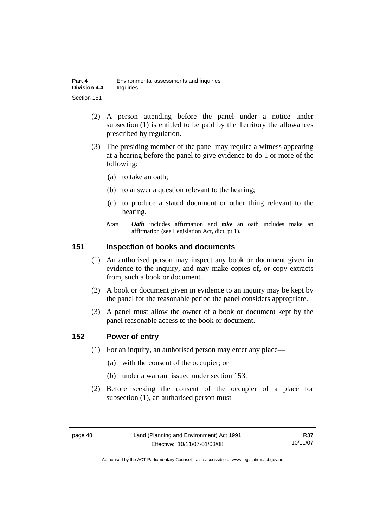| Part 4              | Environmental assessments and inquiries |
|---------------------|-----------------------------------------|
| <b>Division 4.4</b> | <b>Inquiries</b>                        |
| Section 151         |                                         |

- (2) A person attending before the panel under a notice under subsection (1) is entitled to be paid by the Territory the allowances prescribed by regulation.
- (3) The presiding member of the panel may require a witness appearing at a hearing before the panel to give evidence to do 1 or more of the following:
	- (a) to take an oath;
	- (b) to answer a question relevant to the hearing;
	- (c) to produce a stated document or other thing relevant to the hearing.
	- *Note Oath* includes affirmation and *take* an oath includes make an affirmation (see Legislation Act, dict, pt 1).

#### **151 Inspection of books and documents**

- (1) An authorised person may inspect any book or document given in evidence to the inquiry, and may make copies of, or copy extracts from, such a book or document.
- (2) A book or document given in evidence to an inquiry may be kept by the panel for the reasonable period the panel considers appropriate.
- (3) A panel must allow the owner of a book or document kept by the panel reasonable access to the book or document.

#### **152 Power of entry**

- (1) For an inquiry, an authorised person may enter any place—
	- (a) with the consent of the occupier; or
	- (b) under a warrant issued under section 153.
- (2) Before seeking the consent of the occupier of a place for subsection (1), an authorised person must—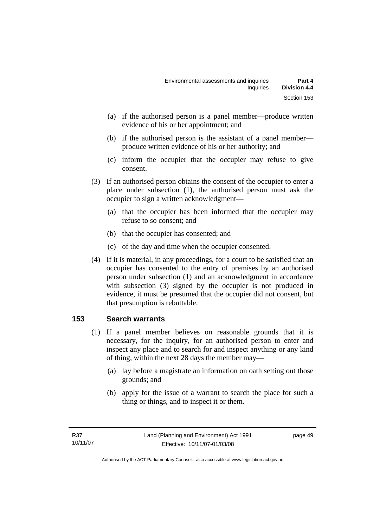- (a) if the authorised person is a panel member—produce written evidence of his or her appointment; and
- (b) if the authorised person is the assistant of a panel member produce written evidence of his or her authority; and
- (c) inform the occupier that the occupier may refuse to give consent.
- (3) If an authorised person obtains the consent of the occupier to enter a place under subsection (1), the authorised person must ask the occupier to sign a written acknowledgment—
	- (a) that the occupier has been informed that the occupier may refuse to so consent; and
	- (b) that the occupier has consented; and
	- (c) of the day and time when the occupier consented.
- (4) If it is material, in any proceedings, for a court to be satisfied that an occupier has consented to the entry of premises by an authorised person under subsection (1) and an acknowledgment in accordance with subsection (3) signed by the occupier is not produced in evidence, it must be presumed that the occupier did not consent, but that presumption is rebuttable.

## **153 Search warrants**

- (1) If a panel member believes on reasonable grounds that it is necessary, for the inquiry, for an authorised person to enter and inspect any place and to search for and inspect anything or any kind of thing, within the next 28 days the member may—
	- (a) lay before a magistrate an information on oath setting out those grounds; and
	- (b) apply for the issue of a warrant to search the place for such a thing or things, and to inspect it or them.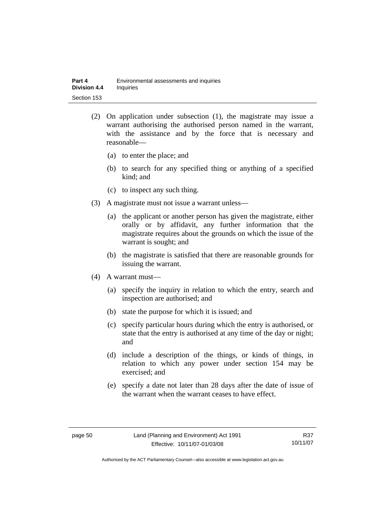- (2) On application under subsection (1), the magistrate may issue a warrant authorising the authorised person named in the warrant, with the assistance and by the force that is necessary and reasonable—
	- (a) to enter the place; and
	- (b) to search for any specified thing or anything of a specified kind; and
	- (c) to inspect any such thing.
- (3) A magistrate must not issue a warrant unless—
	- (a) the applicant or another person has given the magistrate, either orally or by affidavit, any further information that the magistrate requires about the grounds on which the issue of the warrant is sought; and
	- (b) the magistrate is satisfied that there are reasonable grounds for issuing the warrant.
- (4) A warrant must—
	- (a) specify the inquiry in relation to which the entry, search and inspection are authorised; and
	- (b) state the purpose for which it is issued; and
	- (c) specify particular hours during which the entry is authorised, or state that the entry is authorised at any time of the day or night; and
	- (d) include a description of the things, or kinds of things, in relation to which any power under section 154 may be exercised; and
	- (e) specify a date not later than 28 days after the date of issue of the warrant when the warrant ceases to have effect.

R37 10/11/07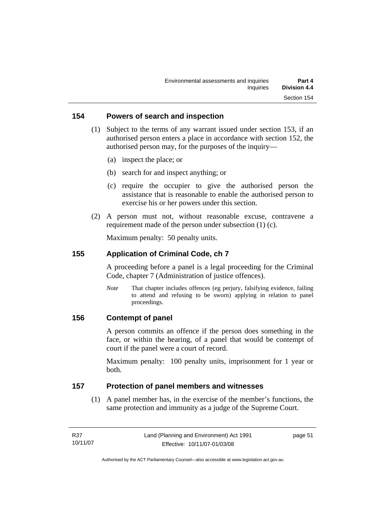#### **154 Powers of search and inspection**

- (1) Subject to the terms of any warrant issued under section 153, if an authorised person enters a place in accordance with section 152, the authorised person may, for the purposes of the inquiry—
	- (a) inspect the place; or
	- (b) search for and inspect anything; or
	- (c) require the occupier to give the authorised person the assistance that is reasonable to enable the authorised person to exercise his or her powers under this section.
- (2) A person must not, without reasonable excuse, contravene a requirement made of the person under subsection (1) (c).

Maximum penalty: 50 penalty units.

#### **155 Application of Criminal Code, ch 7**

A proceeding before a panel is a legal proceeding for the Criminal Code, chapter 7 (Administration of justice offences).

*Note* That chapter includes offences (eg perjury, falsifying evidence, failing to attend and refusing to be sworn) applying in relation to panel proceedings.

#### **156 Contempt of panel**

A person commits an offence if the person does something in the face, or within the hearing, of a panel that would be contempt of court if the panel were a court of record.

Maximum penalty: 100 penalty units, imprisonment for 1 year or both.

#### **157 Protection of panel members and witnesses**

 (1) A panel member has, in the exercise of the member's functions, the same protection and immunity as a judge of the Supreme Court.

| R37      | Land (Planning and Environment) Act 1991 | page 51 |
|----------|------------------------------------------|---------|
| 10/11/07 | Effective: 10/11/07-01/03/08             |         |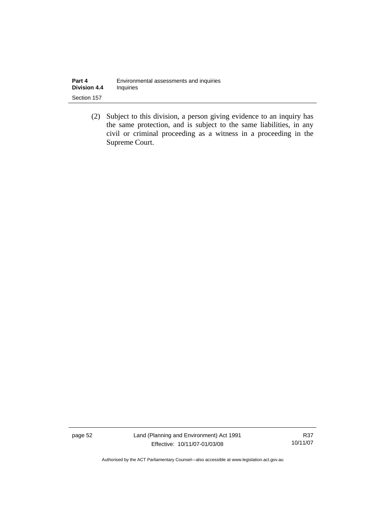| Part 4              | Environmental assessments and inquiries |
|---------------------|-----------------------------------------|
| <b>Division 4.4</b> | Inquiries                               |
| Section 157         |                                         |

 (2) Subject to this division, a person giving evidence to an inquiry has the same protection, and is subject to the same liabilities, in any civil or criminal proceeding as a witness in a proceeding in the Supreme Court.

page 52 Land (Planning and Environment) Act 1991 Effective: 10/11/07-01/03/08

R37 10/11/07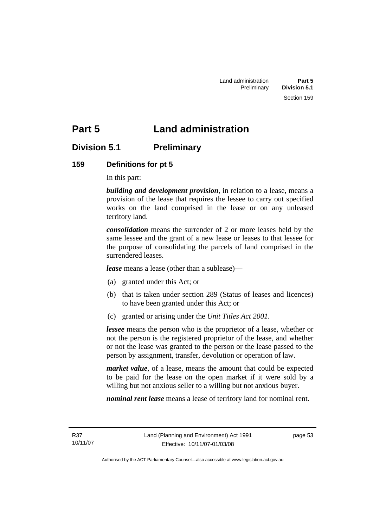# **Part 5 Land administration**

## **Division 5.1 Preliminary**

## **159 Definitions for pt 5**

In this part:

*building and development provision*, in relation to a lease, means a provision of the lease that requires the lessee to carry out specified works on the land comprised in the lease or on any unleased territory land.

*consolidation* means the surrender of 2 or more leases held by the same lessee and the grant of a new lease or leases to that lessee for the purpose of consolidating the parcels of land comprised in the surrendered leases.

*lease* means a lease (other than a sublease)—

- (a) granted under this Act; or
- (b) that is taken under section 289 (Status of leases and licences) to have been granted under this Act; or
- (c) granted or arising under the *Unit Titles Act 2001*.

*lessee* means the person who is the proprietor of a lease, whether or not the person is the registered proprietor of the lease, and whether or not the lease was granted to the person or the lease passed to the person by assignment, transfer, devolution or operation of law.

*market value*, of a lease, means the amount that could be expected to be paid for the lease on the open market if it were sold by a willing but not anxious seller to a willing but not anxious buyer.

*nominal rent lease* means a lease of territory land for nominal rent.

R37 10/11/07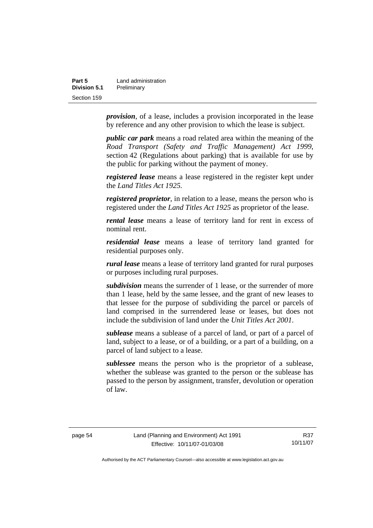| Part 5       | Land administration |
|--------------|---------------------|
| Division 5.1 | Preliminary         |
| Section 159  |                     |

*provision*, of a lease, includes a provision incorporated in the lease by reference and any other provision to which the lease is subject.

*public car park* means a road related area within the meaning of the *Road Transport (Safety and Traffic Management) Act 1999*, section 42 (Regulations about parking) that is available for use by the public for parking without the payment of money.

*registered lease* means a lease registered in the register kept under the *Land Titles Act 1925.*

*registered proprietor*, in relation to a lease, means the person who is registered under the *Land Titles Act 1925* as proprietor of the lease.

*rental lease* means a lease of territory land for rent in excess of nominal rent.

*residential lease* means a lease of territory land granted for residential purposes only.

*rural lease* means a lease of territory land granted for rural purposes or purposes including rural purposes.

*subdivision* means the surrender of 1 lease, or the surrender of more than 1 lease, held by the same lessee, and the grant of new leases to that lessee for the purpose of subdividing the parcel or parcels of land comprised in the surrendered lease or leases, but does not include the subdivision of land under the *Unit Titles Act 2001*.

*sublease* means a sublease of a parcel of land, or part of a parcel of land, subject to a lease, or of a building, or a part of a building, on a parcel of land subject to a lease.

*sublessee* means the person who is the proprietor of a sublease, whether the sublease was granted to the person or the sublease has passed to the person by assignment, transfer, devolution or operation of law.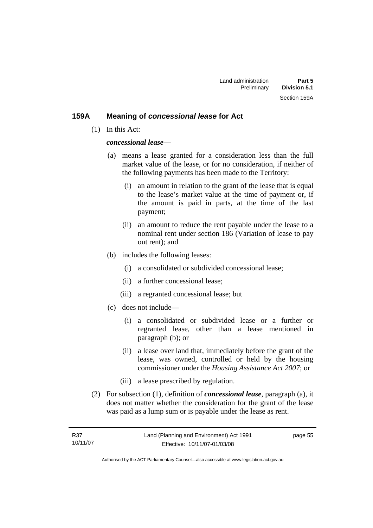#### **159A Meaning of** *concessional lease* **for Act**

(1) In this Act:

#### *concessional lease*—

- (a) means a lease granted for a consideration less than the full market value of the lease, or for no consideration, if neither of the following payments has been made to the Territory:
	- (i) an amount in relation to the grant of the lease that is equal to the lease's market value at the time of payment or, if the amount is paid in parts, at the time of the last payment;
	- (ii) an amount to reduce the rent payable under the lease to a nominal rent under section 186 (Variation of lease to pay out rent); and
- (b) includes the following leases:
	- (i) a consolidated or subdivided concessional lease;
	- (ii) a further concessional lease;
	- (iii) a regranted concessional lease; but
- (c) does not include—
	- (i) a consolidated or subdivided lease or a further or regranted lease, other than a lease mentioned in paragraph (b); or
	- (ii) a lease over land that, immediately before the grant of the lease, was owned, controlled or held by the housing commissioner under the *Housing Assistance Act 2007*; or
	- (iii) a lease prescribed by regulation.
- (2) For subsection (1), definition of *concessional lease*, paragraph (a), it does not matter whether the consideration for the grant of the lease was paid as a lump sum or is payable under the lease as rent.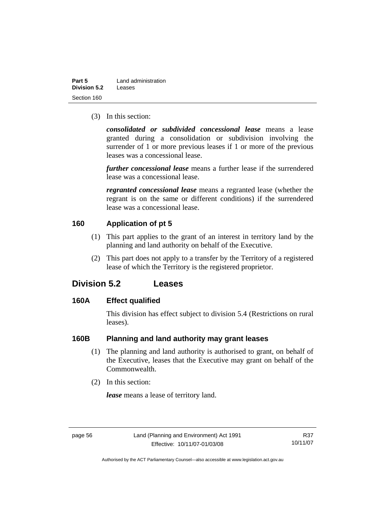| Part 5       | Land administration |
|--------------|---------------------|
| Division 5.2 | Leases              |
| Section 160  |                     |

(3) In this section:

*consolidated or subdivided concessional lease* means a lease granted during a consolidation or subdivision involving the surrender of 1 or more previous leases if 1 or more of the previous leases was a concessional lease.

*further concessional lease* means a further lease if the surrendered lease was a concessional lease.

*regranted concessional lease* means a regranted lease (whether the regrant is on the same or different conditions) if the surrendered lease was a concessional lease.

## **160 Application of pt 5**

- (1) This part applies to the grant of an interest in territory land by the planning and land authority on behalf of the Executive.
- (2) This part does not apply to a transfer by the Territory of a registered lease of which the Territory is the registered proprietor.

## **Division 5.2 Leases**

## **160A Effect qualified**

This division has effect subject to division 5.4 (Restrictions on rural leases).

#### **160B Planning and land authority may grant leases**

- (1) The planning and land authority is authorised to grant, on behalf of the Executive, leases that the Executive may grant on behalf of the Commonwealth.
- (2) In this section:

*lease* means a lease of territory land.

R37 10/11/07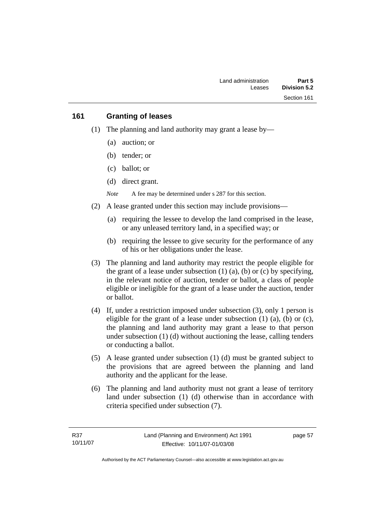#### **161 Granting of leases**

- (1) The planning and land authority may grant a lease by—
	- (a) auction; or
	- (b) tender; or
	- (c) ballot; or
	- (d) direct grant.

*Note* A fee may be determined under s 287 for this section.

- (2) A lease granted under this section may include provisions—
	- (a) requiring the lessee to develop the land comprised in the lease, or any unleased territory land, in a specified way; or
	- (b) requiring the lessee to give security for the performance of any of his or her obligations under the lease.
- (3) The planning and land authority may restrict the people eligible for the grant of a lease under subsection  $(1)$   $(a)$ ,  $(b)$  or  $(c)$  by specifying, in the relevant notice of auction, tender or ballot, a class of people eligible or ineligible for the grant of a lease under the auction, tender or ballot.
- (4) If, under a restriction imposed under subsection (3), only 1 person is eligible for the grant of a lease under subsection  $(1)$   $(a)$ ,  $(b)$  or  $(c)$ , the planning and land authority may grant a lease to that person under subsection (1) (d) without auctioning the lease, calling tenders or conducting a ballot.
- (5) A lease granted under subsection (1) (d) must be granted subject to the provisions that are agreed between the planning and land authority and the applicant for the lease.
- (6) The planning and land authority must not grant a lease of territory land under subsection (1) (d) otherwise than in accordance with criteria specified under subsection (7).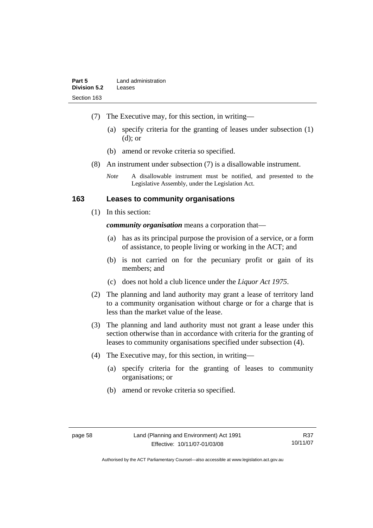- (7) The Executive may, for this section, in writing—
	- (a) specify criteria for the granting of leases under subsection (1) (d); or
	- (b) amend or revoke criteria so specified.
- (8) An instrument under subsection (7) is a disallowable instrument.
	- *Note* A disallowable instrument must be notified, and presented to the Legislative Assembly, under the Legislation Act.

#### **163 Leases to community organisations**

(1) In this section:

*community organisation* means a corporation that—

- (a) has as its principal purpose the provision of a service, or a form of assistance, to people living or working in the ACT; and
- (b) is not carried on for the pecuniary profit or gain of its members; and
- (c) does not hold a club licence under the *Liquor Act 1975*.
- (2) The planning and land authority may grant a lease of territory land to a community organisation without charge or for a charge that is less than the market value of the lease.
- (3) The planning and land authority must not grant a lease under this section otherwise than in accordance with criteria for the granting of leases to community organisations specified under subsection (4).
- (4) The Executive may, for this section, in writing—
	- (a) specify criteria for the granting of leases to community organisations; or
	- (b) amend or revoke criteria so specified.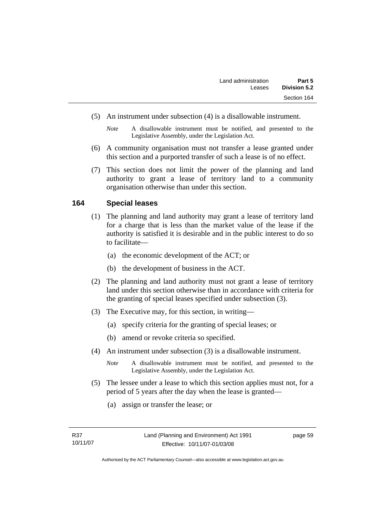- (5) An instrument under subsection (4) is a disallowable instrument.
	- *Note* A disallowable instrument must be notified, and presented to the Legislative Assembly, under the Legislation Act.
- (6) A community organisation must not transfer a lease granted under this section and a purported transfer of such a lease is of no effect.
- (7) This section does not limit the power of the planning and land authority to grant a lease of territory land to a community organisation otherwise than under this section.

#### **164 Special leases**

- (1) The planning and land authority may grant a lease of territory land for a charge that is less than the market value of the lease if the authority is satisfied it is desirable and in the public interest to do so to facilitate—
	- (a) the economic development of the ACT; or
	- (b) the development of business in the ACT.
- (2) The planning and land authority must not grant a lease of territory land under this section otherwise than in accordance with criteria for the granting of special leases specified under subsection (3).
- (3) The Executive may, for this section, in writing—
	- (a) specify criteria for the granting of special leases; or
	- (b) amend or revoke criteria so specified.
- (4) An instrument under subsection (3) is a disallowable instrument.
	- *Note* A disallowable instrument must be notified, and presented to the Legislative Assembly, under the Legislation Act.
- (5) The lessee under a lease to which this section applies must not, for a period of 5 years after the day when the lease is granted—
	- (a) assign or transfer the lease; or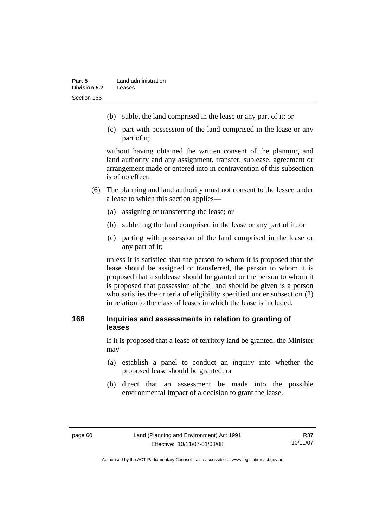- (b) sublet the land comprised in the lease or any part of it; or
- (c) part with possession of the land comprised in the lease or any part of it;

without having obtained the written consent of the planning and land authority and any assignment, transfer, sublease, agreement or arrangement made or entered into in contravention of this subsection is of no effect.

- (6) The planning and land authority must not consent to the lessee under a lease to which this section applies—
	- (a) assigning or transferring the lease; or
	- (b) subletting the land comprised in the lease or any part of it; or
	- (c) parting with possession of the land comprised in the lease or any part of it;

unless it is satisfied that the person to whom it is proposed that the lease should be assigned or transferred, the person to whom it is proposed that a sublease should be granted or the person to whom it is proposed that possession of the land should be given is a person who satisfies the criteria of eligibility specified under subsection (2) in relation to the class of leases in which the lease is included.

## **166 Inquiries and assessments in relation to granting of leases**

If it is proposed that a lease of territory land be granted, the Minister may—

- (a) establish a panel to conduct an inquiry into whether the proposed lease should be granted; or
- (b) direct that an assessment be made into the possible environmental impact of a decision to grant the lease.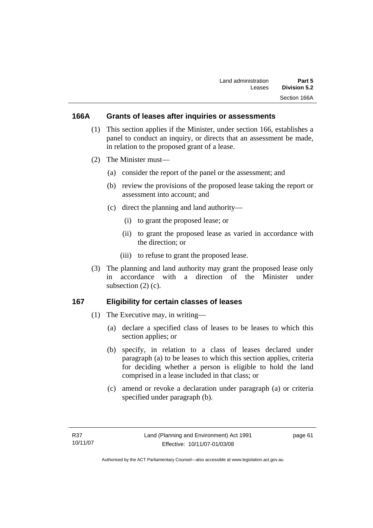#### **166A Grants of leases after inquiries or assessments**

- (1) This section applies if the Minister, under section 166, establishes a panel to conduct an inquiry, or directs that an assessment be made, in relation to the proposed grant of a lease.
- (2) The Minister must—
	- (a) consider the report of the panel or the assessment; and
	- (b) review the provisions of the proposed lease taking the report or assessment into account; and
	- (c) direct the planning and land authority—
		- (i) to grant the proposed lease; or
		- (ii) to grant the proposed lease as varied in accordance with the direction; or
		- (iii) to refuse to grant the proposed lease.
- (3) The planning and land authority may grant the proposed lease only in accordance with a direction of the Minister under subsection (2) (c).

#### **167 Eligibility for certain classes of leases**

- (1) The Executive may, in writing—
	- (a) declare a specified class of leases to be leases to which this section applies; or
	- (b) specify, in relation to a class of leases declared under paragraph (a) to be leases to which this section applies, criteria for deciding whether a person is eligible to hold the land comprised in a lease included in that class; or
	- (c) amend or revoke a declaration under paragraph (a) or criteria specified under paragraph (b).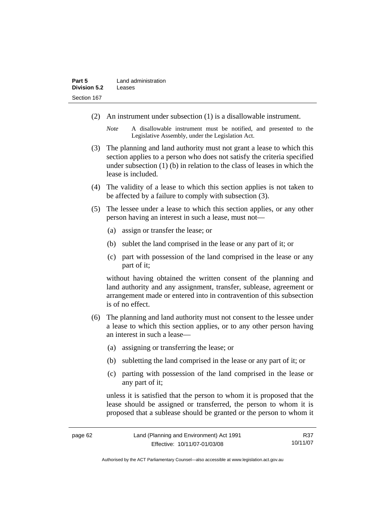- (2) An instrument under subsection (1) is a disallowable instrument.
	- *Note* A disallowable instrument must be notified, and presented to the Legislative Assembly, under the Legislation Act.
- (3) The planning and land authority must not grant a lease to which this section applies to a person who does not satisfy the criteria specified under subsection (1) (b) in relation to the class of leases in which the lease is included.
- (4) The validity of a lease to which this section applies is not taken to be affected by a failure to comply with subsection (3).
- (5) The lessee under a lease to which this section applies, or any other person having an interest in such a lease, must not—
	- (a) assign or transfer the lease; or
	- (b) sublet the land comprised in the lease or any part of it; or
	- (c) part with possession of the land comprised in the lease or any part of it;

without having obtained the written consent of the planning and land authority and any assignment, transfer, sublease, agreement or arrangement made or entered into in contravention of this subsection is of no effect.

- (6) The planning and land authority must not consent to the lessee under a lease to which this section applies, or to any other person having an interest in such a lease—
	- (a) assigning or transferring the lease; or
	- (b) subletting the land comprised in the lease or any part of it; or
	- (c) parting with possession of the land comprised in the lease or any part of it;

unless it is satisfied that the person to whom it is proposed that the lease should be assigned or transferred, the person to whom it is proposed that a sublease should be granted or the person to whom it

R37 10/11/07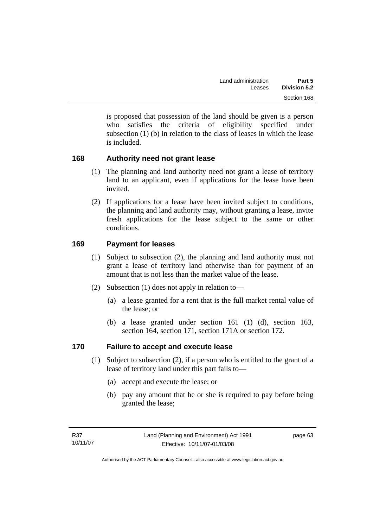is proposed that possession of the land should be given is a person who satisfies the criteria of eligibility specified under subsection (1) (b) in relation to the class of leases in which the lease is included.

# **168 Authority need not grant lease**

- (1) The planning and land authority need not grant a lease of territory land to an applicant, even if applications for the lease have been invited.
- (2) If applications for a lease have been invited subject to conditions, the planning and land authority may, without granting a lease, invite fresh applications for the lease subject to the same or other conditions.

# **169 Payment for leases**

- (1) Subject to subsection (2), the planning and land authority must not grant a lease of territory land otherwise than for payment of an amount that is not less than the market value of the lease.
- (2) Subsection (1) does not apply in relation to—
	- (a) a lease granted for a rent that is the full market rental value of the lease; or
	- (b) a lease granted under section 161 (1) (d), section 163, section 164, section 171, section 171A or section 172.

#### **170 Failure to accept and execute lease**

- (1) Subject to subsection (2), if a person who is entitled to the grant of a lease of territory land under this part fails to—
	- (a) accept and execute the lease; or
	- (b) pay any amount that he or she is required to pay before being granted the lease;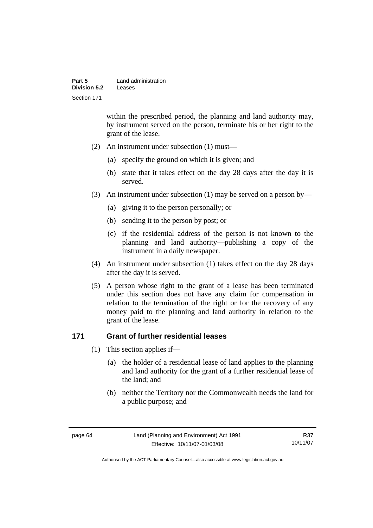| Part 5       | Land administration |
|--------------|---------------------|
| Division 5.2 | Leases              |
| Section 171  |                     |

within the prescribed period, the planning and land authority may, by instrument served on the person, terminate his or her right to the grant of the lease.

- (2) An instrument under subsection (1) must—
	- (a) specify the ground on which it is given; and
	- (b) state that it takes effect on the day 28 days after the day it is served.
- (3) An instrument under subsection (1) may be served on a person by—
	- (a) giving it to the person personally; or
	- (b) sending it to the person by post; or
	- (c) if the residential address of the person is not known to the planning and land authority—publishing a copy of the instrument in a daily newspaper.
- (4) An instrument under subsection (1) takes effect on the day 28 days after the day it is served.
- (5) A person whose right to the grant of a lease has been terminated under this section does not have any claim for compensation in relation to the termination of the right or for the recovery of any money paid to the planning and land authority in relation to the grant of the lease.

#### **171 Grant of further residential leases**

- (1) This section applies if—
	- (a) the holder of a residential lease of land applies to the planning and land authority for the grant of a further residential lease of the land; and
	- (b) neither the Territory nor the Commonwealth needs the land for a public purpose; and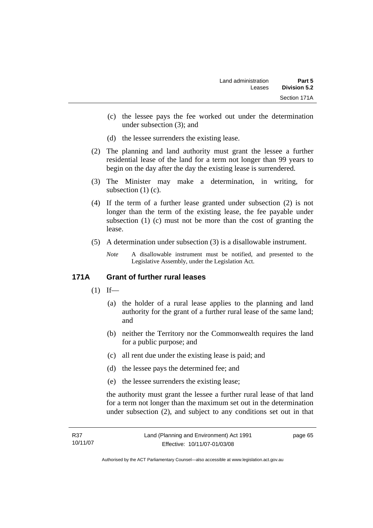- (c) the lessee pays the fee worked out under the determination under subsection (3); and
- (d) the lessee surrenders the existing lease.
- (2) The planning and land authority must grant the lessee a further residential lease of the land for a term not longer than 99 years to begin on the day after the day the existing lease is surrendered.
- (3) The Minister may make a determination, in writing, for subsection (1) (c).
- (4) If the term of a further lease granted under subsection (2) is not longer than the term of the existing lease, the fee payable under subsection (1) (c) must not be more than the cost of granting the lease.
- (5) A determination under subsection (3) is a disallowable instrument.
	- *Note* A disallowable instrument must be notified, and presented to the Legislative Assembly, under the Legislation Act.

# **171A Grant of further rural leases**

- $(1)$  If—
	- (a) the holder of a rural lease applies to the planning and land authority for the grant of a further rural lease of the same land; and
	- (b) neither the Territory nor the Commonwealth requires the land for a public purpose; and
	- (c) all rent due under the existing lease is paid; and
	- (d) the lessee pays the determined fee; and
	- (e) the lessee surrenders the existing lease;

the authority must grant the lessee a further rural lease of that land for a term not longer than the maximum set out in the determination under subsection (2), and subject to any conditions set out in that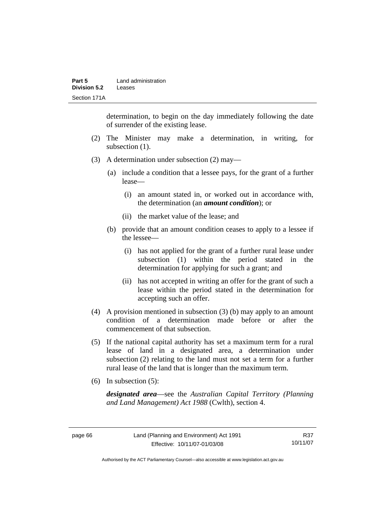| Part 5       | Land administration |
|--------------|---------------------|
| Division 5.2 | Leases              |
| Section 171A |                     |

determination, to begin on the day immediately following the date of surrender of the existing lease.

- (2) The Minister may make a determination, in writing, for subsection  $(1)$ .
- (3) A determination under subsection (2) may—
	- (a) include a condition that a lessee pays, for the grant of a further lease—
		- (i) an amount stated in, or worked out in accordance with, the determination (an *amount condition*); or
		- (ii) the market value of the lease; and
	- (b) provide that an amount condition ceases to apply to a lessee if the lessee—
		- (i) has not applied for the grant of a further rural lease under subsection (1) within the period stated in the determination for applying for such a grant; and
		- (ii) has not accepted in writing an offer for the grant of such a lease within the period stated in the determination for accepting such an offer.
- (4) A provision mentioned in subsection (3) (b) may apply to an amount condition of a determination made before or after the commencement of that subsection.
- (5) If the national capital authority has set a maximum term for a rural lease of land in a designated area, a determination under subsection (2) relating to the land must not set a term for a further rural lease of the land that is longer than the maximum term.
- (6) In subsection (5):

*designated area*—see the *Australian Capital Territory (Planning and Land Management) Act 1988* (Cwlth), section 4.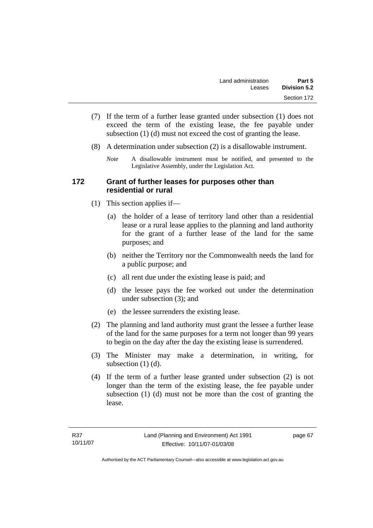- (7) If the term of a further lease granted under subsection (1) does not exceed the term of the existing lease, the fee payable under subsection (1) (d) must not exceed the cost of granting the lease.
- (8) A determination under subsection (2) is a disallowable instrument.
	- *Note* A disallowable instrument must be notified, and presented to the Legislative Assembly, under the Legislation Act.

### **172 Grant of further leases for purposes other than residential or rural**

- (1) This section applies if—
	- (a) the holder of a lease of territory land other than a residential lease or a rural lease applies to the planning and land authority for the grant of a further lease of the land for the same purposes; and
	- (b) neither the Territory nor the Commonwealth needs the land for a public purpose; and
	- (c) all rent due under the existing lease is paid; and
	- (d) the lessee pays the fee worked out under the determination under subsection (3); and
	- (e) the lessee surrenders the existing lease.
- (2) The planning and land authority must grant the lessee a further lease of the land for the same purposes for a term not longer than 99 years to begin on the day after the day the existing lease is surrendered.
- (3) The Minister may make a determination, in writing, for subsection (1) (d).
- (4) If the term of a further lease granted under subsection (2) is not longer than the term of the existing lease, the fee payable under subsection (1) (d) must not be more than the cost of granting the lease.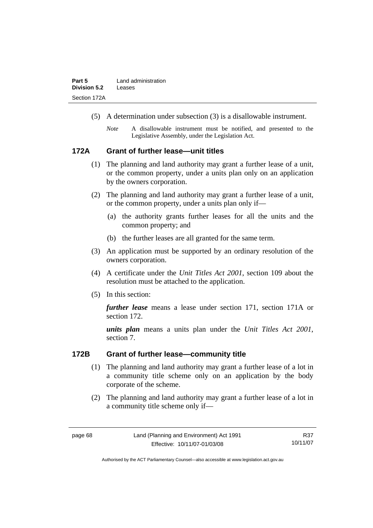- (5) A determination under subsection (3) is a disallowable instrument.
	- *Note* A disallowable instrument must be notified, and presented to the Legislative Assembly, under the Legislation Act.

#### **172A Grant of further lease—unit titles**

- (1) The planning and land authority may grant a further lease of a unit, or the common property, under a units plan only on an application by the owners corporation.
- (2) The planning and land authority may grant a further lease of a unit, or the common property, under a units plan only if—
	- (a) the authority grants further leases for all the units and the common property; and
	- (b) the further leases are all granted for the same term.
- (3) An application must be supported by an ordinary resolution of the owners corporation.
- (4) A certificate under the *Unit Titles Act 2001*, section 109 about the resolution must be attached to the application.
- (5) In this section:

*further lease* means a lease under section 171, section 171A or section 172.

*units plan* means a units plan under the *Unit Titles Act 2001*, section 7.

#### **172B Grant of further lease—community title**

- (1) The planning and land authority may grant a further lease of a lot in a community title scheme only on an application by the body corporate of the scheme.
- (2) The planning and land authority may grant a further lease of a lot in a community title scheme only if—

R37 10/11/07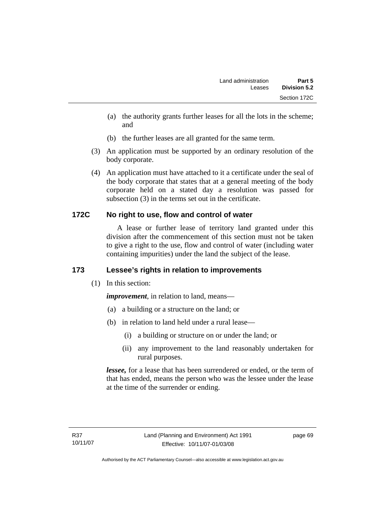- (a) the authority grants further leases for all the lots in the scheme; and
- (b) the further leases are all granted for the same term.
- (3) An application must be supported by an ordinary resolution of the body corporate.
- (4) An application must have attached to it a certificate under the seal of the body corporate that states that at a general meeting of the body corporate held on a stated day a resolution was passed for subsection (3) in the terms set out in the certificate.

# **172C No right to use, flow and control of water**

 A lease or further lease of territory land granted under this division after the commencement of this section must not be taken to give a right to the use, flow and control of water (including water containing impurities) under the land the subject of the lease.

# **173 Lessee's rights in relation to improvements**

(1) In this section:

*improvement*, in relation to land, means—

- (a) a building or a structure on the land; or
- (b) in relation to land held under a rural lease—
	- (i) a building or structure on or under the land; or
	- (ii) any improvement to the land reasonably undertaken for rural purposes.

*lessee,* for a lease that has been surrendered or ended, or the term of that has ended, means the person who was the lessee under the lease at the time of the surrender or ending.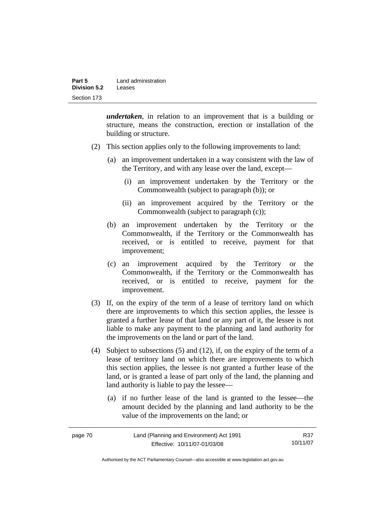| Part 5              | Land administration |
|---------------------|---------------------|
| <b>Division 5.2</b> | Leases              |
| Section 173         |                     |

*undertaken*, in relation to an improvement that is a building or structure, means the construction, erection or installation of the building or structure.

- (2) This section applies only to the following improvements to land:
	- (a) an improvement undertaken in a way consistent with the law of the Territory, and with any lease over the land, except—
		- (i) an improvement undertaken by the Territory or the Commonwealth (subject to paragraph (b)); or
		- (ii) an improvement acquired by the Territory or the Commonwealth (subject to paragraph (c));
	- (b) an improvement undertaken by the Territory or the Commonwealth, if the Territory or the Commonwealth has received, or is entitled to receive, payment for that improvement;
	- (c) an improvement acquired by the Territory or the Commonwealth, if the Territory or the Commonwealth has received, or is entitled to receive, payment for the improvement.
- (3) If, on the expiry of the term of a lease of territory land on which there are improvements to which this section applies, the lessee is granted a further lease of that land or any part of it, the lessee is not liable to make any payment to the planning and land authority for the improvements on the land or part of the land.
- (4) Subject to subsections (5) and (12), if, on the expiry of the term of a lease of territory land on which there are improvements to which this section applies, the lessee is not granted a further lease of the land, or is granted a lease of part only of the land, the planning and land authority is liable to pay the lessee—
	- (a) if no further lease of the land is granted to the lessee—the amount decided by the planning and land authority to be the value of the improvements on the land; or

| page 70 | Land (Planning and Environment) Act 1991 | R37      |
|---------|------------------------------------------|----------|
|         | Effective: 10/11/07-01/03/08             | 10/11/07 |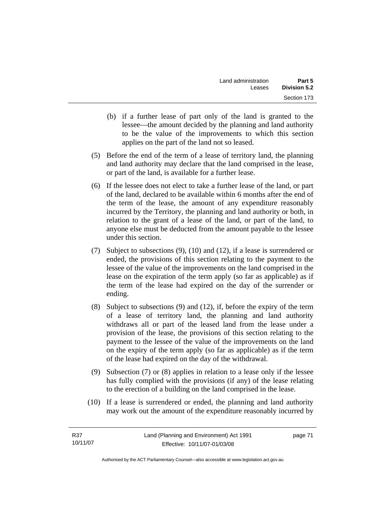- (b) if a further lease of part only of the land is granted to the lessee—the amount decided by the planning and land authority to be the value of the improvements to which this section applies on the part of the land not so leased.
- (5) Before the end of the term of a lease of territory land, the planning and land authority may declare that the land comprised in the lease, or part of the land, is available for a further lease.
- (6) If the lessee does not elect to take a further lease of the land, or part of the land, declared to be available within 6 months after the end of the term of the lease, the amount of any expenditure reasonably incurred by the Territory, the planning and land authority or both, in relation to the grant of a lease of the land, or part of the land, to anyone else must be deducted from the amount payable to the lessee under this section.
- (7) Subject to subsections (9), (10) and (12), if a lease is surrendered or ended, the provisions of this section relating to the payment to the lessee of the value of the improvements on the land comprised in the lease on the expiration of the term apply (so far as applicable) as if the term of the lease had expired on the day of the surrender or ending.
- (8) Subject to subsections (9) and (12), if, before the expiry of the term of a lease of territory land, the planning and land authority withdraws all or part of the leased land from the lease under a provision of the lease, the provisions of this section relating to the payment to the lessee of the value of the improvements on the land on the expiry of the term apply (so far as applicable) as if the term of the lease had expired on the day of the withdrawal.
- (9) Subsection (7) or (8) applies in relation to a lease only if the lessee has fully complied with the provisions (if any) of the lease relating to the erection of a building on the land comprised in the lease.
- (10) If a lease is surrendered or ended, the planning and land authority may work out the amount of the expenditure reasonably incurred by

| R37      | Land (Planning and Environment) Act 1991 | page 71 |
|----------|------------------------------------------|---------|
| 10/11/07 | Effective: 10/11/07-01/03/08             |         |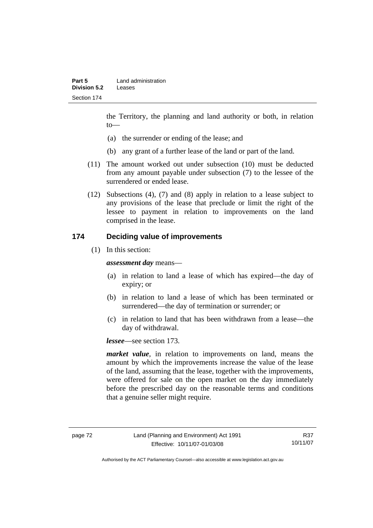the Territory, the planning and land authority or both, in relation to—

- (a) the surrender or ending of the lease; and
- (b) any grant of a further lease of the land or part of the land.
- (11) The amount worked out under subsection (10) must be deducted from any amount payable under subsection (7) to the lessee of the surrendered or ended lease.
- (12) Subsections (4), (7) and (8) apply in relation to a lease subject to any provisions of the lease that preclude or limit the right of the lessee to payment in relation to improvements on the land comprised in the lease.

## **174 Deciding value of improvements**

(1) In this section:

*assessment day* means—

- (a) in relation to land a lease of which has expired—the day of expiry; or
- (b) in relation to land a lease of which has been terminated or surrendered—the day of termination or surrender; or
- (c) in relation to land that has been withdrawn from a lease—the day of withdrawal.

*lessee*—see section 173.

*market value*, in relation to improvements on land, means the amount by which the improvements increase the value of the lease of the land, assuming that the lease, together with the improvements, were offered for sale on the open market on the day immediately before the prescribed day on the reasonable terms and conditions that a genuine seller might require.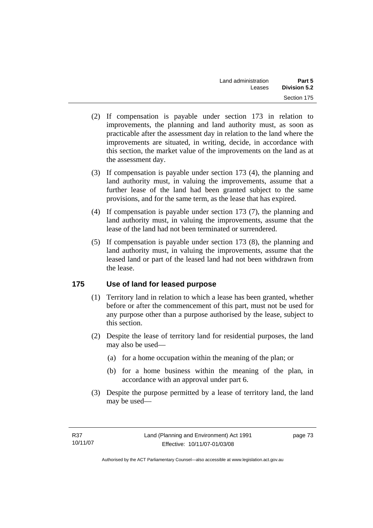- (2) If compensation is payable under section 173 in relation to improvements, the planning and land authority must, as soon as practicable after the assessment day in relation to the land where the improvements are situated, in writing, decide, in accordance with this section, the market value of the improvements on the land as at the assessment day.
- (3) If compensation is payable under section 173 (4), the planning and land authority must, in valuing the improvements, assume that a further lease of the land had been granted subject to the same provisions, and for the same term, as the lease that has expired.
- (4) If compensation is payable under section 173 (7), the planning and land authority must, in valuing the improvements, assume that the lease of the land had not been terminated or surrendered.
- (5) If compensation is payable under section 173 (8), the planning and land authority must, in valuing the improvements, assume that the leased land or part of the leased land had not been withdrawn from the lease.

# **175 Use of land for leased purpose**

- (1) Territory land in relation to which a lease has been granted, whether before or after the commencement of this part, must not be used for any purpose other than a purpose authorised by the lease, subject to this section.
- (2) Despite the lease of territory land for residential purposes, the land may also be used—
	- (a) for a home occupation within the meaning of the plan; or
	- (b) for a home business within the meaning of the plan, in accordance with an approval under part 6.
- (3) Despite the purpose permitted by a lease of territory land, the land may be used—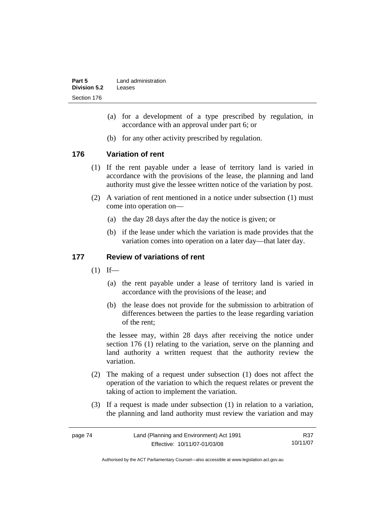| Part 5       | Land administration |
|--------------|---------------------|
| Division 5.2 | Leases              |
| Section 176  |                     |

- (a) for a development of a type prescribed by regulation, in accordance with an approval under part 6; or
- (b) for any other activity prescribed by regulation.

## **176 Variation of rent**

- (1) If the rent payable under a lease of territory land is varied in accordance with the provisions of the lease, the planning and land authority must give the lessee written notice of the variation by post.
- (2) A variation of rent mentioned in a notice under subsection (1) must come into operation on—
	- (a) the day 28 days after the day the notice is given; or
	- (b) if the lease under which the variation is made provides that the variation comes into operation on a later day—that later day.

## **177 Review of variations of rent**

- $(1)$  If—
	- (a) the rent payable under a lease of territory land is varied in accordance with the provisions of the lease; and
	- (b) the lease does not provide for the submission to arbitration of differences between the parties to the lease regarding variation of the rent;

the lessee may, within 28 days after receiving the notice under section 176 (1) relating to the variation, serve on the planning and land authority a written request that the authority review the variation.

- (2) The making of a request under subsection (1) does not affect the operation of the variation to which the request relates or prevent the taking of action to implement the variation.
- (3) If a request is made under subsection (1) in relation to a variation, the planning and land authority must review the variation and may

| page 74 | Land (Planning and Environment) Act 1991 | R37      |
|---------|------------------------------------------|----------|
|         | Effective: 10/11/07-01/03/08             | 10/11/07 |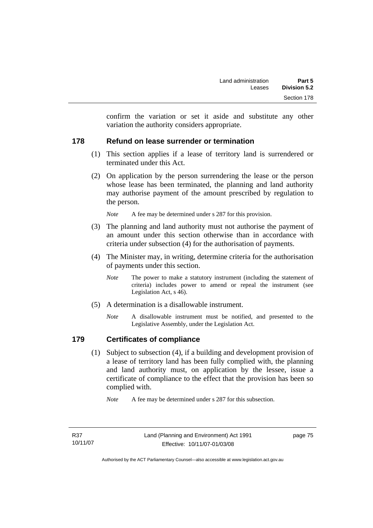confirm the variation or set it aside and substitute any other variation the authority considers appropriate.

## **178 Refund on lease surrender or termination**

- (1) This section applies if a lease of territory land is surrendered or terminated under this Act.
- (2) On application by the person surrendering the lease or the person whose lease has been terminated, the planning and land authority may authorise payment of the amount prescribed by regulation to the person.

*Note* A fee may be determined under s 287 for this provision.

- (3) The planning and land authority must not authorise the payment of an amount under this section otherwise than in accordance with criteria under subsection (4) for the authorisation of payments.
- (4) The Minister may, in writing, determine criteria for the authorisation of payments under this section.
	- *Note* The power to make a statutory instrument (including the statement of criteria) includes power to amend or repeal the instrument (see Legislation Act, s 46).
- (5) A determination is a disallowable instrument.
	- *Note* A disallowable instrument must be notified, and presented to the Legislative Assembly, under the Legislation Act.

# **179 Certificates of compliance**

 (1) Subject to subsection (4), if a building and development provision of a lease of territory land has been fully complied with, the planning and land authority must, on application by the lessee, issue a certificate of compliance to the effect that the provision has been so complied with.

*Note* A fee may be determined under s 287 for this subsection.

page 75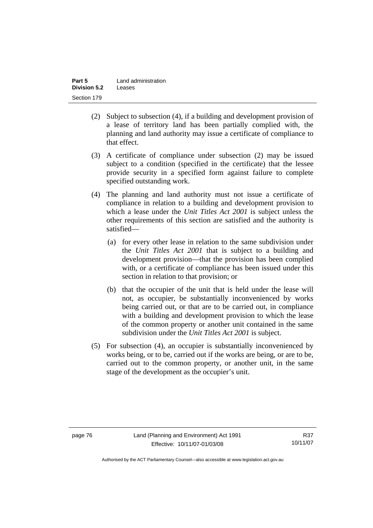| Part 5              | Land administration |
|---------------------|---------------------|
| <b>Division 5.2</b> | Leases              |
| Section 179         |                     |

- (2) Subject to subsection (4), if a building and development provision of a lease of territory land has been partially complied with, the planning and land authority may issue a certificate of compliance to that effect.
- (3) A certificate of compliance under subsection (2) may be issued subject to a condition (specified in the certificate) that the lessee provide security in a specified form against failure to complete specified outstanding work.
- (4) The planning and land authority must not issue a certificate of compliance in relation to a building and development provision to which a lease under the *Unit Titles Act 2001* is subject unless the other requirements of this section are satisfied and the authority is satisfied—
	- (a) for every other lease in relation to the same subdivision under the *Unit Titles Act 2001* that is subject to a building and development provision—that the provision has been complied with, or a certificate of compliance has been issued under this section in relation to that provision; or
	- (b) that the occupier of the unit that is held under the lease will not, as occupier, be substantially inconvenienced by works being carried out, or that are to be carried out, in compliance with a building and development provision to which the lease of the common property or another unit contained in the same subdivision under the *Unit Titles Act 2001* is subject.
- (5) For subsection (4), an occupier is substantially inconvenienced by works being, or to be, carried out if the works are being, or are to be, carried out to the common property, or another unit, in the same stage of the development as the occupier's unit.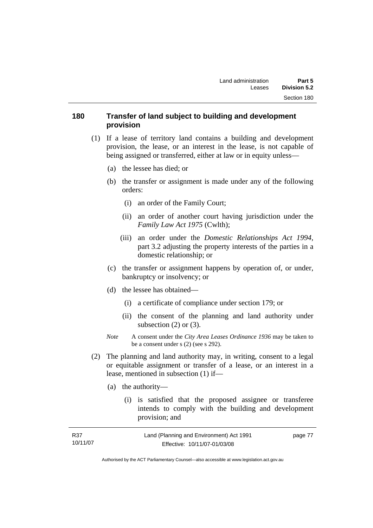## **180 Transfer of land subject to building and development provision**

- (1) If a lease of territory land contains a building and development provision, the lease, or an interest in the lease, is not capable of being assigned or transferred, either at law or in equity unless—
	- (a) the lessee has died; or
	- (b) the transfer or assignment is made under any of the following orders:
		- (i) an order of the Family Court;
		- (ii) an order of another court having jurisdiction under the *Family Law Act 1975* (Cwlth);
		- (iii) an order under the *Domestic Relationships Act 1994,*  part 3.2 adjusting the property interests of the parties in a domestic relationship; or
	- (c) the transfer or assignment happens by operation of, or under, bankruptcy or insolvency; or
	- (d) the lessee has obtained—
		- (i) a certificate of compliance under section 179; or
		- (ii) the consent of the planning and land authority under subsection  $(2)$  or  $(3)$ .
	- *Note* A consent under the *City Area Leases Ordinance 1936* may be taken to be a consent under s (2) (see s 292).
- (2) The planning and land authority may, in writing, consent to a legal or equitable assignment or transfer of a lease, or an interest in a lease, mentioned in subsection (1) if—
	- (a) the authority—
		- (i) is satisfied that the proposed assignee or transferee intends to comply with the building and development provision; and

| R37      | Land (Planning and Environment) Act 1991 | page 77 |
|----------|------------------------------------------|---------|
| 10/11/07 | Effective: 10/11/07-01/03/08             |         |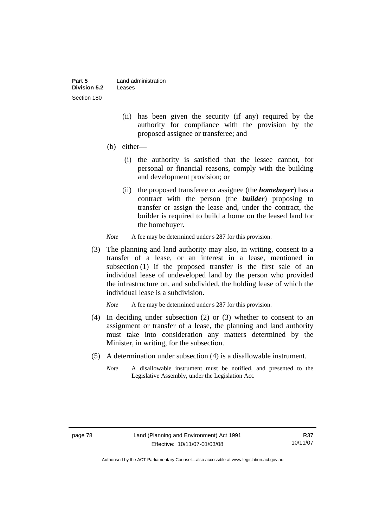| Part 5       | Land administration |
|--------------|---------------------|
| Division 5.2 | Leases              |
| Section 180  |                     |

- (ii) has been given the security (if any) required by the authority for compliance with the provision by the proposed assignee or transferee; and
- (b) either—
	- (i) the authority is satisfied that the lessee cannot, for personal or financial reasons, comply with the building and development provision; or
	- (ii) the proposed transferee or assignee (the *homebuyer*) has a contract with the person (the *builder*) proposing to transfer or assign the lease and, under the contract, the builder is required to build a home on the leased land for the homebuyer.
- *Note* A fee may be determined under s 287 for this provision.
- (3) The planning and land authority may also, in writing, consent to a transfer of a lease, or an interest in a lease, mentioned in subsection (1) if the proposed transfer is the first sale of an individual lease of undeveloped land by the person who provided the infrastructure on, and subdivided, the holding lease of which the individual lease is a subdivision.

*Note* A fee may be determined under s 287 for this provision.

- (4) In deciding under subsection (2) or (3) whether to consent to an assignment or transfer of a lease, the planning and land authority must take into consideration any matters determined by the Minister, in writing, for the subsection.
- (5) A determination under subsection (4) is a disallowable instrument.
	- *Note* A disallowable instrument must be notified, and presented to the Legislative Assembly, under the Legislation Act.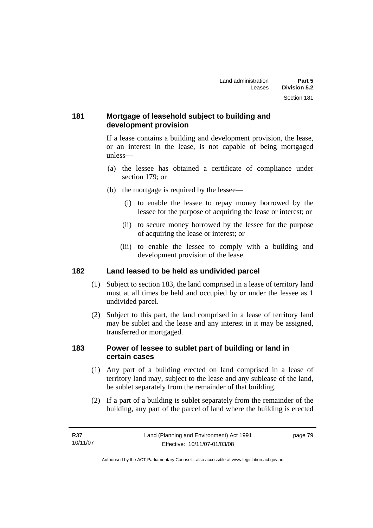## **181 Mortgage of leasehold subject to building and development provision**

If a lease contains a building and development provision, the lease, or an interest in the lease, is not capable of being mortgaged unless—

- (a) the lessee has obtained a certificate of compliance under section 179; or
- (b) the mortgage is required by the lessee—
	- (i) to enable the lessee to repay money borrowed by the lessee for the purpose of acquiring the lease or interest; or
	- (ii) to secure money borrowed by the lessee for the purpose of acquiring the lease or interest; or
	- (iii) to enable the lessee to comply with a building and development provision of the lease.

#### **182 Land leased to be held as undivided parcel**

- (1) Subject to section 183, the land comprised in a lease of territory land must at all times be held and occupied by or under the lessee as 1 undivided parcel.
- (2) Subject to this part, the land comprised in a lease of territory land may be sublet and the lease and any interest in it may be assigned, transferred or mortgaged.

## **183 Power of lessee to sublet part of building or land in certain cases**

- (1) Any part of a building erected on land comprised in a lease of territory land may, subject to the lease and any sublease of the land, be sublet separately from the remainder of that building.
- (2) If a part of a building is sublet separately from the remainder of the building, any part of the parcel of land where the building is erected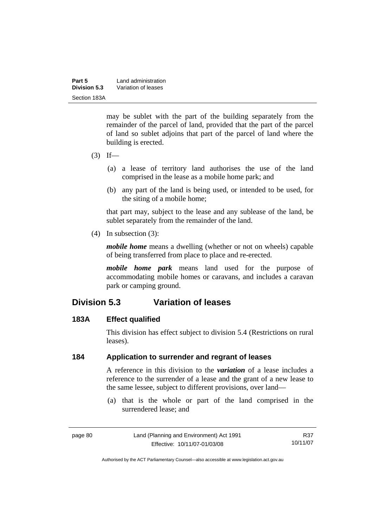| Part 5       | Land administration |  |
|--------------|---------------------|--|
| Division 5.3 | Variation of leases |  |
| Section 183A |                     |  |

may be sublet with the part of the building separately from the remainder of the parcel of land, provided that the part of the parcel of land so sublet adjoins that part of the parcel of land where the building is erected.

- $(3)$  If—
	- (a) a lease of territory land authorises the use of the land comprised in the lease as a mobile home park; and
	- (b) any part of the land is being used, or intended to be used, for the siting of a mobile home;

that part may, subject to the lease and any sublease of the land, be sublet separately from the remainder of the land.

(4) In subsection (3):

*mobile home* means a dwelling (whether or not on wheels) capable of being transferred from place to place and re-erected.

*mobile home park* means land used for the purpose of accommodating mobile homes or caravans, and includes a caravan park or camping ground.

# **Division 5.3 Variation of leases**

#### **183A Effect qualified**

This division has effect subject to division 5.4 (Restrictions on rural leases).

## **184 Application to surrender and regrant of leases**

A reference in this division to the *variation* of a lease includes a reference to the surrender of a lease and the grant of a new lease to the same lessee, subject to different provisions, over land—

 (a) that is the whole or part of the land comprised in the surrendered lease; and

R37 10/11/07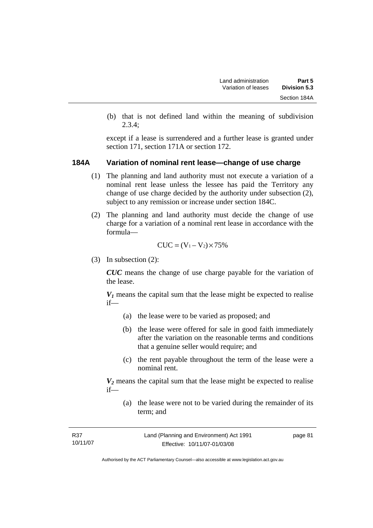(b) that is not defined land within the meaning of subdivision 2.3.4;

except if a lease is surrendered and a further lease is granted under section 171, section 171A or section 172.

#### **184A Variation of nominal rent lease—change of use charge**

- (1) The planning and land authority must not execute a variation of a nominal rent lease unless the lessee has paid the Territory any change of use charge decided by the authority under subsection (2), subject to any remission or increase under section 184C.
- (2) The planning and land authority must decide the change of use charge for a variation of a nominal rent lease in accordance with the formula—

$$
CUC = (V_1 - V_2) \times 75\%
$$

(3) In subsection (2):

*CUC* means the change of use charge payable for the variation of the lease.

 $V_1$  means the capital sum that the lease might be expected to realise if—

- (a) the lease were to be varied as proposed; and
- (b) the lease were offered for sale in good faith immediately after the variation on the reasonable terms and conditions that a genuine seller would require; and
- (c) the rent payable throughout the term of the lease were a nominal rent.

 $V_2$  means the capital sum that the lease might be expected to realise if—

 (a) the lease were not to be varied during the remainder of its term; and

| R37      | Land (Planning and Environment) Act 1991 | page 81 |
|----------|------------------------------------------|---------|
| 10/11/07 | Effective: 10/11/07-01/03/08             |         |
|          |                                          |         |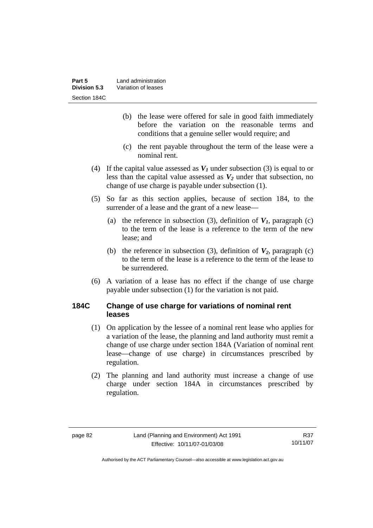| Part 5       | Land administration |
|--------------|---------------------|
| Division 5.3 | Variation of leases |
| Section 184C |                     |

- (b) the lease were offered for sale in good faith immediately before the variation on the reasonable terms and conditions that a genuine seller would require; and
- (c) the rent payable throughout the term of the lease were a nominal rent.
- (4) If the capital value assessed as  $V_I$  under subsection (3) is equal to or less than the capital value assessed as  $V_2$  under that subsection, no change of use charge is payable under subsection (1).
- (5) So far as this section applies, because of section 184, to the surrender of a lease and the grant of a new lease—
	- (a) the reference in subsection (3), definition of  $V_I$ , paragraph (c) to the term of the lease is a reference to the term of the new lease; and
	- (b) the reference in subsection (3), definition of  $V_2$ , paragraph (c) to the term of the lease is a reference to the term of the lease to be surrendered.
- (6) A variation of a lease has no effect if the change of use charge payable under subsection (1) for the variation is not paid.

## **184C Change of use charge for variations of nominal rent leases**

- (1) On application by the lessee of a nominal rent lease who applies for a variation of the lease, the planning and land authority must remit a change of use charge under section 184A (Variation of nominal rent lease—change of use charge) in circumstances prescribed by regulation.
- (2) The planning and land authority must increase a change of use charge under section 184A in circumstances prescribed by regulation.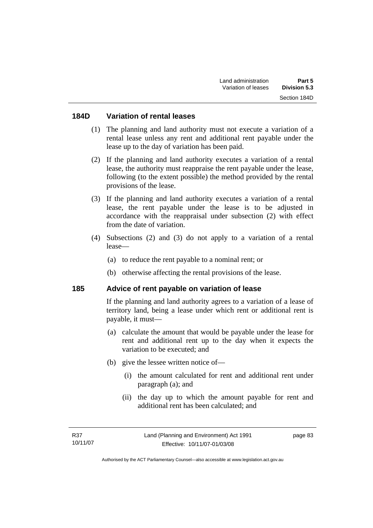#### **184D Variation of rental leases**

- (1) The planning and land authority must not execute a variation of a rental lease unless any rent and additional rent payable under the lease up to the day of variation has been paid.
- (2) If the planning and land authority executes a variation of a rental lease, the authority must reappraise the rent payable under the lease, following (to the extent possible) the method provided by the rental provisions of the lease.
- (3) If the planning and land authority executes a variation of a rental lease, the rent payable under the lease is to be adjusted in accordance with the reappraisal under subsection (2) with effect from the date of variation.
- (4) Subsections (2) and (3) do not apply to a variation of a rental lease—
	- (a) to reduce the rent payable to a nominal rent; or
	- (b) otherwise affecting the rental provisions of the lease.

#### **185 Advice of rent payable on variation of lease**

If the planning and land authority agrees to a variation of a lease of territory land, being a lease under which rent or additional rent is payable, it must—

- (a) calculate the amount that would be payable under the lease for rent and additional rent up to the day when it expects the variation to be executed; and
- (b) give the lessee written notice of—
	- (i) the amount calculated for rent and additional rent under paragraph (a); and
	- (ii) the day up to which the amount payable for rent and additional rent has been calculated; and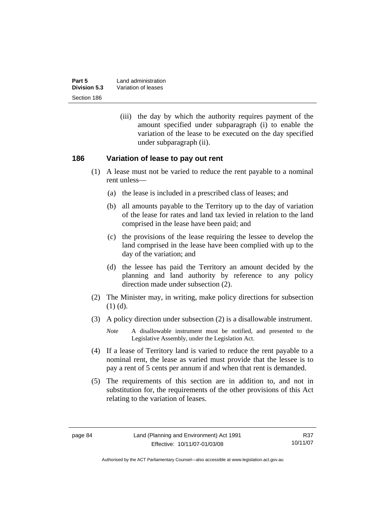| Part 5       | Land administration |
|--------------|---------------------|
| Division 5.3 | Variation of leases |
| Section 186  |                     |

 (iii) the day by which the authority requires payment of the amount specified under subparagraph (i) to enable the variation of the lease to be executed on the day specified under subparagraph (ii).

#### **186 Variation of lease to pay out rent**

- (1) A lease must not be varied to reduce the rent payable to a nominal rent unless—
	- (a) the lease is included in a prescribed class of leases; and
	- (b) all amounts payable to the Territory up to the day of variation of the lease for rates and land tax levied in relation to the land comprised in the lease have been paid; and
	- (c) the provisions of the lease requiring the lessee to develop the land comprised in the lease have been complied with up to the day of the variation; and
	- (d) the lessee has paid the Territory an amount decided by the planning and land authority by reference to any policy direction made under subsection (2).
- (2) The Minister may, in writing, make policy directions for subsection (1) (d).
- (3) A policy direction under subsection (2) is a disallowable instrument.

- (4) If a lease of Territory land is varied to reduce the rent payable to a nominal rent, the lease as varied must provide that the lessee is to pay a rent of 5 cents per annum if and when that rent is demanded.
- (5) The requirements of this section are in addition to, and not in substitution for, the requirements of the other provisions of this Act relating to the variation of leases.

*Note* A disallowable instrument must be notified, and presented to the Legislative Assembly, under the Legislation Act.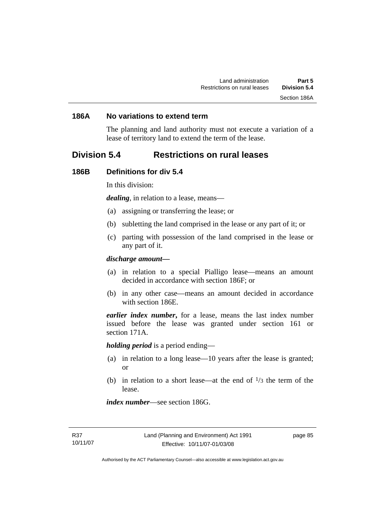#### **186A No variations to extend term**

The planning and land authority must not execute a variation of a lease of territory land to extend the term of the lease.

# **Division 5.4 Restrictions on rural leases**

#### **186B Definitions for div 5.4**

In this division:

*dealing*, in relation to a lease, means—

- (a) assigning or transferring the lease; or
- (b) subletting the land comprised in the lease or any part of it; or
- (c) parting with possession of the land comprised in the lease or any part of it.

#### *discharge amount—*

- (a) in relation to a special Pialligo lease—means an amount decided in accordance with section 186F; or
- (b) in any other case—means an amount decided in accordance with section 186E.

*earlier index number***,** for a lease, means the last index number issued before the lease was granted under section 161 or section 171A.

*holding period* is a period ending—

- (a) in relation to a long lease—10 years after the lease is granted; or
- (b) in relation to a short lease—at the end of  $\frac{1}{3}$  the term of the lease.

*index number*—see section 186G.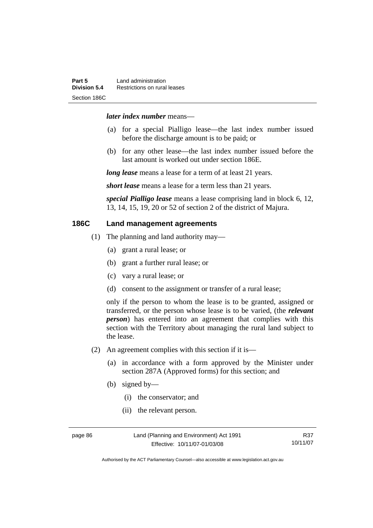#### *later index number* means—

- (a) for a special Pialligo lease—the last index number issued before the discharge amount is to be paid; or
- (b) for any other lease—the last index number issued before the last amount is worked out under section 186E.

*long lease* means a lease for a term of at least 21 years.

*short lease* means a lease for a term less than 21 years.

*special Pialligo lease* means a lease comprising land in block 6, 12, 13, 14, 15, 19, 20 or 52 of section 2 of the district of Majura.

## **186C Land management agreements**

- (1) The planning and land authority may—
	- (a) grant a rural lease; or
	- (b) grant a further rural lease; or
	- (c) vary a rural lease; or
	- (d) consent to the assignment or transfer of a rural lease;

only if the person to whom the lease is to be granted, assigned or transferred, or the person whose lease is to be varied, (the *relevant person*) has entered into an agreement that complies with this section with the Territory about managing the rural land subject to the lease.

- (2) An agreement complies with this section if it is—
	- (a) in accordance with a form approved by the Minister under section 287A (Approved forms) for this section; and
	- (b) signed by—
		- (i) the conservator; and
		- (ii) the relevant person.

page 86 Land (Planning and Environment) Act 1991 Effective: 10/11/07-01/03/08

R37 10/11/07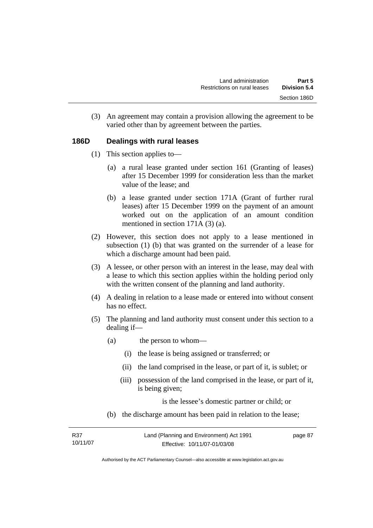(3) An agreement may contain a provision allowing the agreement to be varied other than by agreement between the parties.

#### **186D Dealings with rural leases**

- (1) This section applies to—
	- (a) a rural lease granted under section 161 (Granting of leases) after 15 December 1999 for consideration less than the market value of the lease; and
	- (b) a lease granted under section 171A (Grant of further rural leases) after 15 December 1999 on the payment of an amount worked out on the application of an amount condition mentioned in section 171A (3) (a).
- (2) However, this section does not apply to a lease mentioned in subsection (1) (b) that was granted on the surrender of a lease for which a discharge amount had been paid.
- (3) A lessee, or other person with an interest in the lease, may deal with a lease to which this section applies within the holding period only with the written consent of the planning and land authority.
- (4) A dealing in relation to a lease made or entered into without consent has no effect.
- (5) The planning and land authority must consent under this section to a dealing if—
	- (a) the person to whom—
		- (i) the lease is being assigned or transferred; or
		- (ii) the land comprised in the lease, or part of it, is sublet; or
		- (iii) possession of the land comprised in the lease, or part of it, is being given;

is the lessee's domestic partner or child; or

(b) the discharge amount has been paid in relation to the lease;

| R37      | Land (Planning and Environment) Act 1991 | page 87 |
|----------|------------------------------------------|---------|
| 10/11/07 | Effective: 10/11/07-01/03/08             |         |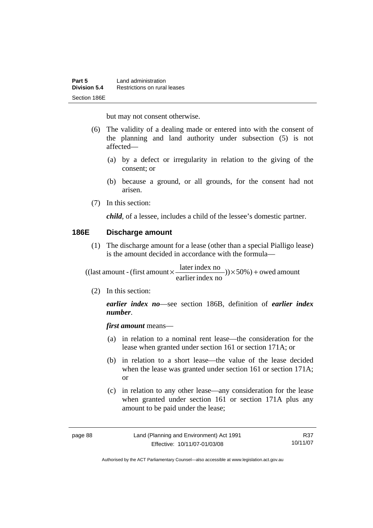but may not consent otherwise.

- (6) The validity of a dealing made or entered into with the consent of the planning and land authority under subsection (5) is not affected—
	- (a) by a defect or irregularity in relation to the giving of the consent; or
	- (b) because a ground, or all grounds, for the consent had not arisen.
- (7) In this section:

*child*, of a lessee, includes a child of the lessee's domestic partner.

### **186E Discharge amount**

 (1) The discharge amount for a lease (other than a special Pialligo lease) is the amount decided in accordance with the formula—

 $)) \times 50\%$ ) + owed amount earlier index no  $((\text{last amount - (first amount} \times \frac{\text{later index no}}{\dots \dots \dots})) \times 50\%) +$ 

(2) In this section:

*earlier index no*—see section 186B, definition of *earlier index number*.

*first amount* means—

- (a) in relation to a nominal rent lease—the consideration for the lease when granted under section 161 or section 171A; or
- (b) in relation to a short lease—the value of the lease decided when the lease was granted under section 161 or section 171A; or
- (c) in relation to any other lease—any consideration for the lease when granted under section 161 or section 171A plus any amount to be paid under the lease;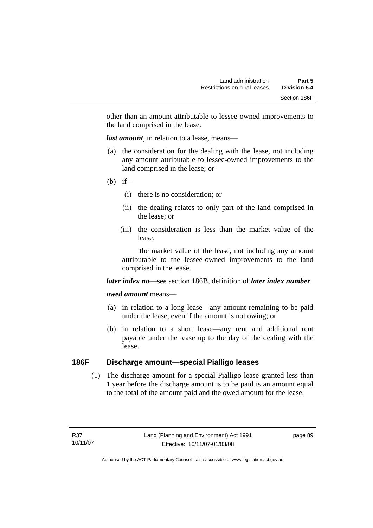other than an amount attributable to lessee-owned improvements to the land comprised in the lease.

*last amount*, in relation to a lease, means—

- (a) the consideration for the dealing with the lease, not including any amount attributable to lessee-owned improvements to the land comprised in the lease; or
- (b) if—
	- (i) there is no consideration; or
	- (ii) the dealing relates to only part of the land comprised in the lease; or
	- (iii) the consideration is less than the market value of the lease;

 the market value of the lease, not including any amount attributable to the lessee-owned improvements to the land comprised in the lease.

#### *later index no*—see section 186B, definition of *later index number*.

#### *owed amount* means—

- (a) in relation to a long lease—any amount remaining to be paid under the lease, even if the amount is not owing; or
- (b) in relation to a short lease—any rent and additional rent payable under the lease up to the day of the dealing with the lease.

# **186F Discharge amount—special Pialligo leases**

 (1) The discharge amount for a special Pialligo lease granted less than 1 year before the discharge amount is to be paid is an amount equal to the total of the amount paid and the owed amount for the lease.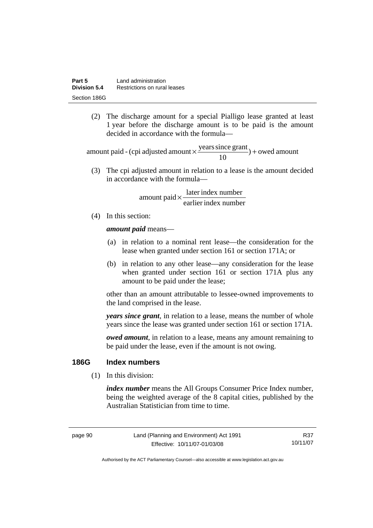(2) The discharge amount for a special Pialligo lease granted at least 1 year before the discharge amount is to be paid is the amount decided in accordance with the formula—

 $) +$  owed amount 10 amount paid - (cpi adjusted amount  $\times \frac{\text{years since grant}}{10}$ ) +

 (3) The cpi adjusted amount in relation to a lease is the amount decided in accordance with the formula—

> earlier index number  $amount$  paid  $\times \frac{later$  index number

(4) In this section:

*amount paid* means—

- (a) in relation to a nominal rent lease—the consideration for the lease when granted under section 161 or section 171A; or
- (b) in relation to any other lease—any consideration for the lease when granted under section 161 or section 171A plus any amount to be paid under the lease;

other than an amount attributable to lessee-owned improvements to the land comprised in the lease.

*years since grant*, in relation to a lease, means the number of whole years since the lease was granted under section 161 or section 171A.

*owed amount*, in relation to a lease, means any amount remaining to be paid under the lease, even if the amount is not owing.

#### **186G Index numbers**

(1) In this division:

*index number* means the All Groups Consumer Price Index number, being the weighted average of the 8 capital cities, published by the Australian Statistician from time to time.

page 90 Land (Planning and Environment) Act 1991 Effective: 10/11/07-01/03/08

R37 10/11/07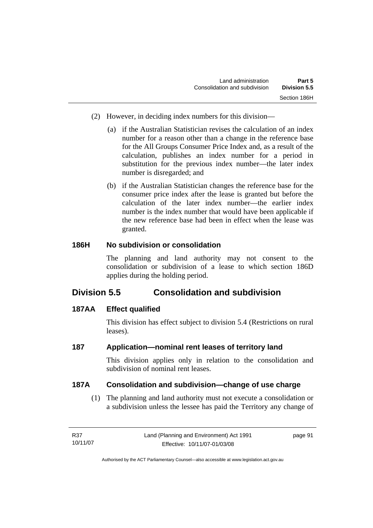- (2) However, in deciding index numbers for this division—
	- (a) if the Australian Statistician revises the calculation of an index number for a reason other than a change in the reference base for the All Groups Consumer Price Index and, as a result of the calculation, publishes an index number for a period in substitution for the previous index number—the later index number is disregarded; and
	- (b) if the Australian Statistician changes the reference base for the consumer price index after the lease is granted but before the calculation of the later index number—the earlier index number is the index number that would have been applicable if the new reference base had been in effect when the lease was granted.

# **186H No subdivision or consolidation**

The planning and land authority may not consent to the consolidation or subdivision of a lease to which section 186D applies during the holding period.

# **Division 5.5 Consolidation and subdivision**

# **187AA Effect qualified**

This division has effect subject to division 5.4 (Restrictions on rural leases).

# **187 Application—nominal rent leases of territory land**

This division applies only in relation to the consolidation and subdivision of nominal rent leases.

# **187A Consolidation and subdivision—change of use charge**

 (1) The planning and land authority must not execute a consolidation or a subdivision unless the lessee has paid the Territory any change of

| R37      | Land (Planning and Environment) Act 1991 | page 91 |
|----------|------------------------------------------|---------|
| 10/11/07 | Effective: 10/11/07-01/03/08             |         |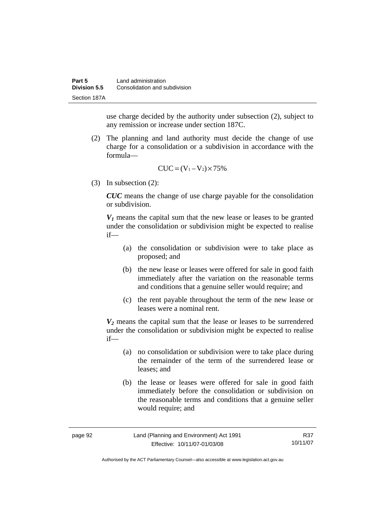use charge decided by the authority under subsection (2), subject to any remission or increase under section 187C.

 (2) The planning and land authority must decide the change of use charge for a consolidation or a subdivision in accordance with the formula—

$$
CUC = (V_1 - V_2) \times 75\%
$$

(3) In subsection (2):

*CUC* means the change of use charge payable for the consolidation or subdivision.

 $V_1$  means the capital sum that the new lease or leases to be granted under the consolidation or subdivision might be expected to realise if—

- (a) the consolidation or subdivision were to take place as proposed; and
- (b) the new lease or leases were offered for sale in good faith immediately after the variation on the reasonable terms and conditions that a genuine seller would require; and
- (c) the rent payable throughout the term of the new lease or leases were a nominal rent.

*V2* means the capital sum that the lease or leases to be surrendered under the consolidation or subdivision might be expected to realise if—

- (a) no consolidation or subdivision were to take place during the remainder of the term of the surrendered lease or leases; and
- (b) the lease or leases were offered for sale in good faith immediately before the consolidation or subdivision on the reasonable terms and conditions that a genuine seller would require; and

| page 92 | Land (Planning and Environment) Act 1991 | R37      |
|---------|------------------------------------------|----------|
|         | Effective: 10/11/07-01/03/08             | 10/11/07 |

Authorised by the ACT Parliamentary Counsel—also accessible at www.legislation.act.gov.au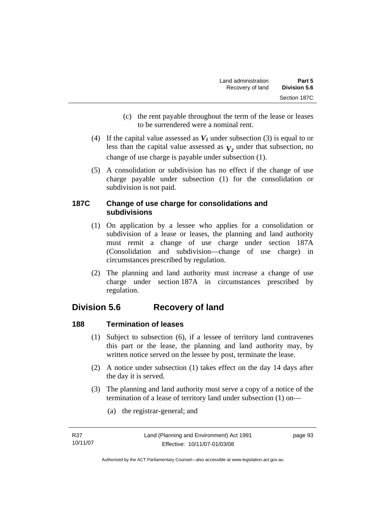- (c) the rent payable throughout the term of the lease or leases to be surrendered were a nominal rent.
- (4) If the capital value assessed as  $V_I$  under subsection (3) is equal to or less than the capital value assessed as  $V_2$  under that subsection, no change of use charge is payable under subsection (1).
- (5) A consolidation or subdivision has no effect if the change of use charge payable under subsection (1) for the consolidation or subdivision is not paid.

## **187C Change of use charge for consolidations and subdivisions**

- (1) On application by a lessee who applies for a consolidation or subdivision of a lease or leases, the planning and land authority must remit a change of use charge under section 187A (Consolidation and subdivision—change of use charge) in circumstances prescribed by regulation.
- (2) The planning and land authority must increase a change of use charge under section 187A in circumstances prescribed by regulation.

# **Division 5.6 Recovery of land**

# **188 Termination of leases**

- (1) Subject to subsection (6), if a lessee of territory land contravenes this part or the lease, the planning and land authority may, by written notice served on the lessee by post, terminate the lease.
- (2) A notice under subsection (1) takes effect on the day 14 days after the day it is served.
- (3) The planning and land authority must serve a copy of a notice of the termination of a lease of territory land under subsection (1) on—
	- (a) the registrar-general; and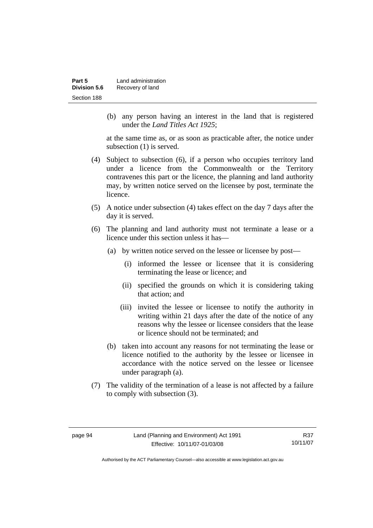| Part 5       | Land administration |
|--------------|---------------------|
| Division 5.6 | Recovery of land    |
| Section 188  |                     |

 (b) any person having an interest in the land that is registered under the *Land Titles Act 1925*;

at the same time as, or as soon as practicable after, the notice under subsection (1) is served.

- (4) Subject to subsection (6), if a person who occupies territory land under a licence from the Commonwealth or the Territory contravenes this part or the licence, the planning and land authority may, by written notice served on the licensee by post, terminate the licence.
- (5) A notice under subsection (4) takes effect on the day 7 days after the day it is served.
- (6) The planning and land authority must not terminate a lease or a licence under this section unless it has—
	- (a) by written notice served on the lessee or licensee by post—
		- (i) informed the lessee or licensee that it is considering terminating the lease or licence; and
		- (ii) specified the grounds on which it is considering taking that action; and
		- (iii) invited the lessee or licensee to notify the authority in writing within 21 days after the date of the notice of any reasons why the lessee or licensee considers that the lease or licence should not be terminated; and
	- (b) taken into account any reasons for not terminating the lease or licence notified to the authority by the lessee or licensee in accordance with the notice served on the lessee or licensee under paragraph (a).
- (7) The validity of the termination of a lease is not affected by a failure to comply with subsection (3).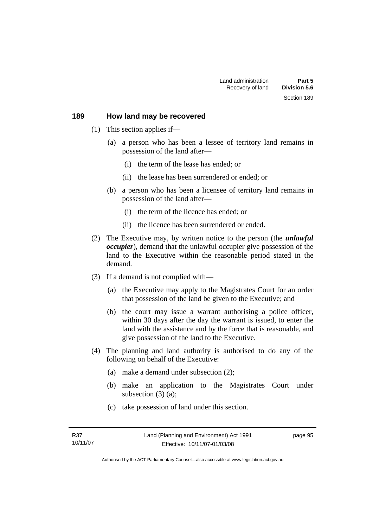#### **189 How land may be recovered**

- (1) This section applies if—
	- (a) a person who has been a lessee of territory land remains in possession of the land after—
		- (i) the term of the lease has ended; or
		- (ii) the lease has been surrendered or ended; or
	- (b) a person who has been a licensee of territory land remains in possession of the land after—
		- (i) the term of the licence has ended; or
		- (ii) the licence has been surrendered or ended.
- (2) The Executive may, by written notice to the person (the *unlawful occupier*), demand that the unlawful occupier give possession of the land to the Executive within the reasonable period stated in the demand.
- (3) If a demand is not complied with—
	- (a) the Executive may apply to the Magistrates Court for an order that possession of the land be given to the Executive; and
	- (b) the court may issue a warrant authorising a police officer, within 30 days after the day the warrant is issued, to enter the land with the assistance and by the force that is reasonable, and give possession of the land to the Executive.
- (4) The planning and land authority is authorised to do any of the following on behalf of the Executive:
	- (a) make a demand under subsection (2);
	- (b) make an application to the Magistrates Court under subsection (3) (a):
	- (c) take possession of land under this section.

Authorised by the ACT Parliamentary Counsel—also accessible at www.legislation.act.gov.au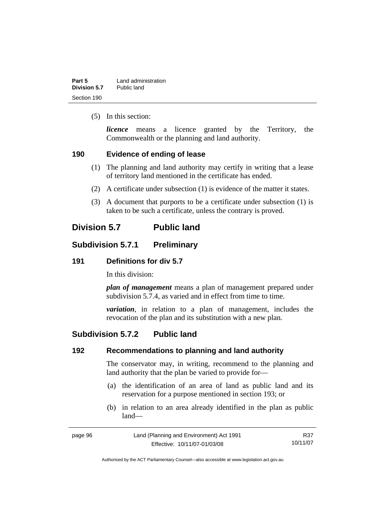| Part 5       | Land administration |
|--------------|---------------------|
| Division 5.7 | Public land         |
| Section 190  |                     |

(5) In this section:

*licence* means a licence granted by the Territory, the Commonwealth or the planning and land authority.

#### **190 Evidence of ending of lease**

- (1) The planning and land authority may certify in writing that a lease of territory land mentioned in the certificate has ended.
- (2) A certificate under subsection (1) is evidence of the matter it states.
- (3) A document that purports to be a certificate under subsection (1) is taken to be such a certificate, unless the contrary is proved.

# **Division 5.7 Public land**

### **Subdivision 5.7.1 Preliminary**

#### **191 Definitions for div 5.7**

In this division:

*plan of management* means a plan of management prepared under subdivision 5.7.4, as varied and in effect from time to time.

*variation*, in relation to a plan of management, includes the revocation of the plan and its substitution with a new plan.

### **Subdivision 5.7.2 Public land**

#### **192 Recommendations to planning and land authority**

The conservator may, in writing, recommend to the planning and land authority that the plan be varied to provide for—

- (a) the identification of an area of land as public land and its reservation for a purpose mentioned in section 193; or
- (b) in relation to an area already identified in the plan as public land—

| page 96 | Land (Planning and Environment) Act 1991 | R37      |
|---------|------------------------------------------|----------|
|         | Effective: 10/11/07-01/03/08             | 10/11/07 |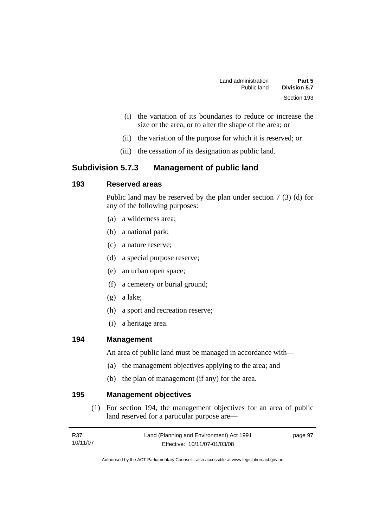- (i) the variation of its boundaries to reduce or increase the size or the area, or to alter the shape of the area; or
- (ii) the variation of the purpose for which it is reserved; or
- (iii) the cessation of its designation as public land.

# **Subdivision 5.7.3 Management of public land**

### **193 Reserved areas**

Public land may be reserved by the plan under section 7 (3) (d) for any of the following purposes:

- (a) a wilderness area;
- (b) a national park;
- (c) a nature reserve;
- (d) a special purpose reserve;
- (e) an urban open space;
- (f) a cemetery or burial ground;
- (g) a lake;
- (h) a sport and recreation reserve;
- (i) a heritage area.

#### **194 Management**

An area of public land must be managed in accordance with—

- (a) the management objectives applying to the area; and
- (b) the plan of management (if any) for the area.

**195 Management objectives** 

 (1) For section 194, the management objectives for an area of public land reserved for a particular purpose are—

| R37      | Land (Planning and Environment) Act 1991 | page 97 |
|----------|------------------------------------------|---------|
| 10/11/07 | Effective: 10/11/07-01/03/08             |         |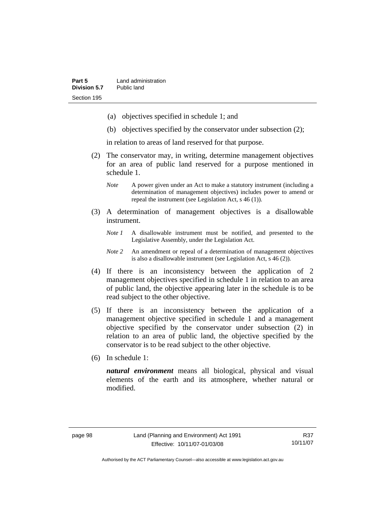- (a) objectives specified in schedule 1; and
- (b) objectives specified by the conservator under subsection (2);

in relation to areas of land reserved for that purpose.

- (2) The conservator may, in writing, determine management objectives for an area of public land reserved for a purpose mentioned in schedule 1.
	- *Note* A power given under an Act to make a statutory instrument (including a determination of management objectives) includes power to amend or repeal the instrument (see Legislation Act, s 46 (1)).
- (3) A determination of management objectives is a disallowable instrument.
	- *Note 1* A disallowable instrument must be notified, and presented to the Legislative Assembly, under the Legislation Act.
	- *Note 2* An amendment or repeal of a determination of management objectives is also a disallowable instrument (see Legislation Act, s 46 (2))*.*
- (4) If there is an inconsistency between the application of 2 management objectives specified in schedule 1 in relation to an area of public land, the objective appearing later in the schedule is to be read subject to the other objective.
- (5) If there is an inconsistency between the application of a management objective specified in schedule 1 and a management objective specified by the conservator under subsection (2) in relation to an area of public land, the objective specified by the conservator is to be read subject to the other objective.
- (6) In schedule 1:

*natural environment* means all biological, physical and visual elements of the earth and its atmosphere, whether natural or modified.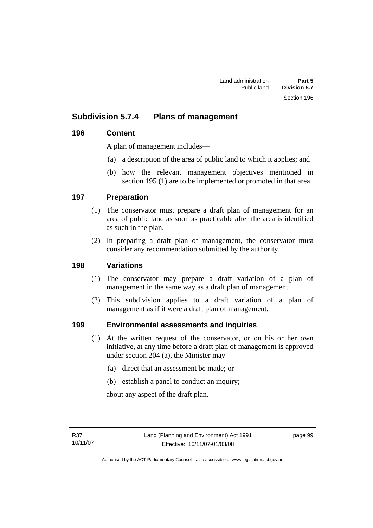# **Subdivision 5.7.4 Plans of management**

### **196 Content**

A plan of management includes—

- (a) a description of the area of public land to which it applies; and
- (b) how the relevant management objectives mentioned in section 195 (1) are to be implemented or promoted in that area.

### **197 Preparation**

- (1) The conservator must prepare a draft plan of management for an area of public land as soon as practicable after the area is identified as such in the plan.
- (2) In preparing a draft plan of management, the conservator must consider any recommendation submitted by the authority.

### **198 Variations**

- (1) The conservator may prepare a draft variation of a plan of management in the same way as a draft plan of management.
- (2) This subdivision applies to a draft variation of a plan of management as if it were a draft plan of management.

### **199 Environmental assessments and inquiries**

- (1) At the written request of the conservator, or on his or her own initiative, at any time before a draft plan of management is approved under section 204 (a), the Minister may—
	- (a) direct that an assessment be made; or
	- (b) establish a panel to conduct an inquiry;

about any aspect of the draft plan.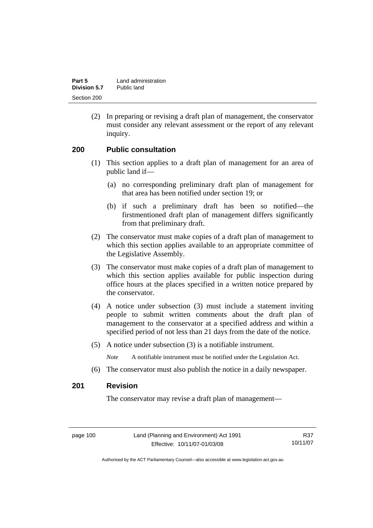| Part 5       | Land administration |
|--------------|---------------------|
| Division 5.7 | Public land         |
| Section 200  |                     |

 (2) In preparing or revising a draft plan of management, the conservator must consider any relevant assessment or the report of any relevant inquiry.

#### **200 Public consultation**

- (1) This section applies to a draft plan of management for an area of public land if—
	- (a) no corresponding preliminary draft plan of management for that area has been notified under section 19; or
	- (b) if such a preliminary draft has been so notified—the firstmentioned draft plan of management differs significantly from that preliminary draft.
- (2) The conservator must make copies of a draft plan of management to which this section applies available to an appropriate committee of the Legislative Assembly.
- (3) The conservator must make copies of a draft plan of management to which this section applies available for public inspection during office hours at the places specified in a written notice prepared by the conservator.
- (4) A notice under subsection (3) must include a statement inviting people to submit written comments about the draft plan of management to the conservator at a specified address and within a specified period of not less than 21 days from the date of the notice.
- (5) A notice under subsection (3) is a notifiable instrument.

*Note* A notifiable instrument must be notified under the Legislation Act.

(6) The conservator must also publish the notice in a daily newspaper.

#### **201 Revision**

The conservator may revise a draft plan of management—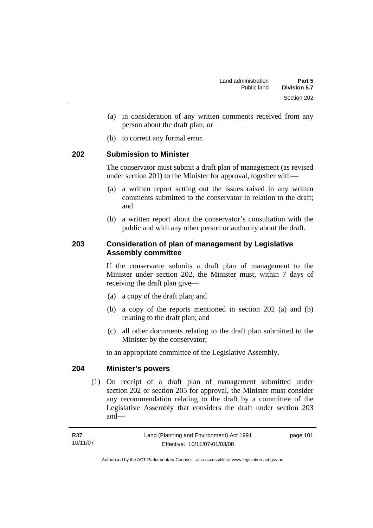- (a) in consideration of any written comments received from any person about the draft plan; or
- (b) to correct any formal error.

#### **202 Submission to Minister**

The conservator must submit a draft plan of management (as revised under section 201) to the Minister for approval, together with—

- (a) a written report setting out the issues raised in any written comments submitted to the conservator in relation to the draft; and
- (b) a written report about the conservator's consultation with the public and with any other person or authority about the draft.

#### **203 Consideration of plan of management by Legislative Assembly committee**

If the conservator submits a draft plan of management to the Minister under section 202, the Minister must, within 7 days of receiving the draft plan give—

- (a) a copy of the draft plan; and
- (b) a copy of the reports mentioned in section 202 (a) and (b) relating to the draft plan; and
- (c) all other documents relating to the draft plan submitted to the Minister by the conservator;

to an appropriate committee of the Legislative Assembly.

#### **204 Minister's powers**

 (1) On receipt of a draft plan of management submitted under section 202 or section 205 for approval, the Minister must consider any recommendation relating to the draft by a committee of the Legislative Assembly that considers the draft under section 203 and—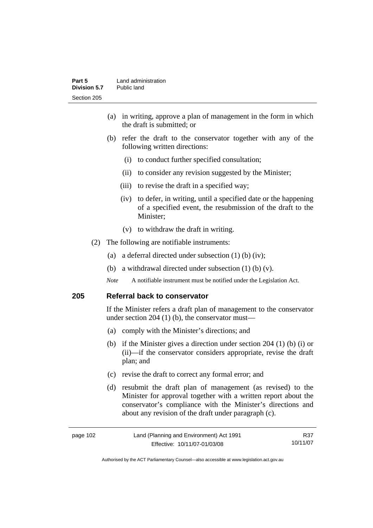- (a) in writing, approve a plan of management in the form in which the draft is submitted; or
- (b) refer the draft to the conservator together with any of the following written directions:
	- (i) to conduct further specified consultation;
	- (ii) to consider any revision suggested by the Minister;
	- (iii) to revise the draft in a specified way;
	- (iv) to defer, in writing, until a specified date or the happening of a specified event, the resubmission of the draft to the Minister;
	- (v) to withdraw the draft in writing.
- (2) The following are notifiable instruments:
	- (a) a deferral directed under subsection (1) (b) (iv);
	- (b) a withdrawal directed under subsection  $(1)$  (b)  $(v)$ .
	- *Note* A notifiable instrument must be notified under the Legislation Act.

#### **205 Referral back to conservator**

If the Minister refers a draft plan of management to the conservator under section 204 (1) (b), the conservator must—

- (a) comply with the Minister's directions; and
- (b) if the Minister gives a direction under section 204 (1) (b) (i) or (ii)—if the conservator considers appropriate, revise the draft plan; and
- (c) revise the draft to correct any formal error; and
- (d) resubmit the draft plan of management (as revised) to the Minister for approval together with a written report about the conservator's compliance with the Minister's directions and about any revision of the draft under paragraph (c).

| page 102 | Land (Planning and Environment) Act 1991 | R37      |
|----------|------------------------------------------|----------|
|          | Effective: 10/11/07-01/03/08             | 10/11/07 |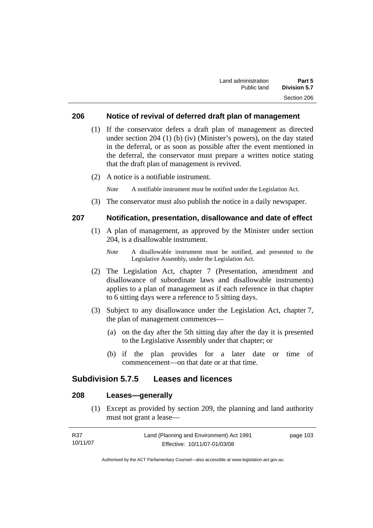#### **206 Notice of revival of deferred draft plan of management**

- (1) If the conservator defers a draft plan of management as directed under section 204 (1) (b) (iv) (Minister's powers), on the day stated in the deferral, or as soon as possible after the event mentioned in the deferral, the conservator must prepare a written notice stating that the draft plan of management is revived.
- (2) A notice is a notifiable instrument.

*Note* A notifiable instrument must be notified under the Legislation Act.

(3) The conservator must also publish the notice in a daily newspaper.

#### **207 Notification, presentation, disallowance and date of effect**

- (1) A plan of management, as approved by the Minister under section 204, is a disallowable instrument.
	- *Note* A disallowable instrument must be notified, and presented to the Legislative Assembly, under the Legislation Act.
- (2) The Legislation Act, chapter 7 (Presentation, amendment and disallowance of subordinate laws and disallowable instruments) applies to a plan of management as if each reference in that chapter to 6 sitting days were a reference to 5 sitting days.
- (3) Subject to any disallowance under the Legislation Act, chapter 7, the plan of management commences—
	- (a) on the day after the 5th sitting day after the day it is presented to the Legislative Assembly under that chapter; or
	- (b) if the plan provides for a later date or time of commencement—on that date or at that time.

#### **Subdivision 5.7.5 Leases and licences**

### **208 Leases—generally**

 (1) Except as provided by section 209, the planning and land authority must not grant a lease—

| R37      | Land (Planning and Environment) Act 1991 | page 103 |
|----------|------------------------------------------|----------|
| 10/11/07 | Effective: 10/11/07-01/03/08             |          |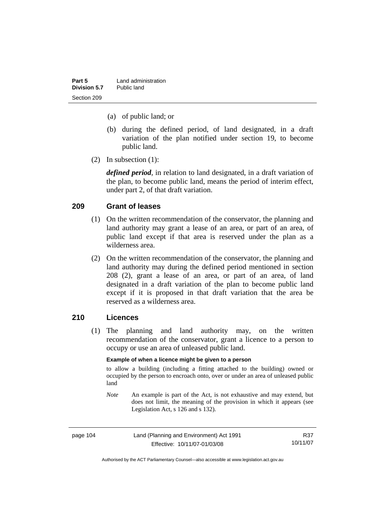| Part 5       | Land administration |
|--------------|---------------------|
| Division 5.7 | Public land         |
| Section 209  |                     |

- (a) of public land; or
- (b) during the defined period, of land designated, in a draft variation of the plan notified under section 19, to become public land.
- (2) In subsection (1):

*defined period*, in relation to land designated, in a draft variation of the plan, to become public land, means the period of interim effect, under part 2, of that draft variation.

#### **209 Grant of leases**

- (1) On the written recommendation of the conservator, the planning and land authority may grant a lease of an area, or part of an area, of public land except if that area is reserved under the plan as a wilderness area.
- (2) On the written recommendation of the conservator, the planning and land authority may during the defined period mentioned in section 208 (2), grant a lease of an area, or part of an area, of land designated in a draft variation of the plan to become public land except if it is proposed in that draft variation that the area be reserved as a wilderness area.

#### **210 Licences**

 (1) The planning and land authority may, on the written recommendation of the conservator, grant a licence to a person to occupy or use an area of unleased public land.

#### **Example of when a licence might be given to a person**

to allow a building (including a fitting attached to the building) owned or occupied by the person to encroach onto, over or under an area of unleased public land

*Note* An example is part of the Act, is not exhaustive and may extend, but does not limit, the meaning of the provision in which it appears (see Legislation Act, s 126 and s 132).

| page 104 | Land (Planning and Environment) Act 1991 | R37      |
|----------|------------------------------------------|----------|
|          | Effective: 10/11/07-01/03/08             | 10/11/07 |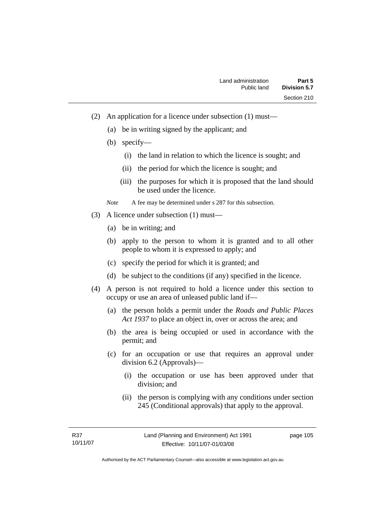- (2) An application for a licence under subsection (1) must—
	- (a) be in writing signed by the applicant; and
	- (b) specify—
		- (i) the land in relation to which the licence is sought; and
		- (ii) the period for which the licence is sought; and
		- (iii) the purposes for which it is proposed that the land should be used under the licence.

*Note* A fee may be determined under s 287 for this subsection.

- (3) A licence under subsection (1) must—
	- (a) be in writing; and
	- (b) apply to the person to whom it is granted and to all other people to whom it is expressed to apply; and
	- (c) specify the period for which it is granted; and
	- (d) be subject to the conditions (if any) specified in the licence.
- (4) A person is not required to hold a licence under this section to occupy or use an area of unleased public land if—
	- (a) the person holds a permit under the *Roads and Public Places Act 1937* to place an object in, over or across the area; and
	- (b) the area is being occupied or used in accordance with the permit; and
	- (c) for an occupation or use that requires an approval under division 6.2 (Approvals)—
		- (i) the occupation or use has been approved under that division; and
		- (ii) the person is complying with any conditions under section 245 (Conditional approvals) that apply to the approval.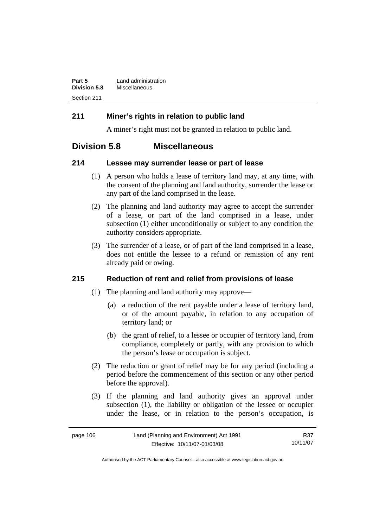| Part 5              | Land administration |
|---------------------|---------------------|
| <b>Division 5.8</b> | Miscellaneous       |
| Section 211         |                     |

### **211 Miner's rights in relation to public land**

A miner's right must not be granted in relation to public land.

# **Division 5.8 Miscellaneous**

#### **214 Lessee may surrender lease or part of lease**

- (1) A person who holds a lease of territory land may, at any time, with the consent of the planning and land authority, surrender the lease or any part of the land comprised in the lease.
- (2) The planning and land authority may agree to accept the surrender of a lease, or part of the land comprised in a lease, under subsection (1) either unconditionally or subject to any condition the authority considers appropriate.
- (3) The surrender of a lease, or of part of the land comprised in a lease, does not entitle the lessee to a refund or remission of any rent already paid or owing.

### **215 Reduction of rent and relief from provisions of lease**

- (1) The planning and land authority may approve—
	- (a) a reduction of the rent payable under a lease of territory land, or of the amount payable, in relation to any occupation of territory land; or
	- (b) the grant of relief, to a lessee or occupier of territory land, from compliance, completely or partly, with any provision to which the person's lease or occupation is subject.
- (2) The reduction or grant of relief may be for any period (including a period before the commencement of this section or any other period before the approval).
- (3) If the planning and land authority gives an approval under subsection (1), the liability or obligation of the lessee or occupier under the lease, or in relation to the person's occupation, is

| page 106 | Land (Planning and Environment) Act 1991 | R37      |
|----------|------------------------------------------|----------|
|          | Effective: 10/11/07-01/03/08             | 10/11/07 |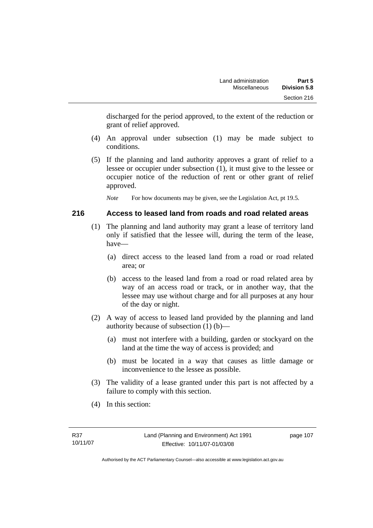discharged for the period approved, to the extent of the reduction or grant of relief approved.

- (4) An approval under subsection (1) may be made subject to conditions.
- (5) If the planning and land authority approves a grant of relief to a lessee or occupier under subsection (1), it must give to the lessee or occupier notice of the reduction of rent or other grant of relief approved.

*Note* For how documents may be given, see the Legislation Act, pt 19.5.

#### **216 Access to leased land from roads and road related areas**

- (1) The planning and land authority may grant a lease of territory land only if satisfied that the lessee will, during the term of the lease, have—
	- (a) direct access to the leased land from a road or road related area; or
	- (b) access to the leased land from a road or road related area by way of an access road or track, or in another way, that the lessee may use without charge and for all purposes at any hour of the day or night.
- (2) A way of access to leased land provided by the planning and land authority because of subsection (1) (b)—
	- (a) must not interfere with a building, garden or stockyard on the land at the time the way of access is provided; and
	- (b) must be located in a way that causes as little damage or inconvenience to the lessee as possible.
- (3) The validity of a lease granted under this part is not affected by a failure to comply with this section.
- (4) In this section: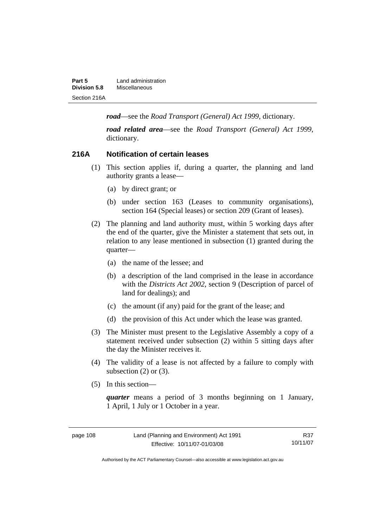| Part 5              | Land administration |
|---------------------|---------------------|
| <b>Division 5.8</b> | Miscellaneous       |
| Section 216A        |                     |

*road*—see the *Road Transport (General) Act 1999*, dictionary.

*road related area*—see the *Road Transport (General) Act 1999*, dictionary.

#### **216A Notification of certain leases**

- (1) This section applies if, during a quarter, the planning and land authority grants a lease—
	- (a) by direct grant; or
	- (b) under section 163 (Leases to community organisations), section 164 (Special leases) or section 209 (Grant of leases).
- (2) The planning and land authority must, within 5 working days after the end of the quarter, give the Minister a statement that sets out, in relation to any lease mentioned in subsection (1) granted during the quarter—
	- (a) the name of the lessee; and
	- (b) a description of the land comprised in the lease in accordance with the *Districts Act 2002*, section 9 (Description of parcel of land for dealings); and
	- (c) the amount (if any) paid for the grant of the lease; and
	- (d) the provision of this Act under which the lease was granted.
- (3) The Minister must present to the Legislative Assembly a copy of a statement received under subsection (2) within 5 sitting days after the day the Minister receives it.
- (4) The validity of a lease is not affected by a failure to comply with subsection  $(2)$  or  $(3)$ .
- (5) In this section—

*quarter* means a period of 3 months beginning on 1 January, 1 April, 1 July or 1 October in a year.

page 108 Land (Planning and Environment) Act 1991 Effective: 10/11/07-01/03/08

Authorised by the ACT Parliamentary Counsel—also accessible at www.legislation.act.gov.au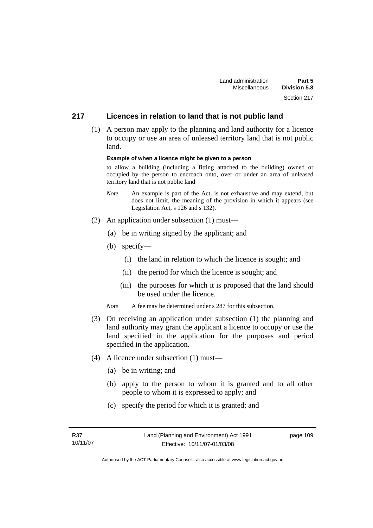### **217 Licences in relation to land that is not public land**

 (1) A person may apply to the planning and land authority for a licence to occupy or use an area of unleased territory land that is not public land.

#### **Example of when a licence might be given to a person**

to allow a building (including a fitting attached to the building) owned or occupied by the person to encroach onto, over or under an area of unleased territory land that is not public land

- *Note* An example is part of the Act, is not exhaustive and may extend, but does not limit, the meaning of the provision in which it appears (see Legislation Act, s 126 and s 132).
- (2) An application under subsection (1) must—
	- (a) be in writing signed by the applicant; and
	- (b) specify—
		- (i) the land in relation to which the licence is sought; and
		- (ii) the period for which the licence is sought; and
		- (iii) the purposes for which it is proposed that the land should be used under the licence.
	- *Note* A fee may be determined under s 287 for this subsection.
- (3) On receiving an application under subsection (1) the planning and land authority may grant the applicant a licence to occupy or use the land specified in the application for the purposes and period specified in the application.
- (4) A licence under subsection (1) must—
	- (a) be in writing; and
	- (b) apply to the person to whom it is granted and to all other people to whom it is expressed to apply; and
	- (c) specify the period for which it is granted; and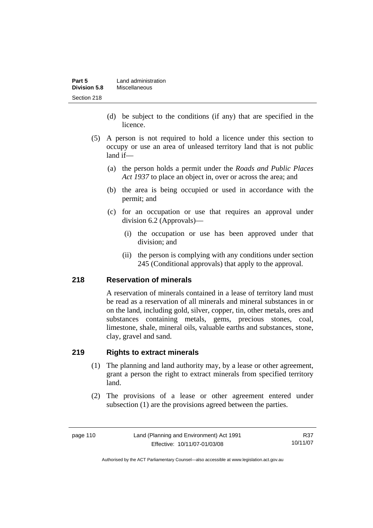| Part 5              | Land administration |
|---------------------|---------------------|
| <b>Division 5.8</b> | Miscellaneous       |
| Section 218         |                     |

- (d) be subject to the conditions (if any) that are specified in the licence.
- (5) A person is not required to hold a licence under this section to occupy or use an area of unleased territory land that is not public land if—
	- (a) the person holds a permit under the *Roads and Public Places Act 1937* to place an object in, over or across the area; and
	- (b) the area is being occupied or used in accordance with the permit; and
	- (c) for an occupation or use that requires an approval under division 6.2 (Approvals)—
		- (i) the occupation or use has been approved under that division; and
		- (ii) the person is complying with any conditions under section 245 (Conditional approvals) that apply to the approval.

#### **218 Reservation of minerals**

A reservation of minerals contained in a lease of territory land must be read as a reservation of all minerals and mineral substances in or on the land, including gold, silver, copper, tin, other metals, ores and substances containing metals, gems, precious stones, coal, limestone, shale, mineral oils, valuable earths and substances, stone, clay, gravel and sand.

#### **219 Rights to extract minerals**

- (1) The planning and land authority may, by a lease or other agreement, grant a person the right to extract minerals from specified territory land.
- (2) The provisions of a lease or other agreement entered under subsection (1) are the provisions agreed between the parties.

page 110 Land (Planning and Environment) Act 1991 Effective: 10/11/07-01/03/08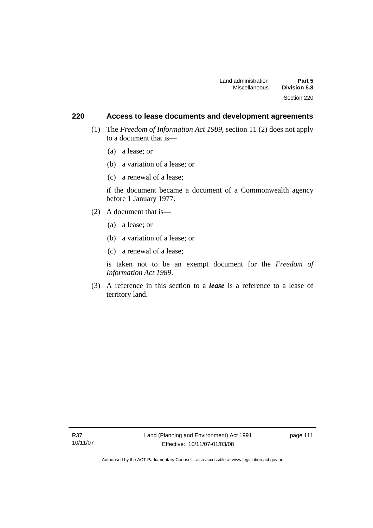### **220 Access to lease documents and development agreements**

- (1) The *Freedom of Information Act 1989*, section 11 (2) does not apply to a document that is—
	- (a) a lease; or
	- (b) a variation of a lease; or
	- (c) a renewal of a lease;

if the document became a document of a Commonwealth agency before 1 January 1977.

- (2) A document that is—
	- (a) a lease; or
	- (b) a variation of a lease; or
	- (c) a renewal of a lease;

is taken not to be an exempt document for the *Freedom of Information Act 1989*.

 (3) A reference in this section to a *lease* is a reference to a lease of territory land.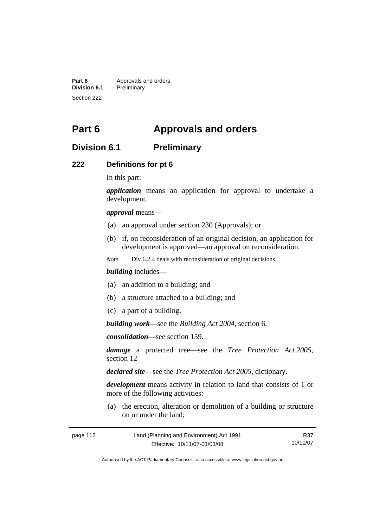**Part 6** Approvals and orders<br>**Division 6.1** Preliminary **Division 6.1** Preliminary Section 222

# **Part 6 Approvals and orders**

## **Division 6.1 Preliminary**

#### **222 Definitions for pt 6**

In this part:

*application* means an application for approval to undertake a development.

*approval* means—

- (a) an approval under section 230 (Approvals); or
- (b) if, on reconsideration of an original decision, an application for development is approved—an approval on reconsideration.

*Note* Div 6.2.4 deals with reconsideration of original decisions.

#### *building* includes—

- (a) an addition to a building; and
- (b) a structure attached to a building; and
- (c) a part of a building.

*building work*—see the *Building Act 2004*, section 6.

*consolidation*—see section 159.

*damage* a protected tree—see the *Tree Protection Act 2005*, section 12

*declared site*—see the *Tree Protection Act 2005*, dictionary.

*development* means activity in relation to land that consists of 1 or more of the following activities:

 (a) the erection, alteration or demolition of a building or structure on or under the land;

| page 112 | Land (Planning and Environment) Act 1991 | R37      |
|----------|------------------------------------------|----------|
|          | Effective: 10/11/07-01/03/08             | 10/11/07 |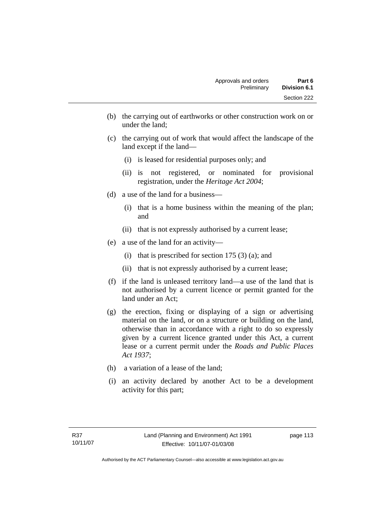- (b) the carrying out of earthworks or other construction work on or under the land;
- (c) the carrying out of work that would affect the landscape of the land except if the land—
	- (i) is leased for residential purposes only; and
	- (ii) is not registered, or nominated for provisional registration, under the *Heritage Act 2004*;
- (d) a use of the land for a business—
	- (i) that is a home business within the meaning of the plan; and
	- (ii) that is not expressly authorised by a current lease;
- (e) a use of the land for an activity—
	- (i) that is prescribed for section  $175(3)(a)$ ; and
	- (ii) that is not expressly authorised by a current lease;
- (f) if the land is unleased territory land—a use of the land that is not authorised by a current licence or permit granted for the land under an Act;
- (g) the erection, fixing or displaying of a sign or advertising material on the land, or on a structure or building on the land, otherwise than in accordance with a right to do so expressly given by a current licence granted under this Act, a current lease or a current permit under the *Roads and Public Places Act 1937*;
- (h) a variation of a lease of the land;
- (i) an activity declared by another Act to be a development activity for this part;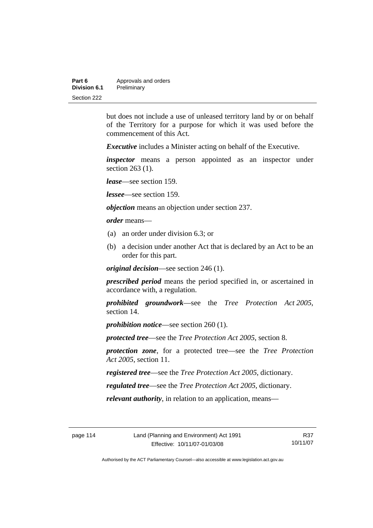| Part 6       | Approvals and orders |  |
|--------------|----------------------|--|
| Division 6.1 | Preliminary          |  |
| Section 222  |                      |  |

but does not include a use of unleased territory land by or on behalf of the Territory for a purpose for which it was used before the commencement of this Act.

*Executive* includes a Minister acting on behalf of the Executive.

*inspector* means a person appointed as an inspector under section 263 (1).

*lease*—see section 159.

*lessee*—see section 159.

*objection* means an objection under section 237.

*order* means—

- (a) an order under division 6.3; or
- (b) a decision under another Act that is declared by an Act to be an order for this part.

*original decision*—see section 246 (1).

*prescribed period* means the period specified in, or ascertained in accordance with, a regulation.

*prohibited groundwork*—see the *Tree Protection Act 2005*, section 14.

*prohibition notice*—see section 260 (1).

*protected tree*—see the *Tree Protection Act 2005*, section 8.

*protection zone*, for a protected tree—see the *Tree Protection Act 2005*, section 11.

*registered tree*—see the *Tree Protection Act 2005*, dictionary.

*regulated tree*—see the *Tree Protection Act 2005*, dictionary.

*relevant authority*, in relation to an application, means—

R37 10/11/07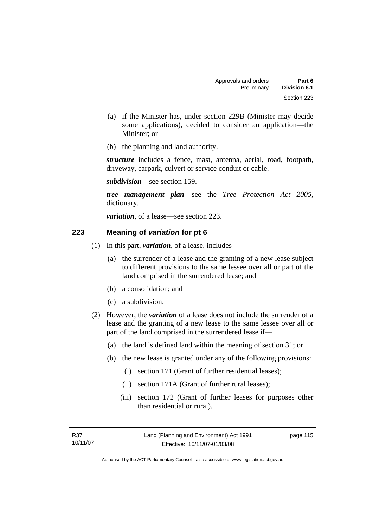- (a) if the Minister has, under section 229B (Minister may decide some applications), decided to consider an application—the Minister; or
- (b) the planning and land authority.

*structure* includes a fence, mast, antenna, aerial, road, footpath, driveway, carpark, culvert or service conduit or cable.

*subdivision—*see section 159.

*tree management plan*—see the *Tree Protection Act 2005*, dictionary.

*variation*, of a lease—see section 223.

#### **223 Meaning of** *variation* **for pt 6**

- (1) In this part, *variation*, of a lease, includes—
	- (a) the surrender of a lease and the granting of a new lease subject to different provisions to the same lessee over all or part of the land comprised in the surrendered lease; and
	- (b) a consolidation; and
	- (c) a subdivision.
- (2) However, the *variation* of a lease does not include the surrender of a lease and the granting of a new lease to the same lessee over all or part of the land comprised in the surrendered lease if—
	- (a) the land is defined land within the meaning of section 31; or
	- (b) the new lease is granted under any of the following provisions:
		- (i) section 171 (Grant of further residential leases);
		- (ii) section 171A (Grant of further rural leases);
		- (iii) section 172 (Grant of further leases for purposes other than residential or rural).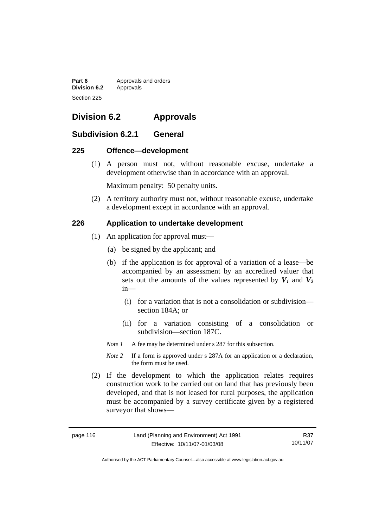**Part 6 Approvals and orders Division 6.2** Approvals Section 225

# **Division 6.2 Approvals**

### **Subdivision 6.2.1 General**

#### **225 Offence—development**

 (1) A person must not, without reasonable excuse, undertake a development otherwise than in accordance with an approval.

Maximum penalty: 50 penalty units.

 (2) A territory authority must not, without reasonable excuse, undertake a development except in accordance with an approval.

#### **226 Application to undertake development**

- (1) An application for approval must—
	- (a) be signed by the applicant; and
	- (b) if the application is for approval of a variation of a lease—be accompanied by an assessment by an accredited valuer that sets out the amounts of the values represented by  $V_1$  and  $V_2$ in—
		- (i) for a variation that is not a consolidation or subdivision section 184A; or
		- (ii) for a variation consisting of a consolidation or subdivision—section 187C.
	- *Note 1* A fee may be determined under s 287 for this subsection.
	- *Note 2* If a form is approved under s 287A for an application or a declaration, the form must be used.
- (2) If the development to which the application relates requires construction work to be carried out on land that has previously been developed, and that is not leased for rural purposes, the application must be accompanied by a survey certificate given by a registered surveyor that shows—

Authorised by the ACT Parliamentary Counsel—also accessible at www.legislation.act.gov.au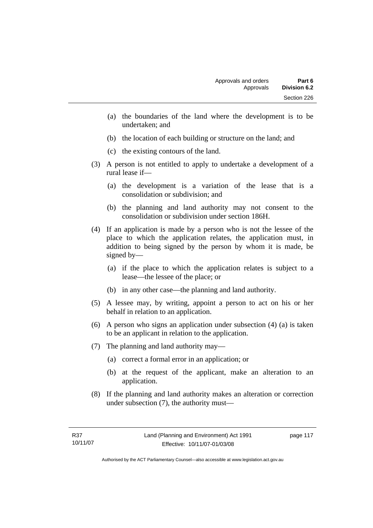- (a) the boundaries of the land where the development is to be undertaken; and
- (b) the location of each building or structure on the land; and
- (c) the existing contours of the land.
- (3) A person is not entitled to apply to undertake a development of a rural lease if—
	- (a) the development is a variation of the lease that is a consolidation or subdivision; and
	- (b) the planning and land authority may not consent to the consolidation or subdivision under section 186H.
- (4) If an application is made by a person who is not the lessee of the place to which the application relates, the application must, in addition to being signed by the person by whom it is made, be signed by—
	- (a) if the place to which the application relates is subject to a lease—the lessee of the place; or
	- (b) in any other case—the planning and land authority.
- (5) A lessee may, by writing, appoint a person to act on his or her behalf in relation to an application.
- (6) A person who signs an application under subsection (4) (a) is taken to be an applicant in relation to the application.
- (7) The planning and land authority may—
	- (a) correct a formal error in an application; or
	- (b) at the request of the applicant, make an alteration to an application.
- (8) If the planning and land authority makes an alteration or correction under subsection (7), the authority must—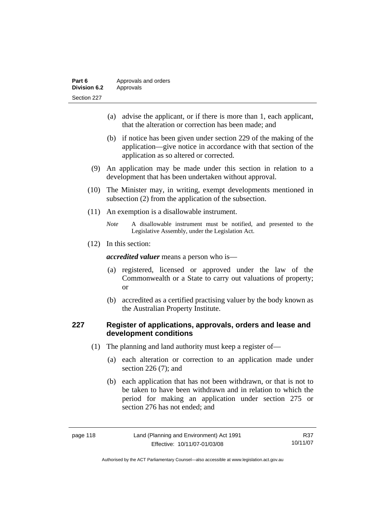| Part 6              | Approvals and orders |  |
|---------------------|----------------------|--|
| <b>Division 6.2</b> | Approvals            |  |
| Section 227         |                      |  |

- (a) advise the applicant, or if there is more than 1, each applicant, that the alteration or correction has been made; and
- (b) if notice has been given under section 229 of the making of the application—give notice in accordance with that section of the application as so altered or corrected.
- (9) An application may be made under this section in relation to a development that has been undertaken without approval.
- (10) The Minister may, in writing, exempt developments mentioned in subsection (2) from the application of the subsection.
- (11) An exemption is a disallowable instrument.
	- *Note* A disallowable instrument must be notified, and presented to the Legislative Assembly, under the Legislation Act.
- (12) In this section:

*accredited valuer* means a person who is—

- (a) registered, licensed or approved under the law of the Commonwealth or a State to carry out valuations of property; or
- (b) accredited as a certified practising valuer by the body known as the Australian Property Institute.

### **227 Register of applications, approvals, orders and lease and development conditions**

- (1) The planning and land authority must keep a register of—
	- (a) each alteration or correction to an application made under section 226 (7); and
	- (b) each application that has not been withdrawn, or that is not to be taken to have been withdrawn and in relation to which the period for making an application under section 275 or section 276 has not ended; and

| page 118 | Land (Planning and Environment) Act 1991 |  |
|----------|------------------------------------------|--|
|          | Effective: 10/11/07-01/03/08             |  |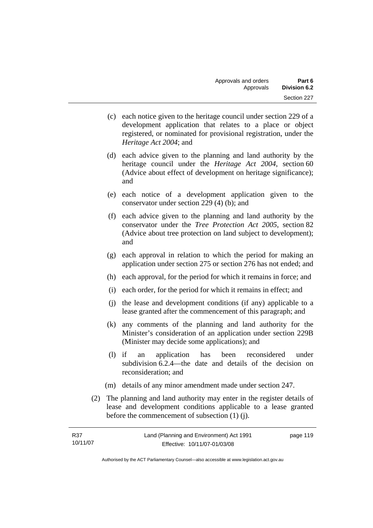- (c) each notice given to the heritage council under section 229 of a development application that relates to a place or object registered, or nominated for provisional registration, under the *Heritage Act 2004*; and
- (d) each advice given to the planning and land authority by the heritage council under the *Heritage Act 2004*, section 60 (Advice about effect of development on heritage significance); and
- (e) each notice of a development application given to the conservator under section 229 (4) (b); and
- (f) each advice given to the planning and land authority by the conservator under the *Tree Protection Act 2005*, section 82 (Advice about tree protection on land subject to development); and
- (g) each approval in relation to which the period for making an application under section 275 or section 276 has not ended; and
- (h) each approval, for the period for which it remains in force; and
- (i) each order, for the period for which it remains in effect; and
- (j) the lease and development conditions (if any) applicable to a lease granted after the commencement of this paragraph; and
- (k) any comments of the planning and land authority for the Minister's consideration of an application under section 229B (Minister may decide some applications); and
- (l) if an application has been reconsidered under subdivision 6.2.4—the date and details of the decision on reconsideration; and
- (m) details of any minor amendment made under section 247.
- (2) The planning and land authority may enter in the register details of lease and development conditions applicable to a lease granted before the commencement of subsection (1) (j).

| R37      | Land (Planning and Environment) Act 1991 | page 119 |
|----------|------------------------------------------|----------|
| 10/11/07 | Effective: 10/11/07-01/03/08             |          |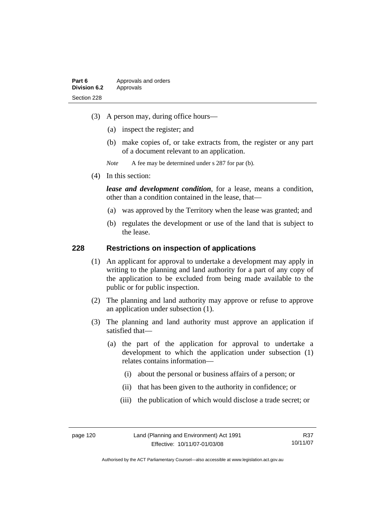- (3) A person may, during office hours—
	- (a) inspect the register; and
	- (b) make copies of, or take extracts from, the register or any part of a document relevant to an application.
	- *Note* A fee may be determined under s 287 for par (b).
- (4) In this section:

*lease and development condition*, for a lease, means a condition, other than a condition contained in the lease, that—

- (a) was approved by the Territory when the lease was granted; and
- (b) regulates the development or use of the land that is subject to the lease.

#### **228 Restrictions on inspection of applications**

- (1) An applicant for approval to undertake a development may apply in writing to the planning and land authority for a part of any copy of the application to be excluded from being made available to the public or for public inspection.
- (2) The planning and land authority may approve or refuse to approve an application under subsection (1).
- (3) The planning and land authority must approve an application if satisfied that—
	- (a) the part of the application for approval to undertake a development to which the application under subsection (1) relates contains information—
		- (i) about the personal or business affairs of a person; or
		- (ii) that has been given to the authority in confidence; or
		- (iii) the publication of which would disclose a trade secret; or

R37 10/11/07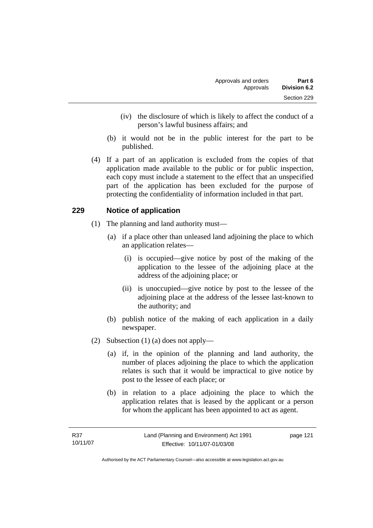- (iv) the disclosure of which is likely to affect the conduct of a person's lawful business affairs; and
- (b) it would not be in the public interest for the part to be published.
- (4) If a part of an application is excluded from the copies of that application made available to the public or for public inspection, each copy must include a statement to the effect that an unspecified part of the application has been excluded for the purpose of protecting the confidentiality of information included in that part.

### **229 Notice of application**

- (1) The planning and land authority must—
	- (a) if a place other than unleased land adjoining the place to which an application relates—
		- (i) is occupied—give notice by post of the making of the application to the lessee of the adjoining place at the address of the adjoining place; or
		- (ii) is unoccupied—give notice by post to the lessee of the adjoining place at the address of the lessee last-known to the authority; and
	- (b) publish notice of the making of each application in a daily newspaper.
- (2) Subsection (1) (a) does not apply—
	- (a) if, in the opinion of the planning and land authority, the number of places adjoining the place to which the application relates is such that it would be impractical to give notice by post to the lessee of each place; or
	- (b) in relation to a place adjoining the place to which the application relates that is leased by the applicant or a person for whom the applicant has been appointed to act as agent.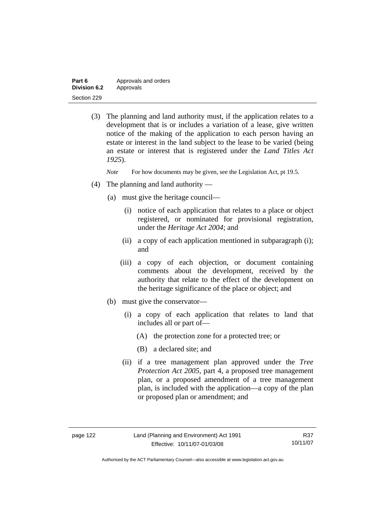| Part 6              | Approvals and orders |  |
|---------------------|----------------------|--|
| <b>Division 6.2</b> | Approvals            |  |
| Section 229         |                      |  |

 (3) The planning and land authority must, if the application relates to a development that is or includes a variation of a lease, give written notice of the making of the application to each person having an estate or interest in the land subject to the lease to be varied (being an estate or interest that is registered under the *Land Titles Act 1925*).

*Note* For how documents may be given, see the Legislation Act, pt 19.5.

- (4) The planning and land authority
	- (a) must give the heritage council—
		- (i) notice of each application that relates to a place or object registered, or nominated for provisional registration, under the *Heritage Act 2004*; and
		- (ii) a copy of each application mentioned in subparagraph (i); and
		- (iii) a copy of each objection, or document containing comments about the development, received by the authority that relate to the effect of the development on the heritage significance of the place or object; and
	- (b) must give the conservator—
		- (i) a copy of each application that relates to land that includes all or part of—
			- (A) the protection zone for a protected tree; or
			- (B) a declared site; and
		- (ii) if a tree management plan approved under the *Tree Protection Act 2005*, part 4, a proposed tree management plan, or a proposed amendment of a tree management plan, is included with the application—a copy of the plan or proposed plan or amendment; and

Authorised by the ACT Parliamentary Counsel—also accessible at www.legislation.act.gov.au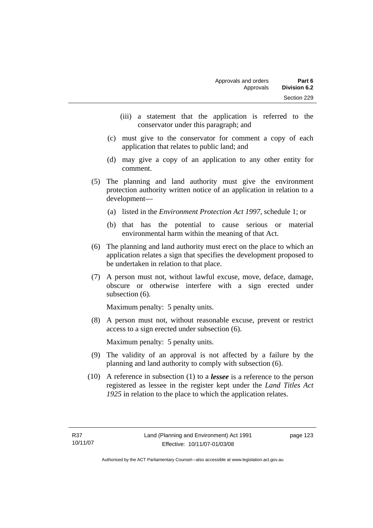- (iii) a statement that the application is referred to the conservator under this paragraph; and
- (c) must give to the conservator for comment a copy of each application that relates to public land; and
- (d) may give a copy of an application to any other entity for comment.
- (5) The planning and land authority must give the environment protection authority written notice of an application in relation to a development—
	- (a) listed in the *Environment Protection Act 1997*, schedule 1; or
	- (b) that has the potential to cause serious or material environmental harm within the meaning of that Act.
- (6) The planning and land authority must erect on the place to which an application relates a sign that specifies the development proposed to be undertaken in relation to that place.
- (7) A person must not, without lawful excuse, move, deface, damage, obscure or otherwise interfere with a sign erected under subsection  $(6)$ .

Maximum penalty: 5 penalty units.

 (8) A person must not, without reasonable excuse, prevent or restrict access to a sign erected under subsection (6).

Maximum penalty: 5 penalty units.

- (9) The validity of an approval is not affected by a failure by the planning and land authority to comply with subsection (6).
- (10) A reference in subsection (1) to a *lessee* is a reference to the person registered as lessee in the register kept under the *Land Titles Act 1925* in relation to the place to which the application relates.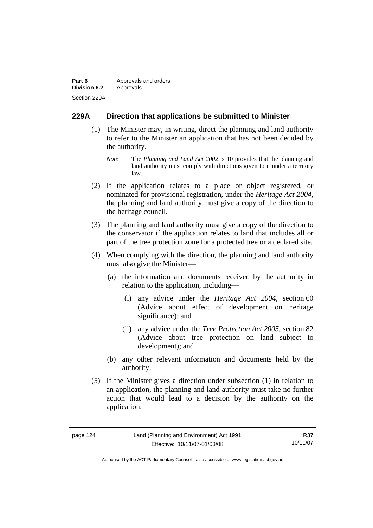| Part 6              | Approvals and orders |  |
|---------------------|----------------------|--|
| <b>Division 6.2</b> | Approvals            |  |
| Section 229A        |                      |  |

### **229A Direction that applications be submitted to Minister**

- (1) The Minister may, in writing, direct the planning and land authority to refer to the Minister an application that has not been decided by the authority.
	- *Note* The *Planning and Land Act 2002*, s 10 provides that the planning and land authority must comply with directions given to it under a territory law.
- (2) If the application relates to a place or object registered, or nominated for provisional registration, under the *Heritage Act 2004*, the planning and land authority must give a copy of the direction to the heritage council.
- (3) The planning and land authority must give a copy of the direction to the conservator if the application relates to land that includes all or part of the tree protection zone for a protected tree or a declared site.
- (4) When complying with the direction, the planning and land authority must also give the Minister—
	- (a) the information and documents received by the authority in relation to the application, including—
		- (i) any advice under the *Heritage Act 2004*, section 60 (Advice about effect of development on heritage significance); and
		- (ii) any advice under the *Tree Protection Act 2005*, section 82 (Advice about tree protection on land subject to development); and
	- (b) any other relevant information and documents held by the authority.
- (5) If the Minister gives a direction under subsection (1) in relation to an application, the planning and land authority must take no further action that would lead to a decision by the authority on the application.

| page |  | 24 |
|------|--|----|
|------|--|----|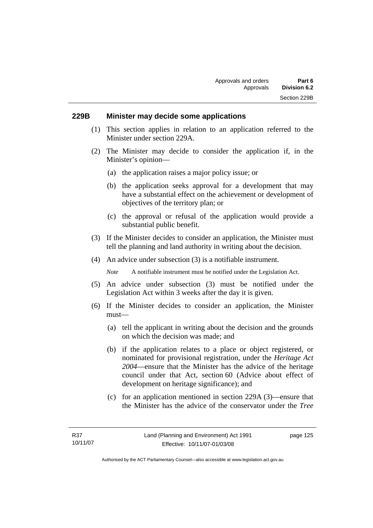#### **229B Minister may decide some applications**

- (1) This section applies in relation to an application referred to the Minister under section 229A.
- (2) The Minister may decide to consider the application if, in the Minister's opinion—
	- (a) the application raises a major policy issue; or
	- (b) the application seeks approval for a development that may have a substantial effect on the achievement or development of objectives of the territory plan; or
	- (c) the approval or refusal of the application would provide a substantial public benefit.
- (3) If the Minister decides to consider an application, the Minister must tell the planning and land authority in writing about the decision.
- (4) An advice under subsection (3) is a notifiable instrument.

*Note* A notifiable instrument must be notified under the Legislation Act.

- (5) An advice under subsection (3) must be notified under the Legislation Act within 3 weeks after the day it is given.
- (6) If the Minister decides to consider an application, the Minister must—
	- (a) tell the applicant in writing about the decision and the grounds on which the decision was made; and
	- (b) if the application relates to a place or object registered, or nominated for provisional registration, under the *Heritage Act 2004*—ensure that the Minister has the advice of the heritage council under that Act, section 60 (Advice about effect of development on heritage significance); and
	- (c) for an application mentioned in section 229A (3)—ensure that the Minister has the advice of the conservator under the *Tree*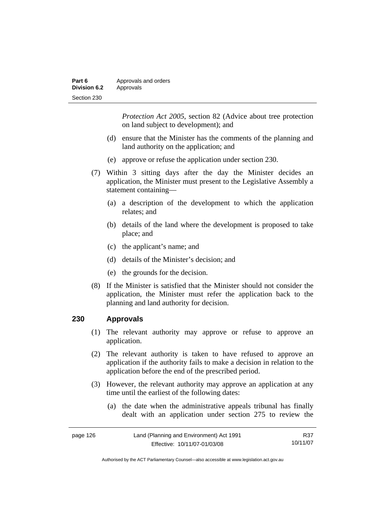| Part 6       | Approvals and orders |  |
|--------------|----------------------|--|
| Division 6.2 | Approvals            |  |
| Section 230  |                      |  |

*Protection Act 2005*, section 82 (Advice about tree protection on land subject to development); and

- (d) ensure that the Minister has the comments of the planning and land authority on the application; and
- (e) approve or refuse the application under section 230.
- (7) Within 3 sitting days after the day the Minister decides an application, the Minister must present to the Legislative Assembly a statement containing—
	- (a) a description of the development to which the application relates; and
	- (b) details of the land where the development is proposed to take place; and
	- (c) the applicant's name; and
	- (d) details of the Minister's decision; and
	- (e) the grounds for the decision.
- (8) If the Minister is satisfied that the Minister should not consider the application, the Minister must refer the application back to the planning and land authority for decision.

#### **230 Approvals**

- (1) The relevant authority may approve or refuse to approve an application.
- (2) The relevant authority is taken to have refused to approve an application if the authority fails to make a decision in relation to the application before the end of the prescribed period.
- (3) However, the relevant authority may approve an application at any time until the earliest of the following dates:
	- (a) the date when the administrative appeals tribunal has finally dealt with an application under section 275 to review the

| page 126 | Land (Planning and Environment) Act 1991 | R37      |
|----------|------------------------------------------|----------|
|          | Effective: 10/11/07-01/03/08             | 10/11/07 |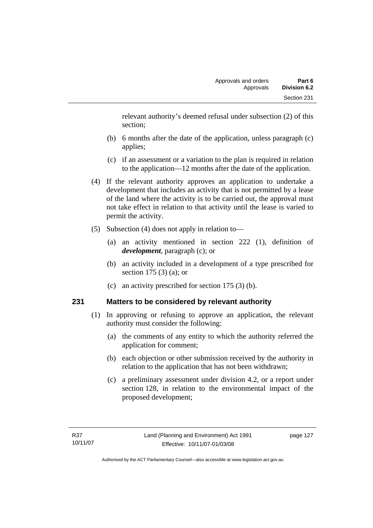relevant authority's deemed refusal under subsection (2) of this section;

- (b) 6 months after the date of the application, unless paragraph (c) applies;
- (c) if an assessment or a variation to the plan is required in relation to the application—12 months after the date of the application.
- (4) If the relevant authority approves an application to undertake a development that includes an activity that is not permitted by a lease of the land where the activity is to be carried out, the approval must not take effect in relation to that activity until the lease is varied to permit the activity.
- (5) Subsection (4) does not apply in relation to—
	- (a) an activity mentioned in section 222 (1), definition of *development*, paragraph (c); or
	- (b) an activity included in a development of a type prescribed for section 175 (3) (a); or
	- (c) an activity prescribed for section 175 (3) (b).

### **231 Matters to be considered by relevant authority**

- (1) In approving or refusing to approve an application, the relevant authority must consider the following:
	- (a) the comments of any entity to which the authority referred the application for comment;
	- (b) each objection or other submission received by the authority in relation to the application that has not been withdrawn;
	- (c) a preliminary assessment under division 4.2, or a report under section 128, in relation to the environmental impact of the proposed development;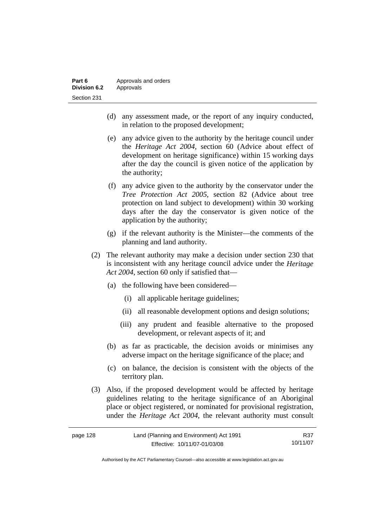- (d) any assessment made, or the report of any inquiry conducted, in relation to the proposed development;
- (e) any advice given to the authority by the heritage council under the *Heritage Act 2004*, section 60 (Advice about effect of development on heritage significance) within 15 working days after the day the council is given notice of the application by the authority;
- (f) any advice given to the authority by the conservator under the *Tree Protection Act 2005*, section 82 (Advice about tree protection on land subject to development) within 30 working days after the day the conservator is given notice of the application by the authority;
- (g) if the relevant authority is the Minister—the comments of the planning and land authority.
- (2) The relevant authority may make a decision under section 230 that is inconsistent with any heritage council advice under the *Heritage Act 2004*, section 60 only if satisfied that—
	- (a) the following have been considered—
		- (i) all applicable heritage guidelines;
		- (ii) all reasonable development options and design solutions;
		- (iii) any prudent and feasible alternative to the proposed development, or relevant aspects of it; and
	- (b) as far as practicable, the decision avoids or minimises any adverse impact on the heritage significance of the place; and
	- (c) on balance, the decision is consistent with the objects of the territory plan.
- (3) Also, if the proposed development would be affected by heritage guidelines relating to the heritage significance of an Aboriginal place or object registered, or nominated for provisional registration, under the *Heritage Act 2004*, the relevant authority must consult

| page 128 | Land (Planning and Environment) Act 1991 | R37      |
|----------|------------------------------------------|----------|
|          | Effective: 10/11/07-01/03/08             | 10/11/07 |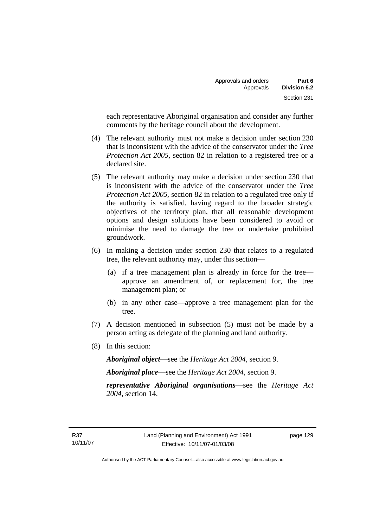each representative Aboriginal organisation and consider any further comments by the heritage council about the development.

- (4) The relevant authority must not make a decision under section 230 that is inconsistent with the advice of the conservator under the *Tree Protection Act 2005*, section 82 in relation to a registered tree or a declared site.
- (5) The relevant authority may make a decision under section 230 that is inconsistent with the advice of the conservator under the *Tree Protection Act 2005*, section 82 in relation to a regulated tree only if the authority is satisfied, having regard to the broader strategic objectives of the territory plan, that all reasonable development options and design solutions have been considered to avoid or minimise the need to damage the tree or undertake prohibited groundwork.
- (6) In making a decision under section 230 that relates to a regulated tree, the relevant authority may, under this section—
	- (a) if a tree management plan is already in force for the tree approve an amendment of, or replacement for, the tree management plan; or
	- (b) in any other case—approve a tree management plan for the tree.
- (7) A decision mentioned in subsection (5) must not be made by a person acting as delegate of the planning and land authority.
- (8) In this section:

*Aboriginal object*—see the *Heritage Act 2004*, section 9.

*Aboriginal place*—see the *Heritage Act 2004*, section 9.

*representative Aboriginal organisations*—see the *Heritage Act 2004*, section 14.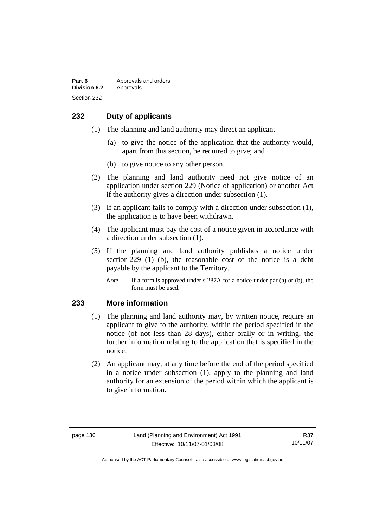### **232 Duty of applicants**

- (1) The planning and land authority may direct an applicant—
	- (a) to give the notice of the application that the authority would, apart from this section, be required to give; and
	- (b) to give notice to any other person.
- (2) The planning and land authority need not give notice of an application under section 229 (Notice of application) or another Act if the authority gives a direction under subsection (1).
- (3) If an applicant fails to comply with a direction under subsection (1), the application is to have been withdrawn.
- (4) The applicant must pay the cost of a notice given in accordance with a direction under subsection (1).
- (5) If the planning and land authority publishes a notice under section 229 (1) (b), the reasonable cost of the notice is a debt payable by the applicant to the Territory.
	- *Note* If a form is approved under s 287A for a notice under par (a) or (b), the form must be used.

#### **233 More information**

- (1) The planning and land authority may, by written notice, require an applicant to give to the authority, within the period specified in the notice (of not less than 28 days), either orally or in writing, the further information relating to the application that is specified in the notice.
- (2) An applicant may, at any time before the end of the period specified in a notice under subsection (1), apply to the planning and land authority for an extension of the period within which the applicant is to give information.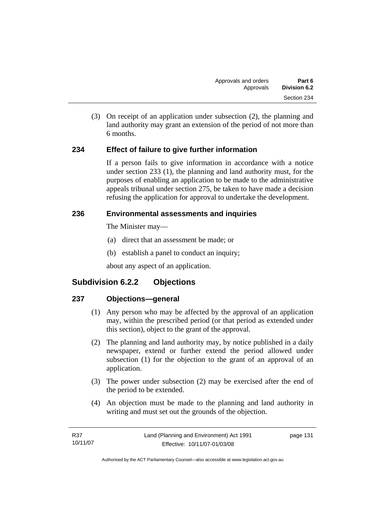(3) On receipt of an application under subsection (2), the planning and land authority may grant an extension of the period of not more than 6 months.

## **234 Effect of failure to give further information**

If a person fails to give information in accordance with a notice under section 233 (1), the planning and land authority must, for the purposes of enabling an application to be made to the administrative appeals tribunal under section 275, be taken to have made a decision refusing the application for approval to undertake the development.

## **236 Environmental assessments and inquiries**

The Minister may—

- (a) direct that an assessment be made; or
- (b) establish a panel to conduct an inquiry;

about any aspect of an application.

# **Subdivision 6.2.2 Objections**

## **237 Objections—general**

- (1) Any person who may be affected by the approval of an application may, within the prescribed period (or that period as extended under this section), object to the grant of the approval.
- (2) The planning and land authority may, by notice published in a daily newspaper, extend or further extend the period allowed under subsection (1) for the objection to the grant of an approval of an application.
- (3) The power under subsection (2) may be exercised after the end of the period to be extended.
- (4) An objection must be made to the planning and land authority in writing and must set out the grounds of the objection.

| R37      | Land (Planning and Environment) Act 1991 | page 131 |
|----------|------------------------------------------|----------|
| 10/11/07 | Effective: 10/11/07-01/03/08             |          |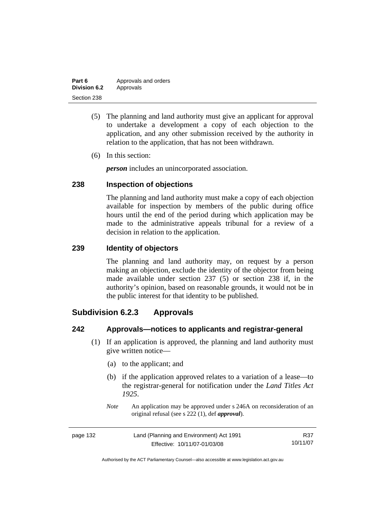| Part 6       | Approvals and orders |
|--------------|----------------------|
| Division 6.2 | Approvals            |
| Section 238  |                      |

- (5) The planning and land authority must give an applicant for approval to undertake a development a copy of each objection to the application, and any other submission received by the authority in relation to the application, that has not been withdrawn.
- (6) In this section:

*person* includes an unincorporated association.

#### **238 Inspection of objections**

The planning and land authority must make a copy of each objection available for inspection by members of the public during office hours until the end of the period during which application may be made to the administrative appeals tribunal for a review of a decision in relation to the application.

#### **239 Identity of objectors**

The planning and land authority may, on request by a person making an objection, exclude the identity of the objector from being made available under section 237 (5) or section 238 if, in the authority's opinion, based on reasonable grounds, it would not be in the public interest for that identity to be published.

# **Subdivision 6.2.3 Approvals**

#### **242 Approvals—notices to applicants and registrar-general**

- (1) If an application is approved, the planning and land authority must give written notice—
	- (a) to the applicant; and
	- (b) if the application approved relates to a variation of a lease—to the registrar-general for notification under the *Land Titles Act 1925*.
	- *Note* An application may be approved under s 246A on reconsideration of an original refusal (see s 222 (1), def *approval*).

| page 132 | Land (Planning and Environment) Act 1991 | R37      |
|----------|------------------------------------------|----------|
|          | Effective: 10/11/07-01/03/08             | 10/11/07 |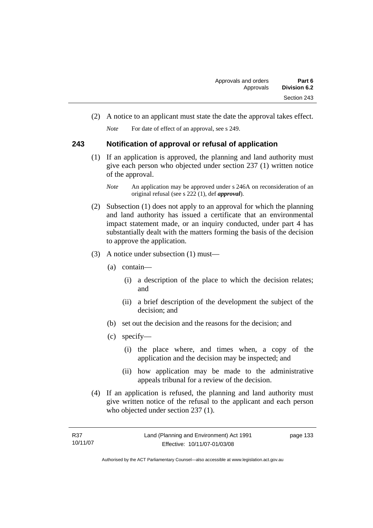(2) A notice to an applicant must state the date the approval takes effect.

*Note* For date of effect of an approval, see s 249.

## **243 Notification of approval or refusal of application**

 (1) If an application is approved, the planning and land authority must give each person who objected under section 237 (1) written notice of the approval.

- (2) Subsection (1) does not apply to an approval for which the planning and land authority has issued a certificate that an environmental impact statement made, or an inquiry conducted, under part 4 has substantially dealt with the matters forming the basis of the decision to approve the application.
- (3) A notice under subsection (1) must—
	- (a) contain—
		- (i) a description of the place to which the decision relates; and
		- (ii) a brief description of the development the subject of the decision; and
	- (b) set out the decision and the reasons for the decision; and
	- (c) specify—
		- (i) the place where, and times when, a copy of the application and the decision may be inspected; and
		- (ii) how application may be made to the administrative appeals tribunal for a review of the decision.
- (4) If an application is refused, the planning and land authority must give written notice of the refusal to the applicant and each person who objected under section 237 (1).

*Note* An application may be approved under s 246A on reconsideration of an original refusal (see s 222 (1), def *approval*).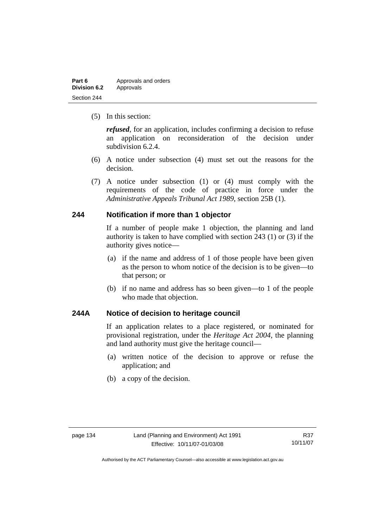| Part 6              | Approvals and orders |
|---------------------|----------------------|
| <b>Division 6.2</b> | Approvals            |
| Section 244         |                      |

(5) In this section:

*refused*, for an application, includes confirming a decision to refuse an application on reconsideration of the decision under subdivision 6.2.4.

- (6) A notice under subsection (4) must set out the reasons for the decision.
- (7) A notice under subsection (1) or (4) must comply with the requirements of the code of practice in force under the *Administrative Appeals Tribunal Act 1989*, section 25B (1).

#### **244 Notification if more than 1 objector**

If a number of people make 1 objection, the planning and land authority is taken to have complied with section 243 (1) or (3) if the authority gives notice—

- (a) if the name and address of 1 of those people have been given as the person to whom notice of the decision is to be given—to that person; or
- (b) if no name and address has so been given—to 1 of the people who made that objection.

## **244A Notice of decision to heritage council**

If an application relates to a place registered, or nominated for provisional registration, under the *Heritage Act 2004*, the planning and land authority must give the heritage council—

- (a) written notice of the decision to approve or refuse the application; and
- (b) a copy of the decision.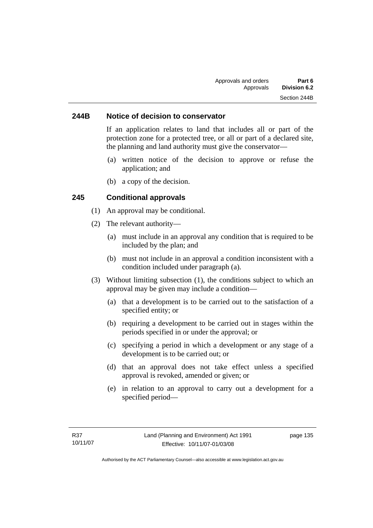#### **244B Notice of decision to conservator**

If an application relates to land that includes all or part of the protection zone for a protected tree, or all or part of a declared site, the planning and land authority must give the conservator—

- (a) written notice of the decision to approve or refuse the application; and
- (b) a copy of the decision.

#### **245 Conditional approvals**

- (1) An approval may be conditional.
- (2) The relevant authority—
	- (a) must include in an approval any condition that is required to be included by the plan; and
	- (b) must not include in an approval a condition inconsistent with a condition included under paragraph (a).
- (3) Without limiting subsection (1), the conditions subject to which an approval may be given may include a condition—
	- (a) that a development is to be carried out to the satisfaction of a specified entity; or
	- (b) requiring a development to be carried out in stages within the periods specified in or under the approval; or
	- (c) specifying a period in which a development or any stage of a development is to be carried out; or
	- (d) that an approval does not take effect unless a specified approval is revoked, amended or given; or
	- (e) in relation to an approval to carry out a development for a specified period—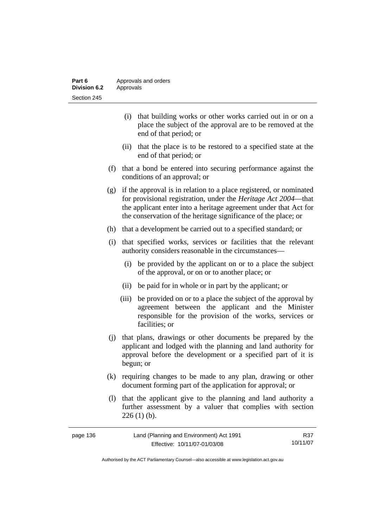| Part 6              | Approvals and orders |
|---------------------|----------------------|
| <b>Division 6.2</b> | Approvals            |
| Section 245         |                      |

- (i) that building works or other works carried out in or on a place the subject of the approval are to be removed at the end of that period; or
- (ii) that the place is to be restored to a specified state at the end of that period; or
- (f) that a bond be entered into securing performance against the conditions of an approval; or
- (g) if the approval is in relation to a place registered, or nominated for provisional registration, under the *Heritage Act 2004*—that the applicant enter into a heritage agreement under that Act for the conservation of the heritage significance of the place; or
- (h) that a development be carried out to a specified standard; or
- (i) that specified works, services or facilities that the relevant authority considers reasonable in the circumstances—
	- (i) be provided by the applicant on or to a place the subject of the approval, or on or to another place; or
	- (ii) be paid for in whole or in part by the applicant; or
	- (iii) be provided on or to a place the subject of the approval by agreement between the applicant and the Minister responsible for the provision of the works, services or facilities; or
- (j) that plans, drawings or other documents be prepared by the applicant and lodged with the planning and land authority for approval before the development or a specified part of it is begun; or
- (k) requiring changes to be made to any plan, drawing or other document forming part of the application for approval; or
- (l) that the applicant give to the planning and land authority a further assessment by a valuer that complies with section  $226(1)$  (b).

| page 136 | Land (Planning and Environment) Act 1991 | R37      |
|----------|------------------------------------------|----------|
|          | Effective: 10/11/07-01/03/08             | 10/11/07 |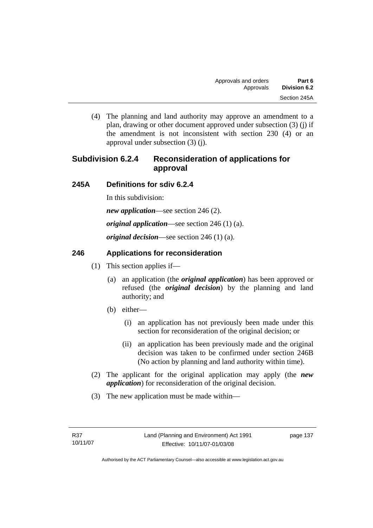(4) The planning and land authority may approve an amendment to a plan, drawing or other document approved under subsection (3) (j) if the amendment is not inconsistent with section 230 (4) or an approval under subsection (3) (j).

# **Subdivision 6.2.4 Reconsideration of applications for approval**

## **245A Definitions for sdiv 6.2.4**

In this subdivision:

*new application*—see section 246 (2).

*original application*—see section 246 (1) (a).

*original decision*—see section 246 (1) (a).

## **246 Applications for reconsideration**

- (1) This section applies if—
	- (a) an application (the *original application*) has been approved or refused (the *original decision*) by the planning and land authority; and
	- (b) either—
		- (i) an application has not previously been made under this section for reconsideration of the original decision; or
		- (ii) an application has been previously made and the original decision was taken to be confirmed under section 246B (No action by planning and land authority within time).
- (2) The applicant for the original application may apply (the *new application*) for reconsideration of the original decision.
- (3) The new application must be made within—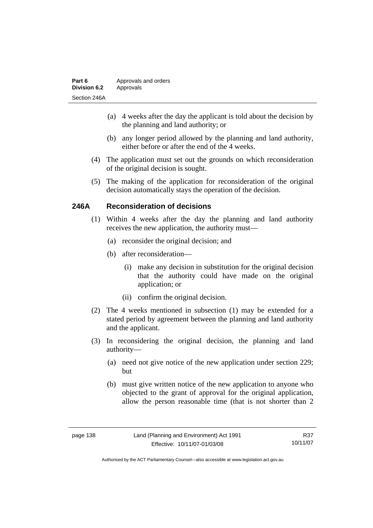| Part 6              | Approvals and orders |
|---------------------|----------------------|
| <b>Division 6.2</b> | Approvals            |
| Section 246A        |                      |

- (a) 4 weeks after the day the applicant is told about the decision by the planning and land authority; or
- (b) any longer period allowed by the planning and land authority, either before or after the end of the 4 weeks.
- (4) The application must set out the grounds on which reconsideration of the original decision is sought.
- (5) The making of the application for reconsideration of the original decision automatically stays the operation of the decision.

#### **246A Reconsideration of decisions**

- (1) Within 4 weeks after the day the planning and land authority receives the new application, the authority must—
	- (a) reconsider the original decision; and
	- (b) after reconsideration—
		- (i) make any decision in substitution for the original decision that the authority could have made on the original application; or
		- (ii) confirm the original decision.
- (2) The 4 weeks mentioned in subsection (1) may be extended for a stated period by agreement between the planning and land authority and the applicant.
- (3) In reconsidering the original decision, the planning and land authority—
	- (a) need not give notice of the new application under section 229; but
	- (b) must give written notice of the new application to anyone who objected to the grant of approval for the original application, allow the person reasonable time (that is not shorter than 2

R37 10/11/07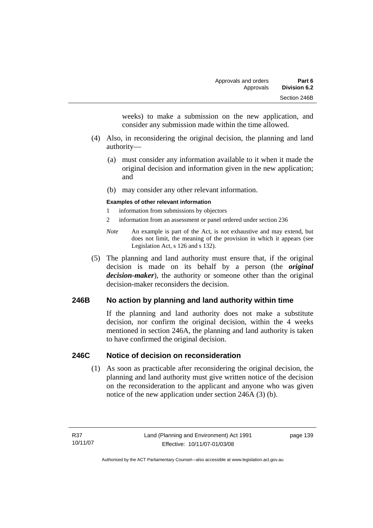weeks) to make a submission on the new application, and consider any submission made within the time allowed.

- (4) Also, in reconsidering the original decision, the planning and land authority—
	- (a) must consider any information available to it when it made the original decision and information given in the new application; and
	- (b) may consider any other relevant information.

#### **Examples of other relevant information**

- 1 information from submissions by objectors
- 2 information from an assessment or panel ordered under section 236
- *Note* An example is part of the Act, is not exhaustive and may extend, but does not limit, the meaning of the provision in which it appears (see Legislation Act, s 126 and s 132).
- (5) The planning and land authority must ensure that, if the original decision is made on its behalf by a person (the *original decision-maker*), the authority or someone other than the original decision-maker reconsiders the decision.

## **246B No action by planning and land authority within time**

If the planning and land authority does not make a substitute decision, nor confirm the original decision, within the 4 weeks mentioned in section 246A, the planning and land authority is taken to have confirmed the original decision.

#### **246C Notice of decision on reconsideration**

 (1) As soon as practicable after reconsidering the original decision, the planning and land authority must give written notice of the decision on the reconsideration to the applicant and anyone who was given notice of the new application under section 246A (3) (b).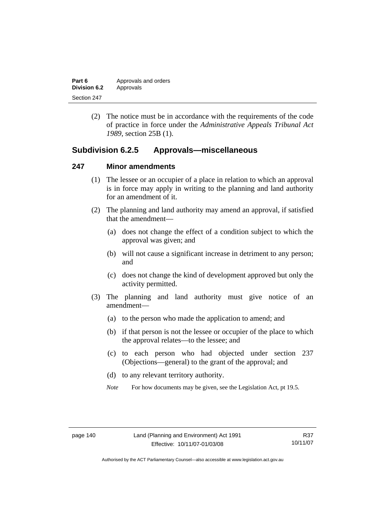| Part 6       | Approvals and orders |
|--------------|----------------------|
| Division 6.2 | Approvals            |
| Section 247  |                      |

 (2) The notice must be in accordance with the requirements of the code of practice in force under the *Administrative Appeals Tribunal Act 1989*, section 25B (1).

## **Subdivision 6.2.5 Approvals—miscellaneous**

#### **247 Minor amendments**

- (1) The lessee or an occupier of a place in relation to which an approval is in force may apply in writing to the planning and land authority for an amendment of it.
- (2) The planning and land authority may amend an approval, if satisfied that the amendment—
	- (a) does not change the effect of a condition subject to which the approval was given; and
	- (b) will not cause a significant increase in detriment to any person; and
	- (c) does not change the kind of development approved but only the activity permitted.
- (3) The planning and land authority must give notice of an amendment—
	- (a) to the person who made the application to amend; and
	- (b) if that person is not the lessee or occupier of the place to which the approval relates—to the lessee; and
	- (c) to each person who had objected under section 237 (Objections—general) to the grant of the approval; and
	- (d) to any relevant territory authority.
	- *Note* For how documents may be given, see the Legislation Act, pt 19.5.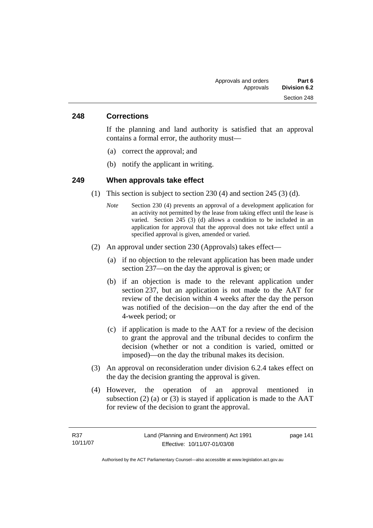#### **248 Corrections**

If the planning and land authority is satisfied that an approval contains a formal error, the authority must—

- (a) correct the approval; and
- (b) notify the applicant in writing.

#### **249 When approvals take effect**

- (1) This section is subject to section 230 (4) and section 245 (3) (d).
	- *Note* Section 230 (4) prevents an approval of a development application for an activity not permitted by the lease from taking effect until the lease is varied. Section 245 (3) (d) allows a condition to be included in an application for approval that the approval does not take effect until a specified approval is given, amended or varied.
- (2) An approval under section 230 (Approvals) takes effect—
	- (a) if no objection to the relevant application has been made under section 237—on the day the approval is given; or
	- (b) if an objection is made to the relevant application under section 237, but an application is not made to the AAT for review of the decision within 4 weeks after the day the person was notified of the decision—on the day after the end of the 4-week period; or
	- (c) if application is made to the AAT for a review of the decision to grant the approval and the tribunal decides to confirm the decision (whether or not a condition is varied, omitted or imposed)—on the day the tribunal makes its decision.
- (3) An approval on reconsideration under division 6.2.4 takes effect on the day the decision granting the approval is given.
- (4) However, the operation of an approval mentioned in subsection  $(2)$  (a) or  $(3)$  is stayed if application is made to the AAT for review of the decision to grant the approval.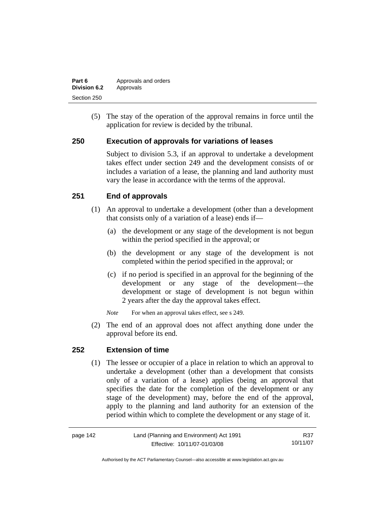| Part 6       | Approvals and orders |
|--------------|----------------------|
| Division 6.2 | Approvals            |
| Section 250  |                      |

 (5) The stay of the operation of the approval remains in force until the application for review is decided by the tribunal.

## **250 Execution of approvals for variations of leases**

Subject to division 5.3, if an approval to undertake a development takes effect under section 249 and the development consists of or includes a variation of a lease, the planning and land authority must vary the lease in accordance with the terms of the approval.

## **251 End of approvals**

- (1) An approval to undertake a development (other than a development that consists only of a variation of a lease) ends if—
	- (a) the development or any stage of the development is not begun within the period specified in the approval; or
	- (b) the development or any stage of the development is not completed within the period specified in the approval; or
	- (c) if no period is specified in an approval for the beginning of the development or any stage of the development—the development or stage of development is not begun within 2 years after the day the approval takes effect.

*Note* For when an approval takes effect, see s 249.

 (2) The end of an approval does not affect anything done under the approval before its end.

#### **252 Extension of time**

 (1) The lessee or occupier of a place in relation to which an approval to undertake a development (other than a development that consists only of a variation of a lease) applies (being an approval that specifies the date for the completion of the development or any stage of the development) may, before the end of the approval, apply to the planning and land authority for an extension of the period within which to complete the development or any stage of it.

| page 142 | Land (Planning and Environment) Act 1991 | R37      |
|----------|------------------------------------------|----------|
|          | Effective: 10/11/07-01/03/08             | 10/11/07 |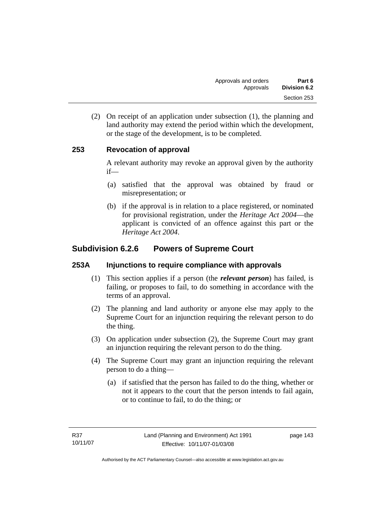(2) On receipt of an application under subsection (1), the planning and land authority may extend the period within which the development, or the stage of the development, is to be completed.

## **253 Revocation of approval**

A relevant authority may revoke an approval given by the authority if—

- (a) satisfied that the approval was obtained by fraud or misrepresentation; or
- (b) if the approval is in relation to a place registered, or nominated for provisional registration, under the *Heritage Act 2004*—the applicant is convicted of an offence against this part or the *Heritage Act 2004*.

# **Subdivision 6.2.6 Powers of Supreme Court**

#### **253A Injunctions to require compliance with approvals**

- (1) This section applies if a person (the *relevant person*) has failed, is failing, or proposes to fail, to do something in accordance with the terms of an approval.
- (2) The planning and land authority or anyone else may apply to the Supreme Court for an injunction requiring the relevant person to do the thing.
- (3) On application under subsection (2), the Supreme Court may grant an injunction requiring the relevant person to do the thing.
- (4) The Supreme Court may grant an injunction requiring the relevant person to do a thing—
	- (a) if satisfied that the person has failed to do the thing, whether or not it appears to the court that the person intends to fail again, or to continue to fail, to do the thing; or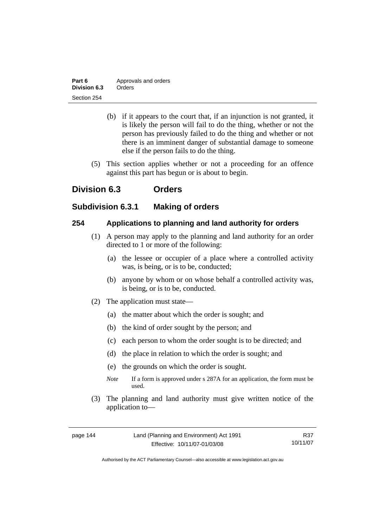| Part 6       | Approvals and orders |
|--------------|----------------------|
| Division 6.3 | Orders               |
| Section 254  |                      |

- (b) if it appears to the court that, if an injunction is not granted, it is likely the person will fail to do the thing, whether or not the person has previously failed to do the thing and whether or not there is an imminent danger of substantial damage to someone else if the person fails to do the thing.
- (5) This section applies whether or not a proceeding for an offence against this part has begun or is about to begin.

# **Division 6.3 Orders**

## **Subdivision 6.3.1 Making of orders**

## **254 Applications to planning and land authority for orders**

- (1) A person may apply to the planning and land authority for an order directed to 1 or more of the following:
	- (a) the lessee or occupier of a place where a controlled activity was, is being, or is to be, conducted;
	- (b) anyone by whom or on whose behalf a controlled activity was, is being, or is to be, conducted.
- (2) The application must state—
	- (a) the matter about which the order is sought; and
	- (b) the kind of order sought by the person; and
	- (c) each person to whom the order sought is to be directed; and
	- (d) the place in relation to which the order is sought; and
	- (e) the grounds on which the order is sought.
	- *Note* If a form is approved under s 287A for an application, the form must be used.
- (3) The planning and land authority must give written notice of the application to—

R37 10/11/07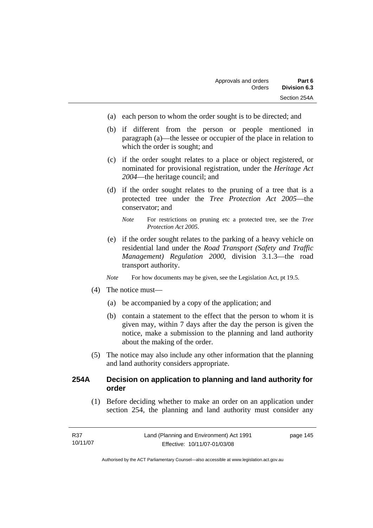- (a) each person to whom the order sought is to be directed; and
- (b) if different from the person or people mentioned in paragraph (a)—the lessee or occupier of the place in relation to which the order is sought; and
- (c) if the order sought relates to a place or object registered, or nominated for provisional registration, under the *Heritage Act 2004*—the heritage council; and
- (d) if the order sought relates to the pruning of a tree that is a protected tree under the *Tree Protection Act 2005*—the conservator; and
	- *Note* For restrictions on pruning etc a protected tree, see the *Tree Protection Act 2005*.
- (e) if the order sought relates to the parking of a heavy vehicle on residential land under the *Road Transport (Safety and Traffic Management) Regulation 2000*, division 3.1.3—the road transport authority.
- *Note* For how documents may be given, see the Legislation Act, pt 19.5.
- (4) The notice must—
	- (a) be accompanied by a copy of the application; and
	- (b) contain a statement to the effect that the person to whom it is given may, within 7 days after the day the person is given the notice, make a submission to the planning and land authority about the making of the order.
- (5) The notice may also include any other information that the planning and land authority considers appropriate.

## **254A Decision on application to planning and land authority for order**

 (1) Before deciding whether to make an order on an application under section 254, the planning and land authority must consider any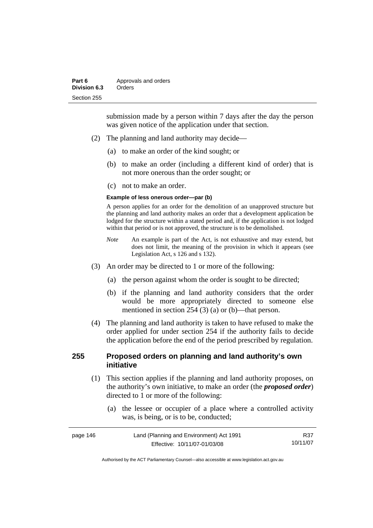submission made by a person within 7 days after the day the person was given notice of the application under that section.

- (2) The planning and land authority may decide—
	- (a) to make an order of the kind sought; or
	- (b) to make an order (including a different kind of order) that is not more onerous than the order sought; or
	- (c) not to make an order.

#### **Example of less onerous order—par (b)**

A person applies for an order for the demolition of an unapproved structure but the planning and land authority makes an order that a development application be lodged for the structure within a stated period and, if the application is not lodged within that period or is not approved, the structure is to be demolished.

- *Note* An example is part of the Act, is not exhaustive and may extend, but does not limit, the meaning of the provision in which it appears (see Legislation Act, s 126 and s 132).
- (3) An order may be directed to 1 or more of the following:
	- (a) the person against whom the order is sought to be directed;
	- (b) if the planning and land authority considers that the order would be more appropriately directed to someone else mentioned in section 254 (3) (a) or (b)—that person.
- (4) The planning and land authority is taken to have refused to make the order applied for under section 254 if the authority fails to decide the application before the end of the period prescribed by regulation.

## **255 Proposed orders on planning and land authority's own initiative**

- (1) This section applies if the planning and land authority proposes, on the authority's own initiative, to make an order (the *proposed order*) directed to 1 or more of the following:
	- (a) the lessee or occupier of a place where a controlled activity was, is being, or is to be, conducted;

| page 146 | Land (Planning and Environment) Act 1991 | R37      |
|----------|------------------------------------------|----------|
|          | Effective: 10/11/07-01/03/08             | 10/11/07 |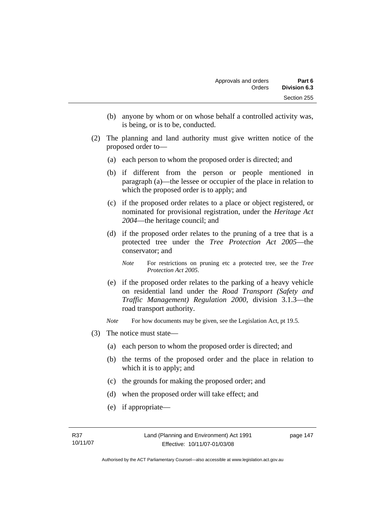- (b) anyone by whom or on whose behalf a controlled activity was, is being, or is to be, conducted.
- (2) The planning and land authority must give written notice of the proposed order to—
	- (a) each person to whom the proposed order is directed; and
	- (b) if different from the person or people mentioned in paragraph (a)—the lessee or occupier of the place in relation to which the proposed order is to apply; and
	- (c) if the proposed order relates to a place or object registered, or nominated for provisional registration, under the *Heritage Act 2004*—the heritage council; and
	- (d) if the proposed order relates to the pruning of a tree that is a protected tree under the *Tree Protection Act 2005*—the conservator; and
		- *Note* For restrictions on pruning etc a protected tree, see the *Tree Protection Act 2005*.
	- (e) if the proposed order relates to the parking of a heavy vehicle on residential land under the *Road Transport (Safety and Traffic Management) Regulation 2000*, division 3.1.3—the road transport authority.
	- *Note* For how documents may be given, see the Legislation Act, pt 19.5.
- (3) The notice must state—
	- (a) each person to whom the proposed order is directed; and
	- (b) the terms of the proposed order and the place in relation to which it is to apply; and
	- (c) the grounds for making the proposed order; and
	- (d) when the proposed order will take effect; and
	- (e) if appropriate—

Authorised by the ACT Parliamentary Counsel—also accessible at www.legislation.act.gov.au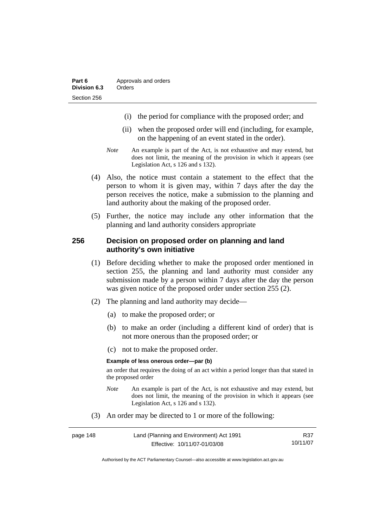- (i) the period for compliance with the proposed order; and
- (ii) when the proposed order will end (including, for example, on the happening of an event stated in the order).
- *Note* An example is part of the Act, is not exhaustive and may extend, but does not limit, the meaning of the provision in which it appears (see Legislation Act, s 126 and s 132).
- (4) Also, the notice must contain a statement to the effect that the person to whom it is given may, within 7 days after the day the person receives the notice, make a submission to the planning and land authority about the making of the proposed order.
- (5) Further, the notice may include any other information that the planning and land authority considers appropriate

#### **256 Decision on proposed order on planning and land authority's own initiative**

- (1) Before deciding whether to make the proposed order mentioned in section 255, the planning and land authority must consider any submission made by a person within 7 days after the day the person was given notice of the proposed order under section 255 (2).
- (2) The planning and land authority may decide—
	- (a) to make the proposed order; or
	- (b) to make an order (including a different kind of order) that is not more onerous than the proposed order; or
	- (c) not to make the proposed order.

#### **Example of less onerous order—par (b)**

an order that requires the doing of an act within a period longer than that stated in the proposed order

- *Note* An example is part of the Act, is not exhaustive and may extend, but does not limit, the meaning of the provision in which it appears (see Legislation Act, s 126 and s 132).
- (3) An order may be directed to 1 or more of the following:

| page 148 | Land (Planning and Environment) Act 1991 | R37      |
|----------|------------------------------------------|----------|
|          | Effective: 10/11/07-01/03/08             | 10/11/07 |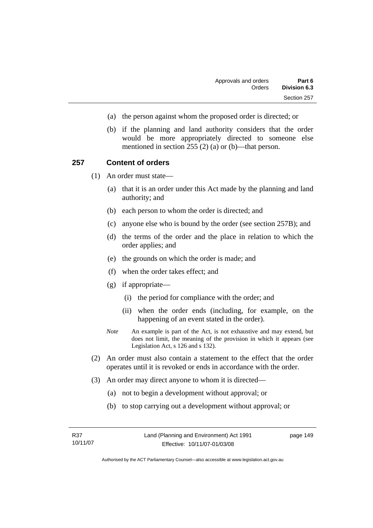- (a) the person against whom the proposed order is directed; or
- (b) if the planning and land authority considers that the order would be more appropriately directed to someone else mentioned in section 255 (2) (a) or (b)—that person.

#### **257 Content of orders**

(1) An order must state—

- (a) that it is an order under this Act made by the planning and land authority; and
- (b) each person to whom the order is directed; and
- (c) anyone else who is bound by the order (see section 257B); and
- (d) the terms of the order and the place in relation to which the order applies; and
- (e) the grounds on which the order is made; and
- (f) when the order takes effect; and
- (g) if appropriate—
	- (i) the period for compliance with the order; and
	- (ii) when the order ends (including, for example, on the happening of an event stated in the order).
- *Note* An example is part of the Act, is not exhaustive and may extend, but does not limit, the meaning of the provision in which it appears (see Legislation Act, s 126 and s 132).
- (2) An order must also contain a statement to the effect that the order operates until it is revoked or ends in accordance with the order.
- (3) An order may direct anyone to whom it is directed—
	- (a) not to begin a development without approval; or
	- (b) to stop carrying out a development without approval; or

Authorised by the ACT Parliamentary Counsel—also accessible at www.legislation.act.gov.au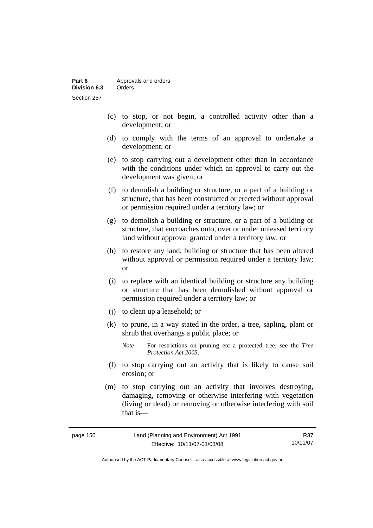- (c) to stop, or not begin, a controlled activity other than a development; or
- (d) to comply with the terms of an approval to undertake a development; or
- (e) to stop carrying out a development other than in accordance with the conditions under which an approval to carry out the development was given; or
- (f) to demolish a building or structure, or a part of a building or structure, that has been constructed or erected without approval or permission required under a territory law; or
- (g) to demolish a building or structure, or a part of a building or structure, that encroaches onto, over or under unleased territory land without approval granted under a territory law; or
- (h) to restore any land, building or structure that has been altered without approval or permission required under a territory law; or
- (i) to replace with an identical building or structure any building or structure that has been demolished without approval or permission required under a territory law; or
- (j) to clean up a leasehold; or
- (k) to prune, in a way stated in the order, a tree, sapling, plant or shrub that overhangs a public place; or
	- *Note* For restrictions on pruning etc a protected tree, see the *Tree Protection Act 2005*.
- (l) to stop carrying out an activity that is likely to cause soil erosion; or
- (m) to stop carrying out an activity that involves destroying, damaging, removing or otherwise interfering with vegetation (living or dead) or removing or otherwise interfering with soil that is—

| page 150 | Land (Planning and Environment) Act 1991 | R37      |
|----------|------------------------------------------|----------|
|          | Effective: 10/11/07-01/03/08             | 10/11/07 |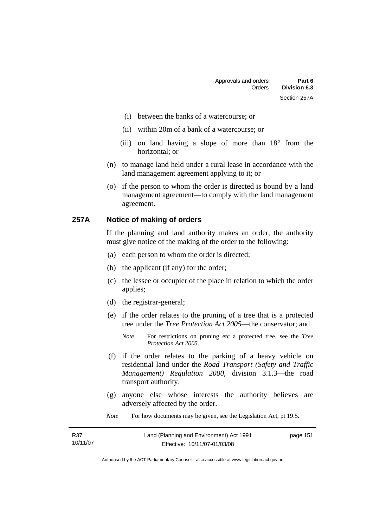- (i) between the banks of a watercourse; or
- (ii) within 20m of a bank of a watercourse; or
- (iii) on land having a slope of more than 18° from the horizontal; or
- (n) to manage land held under a rural lease in accordance with the land management agreement applying to it; or
- (o) if the person to whom the order is directed is bound by a land management agreement—to comply with the land management agreement.

#### **257A Notice of making of orders**

If the planning and land authority makes an order, the authority must give notice of the making of the order to the following:

- (a) each person to whom the order is directed;
- (b) the applicant (if any) for the order;
- (c) the lessee or occupier of the place in relation to which the order applies;
- (d) the registrar-general;
- (e) if the order relates to the pruning of a tree that is a protected tree under the *Tree Protection Act 2005*—the conservator; and
	- *Note* For restrictions on pruning etc a protected tree, see the *Tree Protection Act 2005*.
- (f) if the order relates to the parking of a heavy vehicle on residential land under the *Road Transport (Safety and Traffic Management) Regulation 2000*, division 3.1.3—the road transport authority;
- (g) anyone else whose interests the authority believes are adversely affected by the order.

*Note* For how documents may be given, see the Legislation Act, pt 19.5.

| R37      | Land (Planning and Environment) Act 1991 | page 151 |
|----------|------------------------------------------|----------|
| 10/11/07 | Effective: 10/11/07-01/03/08             |          |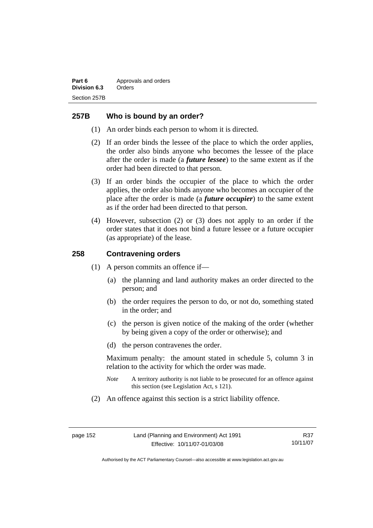## **257B Who is bound by an order?**

- (1) An order binds each person to whom it is directed.
- (2) If an order binds the lessee of the place to which the order applies, the order also binds anyone who becomes the lessee of the place after the order is made (a *future lessee*) to the same extent as if the order had been directed to that person.
- (3) If an order binds the occupier of the place to which the order applies, the order also binds anyone who becomes an occupier of the place after the order is made (a *future occupier*) to the same extent as if the order had been directed to that person.
- (4) However, subsection (2) or (3) does not apply to an order if the order states that it does not bind a future lessee or a future occupier (as appropriate) of the lease.

#### **258 Contravening orders**

- (1) A person commits an offence if—
	- (a) the planning and land authority makes an order directed to the person; and
	- (b) the order requires the person to do, or not do, something stated in the order; and
	- (c) the person is given notice of the making of the order (whether by being given a copy of the order or otherwise); and
	- (d) the person contravenes the order.

Maximum penalty: the amount stated in schedule 5, column 3 in relation to the activity for which the order was made.

- *Note* A territory authority is not liable to be prosecuted for an offence against this section (see Legislation Act, s 121).
- (2) An offence against this section is a strict liability offence.

R37 10/11/07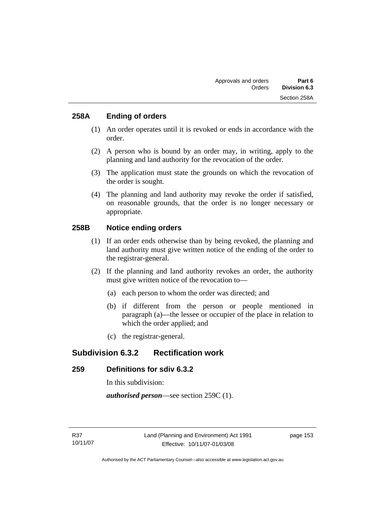## **258A Ending of orders**

- (1) An order operates until it is revoked or ends in accordance with the order.
- (2) A person who is bound by an order may, in writing, apply to the planning and land authority for the revocation of the order.
- (3) The application must state the grounds on which the revocation of the order is sought.
- (4) The planning and land authority may revoke the order if satisfied, on reasonable grounds, that the order is no longer necessary or appropriate.

## **258B Notice ending orders**

- (1) If an order ends otherwise than by being revoked, the planning and land authority must give written notice of the ending of the order to the registrar-general.
- (2) If the planning and land authority revokes an order, the authority must give written notice of the revocation to—
	- (a) each person to whom the order was directed; and
	- (b) if different from the person or people mentioned in paragraph (a)—the lessee or occupier of the place in relation to which the order applied; and
	- (c) the registrar-general.

# **Subdivision 6.3.2 Rectification work**

## **259 Definitions for sdiv 6.3.2**

In this subdivision:

*authorised person*—see section 259C (1).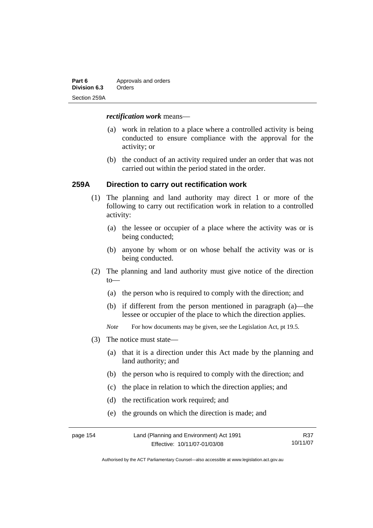| Part 6       | Approvals and orders |
|--------------|----------------------|
| Division 6.3 | Orders               |
| Section 259A |                      |

#### *rectification work* means—

- (a) work in relation to a place where a controlled activity is being conducted to ensure compliance with the approval for the activity; or
- (b) the conduct of an activity required under an order that was not carried out within the period stated in the order.

#### **259A Direction to carry out rectification work**

- (1) The planning and land authority may direct 1 or more of the following to carry out rectification work in relation to a controlled activity:
	- (a) the lessee or occupier of a place where the activity was or is being conducted;
	- (b) anyone by whom or on whose behalf the activity was or is being conducted.
- (2) The planning and land authority must give notice of the direction to—
	- (a) the person who is required to comply with the direction; and
	- (b) if different from the person mentioned in paragraph (a)—the lessee or occupier of the place to which the direction applies.
	- *Note* For how documents may be given, see the Legislation Act, pt 19.5.
- (3) The notice must state—
	- (a) that it is a direction under this Act made by the planning and land authority; and
	- (b) the person who is required to comply with the direction; and
	- (c) the place in relation to which the direction applies; and
	- (d) the rectification work required; and
	- (e) the grounds on which the direction is made; and

| page 154 | Land (Planning and Environment) Act 1991 | R37      |
|----------|------------------------------------------|----------|
|          | Effective: 10/11/07-01/03/08             | 10/11/07 |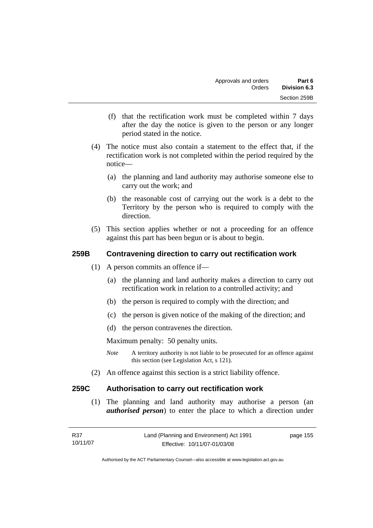- (f) that the rectification work must be completed within 7 days after the day the notice is given to the person or any longer period stated in the notice.
- (4) The notice must also contain a statement to the effect that, if the rectification work is not completed within the period required by the notice—
	- (a) the planning and land authority may authorise someone else to carry out the work; and
	- (b) the reasonable cost of carrying out the work is a debt to the Territory by the person who is required to comply with the direction.
- (5) This section applies whether or not a proceeding for an offence against this part has been begun or is about to begin.

## **259B Contravening direction to carry out rectification work**

- (1) A person commits an offence if—
	- (a) the planning and land authority makes a direction to carry out rectification work in relation to a controlled activity; and
	- (b) the person is required to comply with the direction; and
	- (c) the person is given notice of the making of the direction; and
	- (d) the person contravenes the direction.

Maximum penalty: 50 penalty units.

- *Note* A territory authority is not liable to be prosecuted for an offence against this section (see Legislation Act, s 121).
- (2) An offence against this section is a strict liability offence.

## **259C Authorisation to carry out rectification work**

 (1) The planning and land authority may authorise a person (an *authorised person*) to enter the place to which a direction under

| R37      | Land (Planning and Environment) Act 1991 | page 155 |
|----------|------------------------------------------|----------|
| 10/11/07 | Effective: 10/11/07-01/03/08             |          |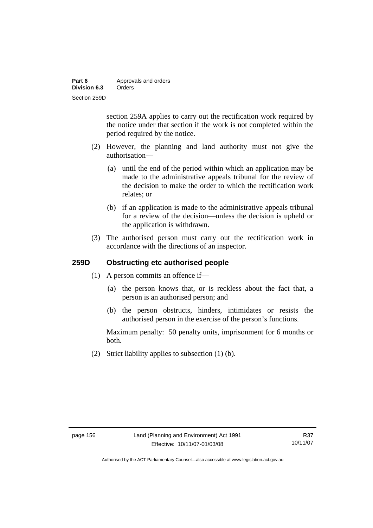| Part 6       | Approvals and orders |
|--------------|----------------------|
| Division 6.3 | Orders               |
| Section 259D |                      |

section 259A applies to carry out the rectification work required by the notice under that section if the work is not completed within the period required by the notice.

- (2) However, the planning and land authority must not give the authorisation—
	- (a) until the end of the period within which an application may be made to the administrative appeals tribunal for the review of the decision to make the order to which the rectification work relates; or
	- (b) if an application is made to the administrative appeals tribunal for a review of the decision—unless the decision is upheld or the application is withdrawn.
- (3) The authorised person must carry out the rectification work in accordance with the directions of an inspector.

#### **259D Obstructing etc authorised people**

- (1) A person commits an offence if—
	- (a) the person knows that, or is reckless about the fact that, a person is an authorised person; and
	- (b) the person obstructs, hinders, intimidates or resists the authorised person in the exercise of the person's functions.

Maximum penalty: 50 penalty units, imprisonment for 6 months or both.

(2) Strict liability applies to subsection (1) (b).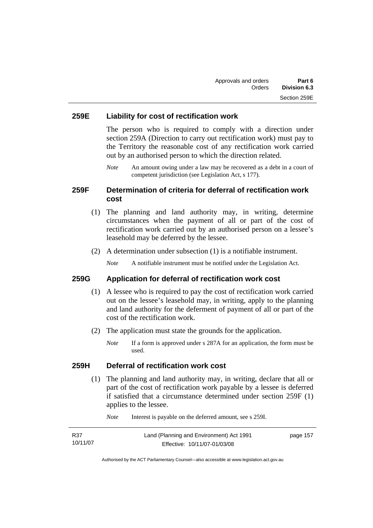## **259E Liability for cost of rectification work**

The person who is required to comply with a direction under section 259A (Direction to carry out rectification work) must pay to the Territory the reasonable cost of any rectification work carried out by an authorised person to which the direction related.

*Note* An amount owing under a law may be recovered as a debt in a court of competent jurisdiction (see Legislation Act, s 177).

## **259F Determination of criteria for deferral of rectification work cost**

- (1) The planning and land authority may, in writing, determine circumstances when the payment of all or part of the cost of rectification work carried out by an authorised person on a lessee's leasehold may be deferred by the lessee.
- (2) A determination under subsection (1) is a notifiable instrument.

*Note* A notifiable instrument must be notified under the Legislation Act.

#### **259G Application for deferral of rectification work cost**

- (1) A lessee who is required to pay the cost of rectification work carried out on the lessee's leasehold may, in writing, apply to the planning and land authority for the deferment of payment of all or part of the cost of the rectification work.
- (2) The application must state the grounds for the application.
	- *Note* If a form is approved under s 287A for an application, the form must be used.

#### **259H Deferral of rectification work cost**

 (1) The planning and land authority may, in writing, declare that all or part of the cost of rectification work payable by a lessee is deferred if satisfied that a circumstance determined under section 259F (1) applies to the lessee.

| R37      | Land (Planning and Environment) Act 1991 | page 157 |
|----------|------------------------------------------|----------|
| 10/11/07 | Effective: 10/11/07-01/03/08             |          |

*Note* Interest is payable on the deferred amount, see s 259I.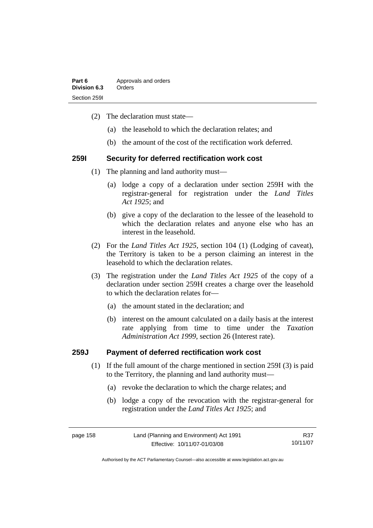| Part 6       | Approvals and orders |
|--------------|----------------------|
| Division 6.3 | Orders               |
| Section 2591 |                      |

- (2) The declaration must state—
	- (a) the leasehold to which the declaration relates; and
	- (b) the amount of the cost of the rectification work deferred.

#### **259I Security for deferred rectification work cost**

- (1) The planning and land authority must—
	- (a) lodge a copy of a declaration under section 259H with the registrar-general for registration under the *Land Titles Act 1925*; and
	- (b) give a copy of the declaration to the lessee of the leasehold to which the declaration relates and anyone else who has an interest in the leasehold.
- (2) For the *Land Titles Act 1925*, section 104 (1) (Lodging of caveat), the Territory is taken to be a person claiming an interest in the leasehold to which the declaration relates.
- (3) The registration under the *Land Titles Act 1925* of the copy of a declaration under section 259H creates a charge over the leasehold to which the declaration relates for—
	- (a) the amount stated in the declaration; and
	- (b) interest on the amount calculated on a daily basis at the interest rate applying from time to time under the *Taxation Administration Act 1999*, section 26 (Interest rate).

#### **259J Payment of deferred rectification work cost**

- (1) If the full amount of the charge mentioned in section 259I (3) is paid to the Territory, the planning and land authority must—
	- (a) revoke the declaration to which the charge relates; and
	- (b) lodge a copy of the revocation with the registrar-general for registration under the *Land Titles Act 1925*; and

page 158 Land (Planning and Environment) Act 1991 Effective: 10/11/07-01/03/08 R37 10/11/07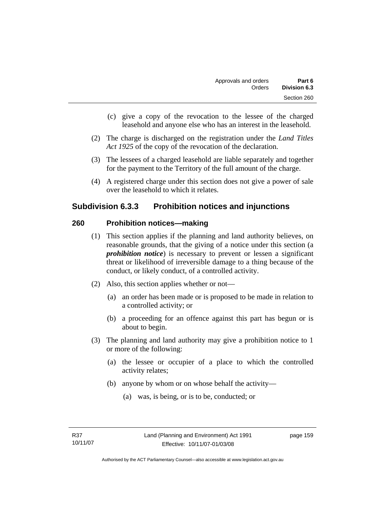- (c) give a copy of the revocation to the lessee of the charged leasehold and anyone else who has an interest in the leasehold.
- (2) The charge is discharged on the registration under the *Land Titles Act 1925* of the copy of the revocation of the declaration.
- (3) The lessees of a charged leasehold are liable separately and together for the payment to the Territory of the full amount of the charge.
- (4) A registered charge under this section does not give a power of sale over the leasehold to which it relates.

## **Subdivision 6.3.3 Prohibition notices and injunctions**

#### **260 Prohibition notices—making**

- (1) This section applies if the planning and land authority believes, on reasonable grounds, that the giving of a notice under this section (a *prohibition notice*) is necessary to prevent or lessen a significant threat or likelihood of irreversible damage to a thing because of the conduct, or likely conduct, of a controlled activity.
- (2) Also, this section applies whether or not—
	- (a) an order has been made or is proposed to be made in relation to a controlled activity; or
	- (b) a proceeding for an offence against this part has begun or is about to begin.
- (3) The planning and land authority may give a prohibition notice to 1 or more of the following:
	- (a) the lessee or occupier of a place to which the controlled activity relates;
	- (b) anyone by whom or on whose behalf the activity—
		- (a) was, is being, or is to be, conducted; or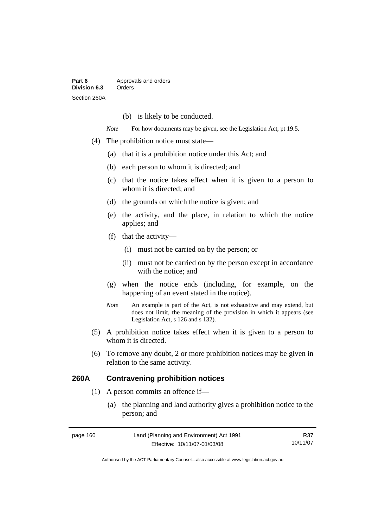(b) is likely to be conducted.

*Note* For how documents may be given, see the Legislation Act, pt 19.5.

- (4) The prohibition notice must state—
	- (a) that it is a prohibition notice under this Act; and
	- (b) each person to whom it is directed; and
	- (c) that the notice takes effect when it is given to a person to whom it is directed; and
	- (d) the grounds on which the notice is given; and
	- (e) the activity, and the place, in relation to which the notice applies; and
	- (f) that the activity—
		- (i) must not be carried on by the person; or
		- (ii) must not be carried on by the person except in accordance with the notice; and
	- (g) when the notice ends (including, for example, on the happening of an event stated in the notice).
	- *Note* An example is part of the Act, is not exhaustive and may extend, but does not limit, the meaning of the provision in which it appears (see Legislation Act, s 126 and s 132).
- (5) A prohibition notice takes effect when it is given to a person to whom it is directed.
- (6) To remove any doubt, 2 or more prohibition notices may be given in relation to the same activity.

## **260A Contravening prohibition notices**

- (1) A person commits an offence if—
	- (a) the planning and land authority gives a prohibition notice to the person; and

| page 160 | Land (Planning and Environment) Act 1991 | R37      |
|----------|------------------------------------------|----------|
|          | Effective: 10/11/07-01/03/08             | 10/11/07 |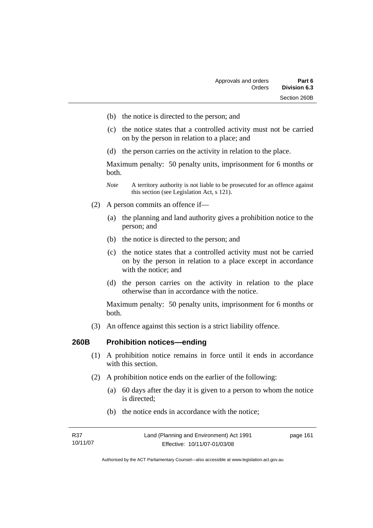- (b) the notice is directed to the person; and
- (c) the notice states that a controlled activity must not be carried on by the person in relation to a place; and
- (d) the person carries on the activity in relation to the place.

Maximum penalty: 50 penalty units, imprisonment for 6 months or both.

- *Note* A territory authority is not liable to be prosecuted for an offence against this section (see Legislation Act, s 121).
- (2) A person commits an offence if—
	- (a) the planning and land authority gives a prohibition notice to the person; and
	- (b) the notice is directed to the person; and
	- (c) the notice states that a controlled activity must not be carried on by the person in relation to a place except in accordance with the notice; and
	- (d) the person carries on the activity in relation to the place otherwise than in accordance with the notice.

Maximum penalty: 50 penalty units, imprisonment for 6 months or both.

(3) An offence against this section is a strict liability offence.

#### **260B Prohibition notices—ending**

- (1) A prohibition notice remains in force until it ends in accordance with this section.
- (2) A prohibition notice ends on the earlier of the following:
	- (a) 60 days after the day it is given to a person to whom the notice is directed;
	- (b) the notice ends in accordance with the notice;

| R37      | Land (Planning and Environment) Act 1991 | page 161 |
|----------|------------------------------------------|----------|
| 10/11/07 | Effective: 10/11/07-01/03/08             |          |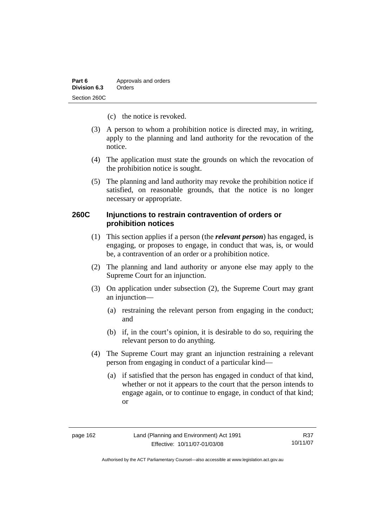| Part 6       | Approvals and orders |
|--------------|----------------------|
| Division 6.3 | Orders               |
| Section 260C |                      |

- (c) the notice is revoked.
- (3) A person to whom a prohibition notice is directed may, in writing, apply to the planning and land authority for the revocation of the notice.
- (4) The application must state the grounds on which the revocation of the prohibition notice is sought.
- (5) The planning and land authority may revoke the prohibition notice if satisfied, on reasonable grounds, that the notice is no longer necessary or appropriate.

## **260C Injunctions to restrain contravention of orders or prohibition notices**

- (1) This section applies if a person (the *relevant person*) has engaged, is engaging, or proposes to engage, in conduct that was, is, or would be, a contravention of an order or a prohibition notice.
- (2) The planning and land authority or anyone else may apply to the Supreme Court for an injunction.
- (3) On application under subsection (2), the Supreme Court may grant an injunction—
	- (a) restraining the relevant person from engaging in the conduct; and
	- (b) if, in the court's opinion, it is desirable to do so, requiring the relevant person to do anything.
- (4) The Supreme Court may grant an injunction restraining a relevant person from engaging in conduct of a particular kind—
	- (a) if satisfied that the person has engaged in conduct of that kind, whether or not it appears to the court that the person intends to engage again, or to continue to engage, in conduct of that kind; or

R37 10/11/07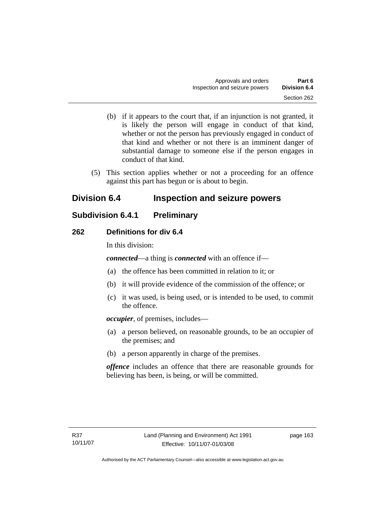- (b) if it appears to the court that, if an injunction is not granted, it is likely the person will engage in conduct of that kind, whether or not the person has previously engaged in conduct of that kind and whether or not there is an imminent danger of substantial damage to someone else if the person engages in conduct of that kind.
- (5) This section applies whether or not a proceeding for an offence against this part has begun or is about to begin.

# **Division 6.4 Inspection and seizure powers**

# **Subdivision 6.4.1 Preliminary**

## **262 Definitions for div 6.4**

In this division:

*connected*—a thing is *connected* with an offence if—

- (a) the offence has been committed in relation to it; or
- (b) it will provide evidence of the commission of the offence; or
- (c) it was used, is being used, or is intended to be used, to commit the offence.

*occupier*, of premises, includes—

- (a) a person believed, on reasonable grounds, to be an occupier of the premises; and
- (b) a person apparently in charge of the premises.

*offence* includes an offence that there are reasonable grounds for believing has been, is being, or will be committed.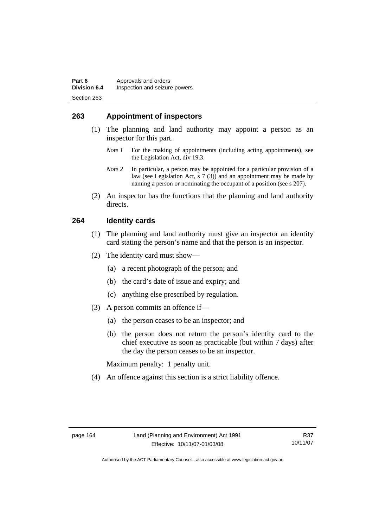## **263 Appointment of inspectors**

- (1) The planning and land authority may appoint a person as an inspector for this part.
	- *Note 1* For the making of appointments (including acting appointments), see the Legislation Act, div 19.3.
	- *Note 2* In particular, a person may be appointed for a particular provision of a law (see Legislation Act, s 7 (3)) and an appointment may be made by naming a person or nominating the occupant of a position (see s 207).
- (2) An inspector has the functions that the planning and land authority directs.

#### **264 Identity cards**

- (1) The planning and land authority must give an inspector an identity card stating the person's name and that the person is an inspector.
- (2) The identity card must show—
	- (a) a recent photograph of the person; and
	- (b) the card's date of issue and expiry; and
	- (c) anything else prescribed by regulation.
- (3) A person commits an offence if—
	- (a) the person ceases to be an inspector; and
	- (b) the person does not return the person's identity card to the chief executive as soon as practicable (but within 7 days) after the day the person ceases to be an inspector.

Maximum penalty: 1 penalty unit.

(4) An offence against this section is a strict liability offence.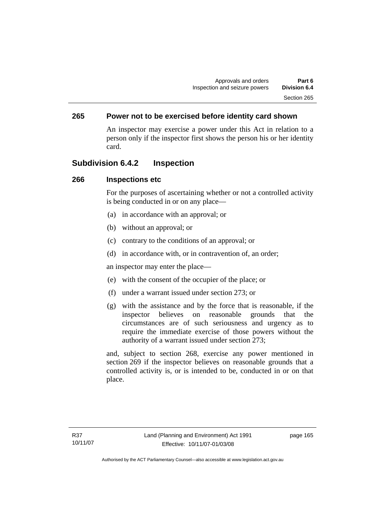## **265 Power not to be exercised before identity card shown**

An inspector may exercise a power under this Act in relation to a person only if the inspector first shows the person his or her identity card.

## **Subdivision 6.4.2 Inspection**

#### **266 Inspections etc**

For the purposes of ascertaining whether or not a controlled activity is being conducted in or on any place—

- (a) in accordance with an approval; or
- (b) without an approval; or
- (c) contrary to the conditions of an approval; or
- (d) in accordance with, or in contravention of, an order;

an inspector may enter the place—

- (e) with the consent of the occupier of the place; or
- (f) under a warrant issued under section 273; or
- (g) with the assistance and by the force that is reasonable, if the inspector believes on reasonable grounds that the circumstances are of such seriousness and urgency as to require the immediate exercise of those powers without the authority of a warrant issued under section 273;

and, subject to section 268, exercise any power mentioned in section 269 if the inspector believes on reasonable grounds that a controlled activity is, or is intended to be, conducted in or on that place.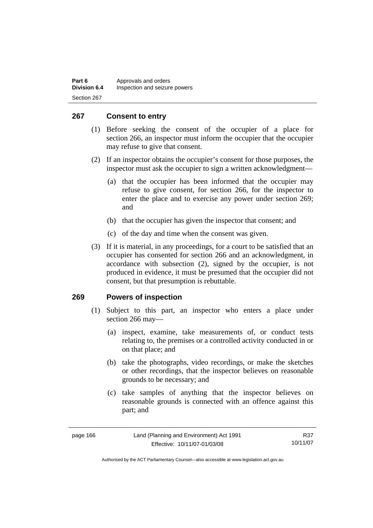| Part 6              | Approvals and orders          |
|---------------------|-------------------------------|
| <b>Division 6.4</b> | Inspection and seizure powers |
| Section 267         |                               |

## **267 Consent to entry**

- (1) Before seeking the consent of the occupier of a place for section 266, an inspector must inform the occupier that the occupier may refuse to give that consent.
- (2) If an inspector obtains the occupier's consent for those purposes, the inspector must ask the occupier to sign a written acknowledgment—
	- (a) that the occupier has been informed that the occupier may refuse to give consent, for section 266, for the inspector to enter the place and to exercise any power under section 269; and
	- (b) that the occupier has given the inspector that consent; and
	- (c) of the day and time when the consent was given.
- (3) If it is material, in any proceedings, for a court to be satisfied that an occupier has consented for section 266 and an acknowledgment, in accordance with subsection (2), signed by the occupier, is not produced in evidence, it must be presumed that the occupier did not consent, but that presumption is rebuttable.

#### **269 Powers of inspection**

- (1) Subject to this part, an inspector who enters a place under section 266 may—
	- (a) inspect, examine, take measurements of, or conduct tests relating to, the premises or a controlled activity conducted in or on that place; and
	- (b) take the photographs, video recordings, or make the sketches or other recordings, that the inspector believes on reasonable grounds to be necessary; and
	- (c) take samples of anything that the inspector believes on reasonable grounds is connected with an offence against this part; and

R37 10/11/07

Authorised by the ACT Parliamentary Counsel—also accessible at www.legislation.act.gov.au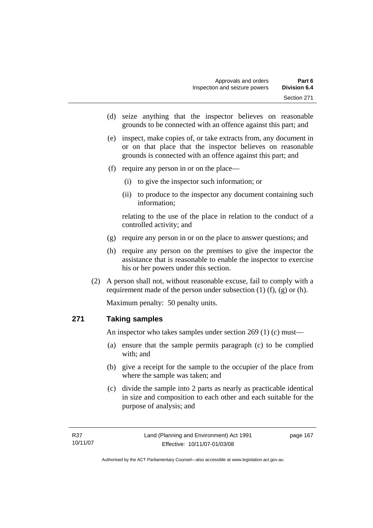- (d) seize anything that the inspector believes on reasonable grounds to be connected with an offence against this part; and
- (e) inspect, make copies of, or take extracts from, any document in or on that place that the inspector believes on reasonable grounds is connected with an offence against this part; and
- (f) require any person in or on the place—
	- (i) to give the inspector such information; or
	- (ii) to produce to the inspector any document containing such information;

relating to the use of the place in relation to the conduct of a controlled activity; and

- (g) require any person in or on the place to answer questions; and
- (h) require any person on the premises to give the inspector the assistance that is reasonable to enable the inspector to exercise his or her powers under this section.
- (2) A person shall not, without reasonable excuse, fail to comply with a requirement made of the person under subsection  $(1)$   $(f)$ ,  $(g)$  or  $(h)$ .

Maximum penalty: 50 penalty units.

### **271 Taking samples**

An inspector who takes samples under section 269 (1) (c) must—

- (a) ensure that the sample permits paragraph (c) to be complied with; and
- (b) give a receipt for the sample to the occupier of the place from where the sample was taken; and
- (c) divide the sample into 2 parts as nearly as practicable identical in size and composition to each other and each suitable for the purpose of analysis; and

page 167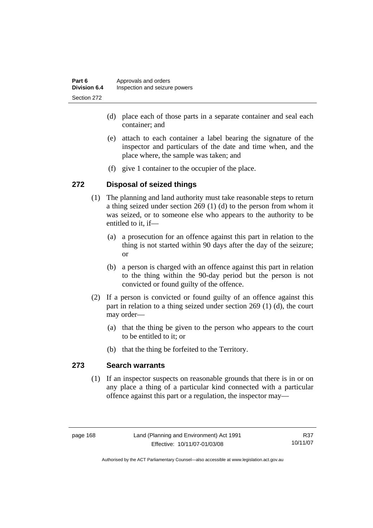| Part 6              | Approvals and orders          |
|---------------------|-------------------------------|
| <b>Division 6.4</b> | Inspection and seizure powers |
| Section 272         |                               |

- (d) place each of those parts in a separate container and seal each container; and
- (e) attach to each container a label bearing the signature of the inspector and particulars of the date and time when, and the place where, the sample was taken; and
- (f) give 1 container to the occupier of the place.

## **272 Disposal of seized things**

- (1) The planning and land authority must take reasonable steps to return a thing seized under section 269 (1) (d) to the person from whom it was seized, or to someone else who appears to the authority to be entitled to it, if—
	- (a) a prosecution for an offence against this part in relation to the thing is not started within 90 days after the day of the seizure; or
	- (b) a person is charged with an offence against this part in relation to the thing within the 90-day period but the person is not convicted or found guilty of the offence.
- (2) If a person is convicted or found guilty of an offence against this part in relation to a thing seized under section 269 (1) (d), the court may order—
	- (a) that the thing be given to the person who appears to the court to be entitled to it; or
	- (b) that the thing be forfeited to the Territory.

### **273 Search warrants**

 (1) If an inspector suspects on reasonable grounds that there is in or on any place a thing of a particular kind connected with a particular offence against this part or a regulation, the inspector may—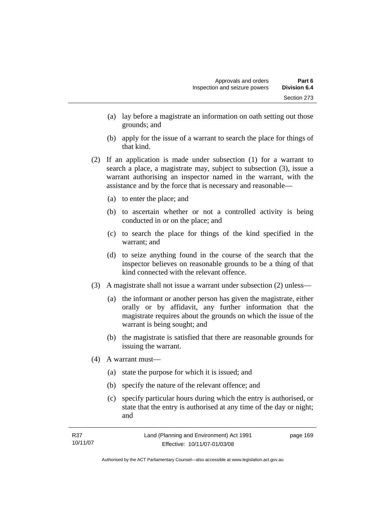- (a) lay before a magistrate an information on oath setting out those grounds; and
- (b) apply for the issue of a warrant to search the place for things of that kind.
- (2) If an application is made under subsection (1) for a warrant to search a place, a magistrate may, subject to subsection (3), issue a warrant authorising an inspector named in the warrant, with the assistance and by the force that is necessary and reasonable—
	- (a) to enter the place; and
	- (b) to ascertain whether or not a controlled activity is being conducted in or on the place; and
	- (c) to search the place for things of the kind specified in the warrant; and
	- (d) to seize anything found in the course of the search that the inspector believes on reasonable grounds to be a thing of that kind connected with the relevant offence.
- (3) A magistrate shall not issue a warrant under subsection (2) unless—
	- (a) the informant or another person has given the magistrate, either orally or by affidavit, any further information that the magistrate requires about the grounds on which the issue of the warrant is being sought; and
	- (b) the magistrate is satisfied that there are reasonable grounds for issuing the warrant.
- (4) A warrant must—
	- (a) state the purpose for which it is issued; and
	- (b) specify the nature of the relevant offence; and
	- (c) specify particular hours during which the entry is authorised, or state that the entry is authorised at any time of the day or night; and

| R37      | Land (Planning and Environment) Act 1991 | page 169 |
|----------|------------------------------------------|----------|
| 10/11/07 | Effective: 10/11/07-01/03/08             |          |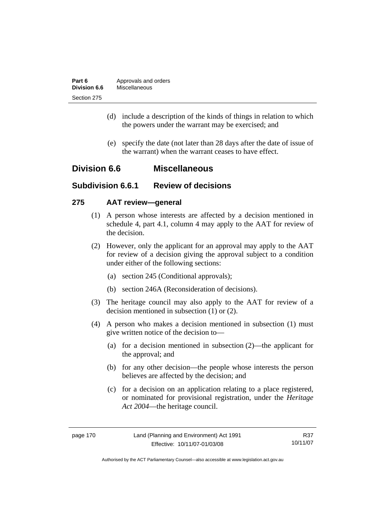| Part 6       | Approvals and orders |
|--------------|----------------------|
| Division 6.6 | Miscellaneous        |
| Section 275  |                      |

- (d) include a description of the kinds of things in relation to which the powers under the warrant may be exercised; and
- (e) specify the date (not later than 28 days after the date of issue of the warrant) when the warrant ceases to have effect.

## **Division 6.6 Miscellaneous**

## **Subdivision 6.6.1 Review of decisions**

### **275 AAT review—general**

- (1) A person whose interests are affected by a decision mentioned in schedule 4, part 4.1, column 4 may apply to the AAT for review of the decision.
- (2) However, only the applicant for an approval may apply to the AAT for review of a decision giving the approval subject to a condition under either of the following sections:
	- (a) section 245 (Conditional approvals);
	- (b) section 246A (Reconsideration of decisions).
- (3) The heritage council may also apply to the AAT for review of a decision mentioned in subsection (1) or (2).
- (4) A person who makes a decision mentioned in subsection (1) must give written notice of the decision to—
	- (a) for a decision mentioned in subsection (2)—the applicant for the approval; and
	- (b) for any other decision—the people whose interests the person believes are affected by the decision; and
	- (c) for a decision on an application relating to a place registered, or nominated for provisional registration, under the *Heritage Act 2004*—the heritage council.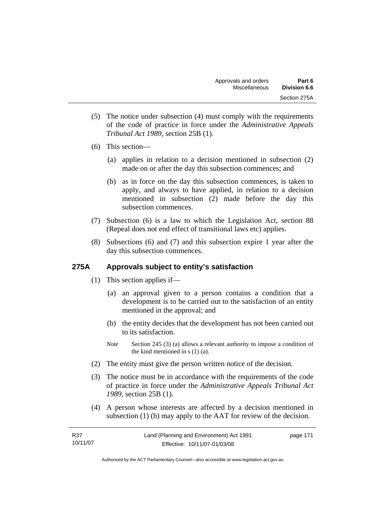- (5) The notice under subsection (4) must comply with the requirements of the code of practice in force under the *Administrative Appeals Tribunal Act 1989*, section 25B (1).
- (6) This section—
	- (a) applies in relation to a decision mentioned in subsection (2) made on or after the day this subsection commences; and
	- (b) as in force on the day this subsection commences, is taken to apply, and always to have applied, in relation to a decision mentioned in subsection (2) made before the day this subsection commences.
- (7) Subsection (6) is a law to which the Legislation Act, section 88 (Repeal does not end effect of transitional laws etc) applies.
- (8) Subsections (6) and (7) and this subsection expire 1 year after the day this subsection commences.

## **275A Approvals subject to entity's satisfaction**

- (1) This section applies if—
	- (a) an approval given to a person contains a condition that a development is to be carried out to the satisfaction of an entity mentioned in the approval; and
	- (b) the entity decides that the development has not been carried out to its satisfaction.
	- *Note* Section 245 (3) (a) allows a relevant authority to impose a condition of the kind mentioned in s (1) (a).
- (2) The entity must give the person written notice of the decision.
- (3) The notice must be in accordance with the requirements of the code of practice in force under the *Administrative Appeals Tribunal Act 1989*, section 25B (1).
- (4) A person whose interests are affected by a decision mentioned in subsection (1) (b) may apply to the AAT for review of the decision.

| R37      | Land (Planning and Environment) Act 1991 | page 171 |
|----------|------------------------------------------|----------|
| 10/11/07 | Effective: 10/11/07-01/03/08             |          |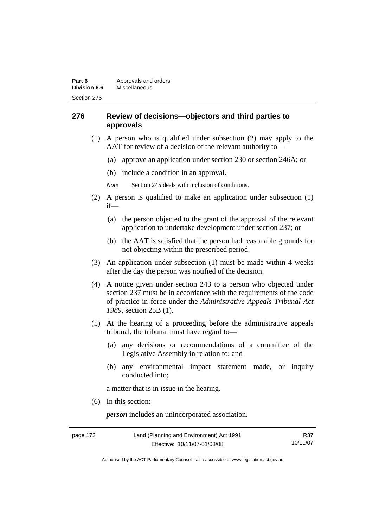## **276 Review of decisions—objectors and third parties to approvals**

- (1) A person who is qualified under subsection (2) may apply to the AAT for review of a decision of the relevant authority to—
	- (a) approve an application under section 230 or section 246A; or
	- (b) include a condition in an approval.
	- *Note* Section 245 deals with inclusion of conditions.
- (2) A person is qualified to make an application under subsection (1) if—
	- (a) the person objected to the grant of the approval of the relevant application to undertake development under section 237; or
	- (b) the AAT is satisfied that the person had reasonable grounds for not objecting within the prescribed period.
- (3) An application under subsection (1) must be made within 4 weeks after the day the person was notified of the decision.
- (4) A notice given under section 243 to a person who objected under section 237 must be in accordance with the requirements of the code of practice in force under the *Administrative Appeals Tribunal Act 1989*, section 25B (1)*.*
- (5) At the hearing of a proceeding before the administrative appeals tribunal, the tribunal must have regard to—
	- (a) any decisions or recommendations of a committee of the Legislative Assembly in relation to; and
	- (b) any environmental impact statement made, or inquiry conducted into;

a matter that is in issue in the hearing.

(6) In this section:

*person* includes an unincorporated association.

| page 172 | Land (Planning and Environment) Act 1991 | R37      |
|----------|------------------------------------------|----------|
|          | Effective: 10/11/07-01/03/08             | 10/11/07 |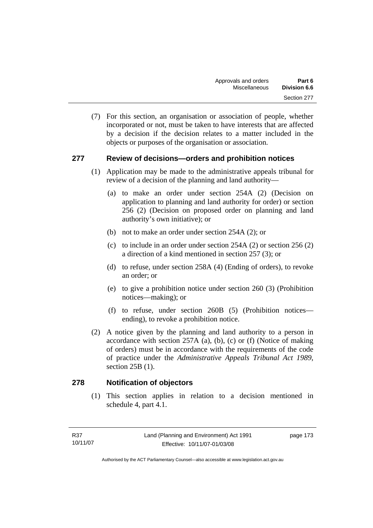(7) For this section, an organisation or association of people, whether incorporated or not, must be taken to have interests that are affected by a decision if the decision relates to a matter included in the objects or purposes of the organisation or association.

## **277 Review of decisions—orders and prohibition notices**

- (1) Application may be made to the administrative appeals tribunal for review of a decision of the planning and land authority—
	- (a) to make an order under section 254A (2) (Decision on application to planning and land authority for order) or section 256 (2) (Decision on proposed order on planning and land authority's own initiative); or
	- (b) not to make an order under section 254A (2); or
	- (c) to include in an order under section 254A (2) or section 256 (2) a direction of a kind mentioned in section 257 (3); or
	- (d) to refuse, under section 258A (4) (Ending of orders), to revoke an order; or
	- (e) to give a prohibition notice under section 260 (3) (Prohibition notices—making); or
	- (f) to refuse, under section 260B (5) (Prohibition notices ending), to revoke a prohibition notice.
- (2) A notice given by the planning and land authority to a person in accordance with section  $257A$  (a), (b), (c) or (f) (Notice of making of orders) must be in accordance with the requirements of the code of practice under the *Administrative Appeals Tribunal Act 1989*, section 25B (1).

### **278 Notification of objectors**

 (1) This section applies in relation to a decision mentioned in schedule 4, part 4.1.

page 173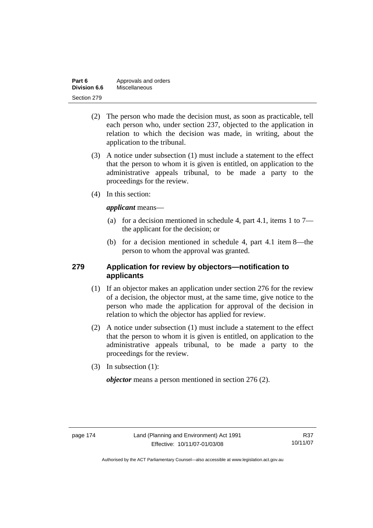| Part 6       | Approvals and orders |
|--------------|----------------------|
| Division 6.6 | Miscellaneous        |
| Section 279  |                      |

- (2) The person who made the decision must, as soon as practicable, tell each person who, under section 237, objected to the application in relation to which the decision was made, in writing, about the application to the tribunal.
- (3) A notice under subsection (1) must include a statement to the effect that the person to whom it is given is entitled, on application to the administrative appeals tribunal, to be made a party to the proceedings for the review.
- (4) In this section:

*applicant* means—

- (a) for a decision mentioned in schedule 4, part 4.1, items 1 to 7 the applicant for the decision; or
- (b) for a decision mentioned in schedule 4, part 4.1 item 8—the person to whom the approval was granted.

## **279 Application for review by objectors—notification to applicants**

- (1) If an objector makes an application under section 276 for the review of a decision, the objector must, at the same time, give notice to the person who made the application for approval of the decision in relation to which the objector has applied for review.
- (2) A notice under subsection (1) must include a statement to the effect that the person to whom it is given is entitled, on application to the administrative appeals tribunal, to be made a party to the proceedings for the review.
- (3) In subsection (1):

*objector* means a person mentioned in section 276 (2).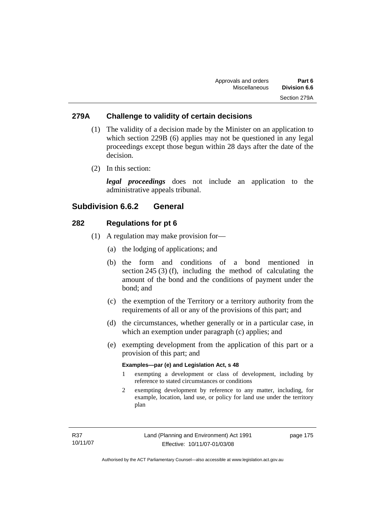## **279A Challenge to validity of certain decisions**

- (1) The validity of a decision made by the Minister on an application to which section 229B (6) applies may not be questioned in any legal proceedings except those begun within 28 days after the date of the decision.
- (2) In this section:

*legal proceedings* does not include an application to the administrative appeals tribunal.

## **Subdivision 6.6.2 General**

### **282 Regulations for pt 6**

- (1) A regulation may make provision for—
	- (a) the lodging of applications; and
	- (b) the form and conditions of a bond mentioned in section 245 (3) (f), including the method of calculating the amount of the bond and the conditions of payment under the bond; and
	- (c) the exemption of the Territory or a territory authority from the requirements of all or any of the provisions of this part; and
	- (d) the circumstances, whether generally or in a particular case, in which an exemption under paragraph (c) applies; and
	- (e) exempting development from the application of this part or a provision of this part; and

#### **Examples—par (e) and Legislation Act, s 48**

- 1 exempting a development or class of development, including by reference to stated circumstances or conditions
- 2 exempting development by reference to any matter, including, for example, location, land use, or policy for land use under the territory plan

page 175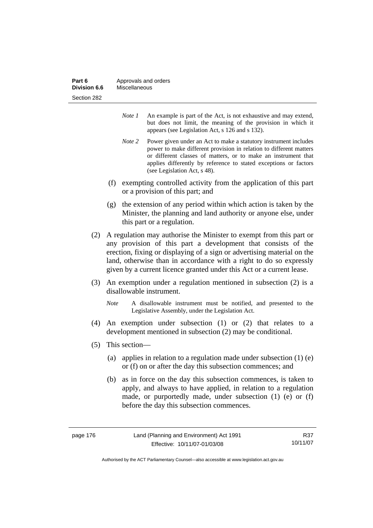| Part 6       | Approvals and orders |
|--------------|----------------------|
| Division 6.6 | Miscellaneous        |
| Section 282  |                      |

- *Note 1* An example is part of the Act, is not exhaustive and may extend, but does not limit, the meaning of the provision in which it appears (see Legislation Act, s 126 and s 132).
- *Note 2* Power given under an Act to make a statutory instrument includes power to make different provision in relation to different matters or different classes of matters, or to make an instrument that applies differently by reference to stated exceptions or factors (see Legislation Act, s 48).
- (f) exempting controlled activity from the application of this part or a provision of this part; and
- (g) the extension of any period within which action is taken by the Minister, the planning and land authority or anyone else, under this part or a regulation.
- (2) A regulation may authorise the Minister to exempt from this part or any provision of this part a development that consists of the erection, fixing or displaying of a sign or advertising material on the land, otherwise than in accordance with a right to do so expressly given by a current licence granted under this Act or a current lease.
- (3) An exemption under a regulation mentioned in subsection (2) is a disallowable instrument.
	- *Note* A disallowable instrument must be notified, and presented to the Legislative Assembly, under the Legislation Act.
- (4) An exemption under subsection (1) or (2) that relates to a development mentioned in subsection (2) may be conditional.
- (5) This section—
	- (a) applies in relation to a regulation made under subsection (1) (e) or (f) on or after the day this subsection commences; and
	- (b) as in force on the day this subsection commences, is taken to apply, and always to have applied, in relation to a regulation made, or purportedly made, under subsection (1) (e) or (f) before the day this subsection commences.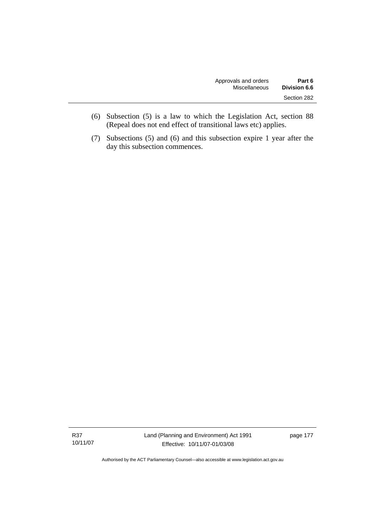| Approvals and orders | Part 6       |
|----------------------|--------------|
| Miscellaneous        | Division 6.6 |
|                      | Section 282  |

- (6) Subsection (5) is a law to which the Legislation Act, section 88 (Repeal does not end effect of transitional laws etc) applies.
- (7) Subsections (5) and (6) and this subsection expire 1 year after the day this subsection commences.

R37 10/11/07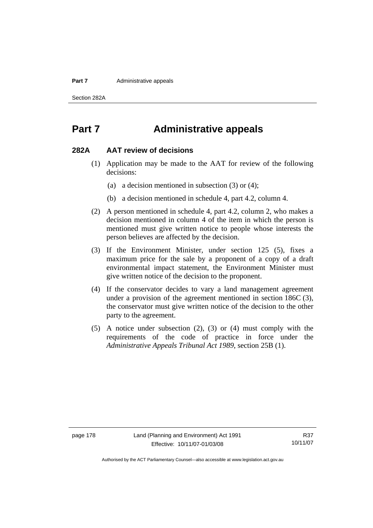#### **Part 7** Administrative appeals

Section 282A

## **Part 7 Administrative appeals**

### **282A AAT review of decisions**

- (1) Application may be made to the AAT for review of the following decisions:
	- (a) a decision mentioned in subsection (3) or (4);
	- (b) a decision mentioned in schedule 4, part 4.2, column 4.
- (2) A person mentioned in schedule 4, part 4.2, column 2, who makes a decision mentioned in column 4 of the item in which the person is mentioned must give written notice to people whose interests the person believes are affected by the decision.
- (3) If the Environment Minister, under section 125 (5), fixes a maximum price for the sale by a proponent of a copy of a draft environmental impact statement, the Environment Minister must give written notice of the decision to the proponent.
- (4) If the conservator decides to vary a land management agreement under a provision of the agreement mentioned in section 186C (3), the conservator must give written notice of the decision to the other party to the agreement.
- (5) A notice under subsection (2), (3) or (4) must comply with the requirements of the code of practice in force under the *Administrative Appeals Tribunal Act 1989*, section 25B (1).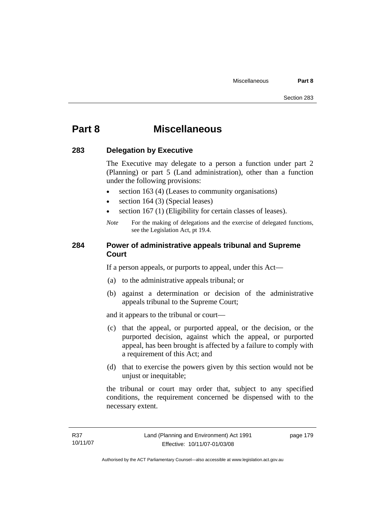## **Part 8 Miscellaneous**

### **283 Delegation by Executive**

The Executive may delegate to a person a function under part 2 (Planning) or part 5 (Land administration), other than a function under the following provisions:

- section 163 (4) (Leases to community organisations)
- section 164 (3) (Special leases)
- section 167 (1) (Eligibility for certain classes of leases).
- *Note* For the making of delegations and the exercise of delegated functions, see the Legislation Act, pt 19.4.

### **284 Power of administrative appeals tribunal and Supreme Court**

If a person appeals, or purports to appeal, under this Act—

- (a) to the administrative appeals tribunal; or
- (b) against a determination or decision of the administrative appeals tribunal to the Supreme Court;

and it appears to the tribunal or court—

- (c) that the appeal, or purported appeal, or the decision, or the purported decision, against which the appeal, or purported appeal, has been brought is affected by a failure to comply with a requirement of this Act; and
- (d) that to exercise the powers given by this section would not be unjust or inequitable;

the tribunal or court may order that, subject to any specified conditions, the requirement concerned be dispensed with to the necessary extent.

page 179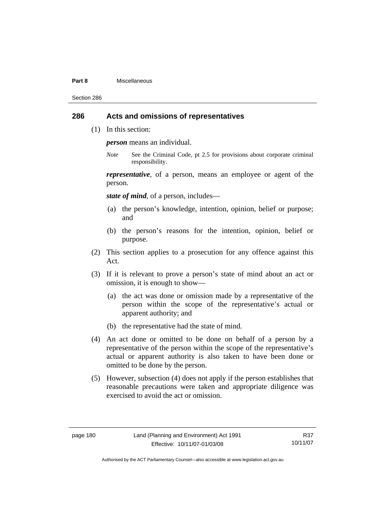#### **Part 8** Miscellaneous

Section 286

## **286 Acts and omissions of representatives**

(1) In this section:

*person* means an individual.

*Note* See the Criminal Code, pt 2.5 for provisions about corporate criminal responsibility.

*representative*, of a person, means an employee or agent of the person.

*state of mind*, of a person, includes—

- (a) the person's knowledge, intention, opinion, belief or purpose; and
- (b) the person's reasons for the intention, opinion, belief or purpose.
- (2) This section applies to a prosecution for any offence against this Act.
- (3) If it is relevant to prove a person's state of mind about an act or omission, it is enough to show—
	- (a) the act was done or omission made by a representative of the person within the scope of the representative's actual or apparent authority; and
	- (b) the representative had the state of mind.
- (4) An act done or omitted to be done on behalf of a person by a representative of the person within the scope of the representative's actual or apparent authority is also taken to have been done or omitted to be done by the person.
- (5) However, subsection (4) does not apply if the person establishes that reasonable precautions were taken and appropriate diligence was exercised to avoid the act or omission.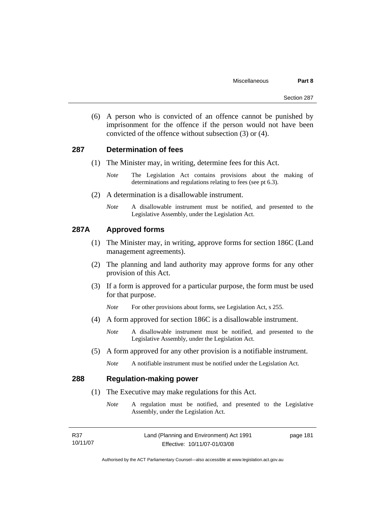(6) A person who is convicted of an offence cannot be punished by imprisonment for the offence if the person would not have been convicted of the offence without subsection (3) or (4).

### **287 Determination of fees**

- (1) The Minister may, in writing, determine fees for this Act.
	- *Note* The Legislation Act contains provisions about the making of determinations and regulations relating to fees (see pt 6.3).
- (2) A determination is a disallowable instrument.
	- *Note* A disallowable instrument must be notified, and presented to the Legislative Assembly, under the Legislation Act.

### **287A Approved forms**

- (1) The Minister may, in writing, approve forms for section 186C (Land management agreements).
- (2) The planning and land authority may approve forms for any other provision of this Act.
- (3) If a form is approved for a particular purpose, the form must be used for that purpose.
	- *Note* For other provisions about forms, see Legislation Act, s 255.
- (4) A form approved for section 186C is a disallowable instrument.
	- *Note* A disallowable instrument must be notified, and presented to the Legislative Assembly, under the Legislation Act.
- (5) A form approved for any other provision is a notifiable instrument.
	- *Note* A notifiable instrument must be notified under the Legislation Act.

### **288 Regulation-making power**

- (1) The Executive may make regulations for this Act.
	- *Note* A regulation must be notified, and presented to the Legislative Assembly, under the Legislation Act.

| R37      | Land (Planning and Environment) Act 1991 | page 181 |
|----------|------------------------------------------|----------|
| 10/11/07 | Effective: 10/11/07-01/03/08             |          |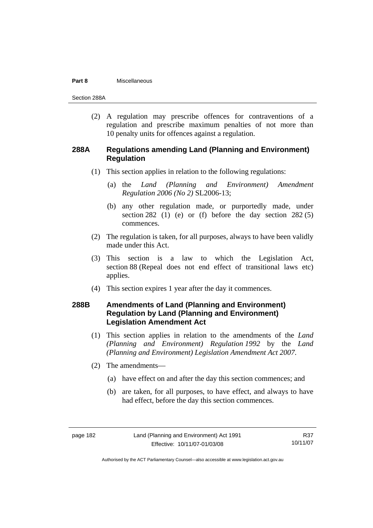#### **Part 8** Miscellaneous

Section 288A

(2) A regulation may prescribe offences for contraventions of a regulation and prescribe maximum penalties of not more than 10 penalty units for offences against a regulation.

### **288A Regulations amending Land (Planning and Environment) Regulation**

- (1) This section applies in relation to the following regulations:
	- (a) the *Land (Planning and Environment) Amendment Regulation 2006 (No 2)* SL2006-13;
	- (b) any other regulation made, or purportedly made, under section 282 (1) (e) or (f) before the day section  $282(5)$ commences.
- (2) The regulation is taken, for all purposes, always to have been validly made under this Act.
- (3) This section is a law to which the Legislation Act, section 88 (Repeal does not end effect of transitional laws etc) applies.
- (4) This section expires 1 year after the day it commences.

## **288B Amendments of Land (Planning and Environment) Regulation by Land (Planning and Environment) Legislation Amendment Act**

- (1) This section applies in relation to the amendments of the *Land (Planning and Environment) Regulation 1992* by the *Land (Planning and Environment) Legislation Amendment Act 2007*.
- (2) The amendments—
	- (a) have effect on and after the day this section commences; and
	- (b) are taken, for all purposes, to have effect, and always to have had effect, before the day this section commences.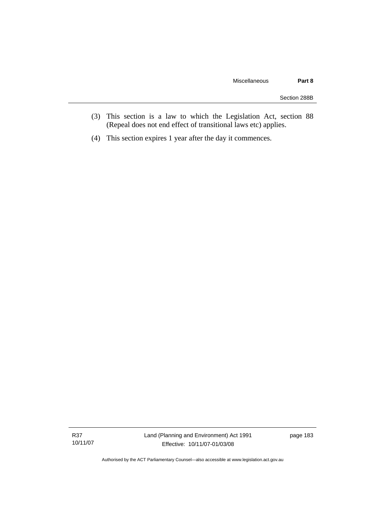- (3) This section is a law to which the Legislation Act, section 88 (Repeal does not end effect of transitional laws etc) applies.
- (4) This section expires 1 year after the day it commences.

R37 10/11/07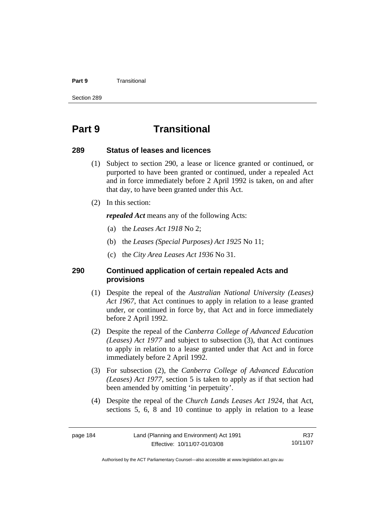#### **Part 9 Transitional**

Section 289

## **Part 9 Transitional**

### **289 Status of leases and licences**

- (1) Subject to section 290, a lease or licence granted or continued, or purported to have been granted or continued, under a repealed Act and in force immediately before 2 April 1992 is taken, on and after that day, to have been granted under this Act.
- (2) In this section:

*repealed Act* means any of the following Acts:

- (a) the *Leases Act 1918* No 2;
- (b) the *Leases (Special Purposes) Act 1925* No 11;
- (c) the *City Area Leases Act 1936* No 31.

### **290 Continued application of certain repealed Acts and provisions**

- (1) Despite the repeal of the *Australian National University (Leases) Act 1967*, that Act continues to apply in relation to a lease granted under, or continued in force by, that Act and in force immediately before 2 April 1992.
- (2) Despite the repeal of the *Canberra College of Advanced Education (Leases) Act 1977* and subject to subsection (3), that Act continues to apply in relation to a lease granted under that Act and in force immediately before 2 April 1992.
- (3) For subsection (2), the *Canberra College of Advanced Education (Leases) Act 1977*, section 5 is taken to apply as if that section had been amended by omitting 'in perpetuity'.
- (4) Despite the repeal of the *Church Lands Leases Act 1924*, that Act, sections 5, 6, 8 and 10 continue to apply in relation to a lease

R37 10/11/07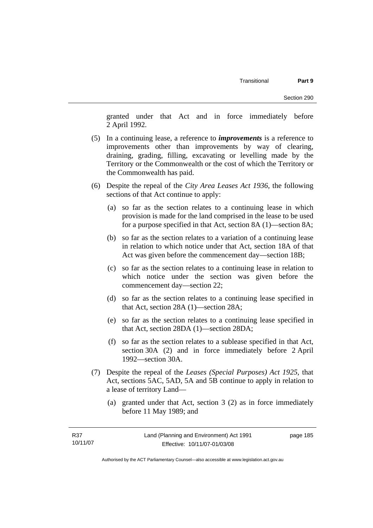granted under that Act and in force immediately before 2 April 1992.

- (5) In a continuing lease, a reference to *improvements* is a reference to improvements other than improvements by way of clearing, draining, grading, filling, excavating or levelling made by the Territory or the Commonwealth or the cost of which the Territory or the Commonwealth has paid.
- (6) Despite the repeal of the *City Area Leases Act 1936*, the following sections of that Act continue to apply:
	- (a) so far as the section relates to a continuing lease in which provision is made for the land comprised in the lease to be used for a purpose specified in that Act, section 8A (1)—section 8A;
	- (b) so far as the section relates to a variation of a continuing lease in relation to which notice under that Act, section 18A of that Act was given before the commencement day—section 18B;
	- (c) so far as the section relates to a continuing lease in relation to which notice under the section was given before the commencement day—section 22;
	- (d) so far as the section relates to a continuing lease specified in that Act, section 28A (1)—section 28A;
	- (e) so far as the section relates to a continuing lease specified in that Act, section 28DA (1)—section 28DA;
	- (f) so far as the section relates to a sublease specified in that Act, section 30A (2) and in force immediately before 2 April 1992—section 30A.
- (7) Despite the repeal of the *Leases (Special Purposes) Act 1925*, that Act, sections 5AC, 5AD, 5A and 5B continue to apply in relation to a lease of territory Land—
	- (a) granted under that Act, section 3 (2) as in force immediately before 11 May 1989; and

page 185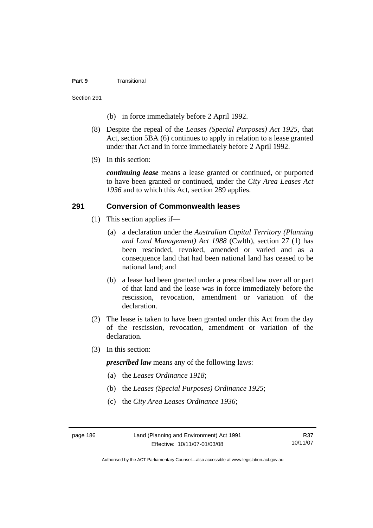#### **Part 9** Transitional

#### Section 291

- (b) in force immediately before 2 April 1992.
- (8) Despite the repeal of the *Leases (Special Purposes) Act 1925*, that Act, section 5BA (6) continues to apply in relation to a lease granted under that Act and in force immediately before 2 April 1992.
- (9) In this section:

*continuing lease* means a lease granted or continued, or purported to have been granted or continued, under the *City Area Leases Act 1936* and to which this Act, section 289 applies.

### **291 Conversion of Commonwealth leases**

- (1) This section applies if—
	- (a) a declaration under the *Australian Capital Territory (Planning and Land Management) Act 1988* (Cwlth), section 27 (1) has been rescinded, revoked, amended or varied and as a consequence land that had been national land has ceased to be national land; and
	- (b) a lease had been granted under a prescribed law over all or part of that land and the lease was in force immediately before the rescission, revocation, amendment or variation of the declaration.
- (2) The lease is taken to have been granted under this Act from the day of the rescission, revocation, amendment or variation of the declaration.
- (3) In this section:

*prescribed law* means any of the following laws:

- (a) the *Leases Ordinance 1918*;
- (b) the *Leases (Special Purposes) Ordinance 1925*;
- (c) the *City Area Leases Ordinance 1936*;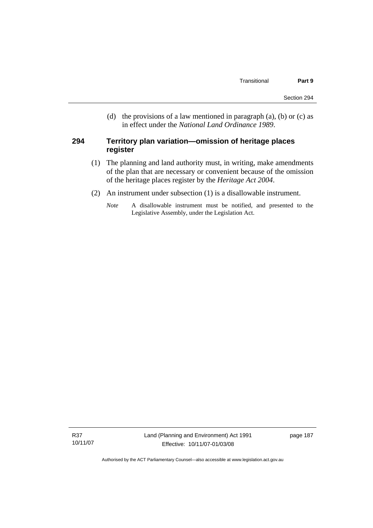(d) the provisions of a law mentioned in paragraph (a), (b) or (c) as in effect under the *National Land Ordinance 1989*.

### **294 Territory plan variation—omission of heritage places register**

- (1) The planning and land authority must, in writing, make amendments of the plan that are necessary or convenient because of the omission of the heritage places register by the *Heritage Act 2004*.
- (2) An instrument under subsection (1) is a disallowable instrument.
	- *Note* A disallowable instrument must be notified, and presented to the Legislative Assembly, under the Legislation Act.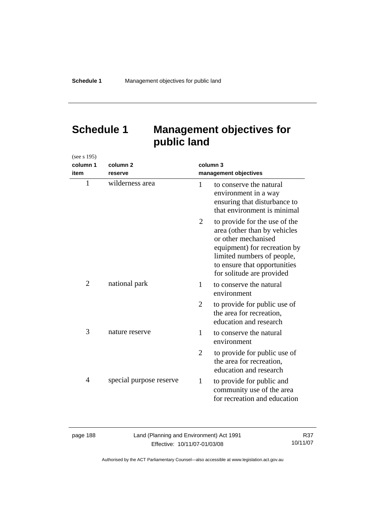# **Schedule 1 Management objectives for public land**

| (see s 195)  |                         |                |                                                                                                                                                                                                                 |
|--------------|-------------------------|----------------|-----------------------------------------------------------------------------------------------------------------------------------------------------------------------------------------------------------------|
| column 1     | column <sub>2</sub>     | column 3       |                                                                                                                                                                                                                 |
| item         | reserve                 |                | management objectives                                                                                                                                                                                           |
| $\mathbf{1}$ | wilderness area         | $\mathbf{1}$   | to conserve the natural<br>environment in a way<br>ensuring that disturbance to<br>that environment is minimal                                                                                                  |
|              |                         | 2              | to provide for the use of the<br>area (other than by vehicles<br>or other mechanised<br>equipment) for recreation by<br>limited numbers of people,<br>to ensure that opportunities<br>for solitude are provided |
| 2            | national park           | 1              | to conserve the natural<br>environment                                                                                                                                                                          |
|              |                         | $\overline{2}$ | to provide for public use of<br>the area for recreation,<br>education and research                                                                                                                              |
| 3            | nature reserve          | 1              | to conserve the natural<br>environment                                                                                                                                                                          |
|              |                         | 2              | to provide for public use of<br>the area for recreation.<br>education and research                                                                                                                              |
| 4            | special purpose reserve | $\mathbf{1}$   | to provide for public and<br>community use of the area<br>for recreation and education                                                                                                                          |

| page 188 |  |  |
|----------|--|--|
|----------|--|--|

Land (Planning and Environment) Act 1991 Effective: 10/11/07-01/03/08

R37 10/11/07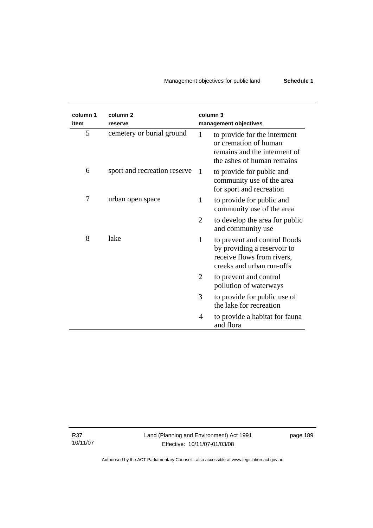## Management objectives for public land **Schedule 1**

| column 1<br>item | column <sub>2</sub><br>reserve | column 3<br>management objectives                                                                                                       |
|------------------|--------------------------------|-----------------------------------------------------------------------------------------------------------------------------------------|
| 5                | cemetery or burial ground      | 1<br>to provide for the interment<br>or cremation of human<br>remains and the interment of<br>the ashes of human remains                |
| 6                | sport and recreation reserve   | 1<br>to provide for public and<br>community use of the area<br>for sport and recreation                                                 |
| 7                | urban open space               | to provide for public and<br>1<br>community use of the area                                                                             |
|                  |                                | 2<br>to develop the area for public<br>and community use                                                                                |
| 8                | lake                           | $\mathbf{1}$<br>to prevent and control floods<br>by providing a reservoir to<br>receive flows from rivers,<br>creeks and urban run-offs |
|                  |                                | 2<br>to prevent and control<br>pollution of waterways                                                                                   |
|                  |                                | 3<br>to provide for public use of<br>the lake for recreation                                                                            |
|                  |                                | to provide a habitat for fauna<br>4<br>and flora                                                                                        |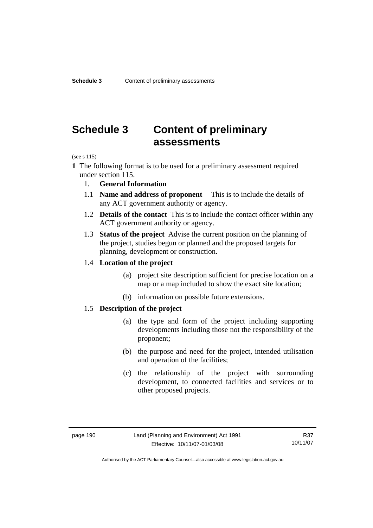## **Schedule 3 Content of preliminary assessments**

(see s 115)

- **1** The following format is to be used for a preliminary assessment required under section 115.
	- 1. **General Information**
	- 1.1 **Name and address of proponent** This is to include the details of any ACT government authority or agency.
	- 1.2 **Details of the contact** This is to include the contact officer within any ACT government authority or agency.
	- 1.3 **Status of the project** Advise the current position on the planning of the project, studies begun or planned and the proposed targets for planning, development or construction.

### 1.4 **Location of the project**

- (a) project site description sufficient for precise location on a map or a map included to show the exact site location;
- (b) information on possible future extensions.

### 1.5 **Description of the project**

- (a) the type and form of the project including supporting developments including those not the responsibility of the proponent;
- (b) the purpose and need for the project, intended utilisation and operation of the facilities;
- (c) the relationship of the project with surrounding development, to connected facilities and services or to other proposed projects.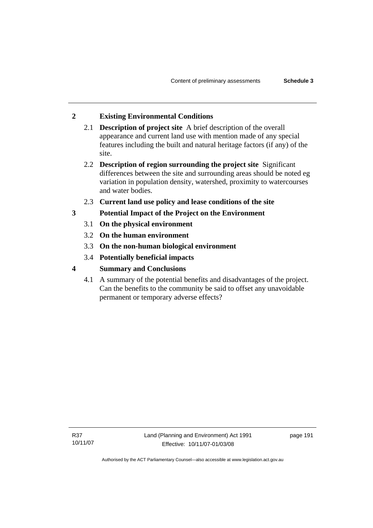## **2 Existing Environmental Conditions**

- 2.1 **Description of project site** A brief description of the overall appearance and current land use with mention made of any special features including the built and natural heritage factors (if any) of the site.
- 2.2 **Description of region surrounding the project site** Significant differences between the site and surrounding areas should be noted eg variation in population density, watershed, proximity to watercourses and water bodies.
- 2.3 **Current land use policy and lease conditions of the site**
- **3 Potential Impact of the Project on the Environment** 
	- 3.1 **On the physical environment**
	- 3.2 **On the human environment**
	- 3.3 **On the non-human biological environment**
	- 3.4 **Potentially beneficial impacts**
- **4 Summary and Conclusions** 
	- 4.1 A summary of the potential benefits and disadvantages of the project. Can the benefits to the community be said to offset any unavoidable permanent or temporary adverse effects?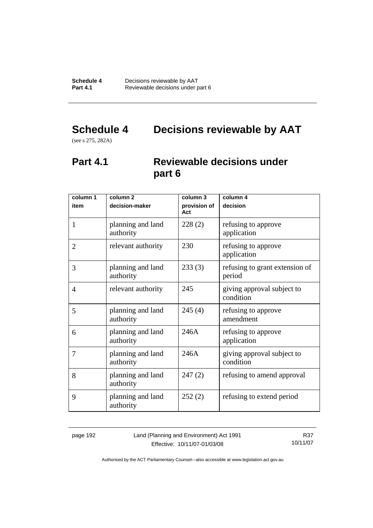# **Schedule 4 Decisions reviewable by AAT**

(see s 275, 282A)

## **Part 4.1 Reviewable decisions under part 6**

| column 1       | column <sub>2</sub>            | column 3            | column 4                                 |
|----------------|--------------------------------|---------------------|------------------------------------------|
| item           | decision-maker                 | provision of<br>Act | decision                                 |
| 1              | planning and land<br>authority | 228(2)              | refusing to approve<br>application       |
| $\overline{2}$ | relevant authority             | 230                 | refusing to approve<br>application       |
| 3              | planning and land<br>authority | 233(3)              | refusing to grant extension of<br>period |
| 4              | relevant authority             | 245                 | giving approval subject to<br>condition  |
| 5              | planning and land<br>authority | 245(4)              | refusing to approve<br>amendment         |
| 6              | planning and land<br>authority | 246A                | refusing to approve<br>application       |
| 7              | planning and land<br>authority | 246A                | giving approval subject to<br>condition  |
| 8              | planning and land<br>authority | 247(2)              | refusing to amend approval               |
| 9              | planning and land<br>authority | 252(2)              | refusing to extend period                |

page 192 Land (Planning and Environment) Act 1991 Effective: 10/11/07-01/03/08

R37 10/11/07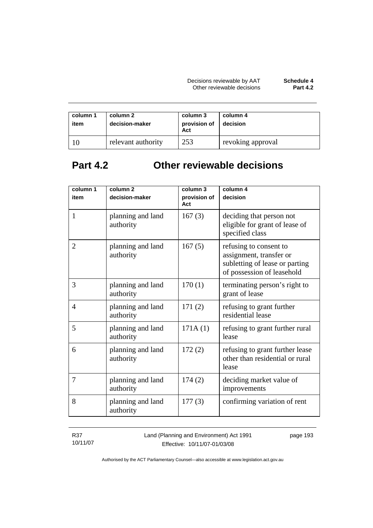| column 1<br>item | column 2<br>decision-maker | column 3<br>provision of<br>Act | column 4<br>decision |
|------------------|----------------------------|---------------------------------|----------------------|
|                  | relevant authority         | 253                             | revoking approval    |

# **Part 4.2 Other reviewable decisions**

| column 1<br>item | column 2<br>decision-maker     | column 3<br>provision of | column 4<br>decision                                                                                              |
|------------------|--------------------------------|--------------------------|-------------------------------------------------------------------------------------------------------------------|
|                  |                                | Act                      |                                                                                                                   |
| $\mathbf{1}$     | planning and land<br>authority | 167(3)                   | deciding that person not<br>eligible for grant of lease of<br>specified class                                     |
| $\overline{2}$   | planning and land<br>authority | 167(5)                   | refusing to consent to<br>assignment, transfer or<br>subletting of lease or parting<br>of possession of leasehold |
| 3                | planning and land<br>authority | 170(1)                   | terminating person's right to<br>grant of lease                                                                   |
| 4                | planning and land<br>authority | 171(2)                   | refusing to grant further<br>residential lease                                                                    |
| 5                | planning and land<br>authority | 171A(1)                  | refusing to grant further rural<br>lease                                                                          |
| 6                | planning and land<br>authority | 172(2)                   | refusing to grant further lease<br>other than residential or rural<br>lease                                       |
| 7                | planning and land<br>authority | 174(2)                   | deciding market value of<br>improvements                                                                          |
| 8                | planning and land<br>authority | 177(3)                   | confirming variation of rent                                                                                      |

R37 10/11/07 Land (Planning and Environment) Act 1991 Effective: 10/11/07-01/03/08

page 193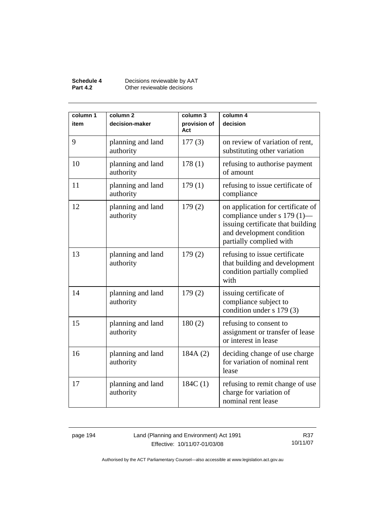### **Schedule 4** Decisions reviewable by AAT **Part 4.2 Other reviewable decisions**

| column 1<br>item | column <sub>2</sub><br>decision-maker | column 3<br>provision of<br>Act | column 4<br>decision                                                                                                                                          |
|------------------|---------------------------------------|---------------------------------|---------------------------------------------------------------------------------------------------------------------------------------------------------------|
| 9                | planning and land<br>authority        | 177(3)                          | on review of variation of rent,<br>substituting other variation                                                                                               |
| 10               | planning and land<br>authority        | 178(1)                          | refusing to authorise payment<br>of amount                                                                                                                    |
| 11               | planning and land<br>authority        | 179(1)                          | refusing to issue certificate of<br>compliance                                                                                                                |
| 12               | planning and land<br>authority        | 179(2)                          | on application for certificate of<br>compliance under s 179 (1)—<br>issuing certificate that building<br>and development condition<br>partially complied with |
| 13               | planning and land<br>authority        | 179(2)                          | refusing to issue certificate<br>that building and development<br>condition partially complied<br>with                                                        |
| 14               | planning and land<br>authority        | 179(2)                          | issuing certificate of<br>compliance subject to<br>condition under s 179 (3)                                                                                  |
| 15               | planning and land<br>authority        | 180(2)                          | refusing to consent to<br>assignment or transfer of lease<br>or interest in lease                                                                             |
| 16               | planning and land<br>authority        | 184A(2)                         | deciding change of use charge<br>for variation of nominal rent<br>lease                                                                                       |
| 17               | planning and land<br>authority        | 184C(1)                         | refusing to remit change of use<br>charge for variation of<br>nominal rent lease                                                                              |

page 194 Land (Planning and Environment) Act 1991 Effective: 10/11/07-01/03/08

R37 10/11/07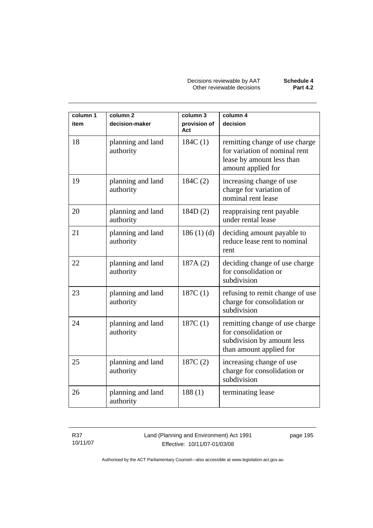Decisions reviewable by AAT **Schedule 4** Other reviewable decisions **Part 4.2** 

| column 1<br>item | column <sub>2</sub><br>decision-maker | column 3<br>provision of<br>Act | column 4<br>decision                                                                                               |
|------------------|---------------------------------------|---------------------------------|--------------------------------------------------------------------------------------------------------------------|
| 18               | planning and land<br>authority        | 184C(1)                         | remitting change of use charge<br>for variation of nominal rent<br>lease by amount less than<br>amount applied for |
| 19               | planning and land<br>authority        | 184C(2)                         | increasing change of use<br>charge for variation of<br>nominal rent lease                                          |
| 20               | planning and land<br>authority        | 184D(2)                         | reappraising rent payable<br>under rental lease                                                                    |
| 21               | planning and land<br>authority        | 186(1)(d)                       | deciding amount payable to<br>reduce lease rent to nominal<br>rent                                                 |
| 22               | planning and land<br>authority        | 187A(2)                         | deciding change of use charge<br>for consolidation or<br>subdivision                                               |
| 23               | planning and land<br>authority        | 187C(1)                         | refusing to remit change of use<br>charge for consolidation or<br>subdivision                                      |
| 24               | planning and land<br>authority        | 187C(1)                         | remitting change of use charge<br>for consolidation or<br>subdivision by amount less<br>than amount applied for    |
| 25               | planning and land<br>authority        | 187C(2)                         | increasing change of use<br>charge for consolidation or<br>subdivision                                             |
| 26               | planning and land<br>authority        | 188(1)                          | terminating lease                                                                                                  |

R37 10/11/07 Land (Planning and Environment) Act 1991 Effective: 10/11/07-01/03/08

page 195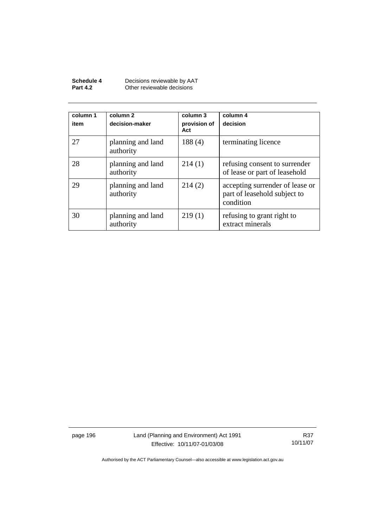| Schedule 4      | Decisions reviewable by AAT |
|-----------------|-----------------------------|
| <b>Part 4.2</b> | Other reviewable decisions  |

| column 1<br>item | column 2<br>decision-maker     | column 3<br>provision of<br>Act | column 4<br>decision                                                         |
|------------------|--------------------------------|---------------------------------|------------------------------------------------------------------------------|
| 27               | planning and land<br>authority | 188(4)                          | terminating licence                                                          |
| 28               | planning and land<br>authority | 214(1)                          | refusing consent to surrender<br>of lease or part of leasehold               |
| 29               | planning and land<br>authority | 214(2)                          | accepting surrender of lease or<br>part of leasehold subject to<br>condition |
| 30               | planning and land<br>authority | 219(1)                          | refusing to grant right to<br>extract minerals                               |

page 196 Land (Planning and Environment) Act 1991 Effective: 10/11/07-01/03/08

R37 10/11/07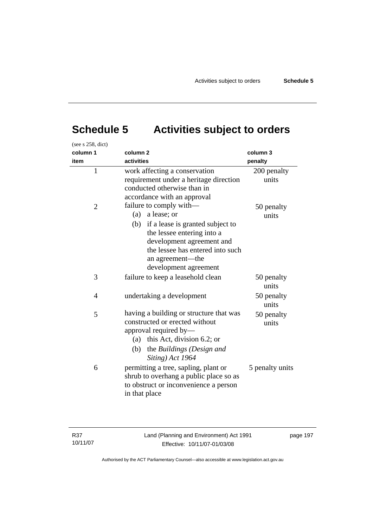# **Schedule 5 Activities subject to orders**

| (see s 258, dict) |                                                                                                                                                                                                                                   |                      |
|-------------------|-----------------------------------------------------------------------------------------------------------------------------------------------------------------------------------------------------------------------------------|----------------------|
| column 1          | column <sub>2</sub>                                                                                                                                                                                                               | column 3             |
| item              | activities                                                                                                                                                                                                                        | penalty              |
| $\mathbf{1}$      | work affecting a conservation<br>requirement under a heritage direction<br>conducted otherwise than in<br>accordance with an approval                                                                                             | 200 penalty<br>units |
| $\overline{2}$    | failure to comply with—<br>a lease; or<br>(a)<br>(b) if a lease is granted subject to<br>the lessee entering into a<br>development agreement and<br>the lessee has entered into such<br>an agreement—the<br>development agreement | 50 penalty<br>units  |
| 3                 | failure to keep a leasehold clean                                                                                                                                                                                                 | 50 penalty<br>units  |
| $\overline{4}$    | undertaking a development                                                                                                                                                                                                         | 50 penalty<br>units  |
| 5                 | having a building or structure that was<br>constructed or erected without<br>approval required by-<br>(a) this Act, division 6.2; or<br>the Buildings (Design and<br>(b)<br>Siting) Act 1964                                      | 50 penalty<br>units  |
| 6                 | permitting a tree, sapling, plant or<br>shrub to overhang a public place so as<br>to obstruct or inconvenience a person<br>in that place                                                                                          | 5 penalty units      |

page 197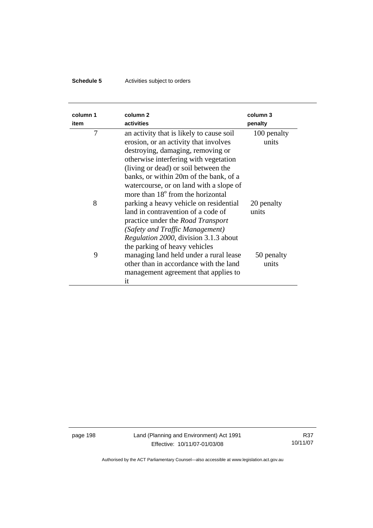## **Schedule 5** Activities subject to orders

| column 1<br>item | column <sub>2</sub><br>activities                                                                                                                                                                                                                                                                                                             | column 3<br>penalty  |
|------------------|-----------------------------------------------------------------------------------------------------------------------------------------------------------------------------------------------------------------------------------------------------------------------------------------------------------------------------------------------|----------------------|
| 7                | an activity that is likely to cause soil<br>erosion, or an activity that involves<br>destroying, damaging, removing or<br>otherwise interfering with vegetation<br>(living or dead) or soil between the<br>banks, or within 20m of the bank, of a<br>watercourse, or on land with a slope of<br>more than 18 <sup>°</sup> from the horizontal | 100 penalty<br>units |
| 8                | parking a heavy vehicle on residential<br>land in contravention of a code of<br>practice under the <i>Road Transport</i><br>(Safety and Traffic Management)<br><i>Regulation 2000</i> , division 3.1.3 about<br>the parking of heavy vehicles                                                                                                 | 20 penalty<br>units  |
| 9                | managing land held under a rural lease<br>other than in accordance with the land<br>management agreement that applies to<br>it                                                                                                                                                                                                                | 50 penalty<br>units  |

page 198 Land (Planning and Environment) Act 1991 Effective: 10/11/07-01/03/08

R37 10/11/07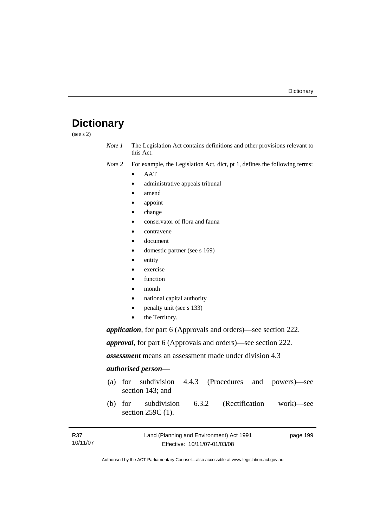## **Dictionary**

(see s 2)

- *Note 1* The Legislation Act contains definitions and other provisions relevant to this Act.
- *Note 2* For example, the Legislation Act, dict, pt 1, defines the following terms:
	- AAT
		- administrative appeals tribunal
		- amend
		- appoint
		- change
		- conservator of flora and fauna
		- contravene
	- document
	- domestic partner (see s 169)
	- entity
	- exercise
	- **function**
	- month
	- national capital authority
	- penalty unit (see s 133)
	- the Territory.

*application*, for part 6 (Approvals and orders)—see section 222.

*approval*, for part 6 (Approvals and orders)—see section 222.

*assessment* means an assessment made under division 4.3

### *authorised person*—

- (a) for subdivision 4.4.3 (Procedures and powers)—see section 143; and
- (b) for subdivision 6.3.2 (Rectification work)—see section 259C (1).

| R37      | Land (Planning and Environment) Act 1991 | page 199 |
|----------|------------------------------------------|----------|
| 10/11/07 | Effective: 10/11/07-01/03/08             |          |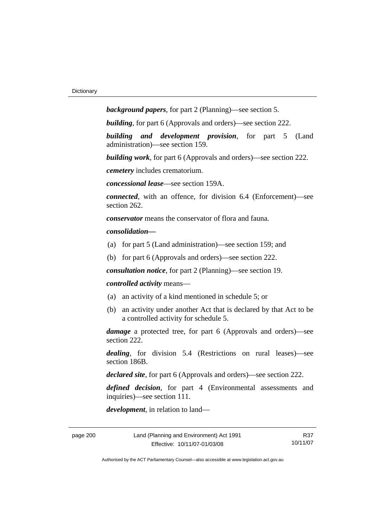*background papers*, for part 2 (Planning)—see section 5.

*building*, for part 6 (Approvals and orders)—see section 222.

*building and development provision*, for part 5 (Land administration)—see section 159.

*building work*, for part 6 (Approvals and orders)—see section 222.

*cemetery* includes crematorium.

*concessional lease*—see section 159A.

*connected*, with an offence, for division 6.4 (Enforcement)—see section 262.

*conservator* means the conservator of flora and fauna*.*

*consolidation—*

- (a) for part 5 (Land administration)—see section 159; and
- (b) for part 6 (Approvals and orders)—see section 222.

*consultation notice*, for part 2 (Planning)—see section 19.

### *controlled activity* means—

- (a) an activity of a kind mentioned in schedule 5; or
- (b) an activity under another Act that is declared by that Act to be a controlled activity for schedule 5.

*damage* a protected tree, for part 6 (Approvals and orders)—see section 222.

*dealing*, for division 5.4 (Restrictions on rural leases)—see section 186B.

*declared site*, for part 6 (Approvals and orders)—see section 222.

*defined decision*, for part 4 (Environmental assessments and inquiries)—see section 111.

*development*, in relation to land—

R37 10/11/07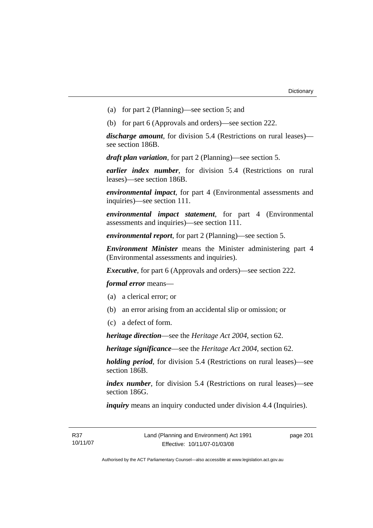- (a) for part 2 (Planning)—see section 5; and
- (b) for part 6 (Approvals and orders)—see section 222.

*discharge amount*, for division 5.4 (Restrictions on rural leases) see section 186B.

*draft plan variation*, for part 2 (Planning)—see section 5.

*earlier index number*, for division 5.4 (Restrictions on rural leases)—see section 186B.

*environmental impact*, for part 4 (Environmental assessments and inquiries)—see section 111.

*environmental impact statement*, for part 4 (Environmental assessments and inquiries)—see section 111.

*environmental report*, for part 2 (Planning)—see section 5.

*Environment Minister* means the Minister administering part 4 (Environmental assessments and inquiries).

*Executive*, for part 6 (Approvals and orders)—see section 222.

*formal error* means—

- (a) a clerical error; or
- (b) an error arising from an accidental slip or omission; or
- (c) a defect of form.

*heritage direction*—see the *Heritage Act 2004*, section 62.

*heritage significance*—see the *Heritage Act 2004*, section 62.

*holding period*, for division 5.4 (Restrictions on rural leases)—see section 186B.

*index number*, for division 5.4 (Restrictions on rural leases)—see section 186G.

*inquiry* means an inquiry conducted under division 4.4 (Inquiries).

page 201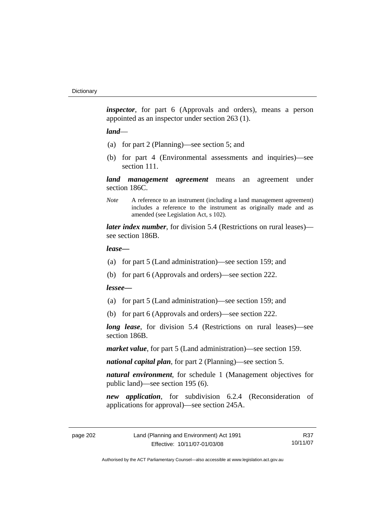*inspector*, for part 6 (Approvals and orders), means a person appointed as an inspector under section 263 (1).

### *land*—

- (a) for part 2 (Planning)—see section 5; and
- (b) for part 4 (Environmental assessments and inquiries)—see section 111.

*land management agreement* means an agreement under section 186C.

*Note* A reference to an instrument (including a land management agreement) includes a reference to the instrument as originally made and as amended (see Legislation Act, s 102).

*later index number*, for division 5.4 (Restrictions on rural leases) see section 186B.

### *lease—*

- (a) for part 5 (Land administration)—see section 159; and
- (b) for part 6 (Approvals and orders)—see section 222.

### *lessee—*

- (a) for part 5 (Land administration)—see section 159; and
- (b) for part 6 (Approvals and orders)—see section 222.

*long lease*, for division 5.4 (Restrictions on rural leases)—see section 186B.

*market value*, for part 5 (Land administration)—see section 159.

*national capital plan*, for part 2 (Planning)—see section 5.

*natural environment*, for schedule 1 (Management objectives for public land)—see section 195 (6).

*new application*, for subdivision 6.2.4 (Reconsideration of applications for approval)—see section 245A.

R37 10/11/07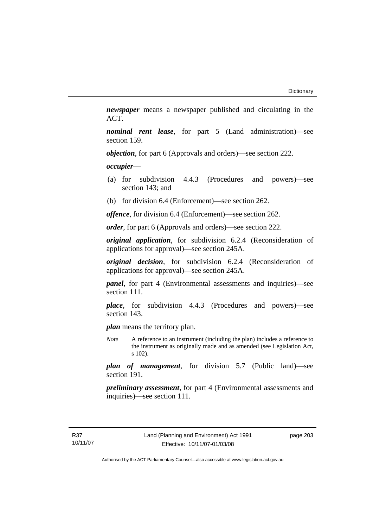*newspaper* means a newspaper published and circulating in the ACT.

*nominal rent lease*, for part 5 (Land administration)—see section 159.

*objection*, for part 6 (Approvals and orders)—see section 222.

*occupier*—

- (a) for subdivision 4.4.3 (Procedures and powers)—see section 143; and
- (b) for division 6.4 (Enforcement)—see section 262.

*offence*, for division 6.4 (Enforcement)—see section 262.

*order*, for part 6 (Approvals and orders)—see section 222.

*original application*, for subdivision 6.2.4 (Reconsideration of applications for approval)—see section 245A.

*original decision*, for subdivision 6.2.4 (Reconsideration of applications for approval)—see section 245A.

*panel*, for part 4 (Environmental assessments and inquiries)—see section 111.

*place*, for subdivision 4.4.3 (Procedures and powers)—see section 143.

*plan* means the territory plan.

*Note* A reference to an instrument (including the plan) includes a reference to the instrument as originally made and as amended (see Legislation Act, s 102).

*plan of management*, for division 5.7 (Public land)—see section 191.

*preliminary assessment*, for part 4 (Environmental assessments and inquiries)—see section 111.

page 203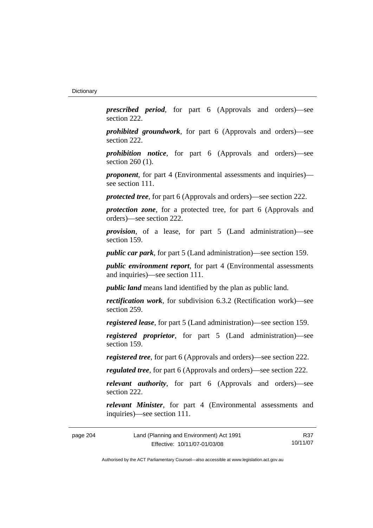*prescribed period*, for part 6 (Approvals and orders)—see section 222.

*prohibited groundwork*, for part 6 (Approvals and orders)—see section 222.

*prohibition notice*, for part 6 (Approvals and orders)—see section 260 (1).

*proponent*, for part 4 (Environmental assessments and inquiries) see section 111.

*protected tree*, for part 6 (Approvals and orders)—see section 222.

*protection zone*, for a protected tree, for part 6 (Approvals and orders)—see section 222.

*provision*, of a lease, for part 5 (Land administration)—see section 159.

*public car park*, for part 5 (Land administration)—see section 159.

*public environment report*, for part 4 (Environmental assessments and inquiries)—see section 111.

*public land* means land identified by the plan as public land.

*rectification work*, for subdivision 6.3.2 (Rectification work)—see section 259.

*registered lease*, for part 5 (Land administration)—see section 159.

*registered proprietor*, for part 5 (Land administration)—see section 159.

*registered tree*, for part 6 (Approvals and orders)—see section 222.

*regulated tree*, for part 6 (Approvals and orders)—see section 222.

*relevant authority*, for part 6 (Approvals and orders)—see section 222.

*relevant Minister*, for part 4 (Environmental assessments and inquiries)—see section 111.

| page 204 | Land (Planning and Environment) Act 1991 | R37      |
|----------|------------------------------------------|----------|
|          | Effective: 10/11/07-01/03/08             | 10/11/07 |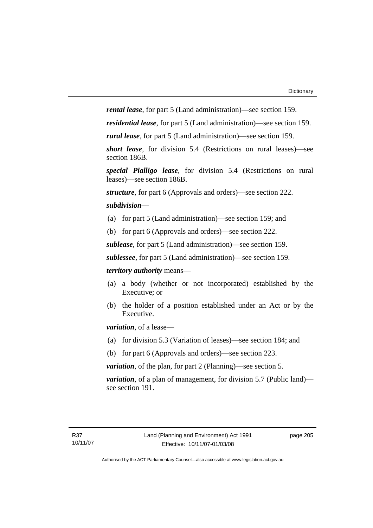*rental lease*, for part 5 (Land administration)—see section 159.

*residential lease*, for part 5 (Land administration)—see section 159.

*rural lease*, for part 5 (Land administration)—see section 159.

*short lease*, for division 5.4 (Restrictions on rural leases)—see section 186B.

*special Pialligo lease*, for division 5.4 (Restrictions on rural leases)—see section 186B.

*structure*, for part 6 (Approvals and orders)—see section 222.

#### *subdivision—*

- (a) for part 5 (Land administration)—see section 159; and
- (b) for part 6 (Approvals and orders)—see section 222.

*sublease*, for part 5 (Land administration)—see section 159.

*sublessee*, for part 5 (Land administration)—see section 159.

*territory authority* means—

- (a) a body (whether or not incorporated) established by the Executive; or
- (b) the holder of a position established under an Act or by the Executive.

*variation*, of a lease—

- (a) for division 5.3 (Variation of leases)—see section 184; and
- (b) for part 6 (Approvals and orders)—see section 223.

*variation*, of the plan, for part 2 (Planning)—see section 5.

*variation*, of a plan of management, for division 5.7 (Public land) see section 191.

page 205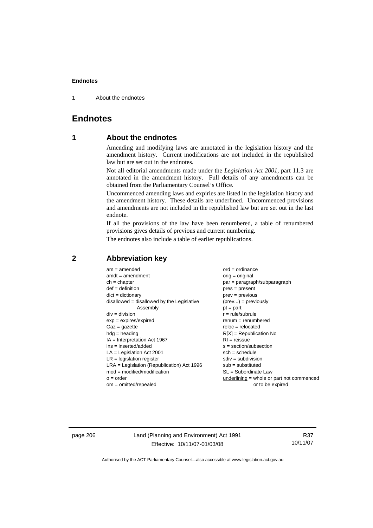1 About the endnotes

# **Endnotes**

# **1 About the endnotes**

Amending and modifying laws are annotated in the legislation history and the amendment history. Current modifications are not included in the republished law but are set out in the endnotes.

Not all editorial amendments made under the *Legislation Act 2001*, part 11.3 are annotated in the amendment history. Full details of any amendments can be obtained from the Parliamentary Counsel's Office.

Uncommenced amending laws and expiries are listed in the legislation history and the amendment history. These details are underlined. Uncommenced provisions and amendments are not included in the republished law but are set out in the last endnote.

If all the provisions of the law have been renumbered, a table of renumbered provisions gives details of previous and current numbering.

The endnotes also include a table of earlier republications.

| $am = amended$                               | $ord = ordinance$                           |
|----------------------------------------------|---------------------------------------------|
| $amdt = amendment$                           | $orig = original$                           |
| $ch = chapter$                               | par = paragraph/subparagraph                |
| $def = definition$                           | $pres = present$                            |
| $dict = dictionary$                          | $prev = previous$                           |
| $disallowed = disallowed by the Legislative$ | $(\text{prev}) = \text{previously}$         |
| Assembly                                     | $pt = part$                                 |
| $div = division$                             | $r = rule/subrule$                          |
| $exp = expires/expired$                      | $remum = remumbered$                        |
| $Gaz = gazette$                              | $reloc = relocated$                         |
| $hdg =$ heading                              | $R[X]$ = Republication No                   |
| $IA = Interpretation Act 1967$               | $RI =$ reissue                              |
| $ins = inserted/added$                       | $s = section/subsection$                    |
| $LA =$ Legislation Act 2001                  | $sch = schedule$                            |
| $LR =$ legislation register                  | $sdiv = subdivision$                        |
| $LRA =$ Legislation (Republication) Act 1996 | $sub =$ substituted                         |
| $mod = modified/modification$                | $SL = Subordinate$ Law                      |
| $o = order$                                  | $underlining = whole or part not commenced$ |
| $om = omitted/repealed$                      | or to be expired                            |
|                                              |                                             |

# **2 Abbreviation key**

page 206 Land (Planning and Environment) Act 1991 Effective: 10/11/07-01/03/08

R37 10/11/07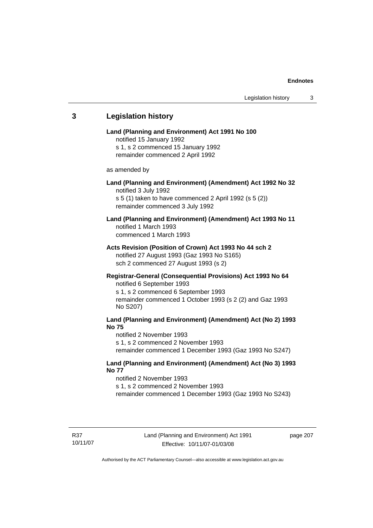# **3 Legislation history Land (Planning and Environment) Act 1991 No 100**  notified 15 January 1992 s 1, s 2 commenced 15 January 1992 remainder commenced 2 April 1992 as amended by **Land (Planning and Environment) (Amendment) Act 1992 No 32**  notified 3 July 1992 s 5 (1) taken to have commenced 2 April 1992 (s 5 (2)) remainder commenced 3 July 1992 **Land (Planning and Environment) (Amendment) Act 1993 No 11**  notified 1 March 1993 commenced 1 March 1993 **Acts Revision (Position of Crown) Act 1993 No 44 sch 2**  notified 27 August 1993 (Gaz 1993 No S165) sch 2 commenced 27 August 1993 (s 2) **Registrar-General (Consequential Provisions) Act 1993 No 64**  notified 6 September 1993 s 1, s 2 commenced 6 September 1993 remainder commenced 1 October 1993 (s 2 (2) and Gaz 1993 No S207) **Land (Planning and Environment) (Amendment) Act (No 2) 1993 No 75**  notified 2 November 1993 s 1, s 2 commenced 2 November 1993 remainder commenced 1 December 1993 (Gaz 1993 No S247) **Land (Planning and Environment) (Amendment) Act (No 3) 1993 No 77**  notified 2 November 1993 s 1, s 2 commenced 2 November 1993 remainder commenced 1 December 1993 (Gaz 1993 No S243)

page 207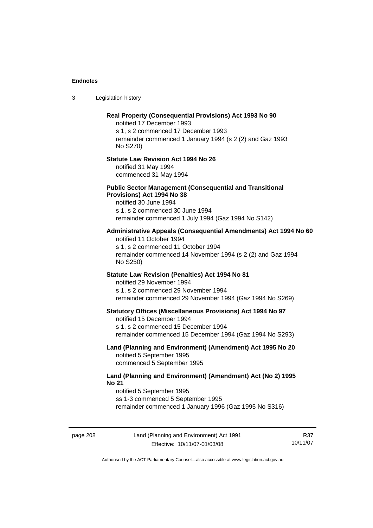3 Legislation history

# page 208 Land (Planning and Environment) Act 1991 Effective: 10/11/07-01/03/08 10/11/07 **Real Property (Consequential Provisions) Act 1993 No 90**  notified 17 December 1993 s 1, s 2 commenced 17 December 1993 remainder commenced 1 January 1994 (s 2 (2) and Gaz 1993 No S270) **Statute Law Revision Act 1994 No 26**  notified 31 May 1994 commenced 31 May 1994 **Public Sector Management (Consequential and Transitional Provisions) Act 1994 No 38**  notified 30 June 1994 s 1, s 2 commenced 30 June 1994 remainder commenced 1 July 1994 (Gaz 1994 No S142) **Administrative Appeals (Consequential Amendments) Act 1994 No 60**  notified 11 October 1994 s 1, s 2 commenced 11 October 1994 remainder commenced 14 November 1994 (s 2 (2) and Gaz 1994 No S250) **Statute Law Revision (Penalties) Act 1994 No 81**  notified 29 November 1994 s 1, s 2 commenced 29 November 1994 remainder commenced 29 November 1994 (Gaz 1994 No S269) **Statutory Offices (Miscellaneous Provisions) Act 1994 No 97**  notified 15 December 1994 s 1, s 2 commenced 15 December 1994 remainder commenced 15 December 1994 (Gaz 1994 No S293) **Land (Planning and Environment) (Amendment) Act 1995 No 20**  notified 5 September 1995 commenced 5 September 1995 **Land (Planning and Environment) (Amendment) Act (No 2) 1995 No 21**  notified 5 September 1995 ss 1-3 commenced 5 September 1995 remainder commenced 1 January 1996 (Gaz 1995 No S316)

Authorised by the ACT Parliamentary Counsel—also accessible at www.legislation.act.gov.au

R37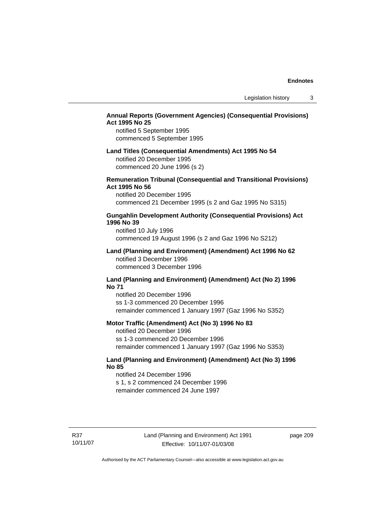## **Annual Reports (Government Agencies) (Consequential Provisions) Act 1995 No 25**

notified 5 September 1995 commenced 5 September 1995

#### **Land Titles (Consequential Amendments) Act 1995 No 54**

notified 20 December 1995 commenced 20 June 1996 (s 2)

## **Remuneration Tribunal (Consequential and Transitional Provisions) Act 1995 No 56**

notified 20 December 1995 commenced 21 December 1995 (s 2 and Gaz 1995 No S315)

## **Gungahlin Development Authority (Consequential Provisions) Act 1996 No 39**

notified 10 July 1996 commenced 19 August 1996 (s 2 and Gaz 1996 No S212)

#### **Land (Planning and Environment) (Amendment) Act 1996 No 62**  notified 3 December 1996 commenced 3 December 1996

#### **Land (Planning and Environment) (Amendment) Act (No 2) 1996 No 71**

notified 20 December 1996 ss 1-3 commenced 20 December 1996 remainder commenced 1 January 1997 (Gaz 1996 No S352)

#### **Motor Traffic (Amendment) Act (No 3) 1996 No 83**

notified 20 December 1996 ss 1-3 commenced 20 December 1996 remainder commenced 1 January 1997 (Gaz 1996 No S353)

## **Land (Planning and Environment) (Amendment) Act (No 3) 1996 No 85**

notified 24 December 1996 s 1, s 2 commenced 24 December 1996 remainder commenced 24 June 1997

R37 10/11/07 page 209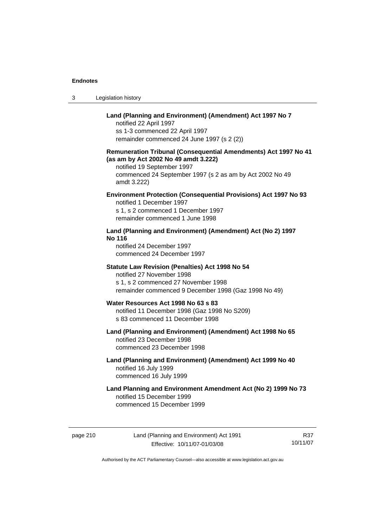| Land (Planning and Environment) |
|---------------------------------|
| notified 22 April 1997          |
| ss 1-3 commenced 22 April 1997  |

3 Legislation history

remainder commenced 24 June 1997 (s 2 (2))

## **Remuneration Tribunal (Consequential Amendments) Act 1997 No 41 (as am by Act 2002 No 49 amdt 3.222)**

**Environment) (Amendment) Act 1997 No 7** 

notified 19 September 1997 commenced 24 September 1997 (s 2 as am by Act 2002 No 49 amdt 3.222)

## **Environment Protection (Consequential Provisions) Act 1997 No 93**

notified 1 December 1997 s 1, s 2 commenced 1 December 1997 remainder commenced 1 June 1998

## **Land (Planning and Environment) (Amendment) Act (No 2) 1997 No 116**

notified 24 December 1997 commenced 24 December 1997

#### **Statute Law Revision (Penalties) Act 1998 No 54**

notified 27 November 1998 s 1, s 2 commenced 27 November 1998 remainder commenced 9 December 1998 (Gaz 1998 No 49)

#### **Water Resources Act 1998 No 63 s 83**  notified 11 December 1998 (Gaz 1998 No S209)

s 83 commenced 11 December 1998

# **Land (Planning and Environment) (Amendment) Act 1998 No 65**  notified 23 December 1998 commenced 23 December 1998

## **Land (Planning and Environment) (Amendment) Act 1999 No 40**  notified 16 July 1999 commenced 16 July 1999

# **Land Planning and Environment Amendment Act (No 2) 1999 No 73**  notified 15 December 1999 commenced 15 December 1999

page 210 Land (Planning and Environment) Act 1991 Effective: 10/11/07-01/03/08

R37 10/11/07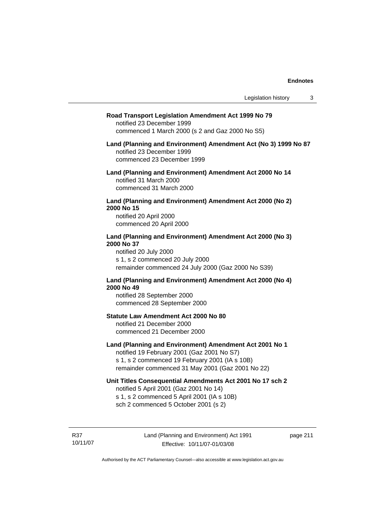#### **Road Transport Legislation Amendment Act 1999 No 79**

notified 23 December 1999 commenced 1 March 2000 (s 2 and Gaz 2000 No S5)

#### **Land (Planning and Environment) Amendment Act (No 3) 1999 No 87**  notified 23 December 1999 commenced 23 December 1999

**Land (Planning and Environment) Amendment Act 2000 No 14**  notified 31 March 2000 commenced 31 March 2000

#### **Land (Planning and Environment) Amendment Act 2000 (No 2) 2000 No 15**  notified 20 April 2000

commenced 20 April 2000

# **Land (Planning and Environment) Amendment Act 2000 (No 3) 2000 No 37**

notified 20 July 2000 s 1, s 2 commenced 20 July 2000 remainder commenced 24 July 2000 (Gaz 2000 No S39)

### **Land (Planning and Environment) Amendment Act 2000 (No 4) 2000 No 49**

notified 28 September 2000 commenced 28 September 2000

### **Statute Law Amendment Act 2000 No 80**

notified 21 December 2000 commenced 21 December 2000

## **Land (Planning and Environment) Amendment Act 2001 No 1**

notified 19 February 2001 (Gaz 2001 No S7) s 1, s 2 commenced 19 February 2001 (IA s 10B) remainder commenced 31 May 2001 (Gaz 2001 No 22)

#### **Unit Titles Consequential Amendments Act 2001 No 17 sch 2**

notified 5 April 2001 (Gaz 2001 No 14) s 1, s 2 commenced 5 April 2001 (IA s 10B) sch 2 commenced 5 October 2001 (s 2)

R37 10/11/07 page 211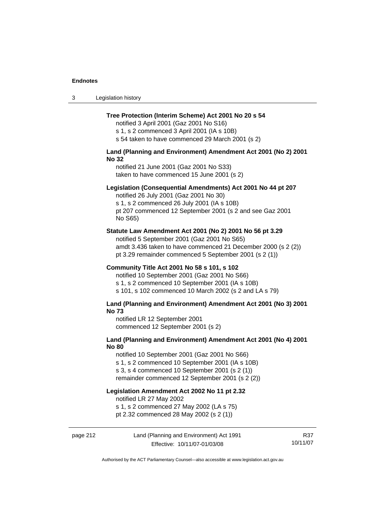| -3 | Legislation history |  |
|----|---------------------|--|
|----|---------------------|--|

#### **Tree Protection (Interim Scheme) Act 2001 No 20 s 54**

notified 3 April 2001 (Gaz 2001 No S16) s 1, s 2 commenced 3 April 2001 (IA s 10B)

s 54 taken to have commenced 29 March 2001 (s 2)

## **Land (Planning and Environment) Amendment Act 2001 (No 2) 2001 No 32**

notified 21 June 2001 (Gaz 2001 No S33) taken to have commenced 15 June 2001 (s 2)

#### **Legislation (Consequential Amendments) Act 2001 No 44 pt 207**

notified 26 July 2001 (Gaz 2001 No 30) s 1, s 2 commenced 26 July 2001 (IA s 10B) pt 207 commenced 12 September 2001 (s 2 and see Gaz 2001 No S65)

#### **Statute Law Amendment Act 2001 (No 2) 2001 No 56 pt 3.29**

notified 5 September 2001 (Gaz 2001 No S65) amdt 3.436 taken to have commenced 21 December 2000 (s 2 (2)) pt 3.29 remainder commenced 5 September 2001 (s 2 (1))

#### **Community Title Act 2001 No 58 s 101, s 102**

notified 10 September 2001 (Gaz 2001 No S66) s 1, s 2 commenced 10 September 2001 (IA s 10B) s 101, s 102 commenced 10 March 2002 (s 2 and LA s 79)

#### **Land (Planning and Environment) Amendment Act 2001 (No 3) 2001 No 73**

notified LR 12 September 2001 commenced 12 September 2001 (s 2)

## **Land (Planning and Environment) Amendment Act 2001 (No 4) 2001 No 80**

notified 10 September 2001 (Gaz 2001 No S66)

s 1, s 2 commenced 10 September 2001 (IA s 10B)

s 3, s 4 commenced 10 September 2001 (s 2 (1))

remainder commenced 12 September 2001 (s 2 (2))

# **Legislation Amendment Act 2002 No 11 pt 2.32**

notified LR 27 May 2002

s 1, s 2 commenced 27 May 2002 (LA s 75)

pt 2.32 commenced 28 May 2002 (s 2 (1))

## page 212 Land (Planning and Environment) Act 1991 Effective: 10/11/07-01/03/08

R37 10/11/07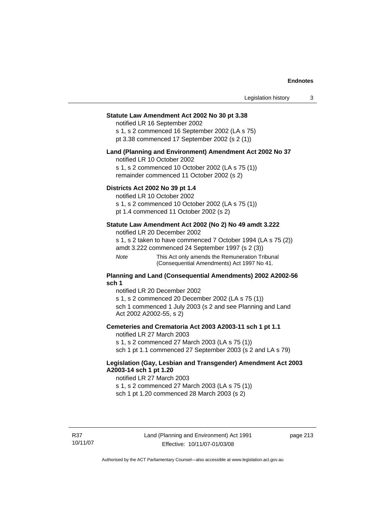#### **Statute Law Amendment Act 2002 No 30 pt 3.38**

notified LR 16 September 2002 s 1, s 2 commenced 16 September 2002 (LA s 75) pt 3.38 commenced 17 September 2002 (s 2 (1))

#### **Land (Planning and Environment) Amendment Act 2002 No 37**

notified LR 10 October 2002

s 1, s 2 commenced 10 October 2002 (LA s 75 (1)) remainder commenced 11 October 2002 (s 2)

#### **Districts Act 2002 No 39 pt 1.4**

notified LR 10 October 2002

s 1, s 2 commenced 10 October 2002 (LA s 75 (1))

pt 1.4 commenced 11 October 2002 (s 2)

#### **Statute Law Amendment Act 2002 (No 2) No 49 amdt 3.222**

notified LR 20 December 2002

s 1, s 2 taken to have commenced 7 October 1994 (LA s 75 (2))

amdt 3.222 commenced 24 September 1997 (s 2 (3))

*Note* This Act only amends the Remuneration Tribunal (Consequential Amendments) Act 1997 No 41.

#### **Planning and Land (Consequential Amendments) 2002 A2002-56 sch 1**

notified LR 20 December 2002 s 1, s 2 commenced 20 December 2002 (LA s 75 (1)) sch 1 commenced 1 July 2003 (s 2 and see Planning and Land Act 2002 A2002-55, s 2)

#### **Cemeteries and Crematoria Act 2003 A2003-11 sch 1 pt 1.1**

notified LR 27 March 2003 s 1, s 2 commenced 27 March 2003 (LA s 75 (1)) sch 1 pt 1.1 commenced 27 September 2003 (s 2 and LA s 79)

## **Legislation (Gay, Lesbian and Transgender) Amendment Act 2003 A2003-14 sch 1 pt 1.20**

notified LR 27 March 2003 s 1, s 2 commenced 27 March 2003 (LA s 75 (1)) sch 1 pt 1.20 commenced 28 March 2003 (s 2)

page 213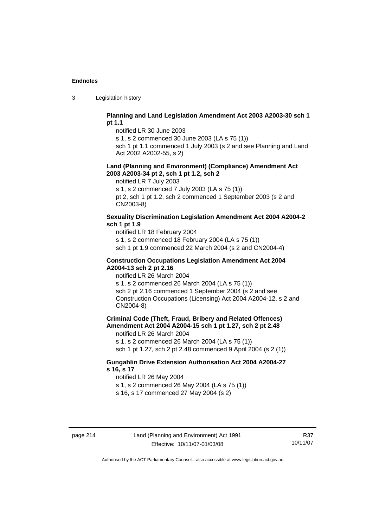3 Legislation history

### **Planning and Land Legislation Amendment Act 2003 A2003-30 sch 1 pt 1.1**

notified LR 30 June 2003

s 1, s 2 commenced 30 June 2003 (LA s 75 (1))

sch 1 pt 1.1 commenced 1 July 2003 (s 2 and see Planning and Land Act 2002 A2002-55, s 2)

#### **Land (Planning and Environment) (Compliance) Amendment Act 2003 A2003-34 pt 2, sch 1 pt 1.2, sch 2**

notified LR 7 July 2003

s 1, s 2 commenced 7 July 2003 (LA s 75 (1))

pt 2, sch 1 pt 1.2, sch 2 commenced 1 September 2003 (s 2 and CN2003-8)

## **Sexuality Discrimination Legislation Amendment Act 2004 A2004-2 sch 1 pt 1.9**

notified LR 18 February 2004

s 1, s 2 commenced 18 February 2004 (LA s 75 (1))

sch 1 pt 1.9 commenced 22 March 2004 (s 2 and CN2004-4)

#### **Construction Occupations Legislation Amendment Act 2004 A2004-13 sch 2 pt 2.16**

notified LR 26 March 2004

s 1, s 2 commenced 26 March 2004 (LA s 75 (1)) sch 2 pt 2.16 commenced 1 September 2004 (s 2 and see Construction Occupations (Licensing) Act 2004 A2004-12, s 2 and CN2004-8)

**Criminal Code (Theft, Fraud, Bribery and Related Offences) Amendment Act 2004 A2004-15 sch 1 pt 1.27, sch 2 pt 2.48** 

notified LR 26 March 2004

s 1, s 2 commenced 26 March 2004 (LA s 75 (1)) sch 1 pt 1.27, sch 2 pt 2.48 commenced 9 April 2004 (s 2 (1))

## **Gungahlin Drive Extension Authorisation Act 2004 A2004-27 s 16, s 17**

notified LR 26 May 2004

s 1, s 2 commenced 26 May 2004 (LA s 75 (1))

s 16, s 17 commenced 27 May 2004 (s 2)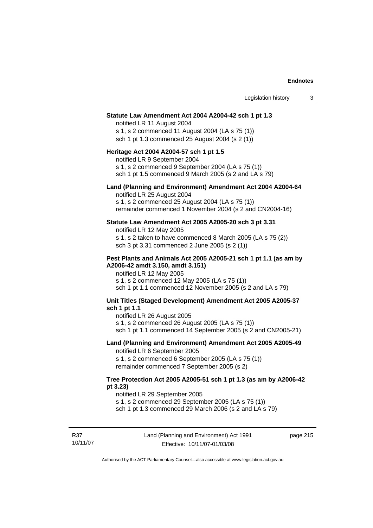| Statute Law Amendment Act 2004 A2004-42 sch 1 pt 1.3<br>notified LR 11 August 2004<br>s 1, s 2 commenced 11 August 2004 (LA s 75 (1))<br>sch 1 pt 1.3 commenced 25 August 2004 (s 2 (1))<br>Heritage Act 2004 A2004-57 sch 1 pt 1.5<br>notified LR 9 September 2004<br>s 1, s 2 commenced 9 September 2004 (LA s 75 (1))<br>sch 1 pt 1.5 commenced 9 March 2005 (s 2 and LA s 79)<br>Land (Planning and Environment) Amendment Act 2004 A2004-64<br>notified LR 25 August 2004<br>s 1, s 2 commenced 25 August 2004 (LA s 75 (1))<br>remainder commenced 1 November 2004 (s 2 and CN2004-16)<br>Statute Law Amendment Act 2005 A2005-20 sch 3 pt 3.31<br>notified LR 12 May 2005<br>s 1, s 2 taken to have commenced 8 March 2005 (LA s 75 (2))<br>sch 3 pt 3.31 commenced 2 June 2005 (s 2 (1))<br>Pest Plants and Animals Act 2005 A2005-21 sch 1 pt 1.1 (as am by<br>A2006-42 amdt 3.150, amdt 3.151)<br>notified LR 12 May 2005<br>s 1, s 2 commenced 12 May 2005 (LA s 75 (1))<br>sch 1 pt 1.1 commenced 12 November 2005 (s 2 and LA s 79)<br>Unit Titles (Staged Development) Amendment Act 2005 A2005-37<br>sch 1 pt 1.1<br>notified LR 26 August 2005<br>s 1, s 2 commenced 26 August 2005 (LA s 75 (1))<br>sch 1 pt 1.1 commenced 14 September 2005 (s 2 and CN2005-21)<br>Land (Planning and Environment) Amendment Act 2005 A2005-49<br>notified LR 6 September 2005<br>s 1, s 2 commenced 6 September 2005 (LA s 75 (1))<br>remainder commenced 7 September 2005 (s 2)<br>Tree Protection Act 2005 A2005-51 sch 1 pt 1.3 (as am by A2006-42<br>pt 3.23)<br>notified LR 29 September 2005 | Legislation history | 3 |
|-------------------------------------------------------------------------------------------------------------------------------------------------------------------------------------------------------------------------------------------------------------------------------------------------------------------------------------------------------------------------------------------------------------------------------------------------------------------------------------------------------------------------------------------------------------------------------------------------------------------------------------------------------------------------------------------------------------------------------------------------------------------------------------------------------------------------------------------------------------------------------------------------------------------------------------------------------------------------------------------------------------------------------------------------------------------------------------------------------------------------------------------------------------------------------------------------------------------------------------------------------------------------------------------------------------------------------------------------------------------------------------------------------------------------------------------------------------------------------------------------------------------------------------------------------------------------------------------------------|---------------------|---|
|                                                                                                                                                                                                                                                                                                                                                                                                                                                                                                                                                                                                                                                                                                                                                                                                                                                                                                                                                                                                                                                                                                                                                                                                                                                                                                                                                                                                                                                                                                                                                                                                       |                     |   |
|                                                                                                                                                                                                                                                                                                                                                                                                                                                                                                                                                                                                                                                                                                                                                                                                                                                                                                                                                                                                                                                                                                                                                                                                                                                                                                                                                                                                                                                                                                                                                                                                       |                     |   |
|                                                                                                                                                                                                                                                                                                                                                                                                                                                                                                                                                                                                                                                                                                                                                                                                                                                                                                                                                                                                                                                                                                                                                                                                                                                                                                                                                                                                                                                                                                                                                                                                       |                     |   |
|                                                                                                                                                                                                                                                                                                                                                                                                                                                                                                                                                                                                                                                                                                                                                                                                                                                                                                                                                                                                                                                                                                                                                                                                                                                                                                                                                                                                                                                                                                                                                                                                       |                     |   |
|                                                                                                                                                                                                                                                                                                                                                                                                                                                                                                                                                                                                                                                                                                                                                                                                                                                                                                                                                                                                                                                                                                                                                                                                                                                                                                                                                                                                                                                                                                                                                                                                       |                     |   |
|                                                                                                                                                                                                                                                                                                                                                                                                                                                                                                                                                                                                                                                                                                                                                                                                                                                                                                                                                                                                                                                                                                                                                                                                                                                                                                                                                                                                                                                                                                                                                                                                       |                     |   |
|                                                                                                                                                                                                                                                                                                                                                                                                                                                                                                                                                                                                                                                                                                                                                                                                                                                                                                                                                                                                                                                                                                                                                                                                                                                                                                                                                                                                                                                                                                                                                                                                       |                     |   |
| s 1, s 2 commenced 29 September 2005 (LA s 75 (1))<br>sch 1 pt 1.3 commenced 29 March 2006 (s 2 and LA s 79)                                                                                                                                                                                                                                                                                                                                                                                                                                                                                                                                                                                                                                                                                                                                                                                                                                                                                                                                                                                                                                                                                                                                                                                                                                                                                                                                                                                                                                                                                          |                     |   |

page 215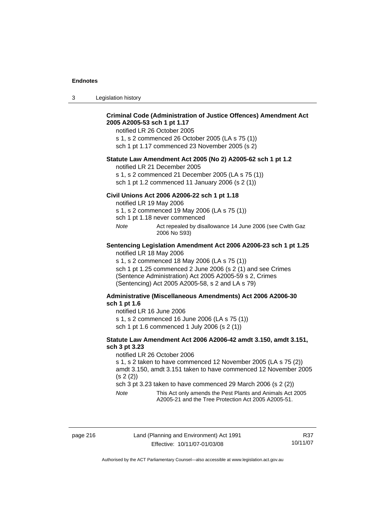3 Legislation history

| 2005 A2005-53 sch 1 pt 1.17 | <b>Criminal Code (Administration of Justice Offences) Amendment Act</b><br>notified LR 26 October 2005<br>s 1, s 2 commenced 26 October 2005 (LA s 75 (1))<br>sch 1 pt 1.17 commenced 23 November 2005 (s 2)                                                                                                                              |
|-----------------------------|-------------------------------------------------------------------------------------------------------------------------------------------------------------------------------------------------------------------------------------------------------------------------------------------------------------------------------------------|
|                             | Statute Law Amendment Act 2005 (No 2) A2005-62 sch 1 pt 1.2<br>notified LR 21 December 2005<br>s 1, s 2 commenced 21 December 2005 (LA s 75 (1))<br>sch 1 pt 1.2 commenced 11 January 2006 (s 2 (1))                                                                                                                                      |
| Note                        | Civil Unions Act 2006 A2006-22 sch 1 pt 1.18<br>notified LR 19 May 2006<br>s 1, s 2 commenced 19 May 2006 (LA s 75 (1))<br>sch 1 pt 1.18 never commenced<br>Act repealed by disallowance 14 June 2006 (see Cwlth Gaz                                                                                                                      |
|                             | 2006 No S93)<br>Sentencing Legislation Amendment Act 2006 A2006-23 sch 1 pt 1.25<br>notified LR 18 May 2006<br>s 1, s 2 commenced 18 May 2006 (LA s 75 (1))<br>sch 1 pt 1.25 commenced 2 June 2006 (s 2 (1) and see Crimes<br>(Sentence Administration) Act 2005 A2005-59 s 2, Crimes<br>(Sentencing) Act 2005 A2005-58, s 2 and LA s 79) |
| sch 1 pt 1.6                | Administrative (Miscellaneous Amendments) Act 2006 A2006-30<br>notified LR 16 June 2006<br>s 1, s 2 commenced 16 June 2006 (LA s 75 (1))<br>sch 1 pt 1.6 commenced 1 July 2006 (s 2 (1))                                                                                                                                                  |

### **Statute Law Amendment Act 2006 A2006-42 amdt 3.150, amdt 3.151, sch 3 pt 3.23**

notified LR 26 October 2006

s 1, s 2 taken to have commenced 12 November 2005 (LA s 75 (2)) amdt 3.150, amdt 3.151 taken to have commenced 12 November 2005 (s 2 (2))

sch 3 pt 3.23 taken to have commenced 29 March 2006 (s 2 (2))

*Note* This Act only amends the Pest Plants and Animals Act 2005 A2005-21 and the Tree Protection Act 2005 A2005-51.

R37 10/11/07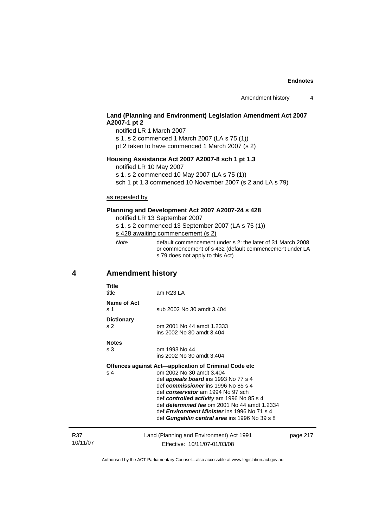# **Land (Planning and Environment) Legislation Amendment Act 2007 A2007-1 pt 2**

notified LR 1 March 2007 s 1, s 2 commenced 1 March 2007 (LA s 75 (1)) pt 2 taken to have commenced 1 March 2007 (s 2)

## **Housing Assistance Act 2007 A2007-8 sch 1 pt 1.3**

notified LR 10 May 2007

s 1, s 2 commenced 10 May 2007 (LA s 75 (1))

sch 1 pt 1.3 commenced 10 November 2007 (s 2 and LA s 79)

## as repealed by

## **Planning and Development Act 2007 A2007-24 s 428**

notified LR 13 September 2007

s 1, s 2 commenced 13 September 2007 (LA s 75 (1)) s 428 awaiting commencement (s 2)

| Note | default commencement under s 2: the later of 31 March 2008 |
|------|------------------------------------------------------------|
|      | or commencement of s 432 (default commencement under LA    |
|      | s 79 does not apply to this Act)                           |

R37 10/11/07

# **4 Amendment history**

| <b>Title</b><br>title                      | am R23 LA                                                                                                                                                                                                                                                                                                                                                                                                        |          |
|--------------------------------------------|------------------------------------------------------------------------------------------------------------------------------------------------------------------------------------------------------------------------------------------------------------------------------------------------------------------------------------------------------------------------------------------------------------------|----------|
| Name of Act<br>$\boldsymbol{\mathsf{s}}$ 1 | sub 2002 No 30 amdt 3.404                                                                                                                                                                                                                                                                                                                                                                                        |          |
| <b>Dictionary</b><br>s 2                   | om 2001 No 44 amdt 1.2333<br>ins 2002 No 30 amdt 3.404                                                                                                                                                                                                                                                                                                                                                           |          |
| <b>Notes</b><br>s 3                        | om 1993 No 44<br>ins 2002 No 30 amdt 3.404                                                                                                                                                                                                                                                                                                                                                                       |          |
| s 4                                        | Offences against Act-application of Criminal Code etc<br>om 2002 No 30 amdt 3.404<br>def <b>appeals board</b> ins 1993 No 77 s 4<br>def commissioner ins 1996 No 85 s 4<br>def conservator am 1994 No 97 sch<br>def controlled activity am 1996 No 85 s 4<br>def determined fee om 2001 No 44 amdt 1.2334<br>def <i>Environment Minister</i> ins 1996 No 71 s 4<br>def Gungahlin central area ins 1996 No 39 s 8 |          |
|                                            | Land (Planning and Environment) Act 1991<br>Effective: 10/11/07-01/03/08                                                                                                                                                                                                                                                                                                                                         | page 217 |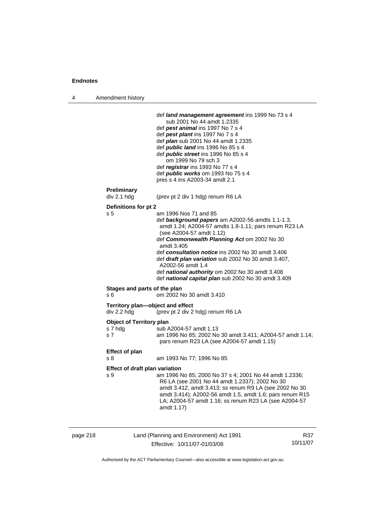4 Amendment history

|          |                                                              | def land management agreement ins 1999 No 73 s 4<br>sub 2001 No 44 amdt 1.2335<br>def pest animal ins 1997 No 7 s 4<br>def pest plant ins 1997 No 7 s 4<br>def <i>plan</i> sub 2001 No 44 amdt 1.2335<br>def <i>public land</i> ins 1996 No 85 s 4<br>def <i>public</i> street ins 1996 No 85 s 4<br>om 1999 No 79 sch 3<br>def registrar ins 1993 No 77 s 4<br>def <i>public works</i> om 1993 No 75 s 4<br>pres s 4 ins A2003-34 amdt 2.1                            |     |
|----------|--------------------------------------------------------------|------------------------------------------------------------------------------------------------------------------------------------------------------------------------------------------------------------------------------------------------------------------------------------------------------------------------------------------------------------------------------------------------------------------------------------------------------------------------|-----|
|          | Preliminary                                                  |                                                                                                                                                                                                                                                                                                                                                                                                                                                                        |     |
|          | div 2.1 hdg                                                  | (prev pt 2 div 1 hdg) renum R6 LA                                                                                                                                                                                                                                                                                                                                                                                                                                      |     |
|          | Definitions for pt 2<br>s <sub>5</sub>                       | am 1996 Nos 71 and 85<br>def background papers am A2002-56 amdts 1.1-1.3,<br>amdt 1.24; A2004-57 amdts 1.8-1.11; pars renum R23 LA<br>(see A2004-57 amdt 1.12)<br>def Commonwealth Planning Act om 2002 No 30<br>amdt 3.405<br>def consultation notice ins 2002 No 30 amdt 3.406<br>def draft plan variation sub 2002 No 30 amdt 3.407,<br>A2002-56 amdt 1.4<br>def national authority om 2002 No 30 amdt 3.408<br>def national capital plan sub 2002 No 30 amdt 3.409 |     |
|          | Stages and parts of the plan                                 |                                                                                                                                                                                                                                                                                                                                                                                                                                                                        |     |
|          | s 6                                                          | om 2002 No 30 amdt 3.410                                                                                                                                                                                                                                                                                                                                                                                                                                               |     |
|          | Territory plan-object and effect<br>div 2.2 hdg              | (prev pt 2 div 2 hdg) renum R6 LA                                                                                                                                                                                                                                                                                                                                                                                                                                      |     |
|          | <b>Object of Territory plan</b><br>s 7 hdg<br>s <sub>7</sub> | sub A2004-57 amdt 1.13<br>am 1996 No 85; 2002 No 30 amdt 3.411; A2004-57 amdt 1.14;<br>pars renum R23 LA (see A2004-57 amdt 1.15)                                                                                                                                                                                                                                                                                                                                      |     |
|          | <b>Effect of plan</b><br>s 8                                 | am 1993 No 77; 1996 No 85                                                                                                                                                                                                                                                                                                                                                                                                                                              |     |
|          | Effect of draft plan variation<br>s 9                        | am 1996 No 85; 2000 No 37 s 4; 2001 No 44 amdt 1.2336;<br>R6 LA (see 2001 No 44 amdt 1.2337); 2002 No 30<br>amdt 3.412, amdt 3.413; ss renum R9 LA (see 2002 No 30<br>amdt 3.414); A2002-56 amdt 1.5, amdt 1.6; pars renum R15<br>LA; A2004-57 amdt 1.16; ss renum R23 LA (see A2004-57<br>amdt 1.17)                                                                                                                                                                  |     |
| page 218 |                                                              | Land (Planning and Environment) Act 1991                                                                                                                                                                                                                                                                                                                                                                                                                               | R37 |

Effective: 10/11/07-01/03/08

10/11/07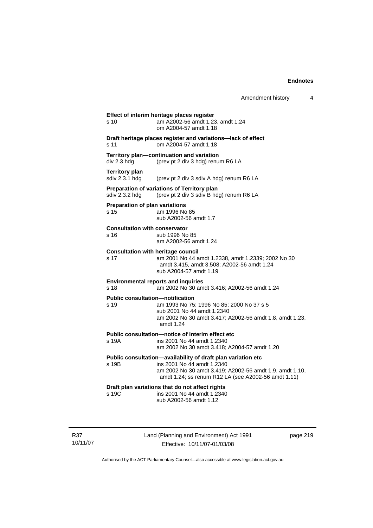**Effect of interim heritage places register**  s 10 am A2002-56 amdt 1.23, amdt 1.24 om A2004-57 amdt 1.18 **Draft heritage places register and variations—lack of effect**  s 11 om A2004-57 amdt 1.18 **Territory plan—continuation and variation**  div 2.3 hdg (prev pt 2 div 3 hdg) renum R6 LA **Territory plan**<br>sdiv 2.3.1 hdg (prev pt 2 div 3 sdiv A hdg) renum R6 LA **Preparation of variations of Territory plan**  sdiv 2.3.2 hdg (prev pt 2 div 3 sdiv B hdg) renum R6 LA **Preparation of plan variations**  s 15 am 1996 No 85 sub A2002-56 amdt 1.7 **Consultation with conservator**  s 16 sub 1996 No 85 am A2002-56 amdt 1.24 **Consultation with heritage council**  s 17 am 2001 No 44 amdt 1.2338, amdt 1.2339; 2002 No 30 amdt 3.415, amdt 3.508; A2002-56 amdt 1.24 sub A2004-57 amdt 1.19 **Environmental reports and inquiries**  s 18 am 2002 No 30 amdt 3.416; A2002-56 amdt 1.24 **Public consultation—notification**  s 19 am 1993 No 75; 1996 No 85; 2000 No 37 s 5 sub 2001 No 44 amdt 1.2340 am 2002 No 30 amdt 3.417; A2002-56 amdt 1.8, amdt 1.23, amdt 1.24 **Public consultation—notice of interim effect etc**  s 19A ins 2001 No 44 amdt 1.2340 am 2002 No 30 amdt 3.418; A2004-57 amdt 1.20 **Public consultation—availability of draft plan variation etc**  s 19B ins 2001 No 44 amdt 1.2340 am 2002 No 30 amdt 3.419; A2002-56 amdt 1.9, amdt 1.10, amdt 1.24; ss renum R12 LA (see A2002-56 amdt 1.11) **Draft plan variations that do not affect rights**  s 19C ins 2001 No 44 amdt 1.2340 sub A2002-56 amdt 1.12

R37 10/11/07 Land (Planning and Environment) Act 1991 Effective: 10/11/07-01/03/08

page 219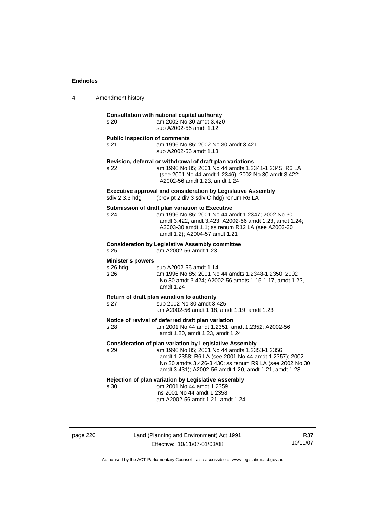| 4 | Amendment history |
|---|-------------------|
|---|-------------------|

| s <sub>20</sub>                              | <b>Consultation with national capital authority</b><br>am 2002 No 30 amdt 3.420<br>sub A2002-56 amdt 1.12                                                                                                                                                                                     |
|----------------------------------------------|-----------------------------------------------------------------------------------------------------------------------------------------------------------------------------------------------------------------------------------------------------------------------------------------------|
| <b>Public inspection of comments</b><br>s 21 | am 1996 No 85; 2002 No 30 amdt 3.421<br>sub A2002-56 amdt 1.13                                                                                                                                                                                                                                |
| s 22                                         | Revision, deferral or withdrawal of draft plan variations<br>am 1996 No 85; 2001 No 44 amdts 1.2341-1.2345; R6 LA<br>(see 2001 No 44 amdt 1.2346); 2002 No 30 amdt 3.422;<br>A2002-56 amdt 1.23, amdt 1.24                                                                                    |
| sdiv 2.3.3 hdg                               | <b>Executive approval and consideration by Legislative Assembly</b><br>(prev pt 2 div 3 sdiv C hdg) renum R6 LA                                                                                                                                                                               |
| s 24                                         | Submission of draft plan variation to Executive<br>am 1996 No 85; 2001 No 44 amdt 1.2347; 2002 No 30<br>amdt 3.422, amdt 3.423; A2002-56 amdt 1.23, amdt 1.24;<br>A2003-30 amdt 1.1; ss renum R12 LA (see A2003-30<br>amdt 1.2); A2004-57 amdt 1.21                                           |
| s 25                                         | <b>Consideration by Legislative Assembly committee</b><br>am A2002-56 amdt 1.23                                                                                                                                                                                                               |
| <b>Minister's powers</b><br>s 26 hdg<br>s 26 | sub A2002-56 amdt 1.14<br>am 1996 No 85; 2001 No 44 amdts 1.2348-1.2350; 2002<br>No 30 amdt 3.424; A2002-56 amdts 1.15-1.17, amdt 1.23,<br>amdt 1.24                                                                                                                                          |
| s <sub>27</sub>                              | Return of draft plan variation to authority<br>sub 2002 No 30 amdt 3.425<br>am A2002-56 amdt 1.18, amdt 1.19, amdt 1.23                                                                                                                                                                       |
| s 28                                         | Notice of revival of deferred draft plan variation<br>am 2001 No 44 amdt 1.2351, amdt 1.2352; A2002-56<br>amdt 1.20, amdt 1.23, amdt 1.24                                                                                                                                                     |
| s 29                                         | <b>Consideration of plan variation by Legislative Assembly</b><br>am 1996 No 85; 2001 No 44 amdts 1.2353-1.2356,<br>amdt 1.2358; R6 LA (see 2001 No 44 amdt 1.2357); 2002<br>No 30 amdts 3.426-3.430; ss renum R9 LA (see 2002 No 30<br>amdt 3.431); A2002-56 amdt 1.20, amdt 1.21, amdt 1.23 |
| s 30                                         | Rejection of plan variation by Legislative Assembly<br>om 2001 No 44 amdt 1.2359<br>ins 2001 No 44 amdt 1.2358<br>am A2002-56 amdt 1.21, amdt 1.24                                                                                                                                            |
|                                              |                                                                                                                                                                                                                                                                                               |

page 220 Land (Planning and Environment) Act 1991 Effective: 10/11/07-01/03/08

R37 10/11/07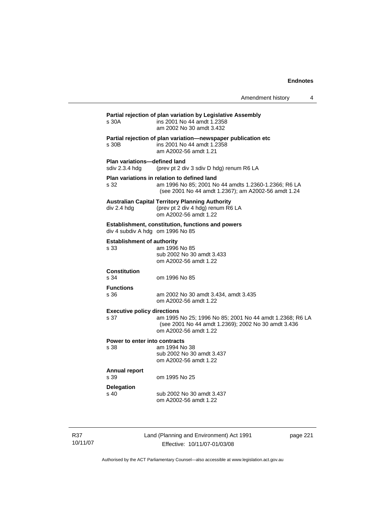| Amendment history |  |
|-------------------|--|
|-------------------|--|

# **Partial rejection of plan variation by Legislative Assembly**  s 30A ins 2001 No 44 amdt 1.2358 am 2002 No 30 amdt 3.432 **Partial rejection of plan variation—newspaper publication etc**  s 30B ins 2001 No 44 amdt 1.2358 am A2002-56 amdt 1.21 **Plan variations—defined land**  sdiv 2.3.4 hdg (prev pt 2 div 3 sdiv D hdg) renum R6 LA **Plan variations in relation to defined land**  s 32 am 1996 No 85; 2001 No 44 amdts 1.2360-1.2366; R6 LA (see 2001 No 44 amdt 1.2367); am A2002-56 amdt 1.24 **Australian Capital Territory Planning Authority**  div 2.4 hdg (prev pt 2 div 4 hdg) renum R6 LA om A2002-56 amdt 1.22 **Establishment, constitution, functions and powers**  div 4 subdiv A hdg om 1996 No 85 **Establishment of authority**  s 33 am 1996 No 85 sub 2002 No 30 amdt 3.433 om A2002-56 amdt 1.22 **Constitution**  s 34 om 1996 No 85 **Functions**  s 36 am 2002 No 30 amdt 3.434, amdt 3.435 om A2002-56 amdt 1.22 **Executive policy directions**  s 37 am 1995 No 25; 1996 No 85; 2001 No 44 amdt 1.2368; R6 LA (see 2001 No 44 amdt 1.2369); 2002 No 30 amdt 3.436 om A2002-56 amdt 1.22 **Power to enter into contracts**<br>s 38 am 1994 No am 1994 No 38 sub 2002 No 30 amdt 3.437 om A2002-56 amdt 1.22 **Annual report**  s 39 om 1995 No 25 **Delegation**  s 40 sub 2002 No 30 amdt 3.437 om A2002-56 amdt 1.22

R37 10/11/07 Land (Planning and Environment) Act 1991 Effective: 10/11/07-01/03/08

page 221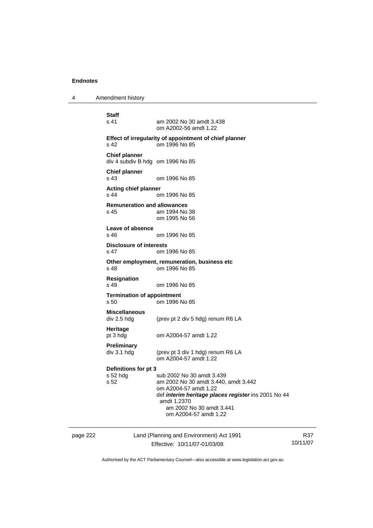4 Amendment history

page 222 Land (Planning and Environment) Act 1991 **Staff s** 41 am 2002 No 30 amdt 3.438 om A2002-56 amdt 1.22 **Effect of irregularity of appointment of chief planner**  s 42 om 1996 No 85 **Chief planner**  div 4 subdiv B hdg om 1996 No 85 **Chief planner**  om 1996 No 85 **Acting chief planner**  s 44 om 1996 No 85 **Remuneration and allowances**  s 45 am 1994 No 38 om 1995 No 56 **Leave of absence**  s 46 om 1996 No 85 **Disclosure of interests**  s 47 om 1996 No 85 **Other employment, remuneration, business etc**  s 48 om 1996 No 85 **Resignation**  om 1996 No 85 **Termination of appointment**  s 50 om 1996 No 85 **Miscellaneous**  (prev pt 2 div 5 hdg) renum R6 LA **Heritage**  pt 3 hdg om A2004-57 amdt 1.22 **Preliminary**  div 3.1 hdg (prev pt 3 div 1 hdg) renum R6 LA om A2004-57 amdt 1.22 **Definitions for pt 3**  sub 2002 No 30 amdt 3.439 s 52 am 2002 No 30 amdt 3.440, amdt 3.442 om A2004-57 amdt 1.22 def *interim heritage places register* ins 2001 No 44 amdt 1.2370 am 2002 No 30 amdt 3.441 om A2004-57 amdt 1.22

Effective: 10/11/07-01/03/08

R37 10/11/07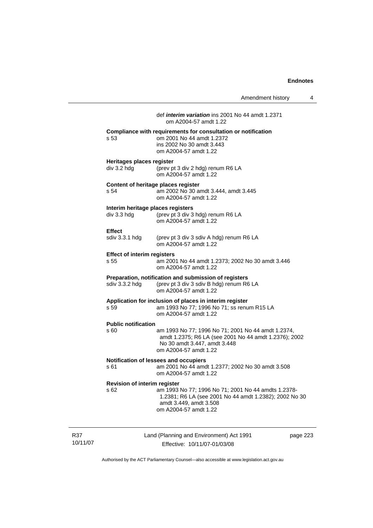|                                            | Amendment history<br>4                                                                                                                                               |
|--------------------------------------------|----------------------------------------------------------------------------------------------------------------------------------------------------------------------|
|                                            | def <i>interim variation</i> ins 2001 No 44 amdt 1.2371<br>om A2004-57 amdt 1.22                                                                                     |
| s 53                                       | Compliance with requirements for consultation or notification<br>om 2001 No 44 amdt 1.2372<br>ins 2002 No 30 amdt 3.443<br>om A2004-57 amdt 1.22                     |
| Heritages places register<br>$div$ 3.2 hdg | (prev pt 3 div 2 hdg) renum R6 LA<br>om A2004-57 amdt 1.22                                                                                                           |
| s 54                                       | Content of heritage places register<br>am 2002 No 30 amdt 3.444, amdt 3.445<br>om A2004-57 amdt 1.22                                                                 |
| div 3.3 hdg                                | Interim heritage places registers<br>(prev pt 3 div 3 hdg) renum R6 LA<br>om A2004-57 amdt 1.22                                                                      |
| <b>Effect</b><br>sdiv 3.3.1 hdg            | (prev pt 3 div 3 sdiv A hdg) renum R6 LA<br>om A2004-57 amdt 1.22                                                                                                    |
| <b>Effect of interim registers</b><br>s 55 | am 2001 No 44 amdt 1.2373; 2002 No 30 amdt 3.446<br>om A2004-57 amdt 1.22                                                                                            |
| sdiv 3.3.2 hdg                             | Preparation, notification and submission of registers<br>(prev pt 3 div 3 sdiv B hdg) renum R6 LA<br>om A2004-57 amdt 1.22                                           |
| s 59                                       | Application for inclusion of places in interim register<br>am 1993 No 77; 1996 No 71; ss renum R15 LA<br>om A2004-57 amdt 1.22                                       |
| <b>Public notification</b><br>s 60         | am 1993 No 77; 1996 No 71; 2001 No 44 amdt 1.2374,<br>amdt 1.2375; R6 LA (see 2001 No 44 amdt 1.2376); 2002<br>No 30 amdt 3.447, amdt 3.448<br>om A2004-57 amdt 1.22 |
| s 61                                       | Notification of lessees and occupiers<br>am 2001 No 44 amdt 1.2377; 2002 No 30 amdt 3.508<br>om A2004-57 amdt 1.22                                                   |
| Revision of interim register<br>s 62       | am 1993 No 77; 1996 No 71; 2001 No 44 amdts 1.2378-<br>1.2381; R6 LA (see 2001 No 44 amdt 1.2382); 2002 No 30<br>amdt 3.449, amdt 3.508<br>om A2004-57 amdt 1.22     |
|                                            | Land (Planning and Environment) Act 1991<br>page 223<br>Effective: 10/11/07-01/03/08                                                                                 |

Authorised by the ACT Parliamentary Counsel—also accessible at www.legislation.act.gov.au

R37 10/11/07

J.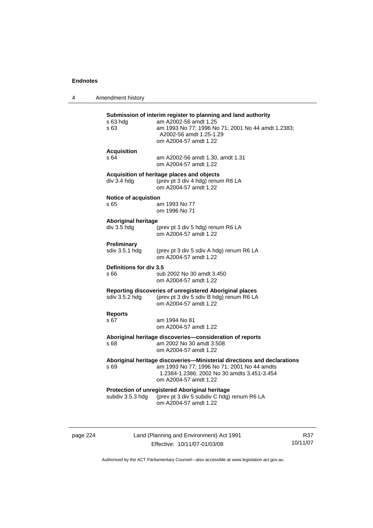| 4 | Amendment history                         |                                                                                                                                                                                                  |
|---|-------------------------------------------|--------------------------------------------------------------------------------------------------------------------------------------------------------------------------------------------------|
|   | s 63 hdg<br>s 63                          | Submission of interim register to planning and land authority<br>am A2002-56 amdt 1.25<br>am 1993 No 77; 1996 No 71; 2001 No 44 amdt 1.2383;<br>A2002-56 amdt 1.25-1.29<br>om A2004-57 amdt 1.22 |
|   | <b>Acquisition</b><br>s64                 | am A2002-56 amdt 1.30, amdt 1.31<br>om A2004-57 amdt 1.22                                                                                                                                        |
|   | div 3.4 hdg                               | Acquisition of heritage places and objects<br>(prev pt 3 div 4 hdg) renum R6 LA<br>om A2004-57 amdt 1.22                                                                                         |
|   | <b>Notice of acquistion</b><br>s 65       | am 1993 No 77<br>om 1996 No 71                                                                                                                                                                   |
|   | <b>Aboriginal heritage</b><br>div 3.5 hdg | (prev pt 3 div 5 hdg) renum R6 LA<br>om A2004-57 amdt 1.22                                                                                                                                       |
|   | Preliminary<br>sdiv 3.5.1 hdg             | (prev pt 3 div 5 sdiv A hdg) renum R6 LA<br>om A2004-57 amdt 1.22                                                                                                                                |
|   | Definitions for div 3.5<br>s 66           | sub 2002 No 30 amdt 3.450<br>om A2004-57 amdt 1.22                                                                                                                                               |
|   | sdiv 3.5.2 hdg                            | Reporting discoveries of unregistered Aboriginal places<br>(prev pt 3 div 5 sdiv B hdg) renum R6 LA<br>om A2004-57 amdt 1.22                                                                     |
|   | <b>Reports</b><br>s 67                    | am 1994 No 81<br>om A2004-57 amdt 1.22                                                                                                                                                           |
|   | s 68                                      | Aboriginal heritage discoveries-consideration of reports<br>am 2002 No 30 amdt 3.508<br>om A2004-57 amdt 1.22                                                                                    |
|   | s 69                                      | Aboriginal heritage discoveries-Ministerial directions and declarations<br>am 1993 No 77; 1996 No 71; 2001 No 44 amdts<br>1.2384-1.2386; 2002 No 30 amdts 3.451-3.454<br>om A2004-57 amdt 1.22   |
|   | subdiv 3.5.3 hdg                          | Protection of unregistered Aboriginal heritage<br>(prev pt 3 div 5 subdiv C hdg) renum R6 LA<br>om A2004-57 amdt 1.22                                                                            |
|   |                                           |                                                                                                                                                                                                  |

page 224 Land (Planning and Environment) Act 1991 Effective: 10/11/07-01/03/08

R37 10/11/07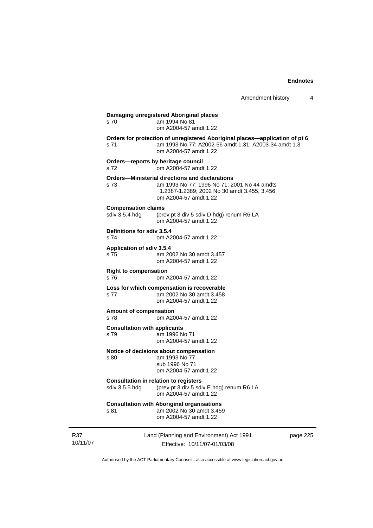| s 70                                         | Damaging unregistered Aboriginal places<br>am 1994 No 81<br>om A2004-57 amdt 1.22                                                                                     |
|----------------------------------------------|-----------------------------------------------------------------------------------------------------------------------------------------------------------------------|
| s 71                                         | Orders for protection of unregistered Aboriginal places-application of pt 6<br>am 1993 No 77; A2002-56 amdt 1.31; A2003-34 amdt 1.3<br>om A2004-57 amdt 1.22          |
| s 72                                         | Orders-reports by heritage council<br>om A2004-57 amdt 1.22                                                                                                           |
| s 73                                         | Orders-Ministerial directions and declarations<br>am 1993 No 77; 1996 No 71; 2001 No 44 amdts<br>1.2387-1.2389; 2002 No 30 amdt 3.455, 3.456<br>om A2004-57 amdt 1.22 |
| <b>Compensation claims</b><br>sdiv 3.5.4 hdg | (prev pt 3 div 5 sdiv D hdg) renum R6 LA<br>om A2004-57 amdt 1.22                                                                                                     |
| Definitions for sdiv 3.5.4<br>s 74           | om A2004-57 amdt 1.22                                                                                                                                                 |
| Application of sdiv 3.5.4<br>s <sub>75</sub> | am 2002 No 30 amdt 3.457<br>om A2004-57 amdt 1.22                                                                                                                     |
| <b>Right to compensation</b><br>s 76         | om A2004-57 amdt 1.22                                                                                                                                                 |
| s 77                                         | Loss for which compensation is recoverable<br>am 2002 No 30 amdt 3.458<br>om A2004-57 amdt 1.22                                                                       |
| Amount of compensation<br>s 78               | om A2004-57 amdt 1.22                                                                                                                                                 |
| <b>Consultation with applicants</b><br>s 79  | am 1996 No 71<br>om A2004-57 amdt 1.22                                                                                                                                |
| s 80                                         | Notice of decisions about compensation<br>am 1993 No 77<br>sub 1996 No 71<br>om A2004-57 amdt 1.22                                                                    |
| sdiv 3.5.5 hdg                               | <b>Consultation in relation to registers</b><br>(prev pt 3 div 5 sdiv E hdg) renum R6 LA<br>om A2004-57 amdt 1.22                                                     |
| s 81                                         | <b>Consultation with Aboriginal organisations</b><br>am 2002 No 30 amdt 3.459<br>om A2004-57 amdt 1.22                                                                |
|                                              |                                                                                                                                                                       |

R37 10/11/07 Land (Planning and Environment) Act 1991 Effective: 10/11/07-01/03/08

page 225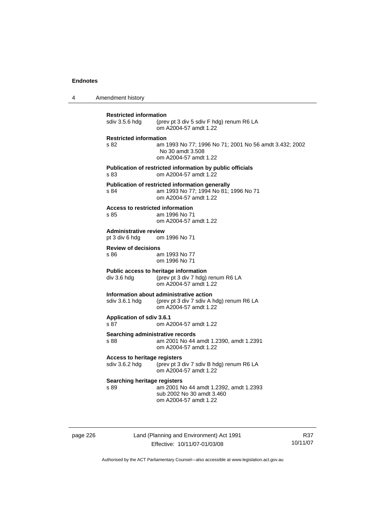4 Amendment history

| <b>Restricted information</b><br>sdiv 3.5.6 hdg              | (prev pt 3 div 5 sdiv F hdg) renum R6 LA<br>om A2004-57 amdt 1.22                                                 |
|--------------------------------------------------------------|-------------------------------------------------------------------------------------------------------------------|
| <b>Restricted information</b><br>s 82                        | am 1993 No 77; 1996 No 71; 2001 No 56 amdt 3.432; 2002<br>No 30 amdt 3.508<br>om A2004-57 amdt 1.22               |
| s 83                                                         | Publication of restricted information by public officials<br>om A2004-57 amdt 1.22                                |
| s 84                                                         | Publication of restricted information generally<br>am 1993 No 77; 1994 No 81; 1996 No 71<br>om A2004-57 amdt 1.22 |
| <b>Access to restricted information</b><br>s 85              | am 1996 No 71<br>om A2004-57 amdt 1.22                                                                            |
| <b>Administrative review</b><br>pt 3 div 6 hdg om 1996 No 71 |                                                                                                                   |
| <b>Review of decisions</b><br>s 86                           | am 1993 No 77<br>om 1996 No 71                                                                                    |
| div 3.6 hdg                                                  | Public access to heritage information<br>(prev pt 3 div 7 hdg) renum R6 LA<br>om A2004-57 amdt 1.22               |
| sdiv 3.6.1 hdg                                               | Information about administrative action<br>(prev pt 3 div 7 sdiv A hdg) renum R6 LA<br>om A2004-57 amdt 1.22      |
| Application of sdiv 3.6.1<br>s 87                            | om A2004-57 amdt 1.22                                                                                             |
| Searching administrative records<br>s 88                     | am 2001 No 44 amdt 1.2390, amdt 1.2391<br>om A2004-57 amdt 1.22                                                   |
| <b>Access to heritage registers</b><br>sdiv 3.6.2 hdg        | (prev pt 3 div 7 sdiv B hdg) renum R6 LA<br>om A2004-57 amdt 1.22                                                 |
| <b>Searching heritage registers</b><br>s 89                  | am 2001 No 44 amdt 1.2392, amdt 1.2393<br>sub 2002 No 30 amdt 3.460<br>om A2004-57 amdt 1.22                      |
|                                                              |                                                                                                                   |

page 226 Land (Planning and Environment) Act 1991 Effective: 10/11/07-01/03/08

R37 10/11/07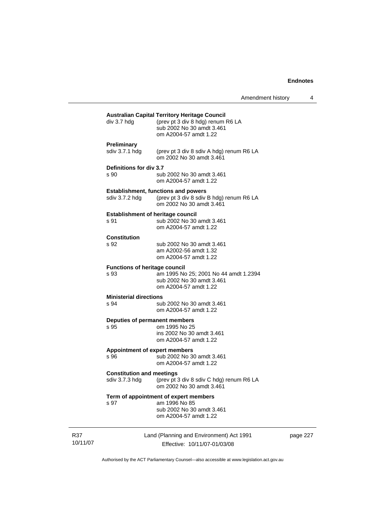| Amendment history |  |
|-------------------|--|
|-------------------|--|

| div 3.7 hdg                                        | <b>Australian Capital Territory Heritage Council</b><br>(prev pt 3 div 8 hdg) renum R6 LA<br>sub 2002 No 30 amdt 3.461<br>om A2004-57 amdt 1.22 |
|----------------------------------------------------|-------------------------------------------------------------------------------------------------------------------------------------------------|
| <b>Preliminary</b><br>sdiv 3.7.1 hdg               | (prev pt 3 div 8 sdiv A hdg) renum R6 LA<br>om 2002 No 30 amdt 3.461                                                                            |
| Definitions for div 3.7<br>s 90                    | sub 2002 No 30 amdt 3.461<br>om A2004-57 amdt 1.22                                                                                              |
| sdiv 3.7.2 hdq                                     | <b>Establishment, functions and powers</b><br>(prev pt 3 div 8 sdiv B hdg) renum R6 LA<br>om 2002 No 30 amdt 3.461                              |
| <b>Establishment of heritage council</b><br>s 91   | sub 2002 No 30 amdt 3.461<br>om A2004-57 amdt 1.22                                                                                              |
| <b>Constitution</b><br>s 92                        | sub 2002 No 30 amdt 3.461<br>am A2002-56 amdt 1.32<br>om A2004-57 amdt 1.22                                                                     |
| <b>Functions of heritage council</b><br>s 93       | am 1995 No 25; 2001 No 44 amdt 1.2394<br>sub 2002 No 30 amdt 3.461<br>om A2004-57 amdt 1.22                                                     |
| <b>Ministerial directions</b><br>s 94              | sub 2002 No 30 amdt 3.461<br>om A2004-57 amdt 1.22                                                                                              |
| Deputies of permanent members<br>s 95              | om 1995 No 25<br>ins 2002 No 30 amdt 3.461<br>om A2004-57 amdt 1.22                                                                             |
| <b>Appointment of expert members</b><br>s 96       | sub 2002 No 30 amdt 3.461<br>om A2004-57 amdt 1.22                                                                                              |
| <b>Constitution and meetings</b><br>sdiv 3.7.3 hdg | (prev pt 3 div 8 sdiv C hdg) renum R6 LA<br>om 2002 No 30 amdt 3.461                                                                            |
| s 97                                               | Term of appointment of expert members<br>am 1996 No 85<br>sub 2002 No 30 amdt 3.461<br>om A2004-57 amdt 1.22                                    |

R37 10/11/07 Land (Planning and Environment) Act 1991 Effective: 10/11/07-01/03/08

page 227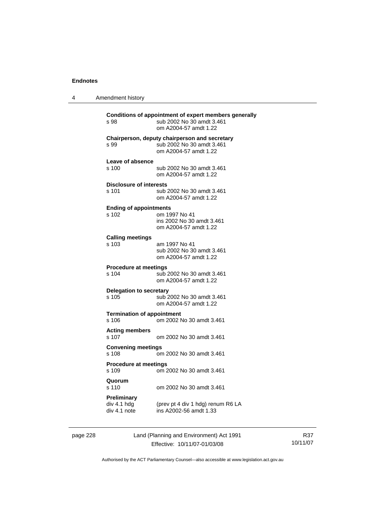4 Amendment history

| s 98                                       | Conditions of appointment of expert members generally<br>sub 2002 No 30 amdt 3.461<br>om A2004-57 amdt 1.22 |
|--------------------------------------------|-------------------------------------------------------------------------------------------------------------|
| s 99                                       | Chairperson, deputy chairperson and secretary<br>sub 2002 No 30 amdt 3.461<br>om A2004-57 amdt 1.22         |
| Leave of absence<br>s 100                  | sub 2002 No 30 amdt 3.461<br>om A2004-57 amdt 1.22                                                          |
| <b>Disclosure of interests</b><br>s 101    | sub 2002 No 30 amdt 3.461<br>om A2004-57 amdt 1.22                                                          |
| <b>Ending of appointments</b><br>s 102     | om 1997 No 41<br>ins 2002 No 30 amdt 3.461<br>om A2004-57 amdt 1.22                                         |
| <b>Calling meetings</b><br>s 103           | am 1997 No 41<br>sub 2002 No 30 amdt 3.461<br>om A2004-57 amdt 1.22                                         |
| <b>Procedure at meetings</b><br>s 104      | sub 2002 No 30 amdt 3.461<br>om A2004-57 amdt 1.22                                                          |
| <b>Delegation to secretary</b><br>s 105    | sub 2002 No 30 amdt 3.461<br>om A2004-57 amdt 1.22                                                          |
| <b>Termination of appointment</b><br>s 106 | om 2002 No 30 amdt 3.461                                                                                    |
| <b>Acting members</b><br>s 107             | om 2002 No 30 amdt 3.461                                                                                    |
| <b>Convening meetings</b><br>s 108         | om 2002 No 30 amdt 3.461                                                                                    |
| <b>Procedure at meetings</b><br>s 109      | om 2002 No 30 amdt 3.461                                                                                    |
| Quorum<br>s 110                            | om 2002 No 30 amdt 3.461                                                                                    |
| Preliminary<br>div 4.1 hdg<br>div 4.1 note | (prev pt 4 div 1 hdg) renum R6 LA<br>ins A2002-56 amdt 1.33                                                 |

page 228 Land (Planning and Environment) Act 1991 Effective: 10/11/07-01/03/08

R37 10/11/07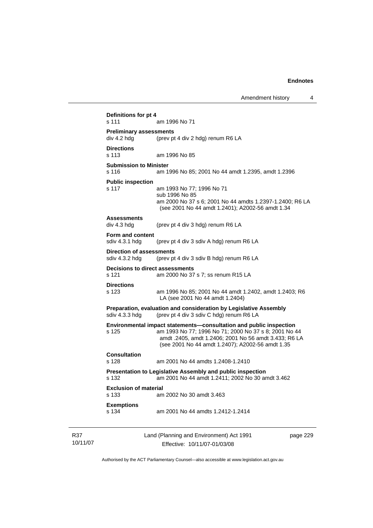| s 111                                         | am 1996 No 71                                                                                             |
|-----------------------------------------------|-----------------------------------------------------------------------------------------------------------|
| <b>Preliminary assessments</b><br>div 4.2 hdg | (prev pt 4 div 2 hdg) renum R6 LA                                                                         |
|                                               |                                                                                                           |
| <b>Directions</b><br>s 113                    | am 1996 No 85                                                                                             |
| <b>Submission to Minister</b>                 |                                                                                                           |
| s 116                                         | am 1996 No 85; 2001 No 44 amdt 1.2395, amdt 1.2396                                                        |
| <b>Public inspection</b>                      |                                                                                                           |
| s 117                                         | am 1993 No 77; 1996 No 71<br>sub 1996 No 85                                                               |
|                                               | am 2000 No 37 s 6; 2001 No 44 amdts 1.2397-1.2400; R6 LA                                                  |
|                                               | (see 2001 No 44 amdt 1.2401); A2002-56 amdt 1.34                                                          |
| <b>Assessments</b>                            |                                                                                                           |
| div 4.3 hdg                                   | (prev pt 4 div 3 hdg) renum R6 LA                                                                         |
| Form and content                              |                                                                                                           |
| sdiv 4.3.1 hdg                                | (prev pt 4 div 3 sdiv A hdg) renum R6 LA                                                                  |
| Direction of assessments                      |                                                                                                           |
| sdiv 4.3.2 hdg                                | (prev pt 4 div 3 sdiv B hdg) renum R6 LA                                                                  |
| Decisions to direct assessments<br>s 121      | am 2000 No 37 s 7; ss renum R15 LA                                                                        |
|                                               |                                                                                                           |
| <b>Directions</b><br>s 123                    | am 1996 No 85; 2001 No 44 amdt 1.2402, amdt 1.2403; R6                                                    |
|                                               | LA (see 2001 No 44 amdt 1.2404)                                                                           |
|                                               | Preparation, evaluation and consideration by Legislative Assembly                                         |
| sdiv 4.3.3 hdg                                | (prev pt 4 div 3 sdiv C hdg) renum R6 LA                                                                  |
|                                               | Environmental impact statements-consultation and public inspection                                        |
| s 125                                         | am 1993 No 77; 1996 No 71; 2000 No 37 s 8; 2001 No 44                                                     |
|                                               | amdt .2405, amdt 1.2406; 2001 No 56 amdt 3.433; R6 LA<br>(see 2001 No 44 amdt 1.2407); A2002-56 amdt 1.35 |
| Consultation                                  |                                                                                                           |
| s 128                                         | am 2001 No 44 amdts 1.2408-1.2410                                                                         |
|                                               | <b>Presentation to Legislative Assembly and public inspection</b>                                         |
| s 132                                         | am 2001 No 44 amdt 1.2411; 2002 No 30 amdt 3.462                                                          |
| <b>Exclusion of material</b>                  |                                                                                                           |
| s 133                                         | am 2002 No 30 amdt 3.463                                                                                  |
| <b>Exemptions</b>                             |                                                                                                           |
| s 134                                         | am 2001 No 44 amdts 1.2412-1.2414                                                                         |

R37 10/11/07

Effective: 10/11/07-01/03/08

page 229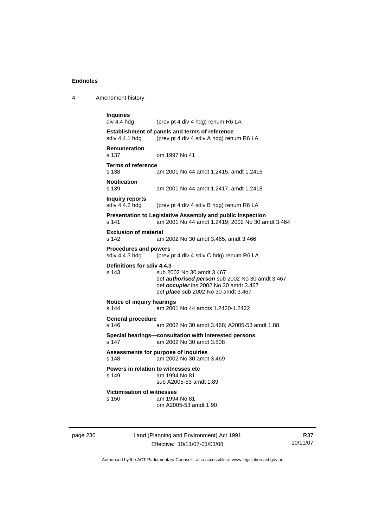4 Amendment history

```
Inquiries 
                 (prev pt 4 div 4 hdg) renum R6 LA
Establishment of panels and terms of reference 
sdiv 4.4.1 hdg (prev pt 4 div 4 sdiv A hdg) renum R6 LA
Remuneration 
                 om 1997 No 41
Terms of reference 
s 138 am 2001 No 44 amdt 1.2415, amdt 1.2416 
Notification 
                 am 2001 No 44 amdt 1.2417, amdt 1.2418
Inquiry reports 
sdiv 4.4.2 hdg (prev pt 4 div 4 sdiv B hdg) renum R6 LA 
Presentation to Legislative Assembly and public inspection 
s 141 am 2001 No 44 amdt 1.2419; 2002 No 30 amdt 3.464 
Exclusion of material 
s 142 am 2002 No 30 amdt 3.465, amdt 3.466 
Procedures and powers 
sdiv 4.4.3 hdg (prev pt 4 div 4 sdiv C hdg) renum R6 LA 
Definitions for sdiv 4.4.3 
s 143 sub 2002 No 30 amdt 3.467 
                  def authorised person sub 2002 No 30 amdt 3.467 
                  def occupier ins 2002 No 30 amdt 3.467 
                  def place sub 2002 No 30 amdt 3.467 
Notice of inquiry hearings 
s 144 am 2001 No 44 amdts 1.2420-1.2422 
General procedure 
s 146 am 2002 No 30 amdt 3.468; A2005-53 amdt 1.88 
Special hearings—consultation with interested persons 
s 147 am 2002 No 30 amdt 3.508 
Assessments for purpose of inquiries 
s 148 am 2002 No 30 amdt 3.469 
Powers in relation to witnesses etc<br>s 149<br>am 1994 No 81
                 am 1994 No 81
                  sub A2005-53 amdt 1.89 
Victimisation of witnesses 
s 150 am 1994 No 81 
                  om A2005-53 amdt 1.90
```
page 230 Land (Planning and Environment) Act 1991 Effective: 10/11/07-01/03/08

R37 10/11/07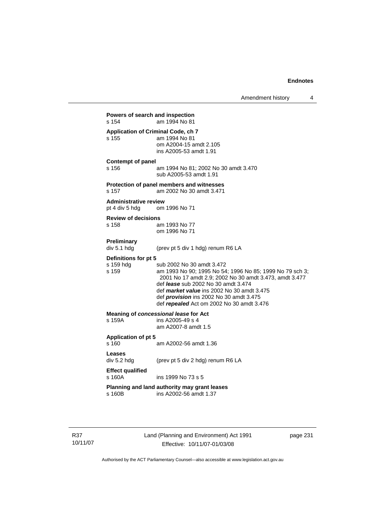Amendment history 4 **Powers of search and inspection**  s 154 am 1994 No 81 **Application of Criminal Code, ch 7**  s 155 am 1994 No 81 om A2004-15 amdt 2.105 ins A2005-53 amdt 1.91 **Contempt of panel**  s 156 am 1994 No 81; 2002 No 30 amdt 3.470 sub A2005-53 amdt 1.91 **Protection of panel members and witnesses**  s 157 am 2002 No 30 amdt 3.471 **Administrative review**  pt 4 div 5 hdg om 1996 No 71 **Review of decisions**  s 158 am 1993 No 77 om 1996 No 71 **Preliminary**  div 5.1 hdg (prev pt 5 div 1 hdg) renum R6 LA **Definitions for pt 5**  s 159 hdg sub 2002 No 30 amdt 3.472<br>s 159 s 159 s am 1993 No 90; 1995 No 54 am 1993 No 90; 1995 No 54; 1996 No 85; 1999 No 79 sch 3; 2001 No 17 amdt 2.9; 2002 No 30 amdt 3.473, amdt 3.477 def *lease* sub 2002 No 30 amdt 3.474 def *market value* ins 2002 No 30 amdt 3.475 def *provision* ins 2002 No 30 amdt 3.475 def *repealed* Act om 2002 No 30 amdt 3.476 **Meaning of** *concessional lease* **for Act** <br>s 159A **ins A2005-49 s 4** ins A2005-49 s 4 am A2007-8 amdt 1.5 **Application of pt 5**  s 160 am A2002-56 amdt 1.36 **Leases**  div 5.2 hdg (prev pt 5 div 2 hdg) renum R6 LA **Effect qualified**  s 160A ins 1999 No 73 s 5 **Planning and land authority may grant leases**  s 160B ins A2002-56 amdt 1.37

R37 10/11/07 Land (Planning and Environment) Act 1991 Effective: 10/11/07-01/03/08

page 231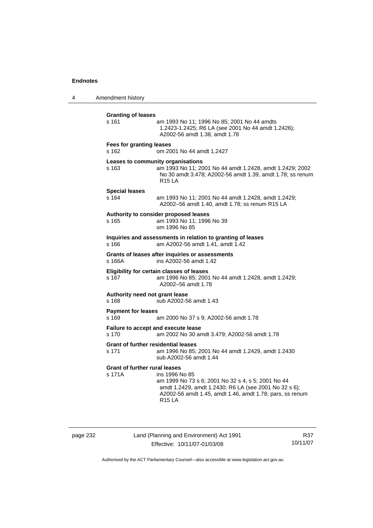4 Amendment history

| <b>Granting of leases</b><br>s 161                  | am 1993 No 11; 1996 No 85; 2001 No 44 amdts<br>1.2423-1.2425; R6 LA (see 2001 No 44 amdt 1.2426);<br>A2002-56 amdt 1.38, amdt 1.78                                                                         |
|-----------------------------------------------------|------------------------------------------------------------------------------------------------------------------------------------------------------------------------------------------------------------|
| <b>Fees for granting leases</b><br>s 162            | om 2001 No 44 amdt 1.2427                                                                                                                                                                                  |
| Leases to community organisations<br>s 163          | am 1993 No 11; 2001 No 44 amdt 1.2428, amdt 1.2429; 2002<br>No 30 amdt 3.478; A2002-56 amdt 1.39, amdt 1.78; ss renum<br><b>R15 LA</b>                                                                     |
| <b>Special leases</b><br>s 164                      | am 1993 No 11; 2001 No 44 amdt 1.2428, amdt 1.2429;<br>A2002-56 amdt 1.40, amdt 1.78; ss renum R15 LA                                                                                                      |
| s 165                                               | Authority to consider proposed leases<br>am 1993 No 11; 1996 No 39<br>om 1996 No 85                                                                                                                        |
| s 166                                               | Inquiries and assessments in relation to granting of leases<br>am A2002-56 amdt 1.41, amdt 1.42                                                                                                            |
| s 166A                                              | Grants of leases after inquiries or assessments<br>ins A2002-56 amdt 1.42                                                                                                                                  |
| s 167                                               | Eligibility for certain classes of leases<br>am 1996 No 85; 2001 No 44 amdt 1.2428, amdt 1.2429;<br>A2002-56 amdt 1.78                                                                                     |
| Authority need not grant lease<br>s 168             | sub A2002-56 amdt 1.43                                                                                                                                                                                     |
| <b>Payment for leases</b><br>s 169                  | am 2000 No 37 s 9; A2002-56 amdt 1.78                                                                                                                                                                      |
| Failure to accept and execute lease<br>s 170        | am 2002 No 30 amdt 3.479; A2002-56 amdt 1.78                                                                                                                                                               |
| <b>Grant of further residential leases</b><br>s 171 | am 1996 No 85; 2001 No 44 amdt 1.2429, amdt 1.2430<br>sub A2002-56 amdt 1.44                                                                                                                               |
| <b>Grant of further rural leases</b><br>s 171A      | ins 1996 No 85<br>am 1999 No 73 s 6; 2001 No 32 s 4, s 5; 2001 No 44<br>amdt 1.2429, amdt 1.2430; R6 LA (see 2001 No 32 s 6);<br>A2002-56 amdt 1.45, amdt 1.46, amdt 1.78; pars, ss renum<br><b>R15 LA</b> |

page 232 Land (Planning and Environment) Act 1991 Effective: 10/11/07-01/03/08

R37 10/11/07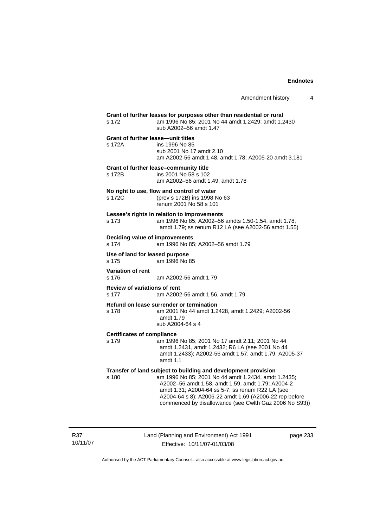| s 172                                               | Grant of further leases for purposes other than residential or rural<br>am 1996 No 85; 2001 No 44 amdt 1.2429; amdt 1.2430<br>sub A2002-56 amdt 1.47                                                                                                                                                                                               |
|-----------------------------------------------------|----------------------------------------------------------------------------------------------------------------------------------------------------------------------------------------------------------------------------------------------------------------------------------------------------------------------------------------------------|
| <b>Grant of further lease-unit titles</b><br>s 172A | ins 1996 No 85<br>sub 2001 No 17 amdt 2.10<br>am A2002-56 amdt 1.48, amdt 1.78; A2005-20 amdt 3.181                                                                                                                                                                                                                                                |
| s 172B                                              | Grant of further lease-community title<br>ins 2001 No 58 s 102<br>am A2002-56 amdt 1.49, amdt 1.78                                                                                                                                                                                                                                                 |
| s 172C                                              | No right to use, flow and control of water<br>(prev s 172B) ins 1998 No 63<br>renum 2001 No 58 s 101                                                                                                                                                                                                                                               |
| s 173                                               | Lessee's rights in relation to improvements<br>am 1996 No 85; A2002-56 amdts 1.50-1.54, amdt 1.78,<br>amdt 1.79; ss renum R12 LA (see A2002-56 amdt 1.55)                                                                                                                                                                                          |
| Deciding value of improvements<br>s 174             | am 1996 No 85; A2002-56 amdt 1.79                                                                                                                                                                                                                                                                                                                  |
| Use of land for leased purpose<br>s 175             | am 1996 No 85                                                                                                                                                                                                                                                                                                                                      |
| <b>Variation of rent</b><br>s 176                   | am A2002-56 amdt 1.79                                                                                                                                                                                                                                                                                                                              |
| Review of variations of rent<br>s 177               | am A2002-56 amdt 1.56, amdt 1.79                                                                                                                                                                                                                                                                                                                   |
| s 178                                               | Refund on lease surrender or termination<br>am 2001 No 44 amdt 1.2428, amdt 1.2429; A2002-56<br>amdt 1.79<br>sub A2004-64 s 4                                                                                                                                                                                                                      |
| <b>Certificates of compliance</b><br>s 179          | am 1996 No 85; 2001 No 17 amdt 2.11; 2001 No 44<br>amdt 1.2431, amdt 1.2432; R6 LA (see 2001 No 44<br>amdt 1.2433); A2002-56 amdt 1.57, amdt 1.79; A2005-37<br>amdt $1.1$                                                                                                                                                                          |
| s 180                                               | Transfer of land subject to building and development provision<br>am 1996 No 85; 2001 No 44 amdt 1.2434, amdt 1.2435;<br>A2002-56 amdt 1.58, amdt 1.59, amdt 1.79; A2004-2<br>amdt 1.31; A2004-64 ss 5-7; ss renum R22 LA (see<br>A2004-64 s 8); A2006-22 amdt 1.69 (A2006-22 rep before<br>commenced by disallowance (see Cwlth Gaz 2006 No S93)) |

R37 10/11/07 Land (Planning and Environment) Act 1991 Effective: 10/11/07-01/03/08

page 233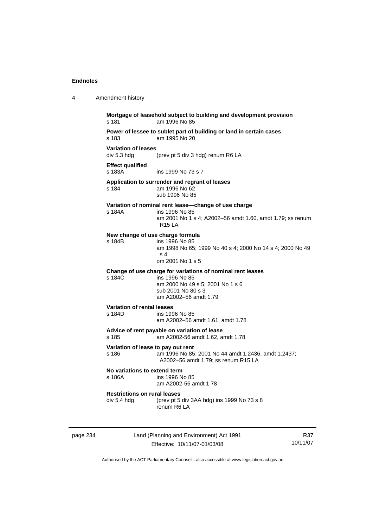| 4        | Amendment history                                  |                                                                                                                                                                 |     |
|----------|----------------------------------------------------|-----------------------------------------------------------------------------------------------------------------------------------------------------------------|-----|
|          | s 181                                              | Mortgage of leasehold subject to building and development provision<br>am 1996 No 85                                                                            |     |
|          | s 183                                              | Power of lessee to sublet part of building or land in certain cases<br>am 1995 No 20                                                                            |     |
|          | <b>Variation of leases</b><br>div 5.3 hdg          | (prev pt 5 div 3 hdg) renum R6 LA                                                                                                                               |     |
|          | <b>Effect qualified</b><br>s 183A                  | ins 1999 No 73 s 7                                                                                                                                              |     |
|          | s 184                                              | Application to surrender and regrant of leases<br>am 1996 No 62<br>sub 1996 No 85                                                                               |     |
|          | s 184A                                             | Variation of nominal rent lease-change of use charge<br>ins 1996 No 85<br>am 2001 No 1 s 4; A2002-56 amdt 1.60, amdt 1.79; ss renum<br><b>R15 LA</b>            |     |
|          | s 184B                                             | New change of use charge formula<br>ins 1996 No 85<br>am 1998 No 65; 1999 No 40 s 4; 2000 No 14 s 4; 2000 No 49<br>s 4<br>om 2001 No 1 s 5                      |     |
|          | s 184C                                             | Change of use charge for variations of nominal rent leases<br>ins 1996 No 85<br>am 2000 No 49 s 5; 2001 No 1 s 6<br>sub 2001 No 80 s 3<br>am A2002-56 amdt 1.79 |     |
|          | <b>Variation of rental leases</b><br>s 184D        | ins 1996 No 85<br>am A2002-56 amdt 1.61, amdt 1.78                                                                                                              |     |
|          | s 185                                              | Advice of rent payable on variation of lease<br>am A2002-56 amdt 1.62, amdt 1.78                                                                                |     |
|          | Variation of lease to pay out rent<br>s 186        | am 1996 No 85; 2001 No 44 amdt 1.2436, amdt 1.2437;<br>A2002-56 amdt 1.79; ss renum R15 LA                                                                      |     |
|          | No variations to extend term<br>s 186A             | ins 1996 No 85<br>am A2002-56 amdt 1.78                                                                                                                         |     |
|          | <b>Restrictions on rural leases</b><br>div 5.4 hdg | (prev pt 5 div 3AA hdg) ins 1999 No 73 s 8<br>renum R6 LA                                                                                                       |     |
| page 234 |                                                    | Land (Planning and Environment) Act 1991                                                                                                                        | R37 |

Authorised by the ACT Parliamentary Counsel—also accessible at www.legislation.act.gov.au

10/11/07

Effective: 10/11/07-01/03/08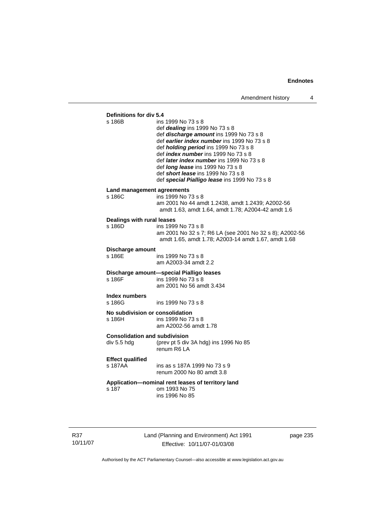# **Definitions for div 5.4**

ins 1999 No 73 s 8

- def *dealing* ins 1999 No 73 s 8
- def *discharge amount* ins 1999 No 73 s 8
- def *earlier index number* ins 1999 No 73 s 8
- def *holding period* ins 1999 No 73 s 8
- def *index number* ins 1999 No 73 s 8
- def *later index number* ins 1999 No 73 s 8
- def *long lease* ins 1999 No 73 s 8
- def *short lease* ins 1999 No 73 s 8
- def *special Pialligo lease* ins 1999 No 73 s 8

## **Land management agreements**

| s 186C | ins 1999 No 73 s 8                                 |
|--------|----------------------------------------------------|
|        | am 2001 No 44 amdt 1.2438. amdt 1.2439: A2002-56   |
|        | amdt 1.63, amdt 1.64, amdt 1.78; A2004-42 amdt 1.6 |

#### **Dealings with rural leases**

| s 186D. | ins 1999 No 73 s 8                                      |
|---------|---------------------------------------------------------|
|         | am 2001 No 32 s 7; R6 LA (see 2001 No 32 s 8); A2002-56 |
|         | amdt 1.65, amdt 1.78; A2003-14 amdt 1.67, amdt 1.68     |

#### **Discharge amount**

s 186E ins 1999 No 73 s 8 am A2003-34 amdt 2.2

#### **Discharge amount—special Pialligo leases**  s 186F ins 1999 No 73 s 8

am 2001 No 56 amdt 3.434

# **Index numbers**

s 186G ins 1999 No 73 s 8

# **No subdivision or consolidation**

ins 1999 No 73 s 8 am A2002-56 amdt 1.78

#### **Consolidation and subdivision**

div 5.5 hdg (prev pt 5 div 3A hdg) ins 1996 No 85 renum R6 LA

#### **Effect qualified**

#### s 187AA ins as s 187A 1999 No 73 s 9 renum 2000 No 80 amdt 3.8

#### **Application—nominal rent leases of territory land**  s 187 om 1993 No 75

ins 1996 No 85

R37 10/11/07

page 235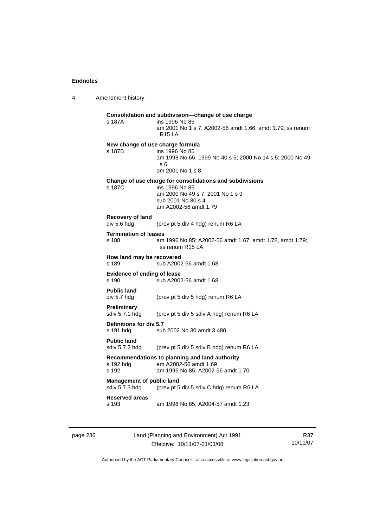4 Amendment history

| s 187A                               | Consolidation and subdivision-change of use charge<br>ins 1996 No 85<br>am 2001 No 1 s 7; A2002-56 amdt 1.66, amdt 1.79; ss renum<br><b>R15 LA</b> |
|--------------------------------------|----------------------------------------------------------------------------------------------------------------------------------------------------|
|                                      | New change of use charge formula                                                                                                                   |
| s 187B                               | ins 1996 No 85<br>am 1998 No 65; 1999 No 40 s 5; 2000 No 14 s 5; 2000 No 49<br>s 6                                                                 |
|                                      | om 2001 No 1 s 8                                                                                                                                   |
|                                      | Change of use charge for consolidations and subdivisions                                                                                           |
| s 187C                               | ins 1996 No 85<br>am 2000 No 49 s 7; 2001 No 1 s 9                                                                                                 |
|                                      | sub 2001 No 80 s 4                                                                                                                                 |
|                                      | am A2002-56 amdt 1.79                                                                                                                              |
| Recovery of land                     |                                                                                                                                                    |
| div 5.6 hdg                          | (prev pt 5 div 4 hdg) renum R6 LA                                                                                                                  |
| <b>Termination of leases</b>         |                                                                                                                                                    |
| s 188                                | am 1996 No 85; A2002-56 amdt 1.67, amdt 1.78, amdt 1.79;<br>ss renum R15 LA                                                                        |
| How land may be recovered            |                                                                                                                                                    |
| s 189                                | sub A2002-56 amdt 1.68                                                                                                                             |
| <b>Evidence of ending of lease</b>   |                                                                                                                                                    |
| s 190                                | sub A2002-56 amdt 1.68                                                                                                                             |
| <b>Public land</b>                   |                                                                                                                                                    |
| div 5.7 hdg                          | (prev pt 5 div 5 hdg) renum R6 LA                                                                                                                  |
| Preliminary                          |                                                                                                                                                    |
| sdiv 5.7.1 hdg                       | (prev pt 5 div 5 sdiv A hdg) renum R6 LA                                                                                                           |
| Definitions for div 5.7              |                                                                                                                                                    |
| s 191 hdg                            | sub 2002 No 30 amdt 3.480                                                                                                                          |
| <b>Public land</b><br>sdiv 5.7.2 hdg | (prev pt 5 div 5 sdiv B hdg) renum R6 LA                                                                                                           |
|                                      |                                                                                                                                                    |
| s 192 hdg                            | Recommendations to planning and land authority<br>am A2002-56 amdt 1.69                                                                            |
| s 192                                | am 1996 No 85; A2002-56 amdt 1.70                                                                                                                  |
| <b>Management of public land</b>     |                                                                                                                                                    |
| sdiv 5.7.3 hdg                       | (prev pt 5 div 5 sdiv C hdg) renum R6 LA                                                                                                           |
| <b>Reserved areas</b>                |                                                                                                                                                    |
|                                      |                                                                                                                                                    |

page 236 Land (Planning and Environment) Act 1991 Effective: 10/11/07-01/03/08

R37 10/11/07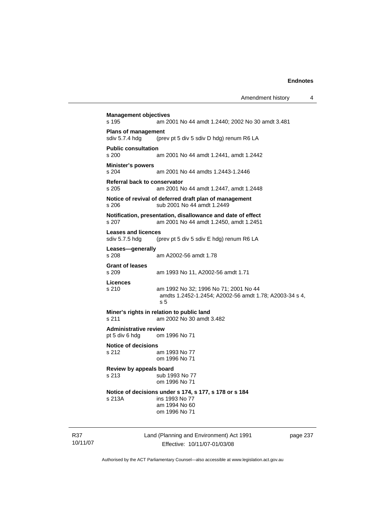**Management objectives**  s 195 am 2001 No 44 amdt 1.2440; 2002 No 30 amdt 3.481 **Plans of management**  sdiv 5.7.4 hdg (prev pt 5 div 5 sdiv D hdg) renum R6 LA **Public consultation**  s 200 am 2001 No 44 amdt 1.2441, amdt 1.2442 **Minister's powers**  s 204 am 2001 No 44 amdts 1.2443-1.2446 **Referral back to conservator**  s 205 am 2001 No 44 amdt 1.2447, amdt 1.2448 **Notice of revival of deferred draft plan of management**  s 206 sub 2001 No 44 amdt 1.2449 **Notification, presentation, disallowance and date of effect**  s 207 am 2001 No 44 amdt 1.2450, amdt 1.2451 **Leases and licences**  sdiv 5.7.5 hdg (prev pt 5 div 5 sdiv E hdg) renum R6 LA **Leases—generally**  s 208 am A2002-56 amdt 1.78 **Grant of leases**  am 1993 No 11, A2002-56 amdt 1.71 **Licences**  s 210 am 1992 No 32; 1996 No 71; 2001 No 44 amdts 1.2452-1.2454; A2002-56 amdt 1.78; A2003-34 s 4, s 5 **Miner's rights in relation to public land**  s 211 am 2002 No 30 amdt 3.482 **Administrative review**  pt 5 div 6 hdg om 1996 No 71 **Notice of decisions**  s 212 am 1993 No 77 om 1996 No 71 **Review by appeals board**  s 213 sub 1993 No 77 om 1996 No 71 **Notice of decisions under s 174, s 177, s 178 or s 184**  s 213A ins 1993 No 77 am 1994 No 60 om 1996 No 71

R37 10/11/07 Land (Planning and Environment) Act 1991 Effective: 10/11/07-01/03/08

page 237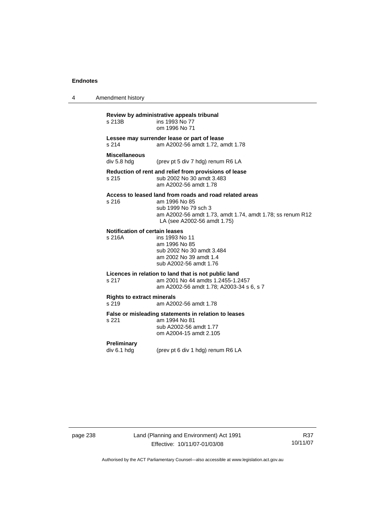4 Amendment history

| s 213B                                                                                   | Review by administrative appeals tribunal<br>ins 1993 No 77<br>om 1996 No 71                                                                                                                 |  |  |
|------------------------------------------------------------------------------------------|----------------------------------------------------------------------------------------------------------------------------------------------------------------------------------------------|--|--|
| Lessee may surrender lease or part of lease<br>s.214<br>am A2002-56 amdt 1.72, amdt 1.78 |                                                                                                                                                                                              |  |  |
| <b>Miscellaneous</b><br>div 5.8 hdg                                                      | (prev pt 5 div 7 hdg) renum R6 LA                                                                                                                                                            |  |  |
| s 215                                                                                    | Reduction of rent and relief from provisions of lease<br>sub 2002 No 30 amdt 3.483<br>am A2002-56 amdt 1.78                                                                                  |  |  |
| s 216                                                                                    | Access to leased land from roads and road related areas<br>am 1996 No 85<br>sub 1999 No 79 sch 3<br>am A2002-56 amdt 1.73, amdt 1.74, amdt 1.78; ss renum R12<br>LA (see A2002-56 amdt 1.75) |  |  |
| <b>Notification of certain leases</b><br>s 216A                                          | ins 1993 No 11<br>am 1996 No 85<br>sub 2002 No 30 amdt 3.484<br>am 2002 No 39 amdt 1.4<br>sub A2002-56 amdt 1.76                                                                             |  |  |
| s 217                                                                                    | Licences in relation to land that is not public land<br>am 2001 No 44 amdts 1.2455-1.2457<br>am A2002-56 amdt 1.78; A2003-34 s 6, s 7                                                        |  |  |
| <b>Rights to extract minerals</b><br>s 219<br>am A2002-56 amdt 1.78                      |                                                                                                                                                                                              |  |  |
| s 221                                                                                    | False or misleading statements in relation to leases<br>am 1994 No 81<br>sub A2002-56 amdt 1.77<br>om A2004-15 amdt 2.105                                                                    |  |  |
| <b>Preliminary</b><br>div 6.1 hdg                                                        | (prev pt 6 div 1 hdg) renum R6 LA                                                                                                                                                            |  |  |

page 238 Land (Planning and Environment) Act 1991 Effective: 10/11/07-01/03/08

R37 10/11/07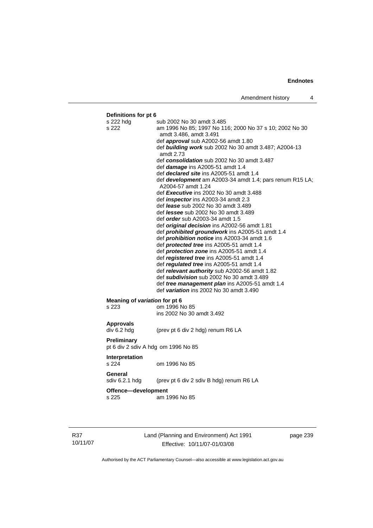## **Definitions for pt 6**  s 222 hdg sub 2002 No 30 amdt 3.485 s 222 am 1996 No 85; 1997 No 116; 2000 No 37 s 10; 2002 No 30 amdt 3.486, amdt 3.491 def *approval* sub A2002-56 amdt 1.80 def *building work* sub 2002 No 30 amdt 3.487; A2004-13 amdt 2.73 def *consolidation* sub 2002 No 30 amdt 3.487 def *damage* ins A2005-51 amdt 1.4 def *declared site* ins A2005-51 amdt 1.4 def *development* am A2003-34 amdt 1.4; pars renum R15 LA; A2004-57 amdt 1.24 def *Executive* ins 2002 No 30 amdt 3.488 def *inspector* ins A2003-34 amdt 2.3 def *lease* sub 2002 No 30 amdt 3.489 def *lessee* sub 2002 No 30 amdt 3.489 def *order* sub A2003-34 amdt 1.5 def *original decision* ins A2002-56 amdt 1.81 def *prohibited groundwork* ins A2005-51 amdt 1.4 def *prohibition notice* ins A2003-34 amdt 1.6 def *protected tree* ins A2005-51 amdt 1.4 def *protection zone* ins A2005-51 amdt 1.4 def *registered tree* ins A2005-51 amdt 1.4 def *regulated tree* ins A2005-51 amdt 1.4 def *relevant authority* sub A2002-56 amdt 1.82 def *subdivision* sub 2002 No 30 amdt 3.489 def *tree management plan* ins A2005-51 amdt 1.4 def *variation* ins 2002 No 30 amdt 3.490 **Meaning of** *variation* **for pt 6<br>s 223 cm 1996 N** om 1996 No 85 ins 2002 No 30 amdt 3.492 **Approvals**  div 6.2 hdg (prev pt 6 div 2 hdg) renum R6 LA **Preliminary**  pt 6 div 2 sdiv A hdg om 1996 No 85 **Interpretation**  s 224 om 1996 No 85 **General**  sdiv 6.2.1 hdg (prev pt 6 div 2 sdiv B hdg) renum R6 LA **Offence—development**  s 225 am 1996 No 85

R37 10/11/07 Land (Planning and Environment) Act 1991 Effective: 10/11/07-01/03/08

page 239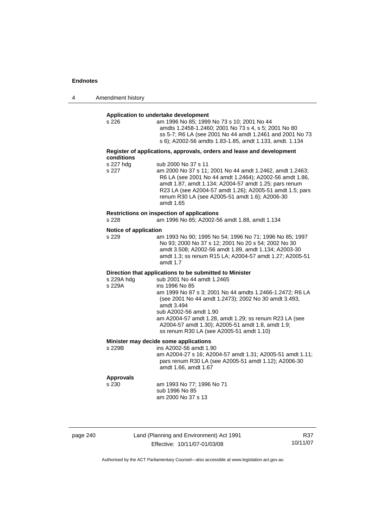| 4 | Amendment history |
|---|-------------------|
|---|-------------------|

#### **Application to undertake development**

|                                | Application to undertake development                                                                                                                                                                                                                                                                    |
|--------------------------------|---------------------------------------------------------------------------------------------------------------------------------------------------------------------------------------------------------------------------------------------------------------------------------------------------------|
| s 226                          | am 1996 No 85; 1999 No 73 s 10; 2001 No 44<br>amdts 1.2458-1.2460; 2001 No 73 s 4, s 5; 2001 No 80<br>ss 5-7; R6 LA (see 2001 No 44 amdt 1.2461 and 2001 No 73<br>s 6); A2002-56 amdts 1.83-1.85, amdt 1.133, amdt. 1.134                                                                               |
| conditions                     | Register of applications, approvals, orders and lease and development                                                                                                                                                                                                                                   |
| s 227 hdg                      | sub 2000 No 37 s 11                                                                                                                                                                                                                                                                                     |
| s 227                          | am 2000 No 37 s 11; 2001 No 44 amdt 1.2462, amdt 1.2463;<br>R6 LA (see 2001 No 44 amdt 1.2464); A2002-56 amdt 1.86,<br>amdt 1.87, amdt 1.134; A2004-57 amdt 1.25; pars renum<br>R23 LA (see A2004-57 amdt 1.26); A2005-51 amdt 1.5; pars<br>renum R30 LA (see A2005-51 amdt 1.6); A2006-30<br>amdt 1.65 |
|                                | Restrictions on inspection of applications                                                                                                                                                                                                                                                              |
| s 228                          | am 1996 No 85; A2002-56 amdt 1.88, amdt 1.134                                                                                                                                                                                                                                                           |
| Notice of application<br>s 229 | am 1993 No 90; 1995 No 54; 1996 No 71; 1996 No 85; 1997<br>No 93; 2000 No 37 s 12; 2001 No 20 s 54; 2002 No 30<br>amdt 3.508; A2002-56 amdt 1.89, amdt 1.134; A2003-30<br>amdt 1.3; ss renum R15 LA; A2004-57 amdt 1.27; A2005-51<br>amdt 1.7                                                           |

#### **Direction that applications to be submitted to Minister**

| s 229A hdg | sub 2001 No 44 amdt 1.2465                               |
|------------|----------------------------------------------------------|
| s 229A     | ins 1996 No 85                                           |
|            | am 1999 No 87 s 3; 2001 No 44 amdts 1.2466-1.2472; R6 LA |
|            | (see 2001 No 44 amdt 1.2473); 2002 No 30 amdt 3.493,     |
|            | amdt 3.494                                               |
|            | sub A2002-56 amdt 1.90                                   |
|            | am A2004-57 amdt 1.28, amdt 1.29; ss renum R23 LA (see   |
|            | A2004-57 amdt 1.30); A2005-51 amdt 1.8, amdt 1.9;        |
|            | ss renum R30 LA (see A2005-51 amdt 1.10)                 |
|            |                                                          |

# **Minister may decide some applications**<br>s 229B ins A2002-56 amdt 1.9

ins A2002-56 amdt 1.90 am A2004-27 s 16; A2004-57 amdt 1.31; A2005-51 amdt 1.11; pars renum R30 LA (see A2005-51 amdt 1.12); A2006-30 amdt 1.66, amdt 1.67

# **Approvals**

am 1993 No 77; 1996 No 71 sub 1996 No 85 am 2000 No 37 s 13

| page 240 |  |
|----------|--|
|----------|--|

page 240 Land (Planning and Environment) Act 1991 Effective: 10/11/07-01/03/08

R37 10/11/07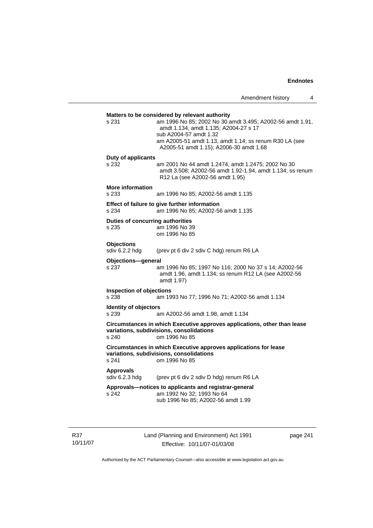## **Matters to be considered by relevant authority**  s 231 am 1996 No 85; 2002 No 30 amdt 3.495; A2002-56 amdt 1.91, amdt 1.134, amdt 1.135; A2004-27 s 17 sub A2004-57 amdt 1.32 am A2005-51 amdt 1.13, amdt 1.14; ss renum R30 LA (see A2005-51 amdt 1.15); A2006-30 amdt 1.68 **Duty of applicants**  s 232 am 2001 No 44 amdt 1.2474, amdt 1.2475; 2002 No 30 amdt 3.508; A2002-56 amdt 1.92-1.94, amdt 1.134; ss renum R12 La (see A2002-56 amdt 1.95) **More information**  s 233 am 1996 No 85; A2002-56 amdt 1.135 **Effect of failure to give further information**  s 234 am 1996 No 85; A2002-56 amdt 1.135 **Duties of concurring authorities**  s 235 am 1996 No 39 om 1996 No 85 **Objections**<br>sdiv 6.2.2 hdg (prev pt 6 div 2 sdiv C hdg) renum R6 LA **Objections—general**  s 237 am 1996 No 85; 1997 No 116; 2000 No 37 s 14; A2002-56 amdt 1.96, amdt 1.134; ss renum R12 LA (see A2002-56 amdt 1.97) **Inspection of objections**  s 238 am 1993 No 77; 1996 No 71; A2002-56 amdt 1.134 **Identity of objectors**<br> **s** 239 a s 239 am A2002-56 amdt 1.98, amdt 1.134 **Circumstances in which Executive approves applications, other than lease variations, subdivisions, consolidations**  s 240 om 1996 No 85 **Circumstances in which Executive approves applications for lease variations, subdivisions, consolidations**  s 241 om 1996 No 85 **Approvals**  sdiv 6.2.3 hdg (prev pt 6 div 2 sdiv D hdg) renum R6 LA **Approvals—notices to applicants and registrar-general**  s 242 am 1992 No 32; 1993 No 64 sub 1996 No 85; A2002-56 amdt 1.99

R37 10/11/07 Land (Planning and Environment) Act 1991 Effective: 10/11/07-01/03/08

page 241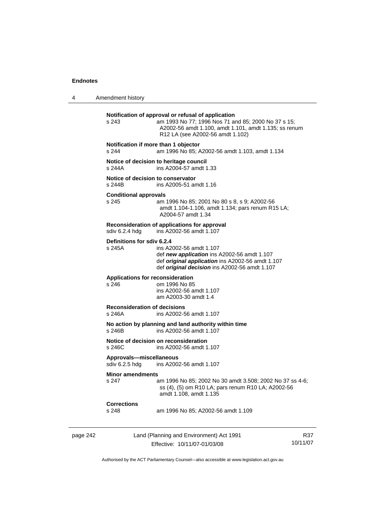4 Amendment history

|          | s 243                                            | Notification of approval or refusal of application<br>am 1993 No 77; 1996 Nos 71 and 85; 2000 No 37 s 15;<br>A2002-56 amdt 1.100, amdt 1.101, amdt 1.135; ss renum<br>R12 LA (see A2002-56 amdt 1.102) |                 |
|----------|--------------------------------------------------|--------------------------------------------------------------------------------------------------------------------------------------------------------------------------------------------------------|-----------------|
|          | Notification if more than 1 objector<br>s 244    | am 1996 No 85; A2002-56 amdt 1.103, amdt 1.134                                                                                                                                                         |                 |
|          | s 244A                                           | Notice of decision to heritage council<br>ins A2004-57 amdt 1.33                                                                                                                                       |                 |
|          | Notice of decision to conservator<br>s 244B      | ins A2005-51 amdt 1.16                                                                                                                                                                                 |                 |
|          | <b>Conditional approvals</b><br>s 245            | am 1996 No 85; 2001 No 80 s 8, s 9; A2002-56<br>amdt 1.104-1.106, amdt 1.134; pars renum R15 LA;<br>A2004-57 amdt 1.34                                                                                 |                 |
|          | sdiv 6.2.4 hdg                                   | Reconsideration of applications for approval<br>ins A2002-56 amdt 1.107                                                                                                                                |                 |
|          | Definitions for sdiv 6.2.4<br>s 245A             | ins A2002-56 amdt 1.107<br>def new application ins A2002-56 amdt 1.107<br>def original application ins A2002-56 amdt 1.107<br>def original decision ins A2002-56 amdt 1.107                            |                 |
|          | <b>Applications for reconsideration</b><br>s 246 | om 1996 No 85<br>ins A2002-56 amdt 1.107<br>am A2003-30 amdt 1.4                                                                                                                                       |                 |
|          | <b>Reconsideration of decisions</b><br>s 246A    | ins A2002-56 amdt 1.107                                                                                                                                                                                |                 |
|          | s 246B                                           | No action by planning and land authority within time<br>ins A2002-56 amdt 1.107                                                                                                                        |                 |
|          | s 246C                                           | Notice of decision on reconsideration<br>ins A2002-56 amdt 1.107                                                                                                                                       |                 |
|          | Approvals-miscellaneous<br>sdiv 6.2.5 hdg        | ins A2002-56 amdt 1.107                                                                                                                                                                                |                 |
|          | <b>Minor amendments</b><br>s 247                 | am 1996 No 85; 2002 No 30 amdt 3.508; 2002 No 37 ss 4-6;<br>ss (4), (5) om R10 LA; pars renum R10 LA; A2002-56<br>amdt 1.108, amdt 1.135                                                               |                 |
|          | <b>Corrections</b><br>s 248                      | am 1996 No 85; A2002-56 amdt 1.109                                                                                                                                                                     |                 |
| page 242 |                                                  | Land (Planning and Environment) Act 1991<br>Effective: 10/11/07-01/03/08                                                                                                                               | R37<br>10/11/07 |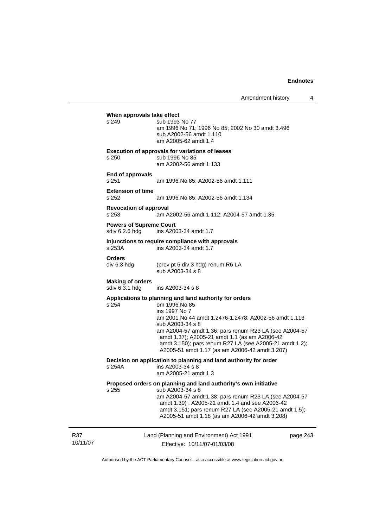Land (Planning and Environment) Act 1991 Effective: 10/11/07-01/03/08 page 243 **When approvals take effect**  s 249 sub 1993 No 77 am 1996 No 71; 1996 No 85; 2002 No 30 amdt 3.496 sub A2002-56 amdt 1.110 am A2005-62 amdt 1.4 **Execution of approvals for variations of leases**  s 250 sub 1996 No 85 am A2002-56 amdt 1.133 **End of approvals**  s 251 am 1996 No 85; A2002-56 amdt 1.111 **Extension of time**  s 252 am 1996 No 85; A2002-56 amdt 1.134 **Revocation of approval**  s 253 am A2002-56 amdt 1.112; A2004-57 amdt 1.35 **Powers of Supreme Court**<br>sdiv 6.2.6 hdg ins A200 ins A2003-34 amdt 1.7 **Injunctions to require compliance with approvals**  s 253A ins A2003-34 amdt 1.7 **Orders**<br>div 6.3 hdg (prev pt 6 div 3 hdg) renum R6 LA sub A2003-34 s 8 **Making of orders**  ins A2003-34 s 8 **Applications to planning and land authority for orders**  s 254 om 1996 No 85 ins 1997 No 7 am 2001 No 44 amdt 1.2476-1.2478; A2002-56 amdt 1.113 sub A2003-34 s 8 am A2004-57 amdt 1.36; pars renum R23 LA (see A2004-57 amdt 1.37); A2005-21 amdt 1.1 (as am A2006-42 amdt 3.150); pars renum R27 LA (see A2005-21 amdt 1.2); A2005-51 amdt 1.17 (as am A2006-42 amdt 3.207) **Decision on application to planning and land authority for order** s 254A **ins A2003-34 s** 8  $ins A2003-34 s 8$  am A2005-21 amdt 1.3 **Proposed orders on planning and land authority's own initiative**  s 255 sub A2003-34 s 8 am A2004-57 amdt 1.38; pars renum R23 LA (see A2004-57 amdt 1.39) ; A2005-21 amdt 1.4 and see A2006-42 amdt 3.151; pars renum R27 LA (see A2005-21 amdt 1.5); A2005-51 amdt 1.18 (as am A2006-42 amdt 3.208)

Authorised by the ACT Parliamentary Counsel—also accessible at www.legislation.act.gov.au

R37 10/11/07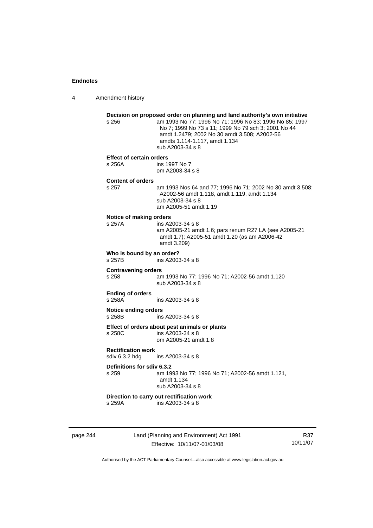4 Amendment history

|                                                                 | s 256                                     | Decision on proposed order on planning and land authority's own initiative<br>am 1993 No 77; 1996 No 71; 1996 No 83; 1996 No 85; 1997<br>No 7; 1999 No 73 s 11; 1999 No 79 sch 3; 2001 No 44<br>amdt 1.2479; 2002 No 30 amdt 3.508; A2002-56<br>amdts 1.114-1.117, amdt 1.134<br>sub A2003-34 s 8 |     |
|-----------------------------------------------------------------|-------------------------------------------|---------------------------------------------------------------------------------------------------------------------------------------------------------------------------------------------------------------------------------------------------------------------------------------------------|-----|
|                                                                 | <b>Effect of certain orders</b><br>s 256A | ins 1997 No 7<br>om A2003-34 s 8                                                                                                                                                                                                                                                                  |     |
|                                                                 | <b>Content of orders</b><br>s 257         | am 1993 Nos 64 and 77; 1996 No 71; 2002 No 30 amdt 3.508;<br>A2002-56 amdt 1.118, amdt 1.119, amdt 1.134<br>sub A2003-34 s 8<br>am A2005-51 amdt 1.19                                                                                                                                             |     |
|                                                                 | Notice of making orders<br>s 257A         | ins A2003-34 s 8<br>am A2005-21 amdt 1.6; pars renum R27 LA (see A2005-21<br>amdt 1.7); A2005-51 amdt 1.20 (as am A2006-42<br>amdt 3.209)                                                                                                                                                         |     |
|                                                                 | Who is bound by an order?<br>s 257B       | ins A2003-34 s 8                                                                                                                                                                                                                                                                                  |     |
|                                                                 | <b>Contravening orders</b><br>s 258       | am 1993 No 77; 1996 No 71; A2002-56 amdt 1.120<br>sub A2003-34 s 8                                                                                                                                                                                                                                |     |
|                                                                 | <b>Ending of orders</b><br>s 258A         | ins A2003-34 s 8                                                                                                                                                                                                                                                                                  |     |
|                                                                 | <b>Notice ending orders</b><br>s 258B     | ins A2003-34 s 8                                                                                                                                                                                                                                                                                  |     |
|                                                                 | s 258C                                    | Effect of orders about pest animals or plants<br>ins A2003-34 s 8<br>om A2005-21 amdt 1.8                                                                                                                                                                                                         |     |
| <b>Rectification work</b><br>sdiv 6.3.2 hdg<br>ins A2003-34 s 8 |                                           |                                                                                                                                                                                                                                                                                                   |     |
|                                                                 | Definitions for sdiv 6.3.2<br>s 259       | am 1993 No 77; 1996 No 71; A2002-56 amdt 1.121,<br>amdt 1.134<br>sub A2003-34 s 8                                                                                                                                                                                                                 |     |
|                                                                 | s 259A                                    | Direction to carry out rectification work<br>ins A2003-34 s 8                                                                                                                                                                                                                                     |     |
| page 244                                                        |                                           | Land (Planning and Environment) Act 1991                                                                                                                                                                                                                                                          | R37 |

Effective: 10/11/07-01/03/08

10/11/07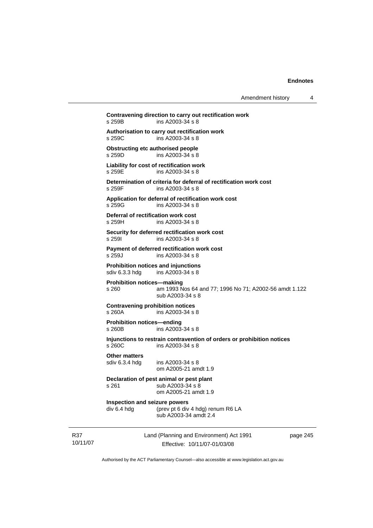| Amendment history |  |
|-------------------|--|
|-------------------|--|

10/11/07 Land (Planning and Environment) Act 1991 Effective: 10/11/07-01/03/08 page 245 **Contravening direction to carry out rectification work**  s 259B ins A2003-34 s 8 **Authorisation to carry out rectification work**   $ins A2003-34 s 8$ **Obstructing etc authorised people**  s 259D ins A2003-34 s 8 **Liability for cost of rectification work**  s 259E ins A2003-34 s 8 **Determination of criteria for deferral of rectification work cost**  ins A2003-34 s 8 **Application for deferral of rectification work cost**  ins A2003-34 s 8 **Deferral of rectification work cost**  s 259H ins A2003-34 s 8 **Security for deferred rectification work cost**  s 259I ins A2003-34 s 8 **Payment of deferred rectification work cost**  s 259J ins A2003-34 s 8 **Prohibition notices and injunctions**  sdiv 6.3.3 hdg ins A2003-34 s 8 **Prohibition notices—making**  s 260 am 1993 Nos 64 and 77; 1996 No 71; A2002-56 amdt 1.122 sub A2003-34 s 8 **Contravening prohibition notices**  ins A2003-34 s 8 **Prohibition notices—ending**  s 260B ins A2003-34 s 8 **Injunctions to restrain contravention of orders or prohibition notices**  s 260C ins A2003-34 s 8 **Other matters**  sdiv 6.3.4 hdg ins A2003-34 s 8 om A2005-21 amdt 1.9 **Declaration of pest animal or pest plant**  s 261 sub A2003-34 s 8 om A2005-21 amdt 1.9 **Inspection and seizure powers**<br>div 6.4 hdg (prev pt 6 div (prev pt 6 div 4 hdg) renum R6 LA sub A2003-34 amdt 2.4

Authorised by the ACT Parliamentary Counsel—also accessible at www.legislation.act.gov.au

R37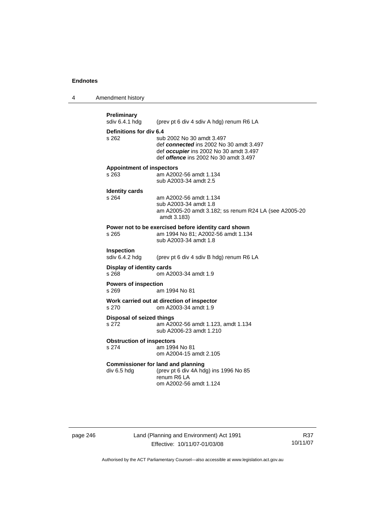4 Amendment history

```
Preliminary<br>sdiv 6.4.1 hdg
                  (prev pt 6 div 4 sdiv A hdg) renum R6 LA
Definitions for div 6.4 
s 262 sub 2002 No 30 amdt 3.497 
                   def connected ins 2002 No 30 amdt 3.497 
                   def occupier ins 2002 No 30 amdt 3.497 
                   def offence ins 2002 No 30 amdt 3.497 
Appointment of inspectors 
                  am A2002-56 amdt 1.134
                   sub A2003-34 amdt 2.5 
Identity cards 
                  am A2002-56 amdt 1.134
                   sub A2003-34 amdt 1.8 
                   am A2005-20 amdt 3.182; ss renum R24 LA (see A2005-20 
                   amdt 3.183) 
Power not to be exercised before identity card shown 
s 265 am 1994 No 81; A2002-56 amdt 1.134 
                   sub A2003-34 amdt 1.8 
Inspection<br>sdiv 6.4.2 hdg
                  (prev pt 6 div 4 sdiv B hdg) renum R6 LA
Display of identity cards 
s 268 om A2003-34 amdt 1.9 
Powers of inspection 
s 269 am 1994 No 81 
Work carried out at direction of inspector 
s 270 om A2003-34 amdt 1.9 
Disposal of seized things 
s 272 am A2002-56 amdt 1.123, amdt 1.134 
                   sub A2006-23 amdt 1.210 
Obstruction of inspectors<br>s 274 am 199
                  .<br>am 1994 No 81
                   om A2004-15 amdt 2.105 
Commissioner for land and planning 
div 6.5 hdg (prev pt 6 div 4A hdg) ins 1996 No 85 
                   renum R6 LA 
                   om A2002-56 amdt 1.124
```
page 246 Land (Planning and Environment) Act 1991 Effective: 10/11/07-01/03/08

R37 10/11/07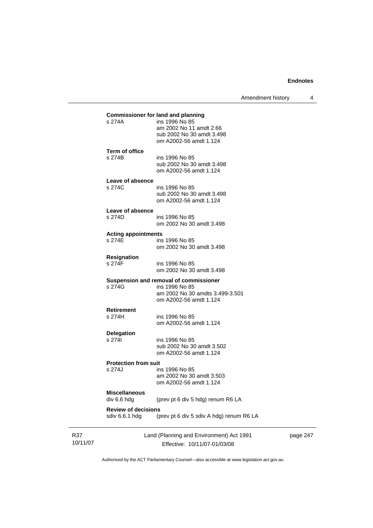Amendment history 4

|                                              | Land (Planning and Environment) Act 1991                                                                              | page 2 |
|----------------------------------------------|-----------------------------------------------------------------------------------------------------------------------|--------|
| <b>Review of decisions</b><br>sdiv 6.6.1 hdg | (prev pt 6 div 5 sdiv A hdg) renum R6 LA                                                                              |        |
| <b>Miscellaneous</b><br>div 6.6 hdg          | (prev pt 6 div 5 hdg) renum R6 LA                                                                                     |        |
| s 274J                                       | ins 1996 No 85<br>am 2002 No 30 amdt 3.503<br>om A2002-56 amdt 1.124                                                  |        |
| <b>Protection from suit</b>                  |                                                                                                                       |        |
| s 2741                                       | ins 1996 No 85<br>sub 2002 No 30 amdt 3.502<br>om A2002-56 amdt 1.124                                                 |        |
| Delegation                                   |                                                                                                                       |        |
| <b>Retirement</b><br>s 274H                  | ins 1996 No 85<br>om A2002-56 amdt 1.124                                                                              |        |
| s 274G                                       | Suspension and removal of commissioner<br>ins 1996 No 85<br>am 2002 No 30 amdts 3.499-3.501<br>om A2002-56 amdt 1.124 |        |
| s 274F                                       | ins 1996 No 85<br>om 2002 No 30 amdt 3.498                                                                            |        |
| <b>Resignation</b>                           | om 2002 No 30 amdt 3.498                                                                                              |        |
| <b>Acting appointments</b><br>s 274E         | ins 1996 No 85                                                                                                        |        |
|                                              | om 2002 No 30 amdt 3.498                                                                                              |        |
| Leave of absence<br>s 274D                   | ins 1996 No 85                                                                                                        |        |
|                                              | sub 2002 No 30 amdt 3.498<br>om A2002-56 amdt 1.124                                                                   |        |
| Leave of absence<br>s 274C                   | ins 1996 No 85                                                                                                        |        |
| s 274B                                       | ins 1996 No 85<br>sub 2002 No 30 amdt 3.498<br>om A2002-56 amdt 1.124                                                 |        |
| <b>Term of office</b>                        | om A2002-56 amdt 1.124                                                                                                |        |
|                                              | am 2002 No 11 amdt 2.66<br>sub 2002 No 30 amdt 3.498                                                                  |        |
|                                              | ins 1996 No 85                                                                                                        |        |

R37 10/11/07

Effective: 10/11/07-01/03/08

247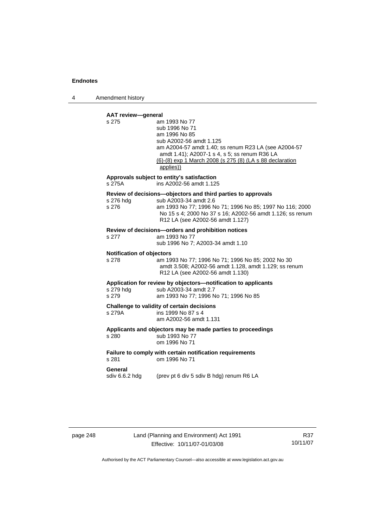4 Amendment history

### **AAT review—general**

| s 275                                     | am 1993 No 77<br>sub 1996 No 71<br>am 1996 No 85<br>sub A2002-56 amdt 1.125<br>am A2004-57 amdt 1.40; ss renum R23 LA (see A2004-57<br>amdt 1.41); A2007-1 s 4, s 5; ss renum R36 LA<br>(6)-(8) exp 1 March 2008 (s 275 (8) (LA s 88 declaration<br>applies)) |
|-------------------------------------------|---------------------------------------------------------------------------------------------------------------------------------------------------------------------------------------------------------------------------------------------------------------|
| s 275A                                    | Approvals subject to entity's satisfaction<br>ins A2002-56 amdt 1.125                                                                                                                                                                                         |
| s 276 hdg<br>s 276                        | Review of decisions-objectors and third parties to approvals<br>sub A2003-34 amdt 2.6<br>am 1993 No 77; 1996 No 71; 1996 No 85; 1997 No 116; 2000<br>No 15 s 4; 2000 No 37 s 16; A2002-56 amdt 1.126; ss renum<br>R12 LA (see A2002-56 amdt 1.127)            |
| s 277                                     | Review of decisions-orders and prohibition notices<br>am 1993 No 77<br>sub 1996 No 7; A2003-34 amdt 1.10                                                                                                                                                      |
| <b>Notification of objectors</b><br>s 278 | am 1993 No 77; 1996 No 71; 1996 No 85; 2002 No 30<br>amdt 3.508; A2002-56 amdt 1.128, amdt 1.129; ss renum<br>R12 LA (see A2002-56 amdt 1.130)                                                                                                                |
| s 279 hdg<br>s 279                        | Application for review by objectors-notification to applicants<br>sub A2003-34 amdt 2.7<br>am 1993 No 77; 1996 No 71; 1996 No 85                                                                                                                              |
| s 279A                                    | Challenge to validity of certain decisions<br>ins 1999 No 87 s 4<br>am A2002-56 amdt 1.131                                                                                                                                                                    |
| s 280                                     | Applicants and objectors may be made parties to proceedings<br>sub 1993 No 77<br>om 1996 No 71                                                                                                                                                                |
| s 281                                     | Failure to comply with certain notification requirements<br>om 1996 No 71                                                                                                                                                                                     |
| General<br>sdiv 6.6.2 hdg                 | (prev pt 6 div 5 sdiv B hdg) renum R6 LA                                                                                                                                                                                                                      |
|                                           |                                                                                                                                                                                                                                                               |

page 248 Land (Planning and Environment) Act 1991 Effective: 10/11/07-01/03/08

R37 10/11/07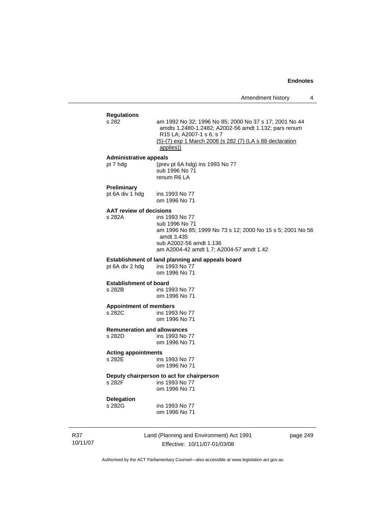| <b>Regulations</b><br>s 282                  | am 1992 No 32; 1996 No 85; 2000 No 37 s 17; 2001 No 44<br>amdts 1.2480-1.2482; A2002-56 amdt 1.132; pars renum<br>R15 LA; A2007-1 s 6, s 7<br>(5)-(7) exp 1 March 2008 (s 282 (7) (LA s 88 declaration<br>applies)) |
|----------------------------------------------|---------------------------------------------------------------------------------------------------------------------------------------------------------------------------------------------------------------------|
| <b>Administrative appeals</b>                |                                                                                                                                                                                                                     |
| pt 7 hdg                                     | (prev pt 6A hdg) ins 1993 No 77<br>sub 1996 No 71<br>renum R6 LA                                                                                                                                                    |
| <b>Preliminary</b>                           |                                                                                                                                                                                                                     |
| pt 6A div 1 hdg                              | ins 1993 No 77<br>om 1996 No 71                                                                                                                                                                                     |
| <b>AAT review of decisions</b>               |                                                                                                                                                                                                                     |
| s 282A                                       | ins 1993 No 77<br>sub 1996 No 71<br>am 1996 No 85; 1999 No 73 s 12; 2000 No 15 s 5; 2001 No 56<br>amdt 3.435<br>sub A2002-56 amdt 1.136<br>am A2004-42 amdt 1.7: A2004-57 amdt 1.42                                 |
|                                              | Establishment of land planning and appeals board                                                                                                                                                                    |
| pt 6A div 2 hdg                              | ins 1993 No 77<br>om 1996 No 71                                                                                                                                                                                     |
| <b>Establishment of board</b>                |                                                                                                                                                                                                                     |
| s 282B                                       | ins 1993 No 77<br>om 1996 No 71                                                                                                                                                                                     |
| <b>Appointment of members</b>                |                                                                                                                                                                                                                     |
| s 282C                                       | ins 1993 No 77<br>om 1996 No 71                                                                                                                                                                                     |
|                                              |                                                                                                                                                                                                                     |
| <b>Remuneration and allowances</b><br>s 282D | ins 1993 No 77                                                                                                                                                                                                      |
|                                              | om 1996 No 71                                                                                                                                                                                                       |
|                                              |                                                                                                                                                                                                                     |
| <b>Acting appointments</b><br>s 282E         | ins 1993 No 77                                                                                                                                                                                                      |
|                                              | om 1996 No 71                                                                                                                                                                                                       |
|                                              | Deputy chairperson to act for chairperson                                                                                                                                                                           |
| s 282F                                       | ins 1993 No 77<br>om 1996 No 71                                                                                                                                                                                     |
| <b>Delegation</b>                            |                                                                                                                                                                                                                     |
| s 282G                                       | ins 1993 No 77<br>om 1996 No 71                                                                                                                                                                                     |
|                                              | Land (Planning and Environment) Act 1991<br>page 249                                                                                                                                                                |
|                                              | Effective: 10/11/07-01/03/08                                                                                                                                                                                        |
|                                              |                                                                                                                                                                                                                     |

Authorised by the ACT Parliamentary Counsel—also accessible at www.legislation.act.gov.au

R37 10/11/07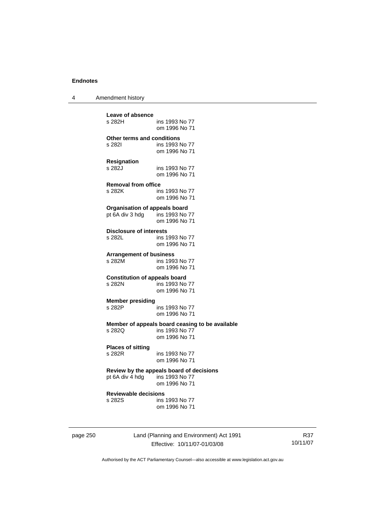4 Amendment history

| Leave of absence                               |                                                                   |
|------------------------------------------------|-------------------------------------------------------------------|
| s 282H                                         | ins 1993 No 77<br>om 1996 No 71                                   |
| <b>Other terms and conditions</b>              |                                                                   |
| s 282l                                         | ins 1993 No 77                                                    |
|                                                | om 1996 No 71                                                     |
| Resignation                                    |                                                                   |
| s 282J                                         | ins 1993 No 77                                                    |
|                                                | om 1996 No 71                                                     |
| <b>Removal from office</b>                     |                                                                   |
| s 282K                                         | ins 1993 No 77                                                    |
|                                                | om 1996 No 71                                                     |
| <b>Organisation of appeals board</b>           |                                                                   |
| pt 6A div 3 hdg                                | ins 1993 No 77<br>om 1996 No 71                                   |
|                                                |                                                                   |
| <b>Disclosure of interests</b>                 |                                                                   |
| s 282L                                         | ins 1993 No 77<br>om 1996 No 71                                   |
|                                                |                                                                   |
| <b>Arrangement of business</b>                 |                                                                   |
| s 282M                                         | ins 1993 No 77<br>om 1996 No 71                                   |
|                                                |                                                                   |
| <b>Constitution of appeals board</b><br>s 282N | ins 1993 No 77                                                    |
|                                                | om 1996 No 71                                                     |
|                                                |                                                                   |
| <b>Member presiding</b><br>s 282P              | ins 1993 No 77                                                    |
|                                                | om 1996 No 71                                                     |
|                                                |                                                                   |
| s 282Q                                         | Member of appeals board ceasing to be available<br>ins 1993 No 77 |
|                                                | om 1996 No 71                                                     |
| <b>Places of sitting</b>                       |                                                                   |
| s 282R                                         | ins 1993 No 77                                                    |
|                                                | om 1996 No 71                                                     |
|                                                | Review by the appeals board of decisions                          |
| pt 6A div 4 hdg ins 1993 No 77                 |                                                                   |
|                                                | om 1996 No 71                                                     |
| <b>Reviewable decisions</b>                    |                                                                   |
| s 282S                                         | ins 1993 No 77                                                    |
|                                                | om 1996 No 71                                                     |
|                                                |                                                                   |
|                                                |                                                                   |

page 250 Land (Planning and Environment) Act 1991 Effective: 10/11/07-01/03/08

R37 10/11/07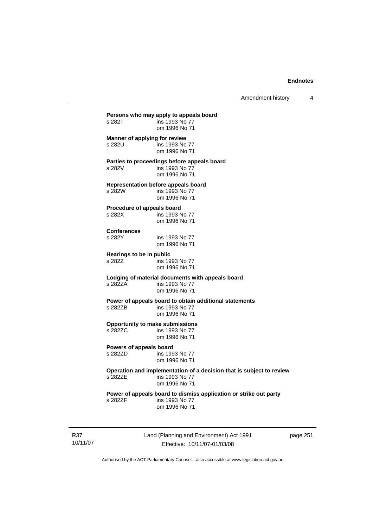Amendment history 4

**Persons who may apply to appeals board**<br>s 282T ins 1993 No 77 ins 1993 No 77 om 1996 No 71 **Manner of applying for review**  s 282U ins 1993 No 77 om 1996 No 71 **Parties to proceedings before appeals board**  s 282V ins 1993 No 77 om 1996 No 71 **Representation before appeals board**  s 282W ins 1993 No 77 om 1996 No 71 **Procedure of appeals board**  s 282X ins 1993 No 77 om 1996 No 71 **Conferences**  ins 1993 No 77 om 1996 No 71 **Hearings to be in public**  s 282Z ins 1993 No 77 om 1996 No 71 **Lodging of material documents with appeals board**  ins 1993 No 77 om 1996 No 71 **Power of appeals board to obtain additional statements**<br>s 282ZB ins 1993 No 77 ins 1993 No 77 om 1996 No 71 **Opportunity to make submissions**  s 282ZC ins 1993 No 77 om 1996 No 71 **Powers of appeals board**<br>s 282ZD ins 199 ins 1993 No 77 om 1996 No 71 **Operation and implementation of a decision that is subject to review**  ins 1993 No 77 om 1996 No 71 **Power of appeals board to dismiss application or strike out party**  s 282ZF ins 1993 No 77 om 1996 No 71

R37 10/11/07 Land (Planning and Environment) Act 1991 Effective: 10/11/07-01/03/08

page 251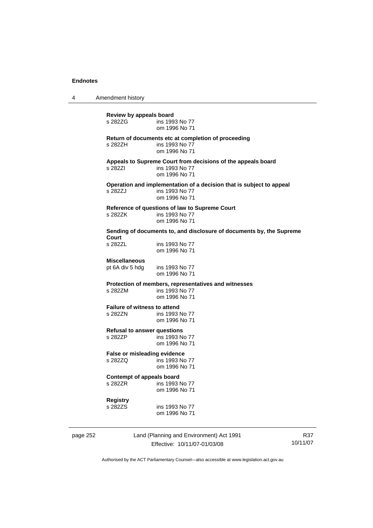4 Amendment history

**Review by appeals board**  ins 1993 No 77 om 1996 No 71 **Return of documents etc at completion of proceeding**  ins 1993 No 77 om 1996 No 71 **Appeals to Supreme Court from decisions of the appeals board**  s 282ZI ins 1993 No 77 om 1996 No 71 **Operation and implementation of a decision that is subject to appeal**  ins 1993 No 77 om 1996 No 71 **Reference of questions of law to Supreme Court**  s 282ZK ins 1993 No 77 om 1996 No 71 **Sending of documents to, and disclosure of documents by, the Supreme Court**  ins 1993 No 77 om 1996 No 71 **Miscellaneous**  pt 6A div 5 hdg ins 1993 No 77 om 1996 No 71 **Protection of members, representatives and witnesses**  s 282ZM ins 1993 No 77 om 1996 No 71 **Failure of witness to attend<br>s 2827N** ins 1993 ins 1993 No 77 om 1996 No 71 **Refusal to answer questions**  s 282ZP ins 1993 No 77 om 1996 No 71 **False or misleading evidence**  s 282ZQ ins 1993 No 77 om 1996 No 71 **Contempt of appeals board**  s 282ZR ins 1993 No 77 om 1996 No 71 **Registry**  s 282ZS ins 1993 No 77 om 1996 No 71

page 252 Land (Planning and Environment) Act 1991 Effective: 10/11/07-01/03/08

R37 10/11/07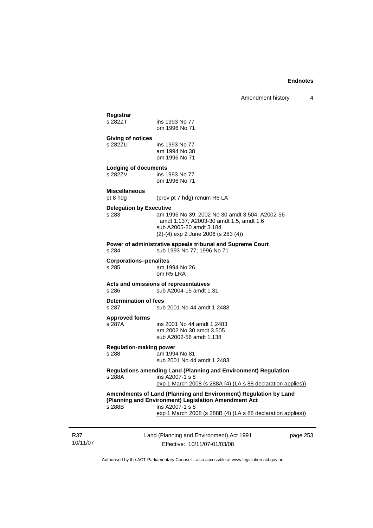## Land (Planning and Environment) Act 1991 page 253 **Registrar**  ins 1993 No 77 om 1996 No 71 **Giving of notices**  ins 1993 No 77 am 1994 No 38 om 1996 No 71 **Lodging of documents**  ins 1993 No 77 om 1996 No 71 **Miscellaneous**  pt 8 hdg (prev pt 7 hdg) renum R6 LA **Delegation by Executive**  s 283 am 1996 No 39; 2002 No 30 amdt 3.504; A2002-56 amdt 1.137; A2003-30 amdt 1.5, amdt 1.6 sub A2005-20 amdt 3.184 (2)-(4) exp 2 June 2006 (s 283 (4)) **Power of administrative appeals tribunal and Supreme Court**<br>
s 284 sub 1993 No 77: 1996 No 71 sub 1993 No 77; 1996 No 71 **Corporations–penalites**  s 285 am 1994 No 26 om R5 LRA **Acts and omissions of representatives**  s 286 sub A2004-15 amdt 1.31 **Determination of fees**  s 287 sub 2001 No 44 amdt 1.2483 **Approved forms**  s 287A ins 2001 No 44 amdt 1.2483 am 2002 No 30 amdt 3.505 sub A2002-56 amdt 1.138 **Regulation-making power**  am 1994 No 81 sub 2001 No 44 amdt 1.2483 **Regulations amending Land (Planning and Environment) Regulation**  s 288A ins A2007-1 s 8 exp 1 March 2008 (s 288A (4) (LA s 88 declaration applies)) **Amendments of Land (Planning and Environment) Regulation by Land (Planning and Environment) Legislation Amendment Act**  s 288B ins A2007-1 s 8 exp 1 March 2008 (s 288B (4) (LA s 88 declaration applies))

R37 10/11/07

Effective: 10/11/07-01/03/08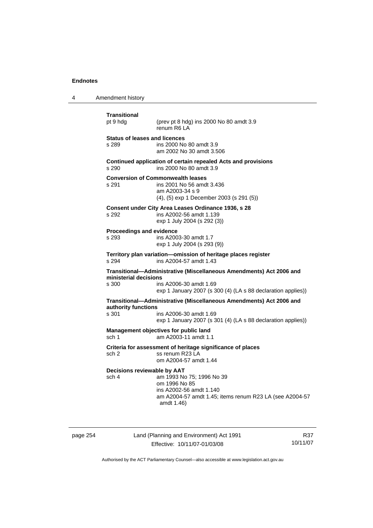| 4 | Amendment history                                 |                                                                                                                                                               |
|---|---------------------------------------------------|---------------------------------------------------------------------------------------------------------------------------------------------------------------|
|   | Transitional<br>pt 9 hdg                          | (prev pt 8 hdg) ins 2000 No 80 amdt 3.9<br>renum R6 LA                                                                                                        |
|   | <b>Status of leases and licences</b><br>s 289     | ins 2000 No 80 amdt 3.9<br>am 2002 No 30 amdt 3.506                                                                                                           |
|   | s 290                                             | Continued application of certain repealed Acts and provisions<br>ins 2000 No 80 amdt 3.9                                                                      |
|   | <b>Conversion of Commonwealth leases</b><br>s 291 | ins 2001 No 56 amdt 3.436<br>am A2003-34 s 9<br>$(4)$ , $(5)$ exp 1 December 2003 (s 291 $(5)$ )                                                              |
|   | s 292                                             | Consent under City Area Leases Ordinance 1936, s 28<br>ins A2002-56 amdt 1.139<br>exp 1 July 2004 (s 292 (3))                                                 |
|   | Proceedings and evidence<br>s 293                 | ins A2003-30 amdt 1.7<br>exp 1 July 2004 (s 293 (9))                                                                                                          |
|   | s 294                                             | Territory plan variation-omission of heritage places register<br>ins A2004-57 amdt 1.43                                                                       |
|   | ministerial decisions<br>s 300                    | Transitional-Administrative (Miscellaneous Amendments) Act 2006 and<br>ins A2006-30 amdt 1.69<br>exp 1 January 2007 (s 300 (4) (LA s 88 declaration applies)) |
|   | authority functions<br>s 301                      | Transitional-Administrative (Miscellaneous Amendments) Act 2006 and<br>ins A2006-30 amdt 1.69<br>exp 1 January 2007 (s 301 (4) (LA s 88 declaration applies)) |
|   | sch 1                                             | Management objectives for public land<br>am A2003-11 amdt 1.1                                                                                                 |
|   | sch 2                                             | Criteria for assessment of heritage significance of places<br>ss renum R23 LA<br>om A2004-57 amdt 1.44                                                        |
|   | Decisions reviewable by AAT<br>sch 4              | am 1993 No 75; 1996 No 39<br>om 1996 No 85<br>ins A2002-56 amdt 1.140<br>am A2004-57 amdt 1.45; items renum R23 LA (see A2004-57<br>amdt 1.46)                |

page 254 Land (Planning and Environment) Act 1991 Effective: 10/11/07-01/03/08

R37 10/11/07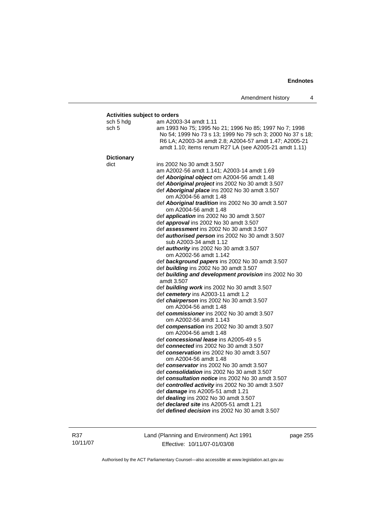#### **Activities subject to orders**

| <u>ion vinoo oupjoot to orderd</u> |                                                            |
|------------------------------------|------------------------------------------------------------|
| sch 5 hdg                          | am A2003-34 amdt 1.11                                      |
| sch 5                              | am 1993 No 75; 1995 No 21; 1996 No 85; 1997 No 7; 1998     |
|                                    | No 54; 1999 No 73 s 13; 1999 No 79 sch 3; 2000 No 37 s 18; |
|                                    | R6 LA; A2003-34 amdt 2.8; A2004-57 amdt 1.47; A2005-21     |
|                                    | amdt 1.10; items renum R27 LA (see A2005-21 amdt 1.11)     |
|                                    |                                                            |
| <b>Dictionary</b>                  |                                                            |
| dict                               | ins 2002 No 30 amdt 3.507                                  |
|                                    | am A2002-56 amdt 1.141; A2003-14 amdt 1.69                 |
|                                    | def Aboriginal object om A2004-56 amdt 1.48                |
|                                    | def Aboriginal project ins 2002 No 30 amdt 3.507           |
|                                    | def Aboriginal place ins 2002 No 30 amdt 3.507             |
|                                    | om A2004-56 amdt 1.48                                      |
|                                    | def Aboriginal tradition ins 2002 No 30 amdt 3.507         |
|                                    | om A2004-56 amdt 1.48                                      |
|                                    | def application ins 2002 No 30 amdt 3.507                  |
|                                    | def approval ins 2002 No 30 amdt 3.507                     |
|                                    | def assessment ins 2002 No 30 amdt 3.507                   |
|                                    | def authorised person ins 2002 No 30 amdt 3.507            |
|                                    | sub A2003-34 amdt 1.12                                     |
|                                    | def <i>authority</i> ins 2002 No 30 amdt 3.507             |
|                                    | om A2002-56 amdt 1.142                                     |
|                                    | def background papers ins 2002 No 30 amdt 3.507            |
|                                    | def building ins 2002 No 30 amdt 3.507                     |
|                                    | def building and development provision ins 2002 No 30      |
|                                    | amdt 3.507                                                 |
|                                    | def building work ins 2002 No 30 amdt 3.507                |
|                                    | def cemetery ins A2003-11 amdt 1.2                         |
|                                    | def chairperson ins 2002 No 30 amdt 3.507                  |
|                                    | om A2004-56 amdt 1.48                                      |
|                                    | def commissioner ins 2002 No 30 amdt 3.507                 |
|                                    | om A2002-56 amdt 1.143                                     |
|                                    | def compensation ins 2002 No 30 amdt 3.507                 |
|                                    | om A2004-56 amdt 1.48                                      |
|                                    | def concessional lease ins A2005-49 s 5                    |
|                                    | def connected ins 2002 No 30 amdt 3.507                    |
|                                    | def conservation ins 2002 No 30 amdt 3.507                 |
|                                    | om A2004-56 amdt 1.48                                      |
|                                    | def conservator ins 2002 No 30 amdt 3.507                  |
|                                    | def consolidation ins 2002 No 30 amdt 3.507                |
|                                    | def consultation notice ins 2002 No 30 amdt 3.507          |
|                                    | def controlled activity ins 2002 No 30 amdt 3.507          |
|                                    | def damage ins A2005-51 amdt 1.21                          |
|                                    | def <i>dealing</i> ins 2002 No 30 amdt 3.507               |
|                                    | def declared site ins A2005-51 amdt 1.21                   |
|                                    | def <i>defined decision</i> ins 2002 No 30 amdt 3.507      |
|                                    |                                                            |

R37 10/11/07 Land (Planning and Environment) Act 1991 Effective: 10/11/07-01/03/08

page 255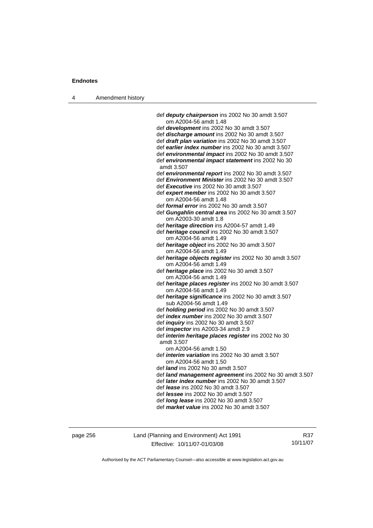4

| Amendment history |                                                                                                |
|-------------------|------------------------------------------------------------------------------------------------|
|                   |                                                                                                |
|                   | def <i>deputy chairperson</i> ins 2002 No 30 amdt 3.507                                        |
|                   | om A2004-56 amdt 1.48                                                                          |
|                   | def development ins 2002 No 30 amdt 3.507                                                      |
|                   | def discharge amount ins 2002 No 30 amdt 3.507                                                 |
|                   | def draft plan variation ins 2002 No 30 amdt 3.507                                             |
|                   | def earlier index number ins 2002 No 30 amdt 3.507                                             |
|                   | def environmental impact ins 2002 No 30 amdt 3.507                                             |
|                   | def environmental impact statement ins 2002 No 30                                              |
|                   | amdt 3.507                                                                                     |
|                   | def environmental report ins 2002 No 30 amdt 3.507                                             |
|                   | def Environment Minister ins 2002 No 30 amdt 3.507                                             |
|                   | def Executive ins 2002 No 30 amdt 3.507                                                        |
|                   | def expert member ins 2002 No 30 amdt 3.507                                                    |
|                   | om A2004-56 amdt 1.48<br>def formal error ins 2002 No 30 amdt 3.507                            |
|                   |                                                                                                |
|                   | def Gungahlin central area ins 2002 No 30 amdt 3.507                                           |
|                   | om A2003-30 amdt 1.8<br>def heritage direction ins A2004-57 amdt 1.49                          |
|                   | def heritage council ins 2002 No 30 amdt 3.507                                                 |
|                   | om A2004-56 amdt 1.49                                                                          |
|                   | def <i>heritage object</i> ins 2002 No 30 amdt 3.507                                           |
|                   | om A2004-56 amdt 1.49                                                                          |
|                   | def heritage objects register ins 2002 No 30 amdt 3.507                                        |
|                   | om A2004-56 amdt 1.49                                                                          |
|                   | def heritage place ins 2002 No 30 amdt 3.507                                                   |
|                   | om A2004-56 amdt 1.49                                                                          |
|                   | def heritage places register ins 2002 No 30 amdt 3.507                                         |
|                   | om A2004-56 amdt 1.49                                                                          |
|                   | def heritage significance ins 2002 No 30 amdt 3.507                                            |
|                   | sub A2004-56 amdt 1.49                                                                         |
|                   | def holding period ins 2002 No 30 amdt 3.507                                                   |
|                   | def <i>index number</i> ins 2002 No 30 amdt 3.507                                              |
|                   | def <i>inquiry</i> ins 2002 No 30 amdt 3.507                                                   |
|                   | def <i>inspector</i> ins A2003-34 amdt 2.9                                                     |
|                   | def interim heritage places register ins 2002 No 30                                            |
|                   | amdt 3.507                                                                                     |
|                   | om A2004-56 amdt 1.50                                                                          |
|                   | def <i>interim variation</i> ins 2002 No 30 amdt 3.507                                         |
|                   | om A2004-56 amdt 1.50                                                                          |
|                   | def <i>land</i> ins 2002 No 30 amdt 3.507                                                      |
|                   | def land management agreement ins 2002 No 30 amdt 3.507                                        |
|                   | def later index number ins 2002 No 30 amdt 3.507<br>def <i>lease</i> ins 2002 No 30 amdt 3.507 |
|                   |                                                                                                |
|                   | def <i>lessee</i> ins 2002 No 30 amdt 3.507                                                    |
|                   | def <i>long lease</i> ins 2002 No 30 amdt 3.507<br>def market value ins 2002 No 30 amdt 3.507  |
|                   |                                                                                                |
|                   |                                                                                                |

page 256 Land (Planning and Environment) Act 1991 Effective: 10/11/07-01/03/08

R37 10/11/07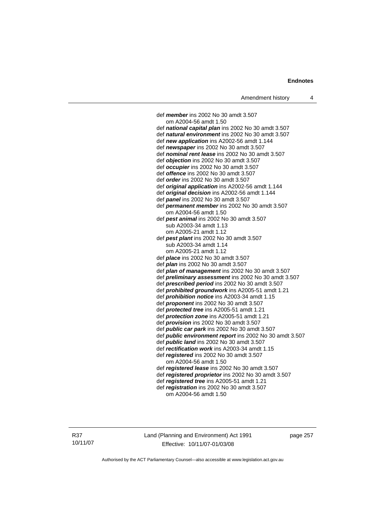def *member* ins 2002 No 30 amdt 3.507 om A2004-56 amdt 1.50 def *national capital plan* ins 2002 No 30 amdt 3.507 def *natural environment* ins 2002 No 30 amdt 3.507 def *new application* ins A2002-56 amdt 1.144 def *newspaper* ins 2002 No 30 amdt 3.507 def *nominal rent lease* ins 2002 No 30 amdt 3.507 def *objection* ins 2002 No 30 amdt 3.507 def *occupier* ins 2002 No 30 amdt 3.507 def *offence* ins 2002 No 30 amdt 3.507 def *order* ins 2002 No 30 amdt 3.507 def *original application* ins A2002-56 amdt 1.144 def *original decision* ins A2002-56 amdt 1.144 def *panel* ins 2002 No 30 amdt 3.507 def *permanent member* ins 2002 No 30 amdt 3.507 om A2004-56 amdt 1.50 def *pest animal* ins 2002 No 30 amdt 3.507 sub A2003-34 amdt 1.13 om A2005-21 amdt 1.12 def *pest plant* ins 2002 No 30 amdt 3.507 sub A2003-34 amdt 1.14 om A2005-21 amdt 1.12 def *place* ins 2002 No 30 amdt 3.507 def *plan* ins 2002 No 30 amdt 3.507 def *plan of management* ins 2002 No 30 amdt 3.507 def *preliminary assessment* ins 2002 No 30 amdt 3.507 def *prescribed period* ins 2002 No 30 amdt 3.507 def *prohibited groundwork* ins A2005-51 amdt 1.21 def *prohibition notice* ins A2003-34 amdt 1.15 def *proponent* ins 2002 No 30 amdt 3.507 def *protected tree* ins A2005-51 amdt 1.21 def *protection zone* ins A2005-51 amdt 1.21 def *provision* ins 2002 No 30 amdt 3.507 def *public car park* ins 2002 No 30 amdt 3.507 def *public environment report* ins 2002 No 30 amdt 3.507 def *public land* ins 2002 No 30 amdt 3.507 def *rectification work* ins A2003-34 amdt 1.15 def *registered* ins 2002 No 30 amdt 3.507 om A2004-56 amdt 1.50 def *registered lease* ins 2002 No 30 amdt 3.507 def *registered proprietor* ins 2002 No 30 amdt 3.507 def *registered tree* ins A2005-51 amdt 1.21 def *registration* ins 2002 No 30 amdt 3.507 om A2004-56 amdt 1.50

R37 10/11/07 Land (Planning and Environment) Act 1991 Effective: 10/11/07-01/03/08

page 257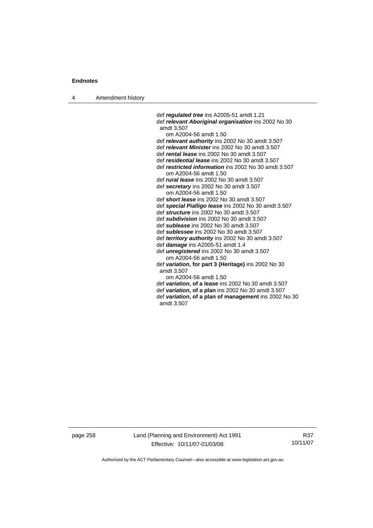4 Amendment history

 def *regulated tree* ins A2005-51 amdt 1.21 def *relevant Aboriginal organisation* ins 2002 No 30 amdt 3.507 om A2004-56 amdt 1.50 def *relevant authority* ins 2002 No 30 amdt 3.507 def *relevant Minister* ins 2002 No 30 amdt 3.507 def *rental lease* ins 2002 No 30 amdt 3.507 def *residential lease* ins 2002 No 30 amdt 3.507 def *restricted information* ins 2002 No 30 amdt 3.507 om A2004-56 amdt 1.50 def *rural lease* ins 2002 No 30 amdt 3.507 def *secretary* ins 2002 No 30 amdt 3.507 om A2004-56 amdt 1.50 def *short lease* ins 2002 No 30 amdt 3.507 def *special Pialligo lease* ins 2002 No 30 amdt 3.507 def *structure* ins 2002 No 30 amdt 3.507 def *subdivision* ins 2002 No 30 amdt 3.507 def *sublease* ins 2002 No 30 amdt 3.507 def *sublessee* ins 2002 No 30 amdt 3.507 def *territory authority* ins 2002 No 30 amdt 3.507 def *damage* ins A2005-51 amdt 1.4 def *unregistered* ins 2002 No 30 amdt 3.507 om A2004-56 amdt 1.50 def *variation***, for part 3 (Heritage)** ins 2002 No 30 amdt 3.507 om A2004-56 amdt 1.50 def *variation***, of a lease** ins 2002 No 30 amdt 3.507 def *variation***, of a plan** ins 2002 No 30 amdt 3.507 def *variation***, of a plan of management** ins 2002 No 30 amdt 3.507

page 258 Land (Planning and Environment) Act 1991 Effective: 10/11/07-01/03/08

R37 10/11/07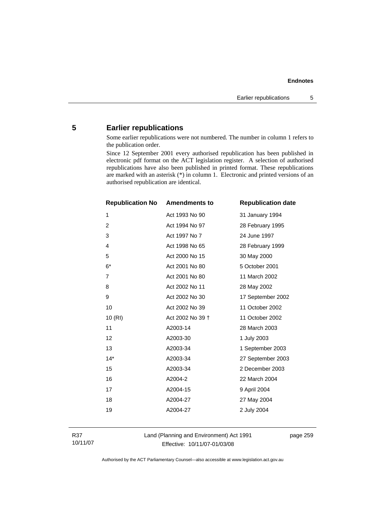## **5 Earlier republications**

Some earlier republications were not numbered. The number in column 1 refers to the publication order.

Since 12 September 2001 every authorised republication has been published in electronic pdf format on the ACT legislation register. A selection of authorised republications have also been published in printed format. These republications are marked with an asterisk (\*) in column 1. Electronic and printed versions of an authorised republication are identical.

| <b>Republication No</b> | <b>Amendments to</b> | <b>Republication date</b> |
|-------------------------|----------------------|---------------------------|
| 1                       | Act 1993 No 90       | 31 January 1994           |
| $\overline{2}$          | Act 1994 No 97       | 28 February 1995          |
| 3                       | Act 1997 No 7        | 24 June 1997              |
| $\overline{4}$          | Act 1998 No 65       | 28 February 1999          |
| 5                       | Act 2000 No 15       | 30 May 2000               |
| $6*$                    | Act 2001 No 80       | 5 October 2001            |
| $\overline{7}$          | Act 2001 No 80       | 11 March 2002             |
| 8                       | Act 2002 No 11       | 28 May 2002               |
| 9                       | Act 2002 No 30       | 17 September 2002         |
| 10                      | Act 2002 No 39       | 11 October 2002           |
| 10(RI)                  | Act 2002 No 39 +     | 11 October 2002           |
| 11                      | A2003-14             | 28 March 2003             |
| 12                      | A2003-30             | 1 July 2003               |
| 13                      | A2003-34             | 1 September 2003          |
| $14*$                   | A2003-34             | 27 September 2003         |
| 15                      | A2003-34             | 2 December 2003           |
| 16                      | A2004-2              | 22 March 2004             |
| 17                      | A2004-15             | 9 April 2004              |
| 18                      | A2004-27             | 27 May 2004               |
| 19                      | A2004-27             | 2 July 2004               |
|                         |                      |                           |

R37 10/11/07 Land (Planning and Environment) Act 1991 Effective: 10/11/07-01/03/08

page 259